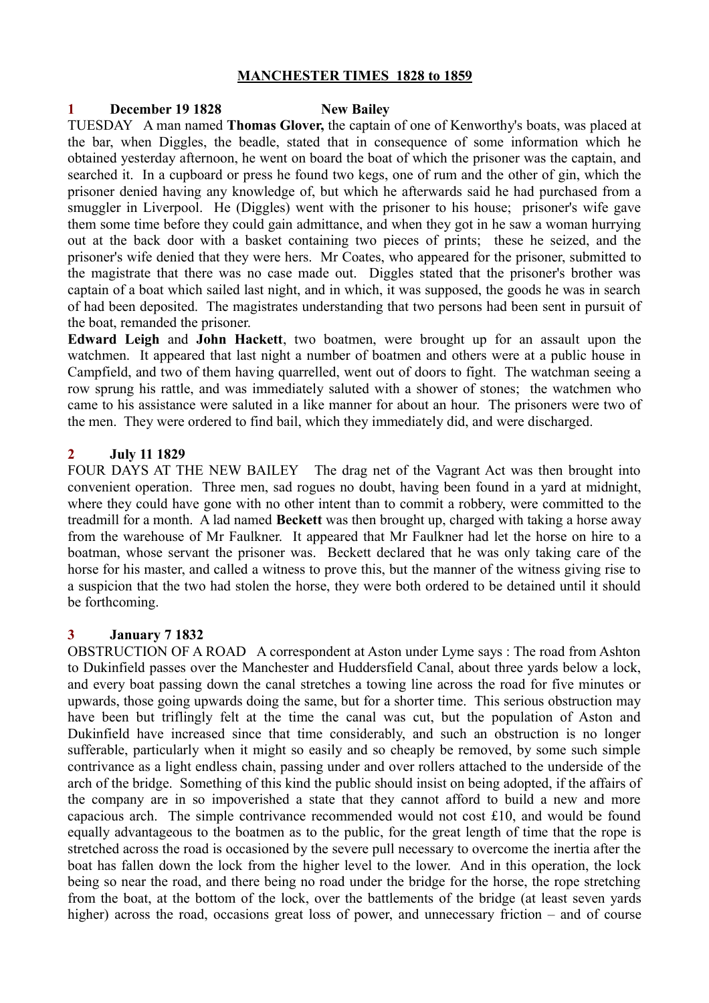## **MANCHESTER TIMES 1828 to 1859**

### **1 December 19 1828 New Bailey**

TUESDAY A man named **Thomas Glover,** the captain of one of Kenworthy's boats, was placed at the bar, when Diggles, the beadle, stated that in consequence of some information which he obtained yesterday afternoon, he went on board the boat of which the prisoner was the captain, and searched it. In a cupboard or press he found two kegs, one of rum and the other of gin, which the prisoner denied having any knowledge of, but which he afterwards said he had purchased from a smuggler in Liverpool. He (Diggles) went with the prisoner to his house; prisoner's wife gave them some time before they could gain admittance, and when they got in he saw a woman hurrying out at the back door with a basket containing two pieces of prints; these he seized, and the prisoner's wife denied that they were hers. Mr Coates, who appeared for the prisoner, submitted to the magistrate that there was no case made out. Diggles stated that the prisoner's brother was captain of a boat which sailed last night, and in which, it was supposed, the goods he was in search of had been deposited. The magistrates understanding that two persons had been sent in pursuit of the boat, remanded the prisoner.

**Edward Leigh** and **John Hackett**, two boatmen, were brought up for an assault upon the watchmen. It appeared that last night a number of boatmen and others were at a public house in Campfield, and two of them having quarrelled, went out of doors to fight. The watchman seeing a row sprung his rattle, and was immediately saluted with a shower of stones; the watchmen who came to his assistance were saluted in a like manner for about an hour. The prisoners were two of the men. They were ordered to find bail, which they immediately did, and were discharged.

## **2 July 11 1829**

FOUR DAYS AT THE NEW BAILEY The drag net of the Vagrant Act was then brought into convenient operation. Three men, sad rogues no doubt, having been found in a yard at midnight, where they could have gone with no other intent than to commit a robbery, were committed to the treadmill for a month. A lad named **Beckett** was then brought up, charged with taking a horse away from the warehouse of Mr Faulkner. It appeared that Mr Faulkner had let the horse on hire to a boatman, whose servant the prisoner was. Beckett declared that he was only taking care of the horse for his master, and called a witness to prove this, but the manner of the witness giving rise to a suspicion that the two had stolen the horse, they were both ordered to be detained until it should be forthcoming.

## **3 January 7 1832**

OBSTRUCTION OF A ROAD A correspondent at Aston under Lyme says : The road from Ashton to Dukinfield passes over the Manchester and Huddersfield Canal, about three yards below a lock, and every boat passing down the canal stretches a towing line across the road for five minutes or upwards, those going upwards doing the same, but for a shorter time. This serious obstruction may have been but triflingly felt at the time the canal was cut, but the population of Aston and Dukinfield have increased since that time considerably, and such an obstruction is no longer sufferable, particularly when it might so easily and so cheaply be removed, by some such simple contrivance as a light endless chain, passing under and over rollers attached to the underside of the arch of the bridge. Something of this kind the public should insist on being adopted, if the affairs of the company are in so impoverished a state that they cannot afford to build a new and more capacious arch. The simple contrivance recommended would not cost £10, and would be found equally advantageous to the boatmen as to the public, for the great length of time that the rope is stretched across the road is occasioned by the severe pull necessary to overcome the inertia after the boat has fallen down the lock from the higher level to the lower. And in this operation, the lock being so near the road, and there being no road under the bridge for the horse, the rope stretching from the boat, at the bottom of the lock, over the battlements of the bridge (at least seven yards higher) across the road, occasions great loss of power, and unnecessary friction – and of course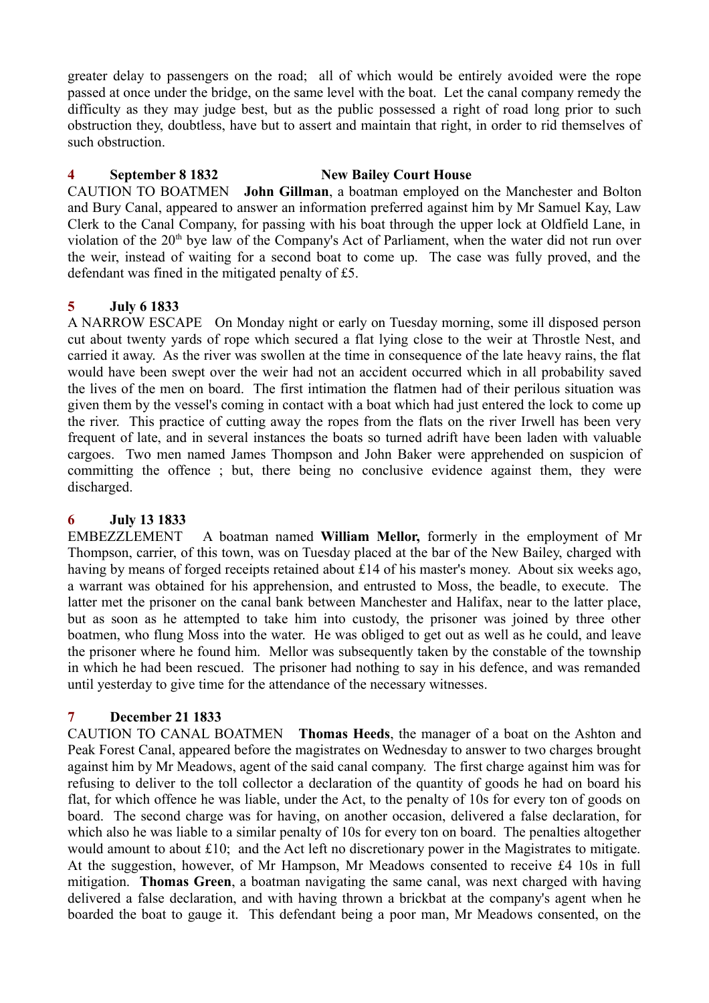greater delay to passengers on the road; all of which would be entirely avoided were the rope passed at once under the bridge, on the same level with the boat. Let the canal company remedy the difficulty as they may judge best, but as the public possessed a right of road long prior to such obstruction they, doubtless, have but to assert and maintain that right, in order to rid themselves of such obstruction.

## **4 September 8 1832 New Bailey Court House**

CAUTION TO BOATMEN **John Gillman**, a boatman employed on the Manchester and Bolton and Bury Canal, appeared to answer an information preferred against him by Mr Samuel Kay, Law Clerk to the Canal Company, for passing with his boat through the upper lock at Oldfield Lane, in violation of the 20<sup>th</sup> bye law of the Company's Act of Parliament, when the water did not run over the weir, instead of waiting for a second boat to come up. The case was fully proved, and the defendant was fined in the mitigated penalty of £5.

# **5 July 6 1833**

A NARROW ESCAPE On Monday night or early on Tuesday morning, some ill disposed person cut about twenty yards of rope which secured a flat lying close to the weir at Throstle Nest, and carried it away. As the river was swollen at the time in consequence of the late heavy rains, the flat would have been swept over the weir had not an accident occurred which in all probability saved the lives of the men on board. The first intimation the flatmen had of their perilous situation was given them by the vessel's coming in contact with a boat which had just entered the lock to come up the river. This practice of cutting away the ropes from the flats on the river Irwell has been very frequent of late, and in several instances the boats so turned adrift have been laden with valuable cargoes. Two men named James Thompson and John Baker were apprehended on suspicion of committing the offence ; but, there being no conclusive evidence against them, they were discharged.

## **6 July 13 1833**

EMBEZZLEMENT A boatman named **William Mellor,** formerly in the employment of Mr Thompson, carrier, of this town, was on Tuesday placed at the bar of the New Bailey, charged with having by means of forged receipts retained about £14 of his master's money. About six weeks ago, a warrant was obtained for his apprehension, and entrusted to Moss, the beadle, to execute. The latter met the prisoner on the canal bank between Manchester and Halifax, near to the latter place, but as soon as he attempted to take him into custody, the prisoner was joined by three other boatmen, who flung Moss into the water. He was obliged to get out as well as he could, and leave the prisoner where he found him. Mellor was subsequently taken by the constable of the township in which he had been rescued. The prisoner had nothing to say in his defence, and was remanded until yesterday to give time for the attendance of the necessary witnesses.

# **7 December 21 1833**

CAUTION TO CANAL BOATMEN **Thomas Heeds**, the manager of a boat on the Ashton and Peak Forest Canal, appeared before the magistrates on Wednesday to answer to two charges brought against him by Mr Meadows, agent of the said canal company. The first charge against him was for refusing to deliver to the toll collector a declaration of the quantity of goods he had on board his flat, for which offence he was liable, under the Act, to the penalty of 10s for every ton of goods on board. The second charge was for having, on another occasion, delivered a false declaration, for which also he was liable to a similar penalty of 10s for every ton on board. The penalties altogether would amount to about £10; and the Act left no discretionary power in the Magistrates to mitigate. At the suggestion, however, of Mr Hampson, Mr Meadows consented to receive £4 10s in full mitigation. **Thomas Green**, a boatman navigating the same canal, was next charged with having delivered a false declaration, and with having thrown a brickbat at the company's agent when he boarded the boat to gauge it. This defendant being a poor man, Mr Meadows consented, on the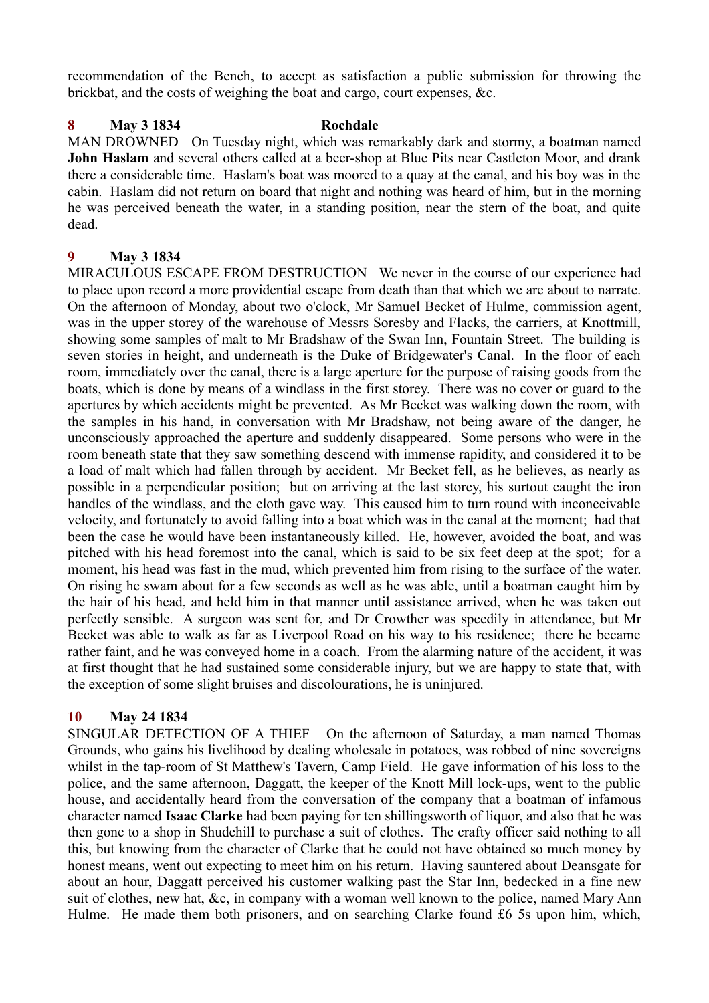recommendation of the Bench, to accept as satisfaction a public submission for throwing the brickbat, and the costs of weighing the boat and cargo, court expenses, &c.

## **8 May 3 1834 Rochdale**

MAN DROWNED On Tuesday night, which was remarkably dark and stormy, a boatman named **John Haslam** and several others called at a beer-shop at Blue Pits near Castleton Moor, and drank there a considerable time. Haslam's boat was moored to a quay at the canal, and his boy was in the cabin. Haslam did not return on board that night and nothing was heard of him, but in the morning he was perceived beneath the water, in a standing position, near the stern of the boat, and quite dead.

## **9 May 3 1834**

MIRACULOUS ESCAPE FROM DESTRUCTION We never in the course of our experience had to place upon record a more providential escape from death than that which we are about to narrate. On the afternoon of Monday, about two o'clock, Mr Samuel Becket of Hulme, commission agent, was in the upper storey of the warehouse of Messrs Soresby and Flacks, the carriers, at Knottmill, showing some samples of malt to Mr Bradshaw of the Swan Inn, Fountain Street. The building is seven stories in height, and underneath is the Duke of Bridgewater's Canal. In the floor of each room, immediately over the canal, there is a large aperture for the purpose of raising goods from the boats, which is done by means of a windlass in the first storey. There was no cover or guard to the apertures by which accidents might be prevented. As Mr Becket was walking down the room, with the samples in his hand, in conversation with Mr Bradshaw, not being aware of the danger, he unconsciously approached the aperture and suddenly disappeared. Some persons who were in the room beneath state that they saw something descend with immense rapidity, and considered it to be a load of malt which had fallen through by accident. Mr Becket fell, as he believes, as nearly as possible in a perpendicular position; but on arriving at the last storey, his surtout caught the iron handles of the windlass, and the cloth gave way. This caused him to turn round with inconceivable velocity, and fortunately to avoid falling into a boat which was in the canal at the moment; had that been the case he would have been instantaneously killed. He, however, avoided the boat, and was pitched with his head foremost into the canal, which is said to be six feet deep at the spot; for a moment, his head was fast in the mud, which prevented him from rising to the surface of the water. On rising he swam about for a few seconds as well as he was able, until a boatman caught him by the hair of his head, and held him in that manner until assistance arrived, when he was taken out perfectly sensible. A surgeon was sent for, and Dr Crowther was speedily in attendance, but Mr Becket was able to walk as far as Liverpool Road on his way to his residence; there he became rather faint, and he was conveyed home in a coach. From the alarming nature of the accident, it was at first thought that he had sustained some considerable injury, but we are happy to state that, with the exception of some slight bruises and discolourations, he is uninjured.

## **10 May 24 1834**

SINGULAR DETECTION OF A THIEF On the afternoon of Saturday, a man named Thomas Grounds, who gains his livelihood by dealing wholesale in potatoes, was robbed of nine sovereigns whilst in the tap-room of St Matthew's Tavern, Camp Field. He gave information of his loss to the police, and the same afternoon, Daggatt, the keeper of the Knott Mill lock-ups, went to the public house, and accidentally heard from the conversation of the company that a boatman of infamous character named **Isaac Clarke** had been paying for ten shillingsworth of liquor, and also that he was then gone to a shop in Shudehill to purchase a suit of clothes. The crafty officer said nothing to all this, but knowing from the character of Clarke that he could not have obtained so much money by honest means, went out expecting to meet him on his return. Having sauntered about Deansgate for about an hour, Daggatt perceived his customer walking past the Star Inn, bedecked in a fine new suit of clothes, new hat, &c, in company with a woman well known to the police, named Mary Ann Hulme. He made them both prisoners, and on searching Clarke found £6 5s upon him, which,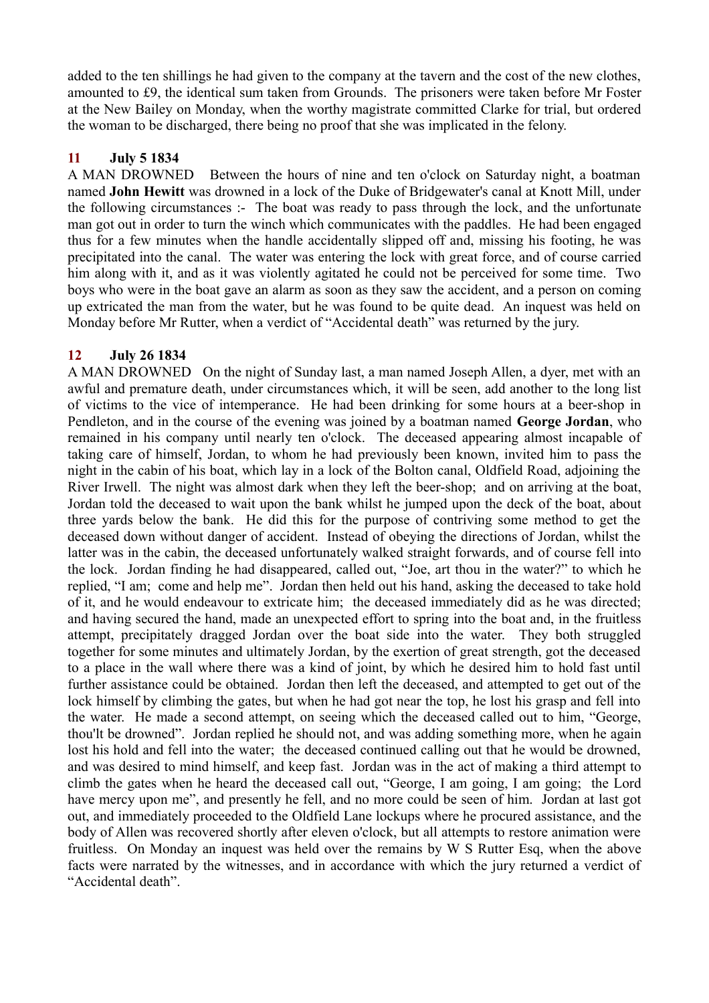added to the ten shillings he had given to the company at the tavern and the cost of the new clothes, amounted to £9, the identical sum taken from Grounds. The prisoners were taken before Mr Foster at the New Bailey on Monday, when the worthy magistrate committed Clarke for trial, but ordered the woman to be discharged, there being no proof that she was implicated in the felony.

## **11 July 5 1834**

A MAN DROWNED Between the hours of nine and ten o'clock on Saturday night, a boatman named **John Hewitt** was drowned in a lock of the Duke of Bridgewater's canal at Knott Mill, under the following circumstances :- The boat was ready to pass through the lock, and the unfortunate man got out in order to turn the winch which communicates with the paddles. He had been engaged thus for a few minutes when the handle accidentally slipped off and, missing his footing, he was precipitated into the canal. The water was entering the lock with great force, and of course carried him along with it, and as it was violently agitated he could not be perceived for some time. Two boys who were in the boat gave an alarm as soon as they saw the accident, and a person on coming up extricated the man from the water, but he was found to be quite dead. An inquest was held on Monday before Mr Rutter, when a verdict of "Accidental death" was returned by the jury.

## **12 July 26 1834**

A MAN DROWNED On the night of Sunday last, a man named Joseph Allen, a dyer, met with an awful and premature death, under circumstances which, it will be seen, add another to the long list of victims to the vice of intemperance. He had been drinking for some hours at a beer-shop in Pendleton, and in the course of the evening was joined by a boatman named **George Jordan**, who remained in his company until nearly ten o'clock. The deceased appearing almost incapable of taking care of himself, Jordan, to whom he had previously been known, invited him to pass the night in the cabin of his boat, which lay in a lock of the Bolton canal, Oldfield Road, adjoining the River Irwell. The night was almost dark when they left the beer-shop; and on arriving at the boat, Jordan told the deceased to wait upon the bank whilst he jumped upon the deck of the boat, about three yards below the bank. He did this for the purpose of contriving some method to get the deceased down without danger of accident. Instead of obeying the directions of Jordan, whilst the latter was in the cabin, the deceased unfortunately walked straight forwards, and of course fell into the lock. Jordan finding he had disappeared, called out, "Joe, art thou in the water?" to which he replied, "I am; come and help me". Jordan then held out his hand, asking the deceased to take hold of it, and he would endeavour to extricate him; the deceased immediately did as he was directed; and having secured the hand, made an unexpected effort to spring into the boat and, in the fruitless attempt, precipitately dragged Jordan over the boat side into the water. They both struggled together for some minutes and ultimately Jordan, by the exertion of great strength, got the deceased to a place in the wall where there was a kind of joint, by which he desired him to hold fast until further assistance could be obtained. Jordan then left the deceased, and attempted to get out of the lock himself by climbing the gates, but when he had got near the top, he lost his grasp and fell into the water. He made a second attempt, on seeing which the deceased called out to him, "George, thou'lt be drowned". Jordan replied he should not, and was adding something more, when he again lost his hold and fell into the water; the deceased continued calling out that he would be drowned, and was desired to mind himself, and keep fast. Jordan was in the act of making a third attempt to climb the gates when he heard the deceased call out, "George, I am going, I am going; the Lord have mercy upon me", and presently he fell, and no more could be seen of him. Jordan at last got out, and immediately proceeded to the Oldfield Lane lockups where he procured assistance, and the body of Allen was recovered shortly after eleven o'clock, but all attempts to restore animation were fruitless. On Monday an inquest was held over the remains by W S Rutter Esq, when the above facts were narrated by the witnesses, and in accordance with which the jury returned a verdict of "Accidental death".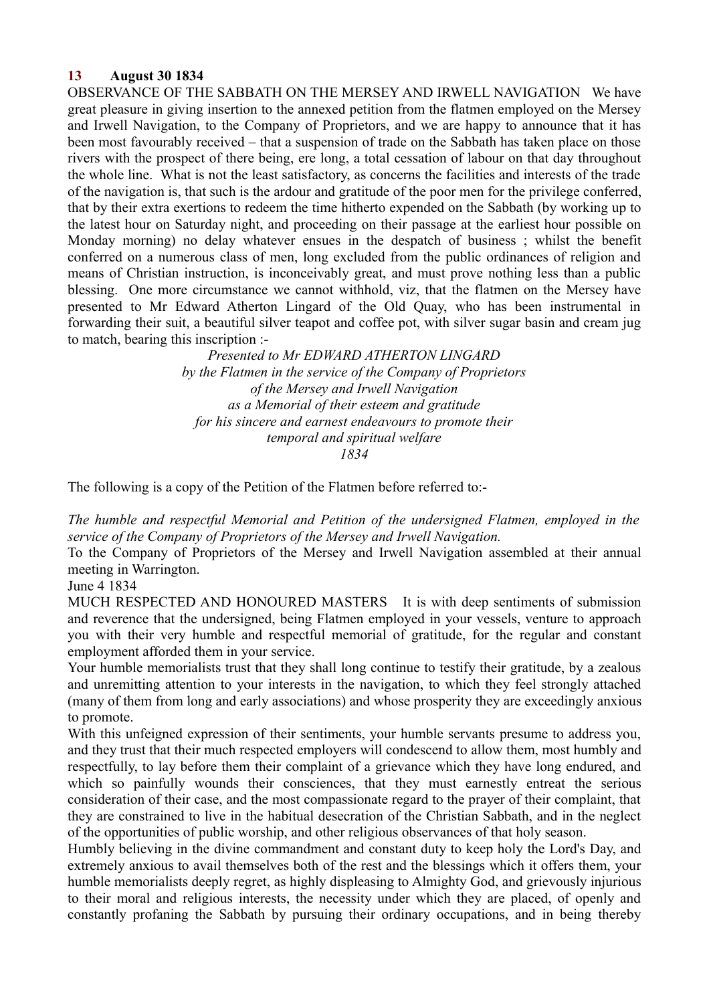## **13 August 30 1834**

OBSERVANCE OF THE SABBATH ON THE MERSEY AND IRWELL NAVIGATION We have great pleasure in giving insertion to the annexed petition from the flatmen employed on the Mersey and Irwell Navigation, to the Company of Proprietors, and we are happy to announce that it has been most favourably received – that a suspension of trade on the Sabbath has taken place on those rivers with the prospect of there being, ere long, a total cessation of labour on that day throughout the whole line. What is not the least satisfactory, as concerns the facilities and interests of the trade of the navigation is, that such is the ardour and gratitude of the poor men for the privilege conferred, that by their extra exertions to redeem the time hitherto expended on the Sabbath (by working up to the latest hour on Saturday night, and proceeding on their passage at the earliest hour possible on Monday morning) no delay whatever ensues in the despatch of business ; whilst the benefit conferred on a numerous class of men, long excluded from the public ordinances of religion and means of Christian instruction, is inconceivably great, and must prove nothing less than a public blessing. One more circumstance we cannot withhold, viz, that the flatmen on the Mersey have presented to Mr Edward Atherton Lingard of the Old Quay, who has been instrumental in forwarding their suit, a beautiful silver teapot and coffee pot, with silver sugar basin and cream jug to match, bearing this inscription :-

> *Presented to Mr EDWARD ATHERTON LINGARD by the Flatmen in the service of the Company of Proprietors of the Mersey and Irwell Navigation as a Memorial of their esteem and gratitude for his sincere and earnest endeavours to promote their temporal and spiritual welfare 1834*

The following is a copy of the Petition of the Flatmen before referred to:-

*The humble and respectful Memorial and Petition of the undersigned Flatmen, employed in the service of the Company of Proprietors of the Mersey and Irwell Navigation.*

To the Company of Proprietors of the Mersey and Irwell Navigation assembled at their annual meeting in Warrington.

June 4 1834

MUCH RESPECTED AND HONOURED MASTERS It is with deep sentiments of submission and reverence that the undersigned, being Flatmen employed in your vessels, venture to approach you with their very humble and respectful memorial of gratitude, for the regular and constant employment afforded them in your service.

Your humble memorialists trust that they shall long continue to testify their gratitude, by a zealous and unremitting attention to your interests in the navigation, to which they feel strongly attached (many of them from long and early associations) and whose prosperity they are exceedingly anxious to promote.

With this unfeigned expression of their sentiments, your humble servants presume to address you, and they trust that their much respected employers will condescend to allow them, most humbly and respectfully, to lay before them their complaint of a grievance which they have long endured, and which so painfully wounds their consciences, that they must earnestly entreat the serious consideration of their case, and the most compassionate regard to the prayer of their complaint, that they are constrained to live in the habitual desecration of the Christian Sabbath, and in the neglect of the opportunities of public worship, and other religious observances of that holy season.

Humbly believing in the divine commandment and constant duty to keep holy the Lord's Day, and extremely anxious to avail themselves both of the rest and the blessings which it offers them, your humble memorialists deeply regret, as highly displeasing to Almighty God, and grievously injurious to their moral and religious interests, the necessity under which they are placed, of openly and constantly profaning the Sabbath by pursuing their ordinary occupations, and in being thereby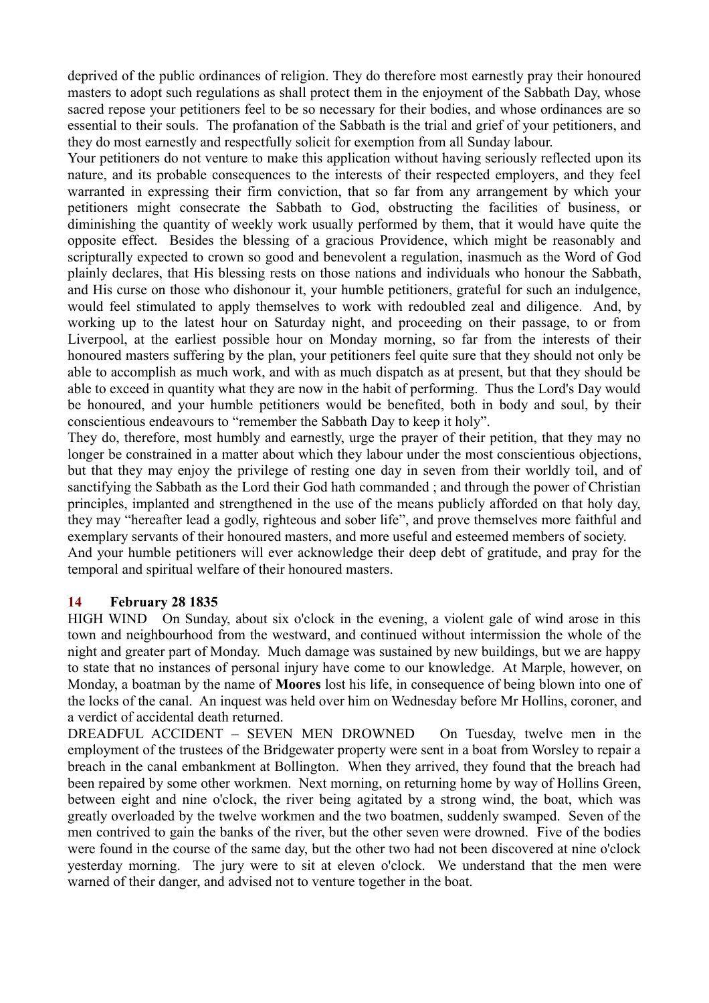deprived of the public ordinances of religion. They do therefore most earnestly pray their honoured masters to adopt such regulations as shall protect them in the enjoyment of the Sabbath Day, whose sacred repose your petitioners feel to be so necessary for their bodies, and whose ordinances are so essential to their souls. The profanation of the Sabbath is the trial and grief of your petitioners, and they do most earnestly and respectfully solicit for exemption from all Sunday labour.

Your petitioners do not venture to make this application without having seriously reflected upon its nature, and its probable consequences to the interests of their respected employers, and they feel warranted in expressing their firm conviction, that so far from any arrangement by which your petitioners might consecrate the Sabbath to God, obstructing the facilities of business, or diminishing the quantity of weekly work usually performed by them, that it would have quite the opposite effect. Besides the blessing of a gracious Providence, which might be reasonably and scripturally expected to crown so good and benevolent a regulation, inasmuch as the Word of God plainly declares, that His blessing rests on those nations and individuals who honour the Sabbath, and His curse on those who dishonour it, your humble petitioners, grateful for such an indulgence, would feel stimulated to apply themselves to work with redoubled zeal and diligence. And, by working up to the latest hour on Saturday night, and proceeding on their passage, to or from Liverpool, at the earliest possible hour on Monday morning, so far from the interests of their honoured masters suffering by the plan, your petitioners feel quite sure that they should not only be able to accomplish as much work, and with as much dispatch as at present, but that they should be able to exceed in quantity what they are now in the habit of performing. Thus the Lord's Day would be honoured, and your humble petitioners would be benefited, both in body and soul, by their conscientious endeavours to "remember the Sabbath Day to keep it holy".

They do, therefore, most humbly and earnestly, urge the prayer of their petition, that they may no longer be constrained in a matter about which they labour under the most conscientious objections, but that they may enjoy the privilege of resting one day in seven from their worldly toil, and of sanctifying the Sabbath as the Lord their God hath commanded ; and through the power of Christian principles, implanted and strengthened in the use of the means publicly afforded on that holy day, they may "hereafter lead a godly, righteous and sober life", and prove themselves more faithful and exemplary servants of their honoured masters, and more useful and esteemed members of society.

And your humble petitioners will ever acknowledge their deep debt of gratitude, and pray for the temporal and spiritual welfare of their honoured masters.

## **14 February 28 1835**

HIGH WIND On Sunday, about six o'clock in the evening, a violent gale of wind arose in this town and neighbourhood from the westward, and continued without intermission the whole of the night and greater part of Monday. Much damage was sustained by new buildings, but we are happy to state that no instances of personal injury have come to our knowledge. At Marple, however, on Monday, a boatman by the name of **Moores** lost his life, in consequence of being blown into one of the locks of the canal. An inquest was held over him on Wednesday before Mr Hollins, coroner, and a verdict of accidental death returned.

DREADFUL ACCIDENT – SEVEN MEN DROWNED On Tuesday, twelve men in the employment of the trustees of the Bridgewater property were sent in a boat from Worsley to repair a breach in the canal embankment at Bollington. When they arrived, they found that the breach had been repaired by some other workmen. Next morning, on returning home by way of Hollins Green, between eight and nine o'clock, the river being agitated by a strong wind, the boat, which was greatly overloaded by the twelve workmen and the two boatmen, suddenly swamped. Seven of the men contrived to gain the banks of the river, but the other seven were drowned. Five of the bodies were found in the course of the same day, but the other two had not been discovered at nine o'clock yesterday morning. The jury were to sit at eleven o'clock. We understand that the men were warned of their danger, and advised not to venture together in the boat.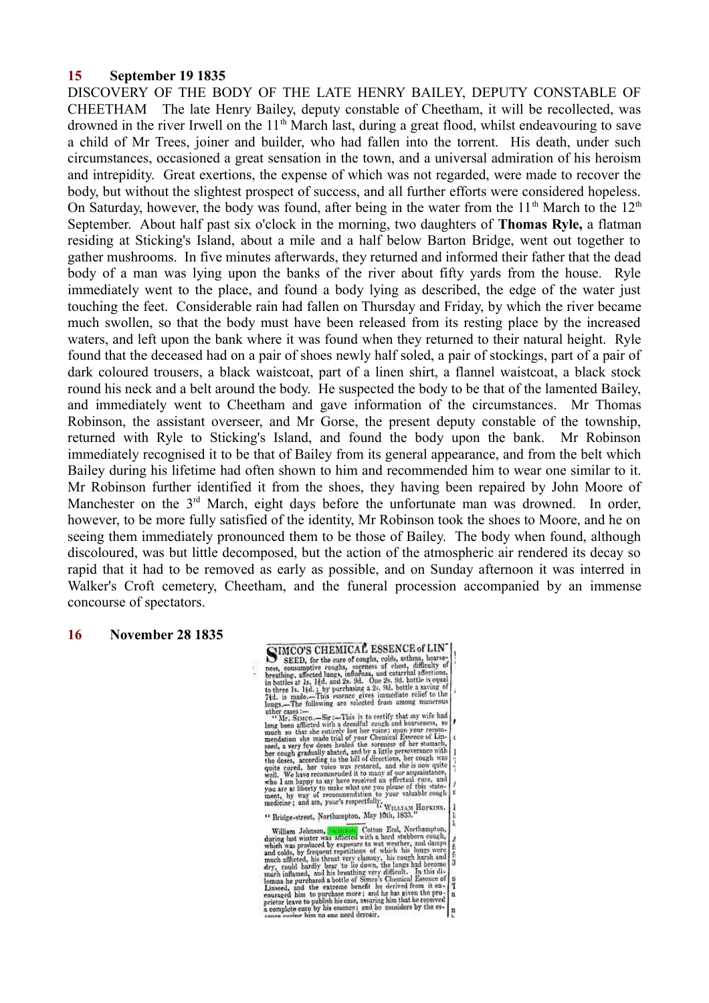### **15 September 19 1835**

DISCOVERY OF THE BODY OF THE LATE HENRY BAILEY, DEPUTY CONSTABLE OF CHEETHAM The late Henry Bailey, deputy constable of Cheetham, it will be recollected, was drowned in the river Irwell on the 11<sup>th</sup> March last, during a great flood, whilst endeavouring to save a child of Mr Trees, joiner and builder, who had fallen into the torrent. His death, under such circumstances, occasioned a great sensation in the town, and a universal admiration of his heroism and intrepidity. Great exertions, the expense of which was not regarded, were made to recover the body, but without the slightest prospect of success, and all further efforts were considered hopeless. On Saturday, however, the body was found, after being in the water from the  $11<sup>th</sup>$  March to the  $12<sup>th</sup>$ September. About half past six o'clock in the morning, two daughters of **Thomas Ryle,** a flatman residing at Sticking's Island, about a mile and a half below Barton Bridge, went out together to gather mushrooms. In five minutes afterwards, they returned and informed their father that the dead body of a man was lying upon the banks of the river about fifty yards from the house. Ryle immediately went to the place, and found a body lying as described, the edge of the water just touching the feet. Considerable rain had fallen on Thursday and Friday, by which the river became much swollen, so that the body must have been released from its resting place by the increased waters, and left upon the bank where it was found when they returned to their natural height. Ryle found that the deceased had on a pair of shoes newly half soled, a pair of stockings, part of a pair of dark coloured trousers, a black waistcoat, part of a linen shirt, a flannel waistcoat, a black stock round his neck and a belt around the body. He suspected the body to be that of the lamented Bailey, and immediately went to Cheetham and gave information of the circumstances. Mr Thomas Robinson, the assistant overseer, and Mr Gorse, the present deputy constable of the township, returned with Ryle to Sticking's Island, and found the body upon the bank. Mr Robinson immediately recognised it to be that of Bailey from its general appearance, and from the belt which Bailey during his lifetime had often shown to him and recommended him to wear one similar to it. Mr Robinson further identified it from the shoes, they having been repaired by John Moore of Manchester on the 3<sup>rd</sup> March, eight days before the unfortunate man was drowned. In order, however, to be more fully satisfied of the identity, Mr Robinson took the shoes to Moore, and he on seeing them immediately pronounced them to be those of Bailey. The body when found, although discoloured, was but little decomposed, but the action of the atmospheric air rendered its decay so rapid that it had to be removed as early as possible, and on Sunday afternoon it was interred in Walker's Croft cemetery, Cheetham, and the funeral procession accompanied by an immense concourse of spectators.

### **16 November 28 1835**

**SIMCO'S CHEMICAL ESSENCE of LIN**<br>SEED, for the cure of coughs, colds, asthina, hoarse; **SCINCO'S CHEMICAL ESSENCE of LIN**<br>
SEED, for the cure of coughs, colds, asthma, hoarse-<br>
ness, consumptive coughs, speeness of chest, difficulty of<br>
breaking, affected hung, uniformar, and catarrial affections;<br>
to bree 1 'n ï " Bridge-street, Northampton, May 10th, 1833 " Bridge-street, Northampton, Alay 10th, 1853.<br>
William Johnson, Northampton, Alay 10th, 1853.<br>
William Johnson, Northampton (2010) Edd Northampton, which was aroteced by exposure to wet weather, and damps<br>
and ololds, by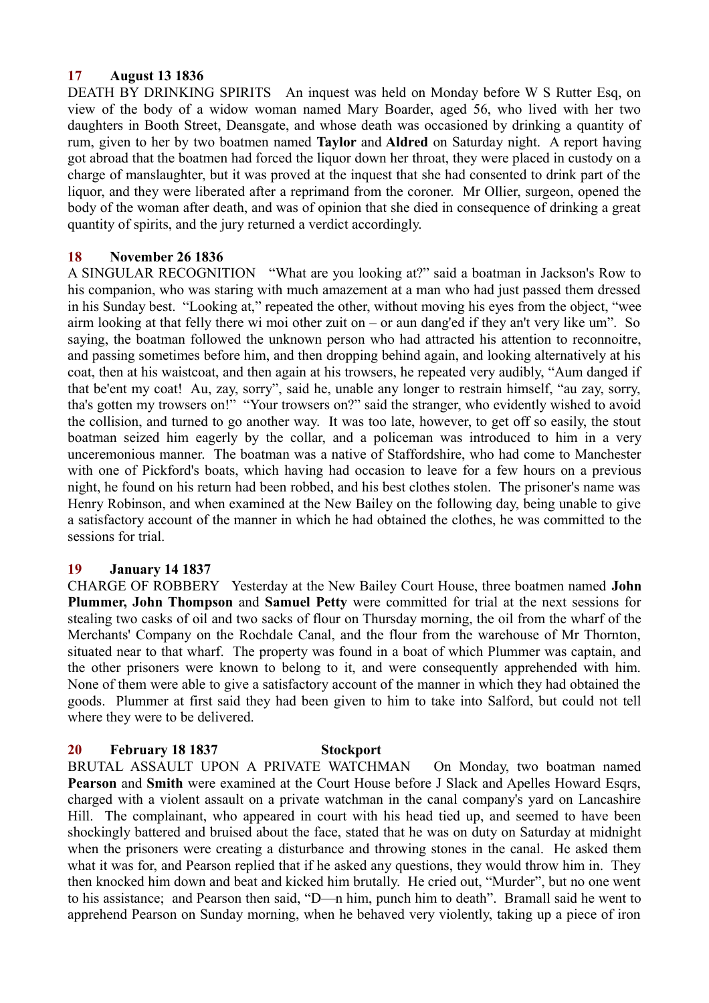## **17 August 13 1836**

DEATH BY DRINKING SPIRITS An inquest was held on Monday before W S Rutter Esq, on view of the body of a widow woman named Mary Boarder, aged 56, who lived with her two daughters in Booth Street, Deansgate, and whose death was occasioned by drinking a quantity of rum, given to her by two boatmen named **Taylor** and **Aldred** on Saturday night. A report having got abroad that the boatmen had forced the liquor down her throat, they were placed in custody on a charge of manslaughter, but it was proved at the inquest that she had consented to drink part of the liquor, and they were liberated after a reprimand from the coroner. Mr Ollier, surgeon, opened the body of the woman after death, and was of opinion that she died in consequence of drinking a great quantity of spirits, and the jury returned a verdict accordingly.

## **18 November 26 1836**

A SINGULAR RECOGNITION "What are you looking at?" said a boatman in Jackson's Row to his companion, who was staring with much amazement at a man who had just passed them dressed in his Sunday best. "Looking at," repeated the other, without moving his eyes from the object, "wee airm looking at that felly there wi moi other zuit on – or aun dang'ed if they an't very like um". So saying, the boatman followed the unknown person who had attracted his attention to reconnoitre, and passing sometimes before him, and then dropping behind again, and looking alternatively at his coat, then at his waistcoat, and then again at his trowsers, he repeated very audibly, "Aum danged if that be'ent my coat! Au, zay, sorry", said he, unable any longer to restrain himself, "au zay, sorry, tha's gotten my trowsers on!" "Your trowsers on?" said the stranger, who evidently wished to avoid the collision, and turned to go another way. It was too late, however, to get off so easily, the stout boatman seized him eagerly by the collar, and a policeman was introduced to him in a very unceremonious manner. The boatman was a native of Staffordshire, who had come to Manchester with one of Pickford's boats, which having had occasion to leave for a few hours on a previous night, he found on his return had been robbed, and his best clothes stolen. The prisoner's name was Henry Robinson, and when examined at the New Bailey on the following day, being unable to give a satisfactory account of the manner in which he had obtained the clothes, he was committed to the sessions for trial.

## **19 January 14 1837**

CHARGE OF ROBBERY Yesterday at the New Bailey Court House, three boatmen named **John Plummer, John Thompson** and **Samuel Petty** were committed for trial at the next sessions for stealing two casks of oil and two sacks of flour on Thursday morning, the oil from the wharf of the Merchants' Company on the Rochdale Canal, and the flour from the warehouse of Mr Thornton, situated near to that wharf. The property was found in a boat of which Plummer was captain, and the other prisoners were known to belong to it, and were consequently apprehended with him. None of them were able to give a satisfactory account of the manner in which they had obtained the goods. Plummer at first said they had been given to him to take into Salford, but could not tell where they were to be delivered.

## **20 February 18 1837 Stockport**

BRUTAL ASSAULT UPON A PRIVATE WATCHMAN On Monday, two boatman named **Pearson** and **Smith** were examined at the Court House before J Slack and Apelles Howard Esqrs, charged with a violent assault on a private watchman in the canal company's yard on Lancashire Hill. The complainant, who appeared in court with his head tied up, and seemed to have been shockingly battered and bruised about the face, stated that he was on duty on Saturday at midnight when the prisoners were creating a disturbance and throwing stones in the canal. He asked them what it was for, and Pearson replied that if he asked any questions, they would throw him in. They then knocked him down and beat and kicked him brutally. He cried out, "Murder", but no one went to his assistance; and Pearson then said, "D—n him, punch him to death". Bramall said he went to apprehend Pearson on Sunday morning, when he behaved very violently, taking up a piece of iron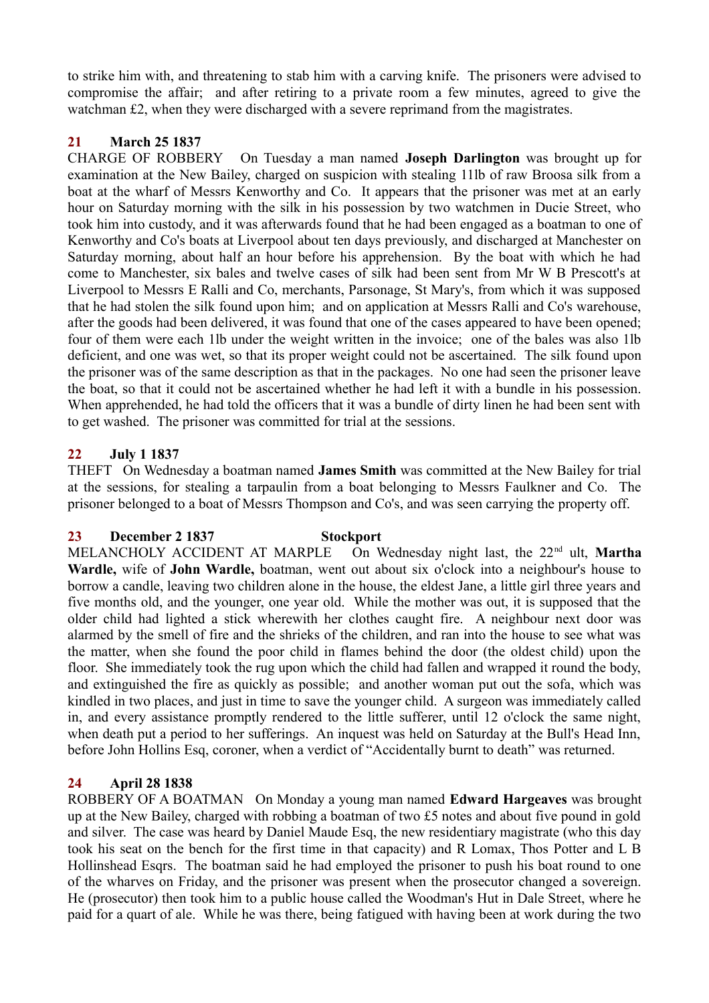to strike him with, and threatening to stab him with a carving knife. The prisoners were advised to compromise the affair; and after retiring to a private room a few minutes, agreed to give the watchman £2, when they were discharged with a severe reprimand from the magistrates.

# **21 March 25 1837**

CHARGE OF ROBBERY On Tuesday a man named **Joseph Darlington** was brought up for examination at the New Bailey, charged on suspicion with stealing 11lb of raw Broosa silk from a boat at the wharf of Messrs Kenworthy and Co. It appears that the prisoner was met at an early hour on Saturday morning with the silk in his possession by two watchmen in Ducie Street, who took him into custody, and it was afterwards found that he had been engaged as a boatman to one of Kenworthy and Co's boats at Liverpool about ten days previously, and discharged at Manchester on Saturday morning, about half an hour before his apprehension. By the boat with which he had come to Manchester, six bales and twelve cases of silk had been sent from Mr W B Prescott's at Liverpool to Messrs E Ralli and Co, merchants, Parsonage, St Mary's, from which it was supposed that he had stolen the silk found upon him; and on application at Messrs Ralli and Co's warehouse, after the goods had been delivered, it was found that one of the cases appeared to have been opened; four of them were each 1lb under the weight written in the invoice; one of the bales was also 1lb deficient, and one was wet, so that its proper weight could not be ascertained. The silk found upon the prisoner was of the same description as that in the packages. No one had seen the prisoner leave the boat, so that it could not be ascertained whether he had left it with a bundle in his possession. When apprehended, he had told the officers that it was a bundle of dirty linen he had been sent with to get washed. The prisoner was committed for trial at the sessions.

# **22 July 1 1837**

THEFT On Wednesday a boatman named **James Smith** was committed at the New Bailey for trial at the sessions, for stealing a tarpaulin from a boat belonging to Messrs Faulkner and Co. The prisoner belonged to a boat of Messrs Thompson and Co's, and was seen carrying the property off.

## **23 December 2 1837 Stockport**

MELANCHOLY ACCIDENT AT MARPLE On Wednesday night last, the 22<sup>nd</sup> ult, Martha **Wardle,** wife of **John Wardle,** boatman, went out about six o'clock into a neighbour's house to borrow a candle, leaving two children alone in the house, the eldest Jane, a little girl three years and five months old, and the younger, one year old. While the mother was out, it is supposed that the older child had lighted a stick wherewith her clothes caught fire. A neighbour next door was alarmed by the smell of fire and the shrieks of the children, and ran into the house to see what was the matter, when she found the poor child in flames behind the door (the oldest child) upon the floor. She immediately took the rug upon which the child had fallen and wrapped it round the body, and extinguished the fire as quickly as possible; and another woman put out the sofa, which was kindled in two places, and just in time to save the younger child. A surgeon was immediately called in, and every assistance promptly rendered to the little sufferer, until 12 o'clock the same night, when death put a period to her sufferings. An inquest was held on Saturday at the Bull's Head Inn, before John Hollins Esq, coroner, when a verdict of "Accidentally burnt to death" was returned.

## **24 April 28 1838**

ROBBERY OF A BOATMAN On Monday a young man named **Edward Hargeaves** was brought up at the New Bailey, charged with robbing a boatman of two £5 notes and about five pound in gold and silver. The case was heard by Daniel Maude Esq, the new residentiary magistrate (who this day took his seat on the bench for the first time in that capacity) and R Lomax, Thos Potter and L B Hollinshead Esqrs. The boatman said he had employed the prisoner to push his boat round to one of the wharves on Friday, and the prisoner was present when the prosecutor changed a sovereign. He (prosecutor) then took him to a public house called the Woodman's Hut in Dale Street, where he paid for a quart of ale. While he was there, being fatigued with having been at work during the two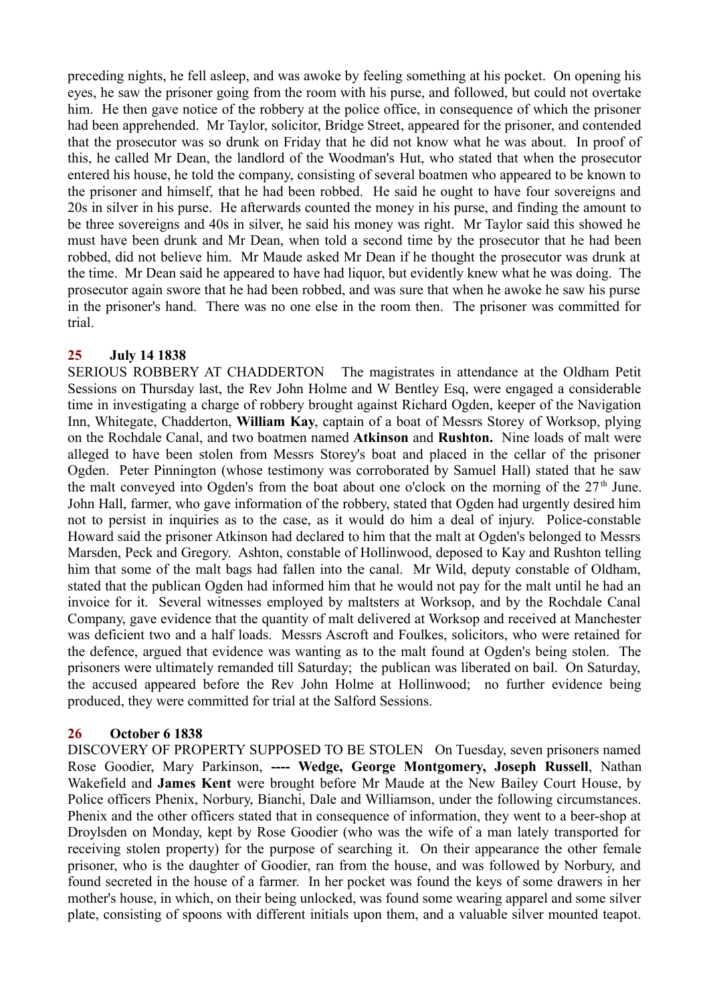preceding nights, he fell asleep, and was awoke by feeling something at his pocket. On opening his eyes, he saw the prisoner going from the room with his purse, and followed, but could not overtake him. He then gave notice of the robbery at the police office, in consequence of which the prisoner had been apprehended. Mr Taylor, solicitor, Bridge Street, appeared for the prisoner, and contended that the prosecutor was so drunk on Friday that he did not know what he was about. In proof of this, he called Mr Dean, the landlord of the Woodman's Hut, who stated that when the prosecutor entered his house, he told the company, consisting of several boatmen who appeared to be known to the prisoner and himself, that he had been robbed. He said he ought to have four sovereigns and 20s in silver in his purse. He afterwards counted the money in his purse, and finding the amount to be three sovereigns and 40s in silver, he said his money was right. Mr Taylor said this showed he must have been drunk and Mr Dean, when told a second time by the prosecutor that he had been robbed, did not believe him. Mr Maude asked Mr Dean if he thought the prosecutor was drunk at the time. Mr Dean said he appeared to have had liquor, but evidently knew what he was doing. The prosecutor again swore that he had been robbed, and was sure that when he awoke he saw his purse in the prisoner's hand. There was no one else in the room then. The prisoner was committed for trial.

## **25 July 14 1838**

SERIOUS ROBBERY AT CHADDERTON The magistrates in attendance at the Oldham Petit Sessions on Thursday last, the Rev John Holme and W Bentley Esq, were engaged a considerable time in investigating a charge of robbery brought against Richard Ogden, keeper of the Navigation Inn, Whitegate, Chadderton, **William Kay**, captain of a boat of Messrs Storey of Worksop, plying on the Rochdale Canal, and two boatmen named **Atkinson** and **Rushton.** Nine loads of malt were alleged to have been stolen from Messrs Storey's boat and placed in the cellar of the prisoner Ogden. Peter Pinnington (whose testimony was corroborated by Samuel Hall) stated that he saw the malt conveyed into Ogden's from the boat about one o'clock on the morning of the  $27<sup>th</sup>$  June. John Hall, farmer, who gave information of the robbery, stated that Ogden had urgently desired him not to persist in inquiries as to the case, as it would do him a deal of injury. Police-constable Howard said the prisoner Atkinson had declared to him that the malt at Ogden's belonged to Messrs Marsden, Peck and Gregory. Ashton, constable of Hollinwood, deposed to Kay and Rushton telling him that some of the malt bags had fallen into the canal. Mr Wild, deputy constable of Oldham, stated that the publican Ogden had informed him that he would not pay for the malt until he had an invoice for it. Several witnesses employed by maltsters at Worksop, and by the Rochdale Canal Company, gave evidence that the quantity of malt delivered at Worksop and received at Manchester was deficient two and a half loads. Messrs Ascroft and Foulkes, solicitors, who were retained for the defence, argued that evidence was wanting as to the malt found at Ogden's being stolen. The prisoners were ultimately remanded till Saturday; the publican was liberated on bail. On Saturday, the accused appeared before the Rev John Holme at Hollinwood; no further evidence being produced, they were committed for trial at the Salford Sessions.

## **26 October 6 1838**

DISCOVERY OF PROPERTY SUPPOSED TO BE STOLEN On Tuesday, seven prisoners named Rose Goodier, Mary Parkinson, **---- Wedge, George Montgomery, Joseph Russell**, Nathan Wakefield and **James Kent** were brought before Mr Maude at the New Bailey Court House, by Police officers Phenix, Norbury, Bianchi, Dale and Williamson, under the following circumstances. Phenix and the other officers stated that in consequence of information, they went to a beer-shop at Droylsden on Monday, kept by Rose Goodier (who was the wife of a man lately transported for receiving stolen property) for the purpose of searching it. On their appearance the other female prisoner, who is the daughter of Goodier, ran from the house, and was followed by Norbury, and found secreted in the house of a farmer. In her pocket was found the keys of some drawers in her mother's house, in which, on their being unlocked, was found some wearing apparel and some silver plate, consisting of spoons with different initials upon them, and a valuable silver mounted teapot.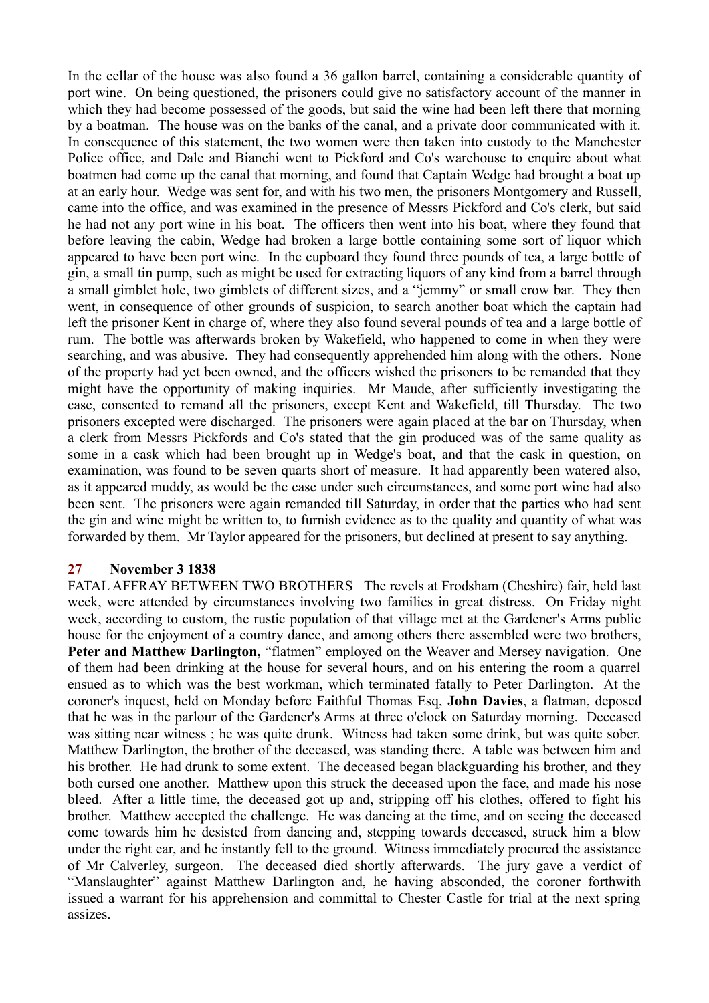In the cellar of the house was also found a 36 gallon barrel, containing a considerable quantity of port wine. On being questioned, the prisoners could give no satisfactory account of the manner in which they had become possessed of the goods, but said the wine had been left there that morning by a boatman. The house was on the banks of the canal, and a private door communicated with it. In consequence of this statement, the two women were then taken into custody to the Manchester Police office, and Dale and Bianchi went to Pickford and Co's warehouse to enquire about what boatmen had come up the canal that morning, and found that Captain Wedge had brought a boat up at an early hour. Wedge was sent for, and with his two men, the prisoners Montgomery and Russell, came into the office, and was examined in the presence of Messrs Pickford and Co's clerk, but said he had not any port wine in his boat. The officers then went into his boat, where they found that before leaving the cabin, Wedge had broken a large bottle containing some sort of liquor which appeared to have been port wine. In the cupboard they found three pounds of tea, a large bottle of gin, a small tin pump, such as might be used for extracting liquors of any kind from a barrel through a small gimblet hole, two gimblets of different sizes, and a "jemmy" or small crow bar. They then went, in consequence of other grounds of suspicion, to search another boat which the captain had left the prisoner Kent in charge of, where they also found several pounds of tea and a large bottle of rum. The bottle was afterwards broken by Wakefield, who happened to come in when they were searching, and was abusive. They had consequently apprehended him along with the others. None of the property had yet been owned, and the officers wished the prisoners to be remanded that they might have the opportunity of making inquiries. Mr Maude, after sufficiently investigating the case, consented to remand all the prisoners, except Kent and Wakefield, till Thursday. The two prisoners excepted were discharged. The prisoners were again placed at the bar on Thursday, when a clerk from Messrs Pickfords and Co's stated that the gin produced was of the same quality as some in a cask which had been brought up in Wedge's boat, and that the cask in question, on examination, was found to be seven quarts short of measure. It had apparently been watered also, as it appeared muddy, as would be the case under such circumstances, and some port wine had also been sent. The prisoners were again remanded till Saturday, in order that the parties who had sent the gin and wine might be written to, to furnish evidence as to the quality and quantity of what was forwarded by them. Mr Taylor appeared for the prisoners, but declined at present to say anything.

### **27 November 3 1838**

FATAL AFFRAY BETWEEN TWO BROTHERS The revels at Frodsham (Cheshire) fair, held last week, were attended by circumstances involving two families in great distress. On Friday night week, according to custom, the rustic population of that village met at the Gardener's Arms public house for the enjoyment of a country dance, and among others there assembled were two brothers, **Peter and Matthew Darlington,** "flatmen" employed on the Weaver and Mersey navigation. One of them had been drinking at the house for several hours, and on his entering the room a quarrel ensued as to which was the best workman, which terminated fatally to Peter Darlington. At the coroner's inquest, held on Monday before Faithful Thomas Esq, **John Davies**, a flatman, deposed that he was in the parlour of the Gardener's Arms at three o'clock on Saturday morning. Deceased was sitting near witness ; he was quite drunk. Witness had taken some drink, but was quite sober. Matthew Darlington, the brother of the deceased, was standing there. A table was between him and his brother. He had drunk to some extent. The deceased began blackguarding his brother, and they both cursed one another. Matthew upon this struck the deceased upon the face, and made his nose bleed. After a little time, the deceased got up and, stripping off his clothes, offered to fight his brother. Matthew accepted the challenge. He was dancing at the time, and on seeing the deceased come towards him he desisted from dancing and, stepping towards deceased, struck him a blow under the right ear, and he instantly fell to the ground. Witness immediately procured the assistance of Mr Calverley, surgeon. The deceased died shortly afterwards. The jury gave a verdict of "Manslaughter" against Matthew Darlington and, he having absconded, the coroner forthwith issued a warrant for his apprehension and committal to Chester Castle for trial at the next spring assizes.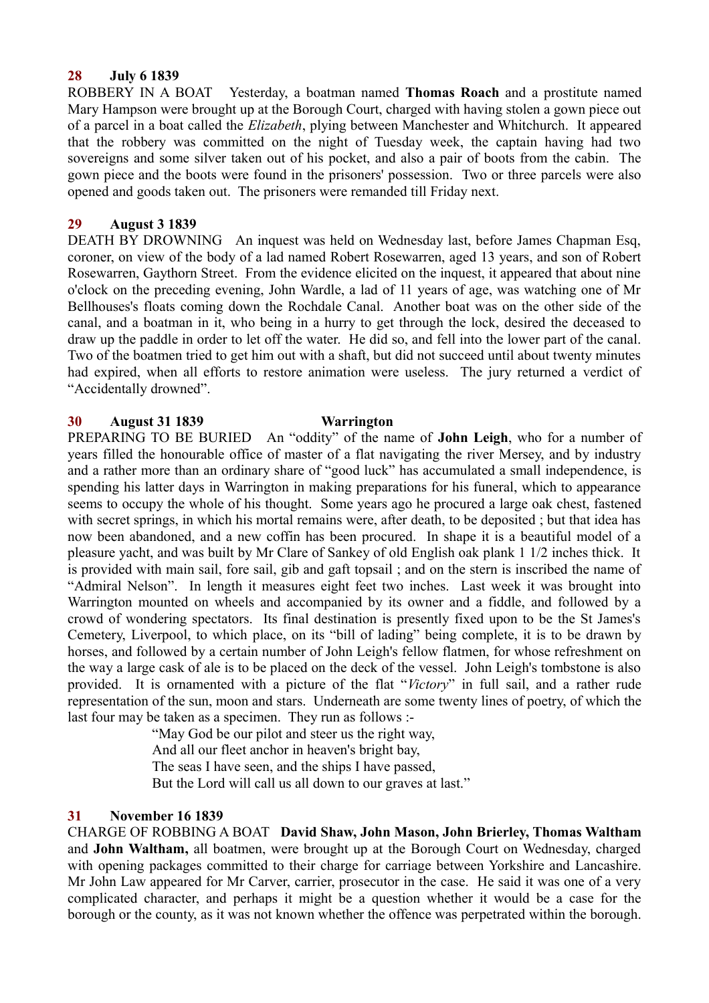## **28 July 6 1839**

ROBBERY IN A BOAT Yesterday, a boatman named **Thomas Roach** and a prostitute named Mary Hampson were brought up at the Borough Court, charged with having stolen a gown piece out of a parcel in a boat called the *Elizabeth*, plying between Manchester and Whitchurch. It appeared that the robbery was committed on the night of Tuesday week, the captain having had two sovereigns and some silver taken out of his pocket, and also a pair of boots from the cabin. The gown piece and the boots were found in the prisoners' possession. Two or three parcels were also opened and goods taken out. The prisoners were remanded till Friday next.

## **29 August 3 1839**

DEATH BY DROWNING An inquest was held on Wednesday last, before James Chapman Esq, coroner, on view of the body of a lad named Robert Rosewarren, aged 13 years, and son of Robert Rosewarren, Gaythorn Street. From the evidence elicited on the inquest, it appeared that about nine o'clock on the preceding evening, John Wardle, a lad of 11 years of age, was watching one of Mr Bellhouses's floats coming down the Rochdale Canal. Another boat was on the other side of the canal, and a boatman in it, who being in a hurry to get through the lock, desired the deceased to draw up the paddle in order to let off the water. He did so, and fell into the lower part of the canal. Two of the boatmen tried to get him out with a shaft, but did not succeed until about twenty minutes had expired, when all efforts to restore animation were useless. The jury returned a verdict of "Accidentally drowned".

### **30 August 31 1839 Warrington**

PREPARING TO BE BURIED An "oddity" of the name of **John Leigh**, who for a number of years filled the honourable office of master of a flat navigating the river Mersey, and by industry and a rather more than an ordinary share of "good luck" has accumulated a small independence, is spending his latter days in Warrington in making preparations for his funeral, which to appearance seems to occupy the whole of his thought. Some years ago he procured a large oak chest, fastened with secret springs, in which his mortal remains were, after death, to be deposited; but that idea has now been abandoned, and a new coffin has been procured. In shape it is a beautiful model of a pleasure yacht, and was built by Mr Clare of Sankey of old English oak plank 1 1/2 inches thick. It is provided with main sail, fore sail, gib and gaft topsail ; and on the stern is inscribed the name of "Admiral Nelson". In length it measures eight feet two inches. Last week it was brought into Warrington mounted on wheels and accompanied by its owner and a fiddle, and followed by a crowd of wondering spectators. Its final destination is presently fixed upon to be the St James's Cemetery, Liverpool, to which place, on its "bill of lading" being complete, it is to be drawn by horses, and followed by a certain number of John Leigh's fellow flatmen, for whose refreshment on the way a large cask of ale is to be placed on the deck of the vessel. John Leigh's tombstone is also provided. It is ornamented with a picture of the flat "*Victory*" in full sail, and a rather rude representation of the sun, moon and stars. Underneath are some twenty lines of poetry, of which the last four may be taken as a specimen. They run as follows :-

"May God be our pilot and steer us the right way,

And all our fleet anchor in heaven's bright bay,

The seas I have seen, and the ships I have passed,

But the Lord will call us all down to our graves at last."

## **31 November 16 1839**

CHARGE OF ROBBING A BOAT **David Shaw, John Mason, John Brierley, Thomas Waltham** and **John Waltham,** all boatmen, were brought up at the Borough Court on Wednesday, charged with opening packages committed to their charge for carriage between Yorkshire and Lancashire. Mr John Law appeared for Mr Carver, carrier, prosecutor in the case. He said it was one of a very complicated character, and perhaps it might be a question whether it would be a case for the borough or the county, as it was not known whether the offence was perpetrated within the borough.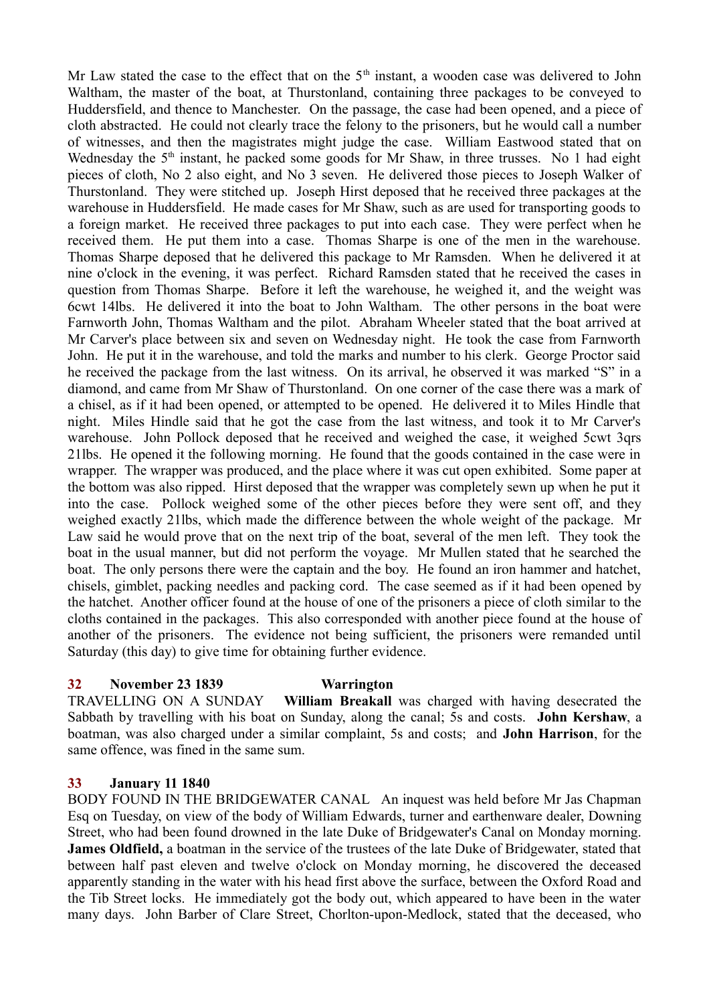Mr Law stated the case to the effect that on the  $5<sup>th</sup>$  instant, a wooden case was delivered to John Waltham, the master of the boat, at Thurstonland, containing three packages to be conveyed to Huddersfield, and thence to Manchester. On the passage, the case had been opened, and a piece of cloth abstracted. He could not clearly trace the felony to the prisoners, but he would call a number of witnesses, and then the magistrates might judge the case. William Eastwood stated that on Wednesday the  $5<sup>th</sup>$  instant, he packed some goods for Mr Shaw, in three trusses. No 1 had eight pieces of cloth, No 2 also eight, and No 3 seven. He delivered those pieces to Joseph Walker of Thurstonland. They were stitched up. Joseph Hirst deposed that he received three packages at the warehouse in Huddersfield. He made cases for Mr Shaw, such as are used for transporting goods to a foreign market. He received three packages to put into each case. They were perfect when he received them. He put them into a case. Thomas Sharpe is one of the men in the warehouse. Thomas Sharpe deposed that he delivered this package to Mr Ramsden. When he delivered it at nine o'clock in the evening, it was perfect. Richard Ramsden stated that he received the cases in question from Thomas Sharpe. Before it left the warehouse, he weighed it, and the weight was 6cwt 14lbs. He delivered it into the boat to John Waltham. The other persons in the boat were Farnworth John, Thomas Waltham and the pilot. Abraham Wheeler stated that the boat arrived at Mr Carver's place between six and seven on Wednesday night. He took the case from Farnworth John. He put it in the warehouse, and told the marks and number to his clerk. George Proctor said he received the package from the last witness. On its arrival, he observed it was marked "S" in a diamond, and came from Mr Shaw of Thurstonland. On one corner of the case there was a mark of a chisel, as if it had been opened, or attempted to be opened. He delivered it to Miles Hindle that night. Miles Hindle said that he got the case from the last witness, and took it to Mr Carver's warehouse. John Pollock deposed that he received and weighed the case, it weighed 5cwt 3qrs 21lbs. He opened it the following morning. He found that the goods contained in the case were in wrapper. The wrapper was produced, and the place where it was cut open exhibited. Some paper at the bottom was also ripped. Hirst deposed that the wrapper was completely sewn up when he put it into the case. Pollock weighed some of the other pieces before they were sent off, and they weighed exactly 21lbs, which made the difference between the whole weight of the package. Mr Law said he would prove that on the next trip of the boat, several of the men left. They took the boat in the usual manner, but did not perform the voyage. Mr Mullen stated that he searched the boat. The only persons there were the captain and the boy. He found an iron hammer and hatchet, chisels, gimblet, packing needles and packing cord. The case seemed as if it had been opened by the hatchet. Another officer found at the house of one of the prisoners a piece of cloth similar to the cloths contained in the packages. This also corresponded with another piece found at the house of another of the prisoners. The evidence not being sufficient, the prisoners were remanded until Saturday (this day) to give time for obtaining further evidence.

### **32 November 23 1839 Warrington**

TRAVELLING ON A SUNDAY **William Breakall** was charged with having desecrated the Sabbath by travelling with his boat on Sunday, along the canal; 5s and costs. **John Kershaw**, a boatman, was also charged under a similar complaint, 5s and costs; and **John Harrison**, for the same offence, was fined in the same sum.

### **33 January 11 1840**

BODY FOUND IN THE BRIDGEWATER CANAL An inquest was held before Mr Jas Chapman Esq on Tuesday, on view of the body of William Edwards, turner and earthenware dealer, Downing Street, who had been found drowned in the late Duke of Bridgewater's Canal on Monday morning. **James Oldfield,** a boatman in the service of the trustees of the late Duke of Bridgewater, stated that between half past eleven and twelve o'clock on Monday morning, he discovered the deceased apparently standing in the water with his head first above the surface, between the Oxford Road and the Tib Street locks. He immediately got the body out, which appeared to have been in the water many days. John Barber of Clare Street, Chorlton-upon-Medlock, stated that the deceased, who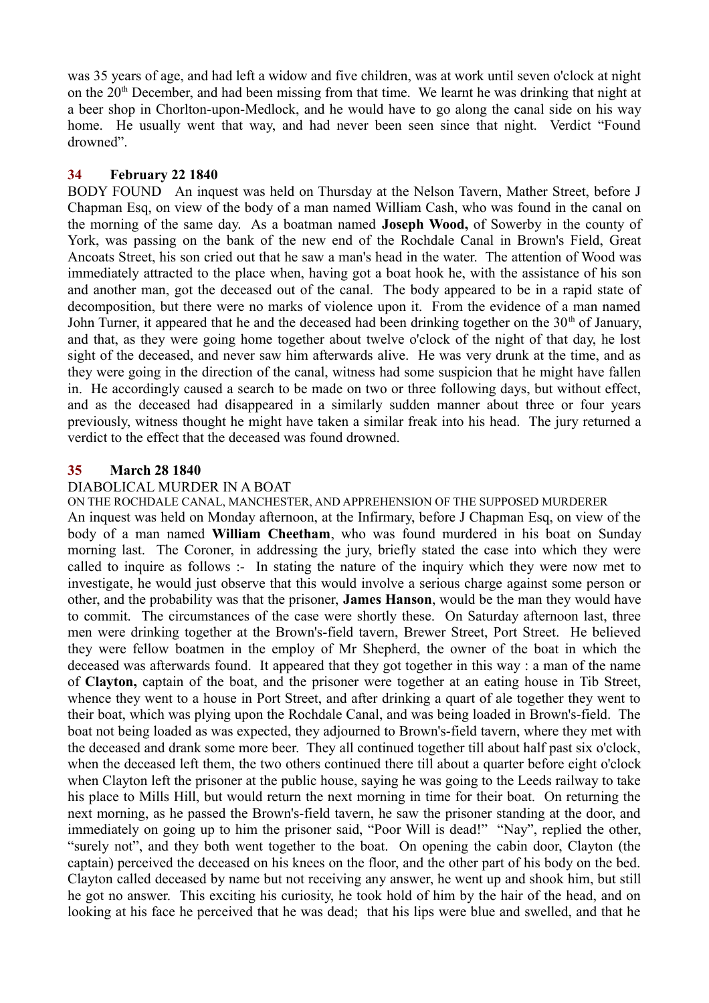was 35 years of age, and had left a widow and five children, was at work until seven o'clock at night on the 20<sup>th</sup> December, and had been missing from that time. We learnt he was drinking that night at a beer shop in Chorlton-upon-Medlock, and he would have to go along the canal side on his way home. He usually went that way, and had never been seen since that night. Verdict "Found drowned".

## **34 February 22 1840**

BODY FOUND An inquest was held on Thursday at the Nelson Tavern, Mather Street, before J Chapman Esq, on view of the body of a man named William Cash, who was found in the canal on the morning of the same day. As a boatman named **Joseph Wood,** of Sowerby in the county of York, was passing on the bank of the new end of the Rochdale Canal in Brown's Field, Great Ancoats Street, his son cried out that he saw a man's head in the water. The attention of Wood was immediately attracted to the place when, having got a boat hook he, with the assistance of his son and another man, got the deceased out of the canal. The body appeared to be in a rapid state of decomposition, but there were no marks of violence upon it. From the evidence of a man named John Turner, it appeared that he and the deceased had been drinking together on the  $30<sup>th</sup>$  of January, and that, as they were going home together about twelve o'clock of the night of that day, he lost sight of the deceased, and never saw him afterwards alive. He was very drunk at the time, and as they were going in the direction of the canal, witness had some suspicion that he might have fallen in. He accordingly caused a search to be made on two or three following days, but without effect, and as the deceased had disappeared in a similarly sudden manner about three or four years previously, witness thought he might have taken a similar freak into his head. The jury returned a verdict to the effect that the deceased was found drowned.

## **35 March 28 1840**

### DIABOLICAL MURDER IN A BOAT

ON THE ROCHDALE CANAL, MANCHESTER, AND APPREHENSION OF THE SUPPOSED MURDERER An inquest was held on Monday afternoon, at the Infirmary, before J Chapman Esq, on view of the body of a man named **William Cheetham**, who was found murdered in his boat on Sunday morning last. The Coroner, in addressing the jury, briefly stated the case into which they were called to inquire as follows :- In stating the nature of the inquiry which they were now met to investigate, he would just observe that this would involve a serious charge against some person or other, and the probability was that the prisoner, **James Hanson**, would be the man they would have to commit. The circumstances of the case were shortly these. On Saturday afternoon last, three men were drinking together at the Brown's-field tavern, Brewer Street, Port Street. He believed they were fellow boatmen in the employ of Mr Shepherd, the owner of the boat in which the deceased was afterwards found. It appeared that they got together in this way : a man of the name of **Clayton,** captain of the boat, and the prisoner were together at an eating house in Tib Street, whence they went to a house in Port Street, and after drinking a quart of ale together they went to their boat, which was plying upon the Rochdale Canal, and was being loaded in Brown's-field. The boat not being loaded as was expected, they adjourned to Brown's-field tavern, where they met with the deceased and drank some more beer. They all continued together till about half past six o'clock, when the deceased left them, the two others continued there till about a quarter before eight o'clock when Clayton left the prisoner at the public house, saying he was going to the Leeds railway to take his place to Mills Hill, but would return the next morning in time for their boat. On returning the next morning, as he passed the Brown's-field tavern, he saw the prisoner standing at the door, and immediately on going up to him the prisoner said, "Poor Will is dead!" "Nay", replied the other, "surely not", and they both went together to the boat. On opening the cabin door, Clayton (the captain) perceived the deceased on his knees on the floor, and the other part of his body on the bed. Clayton called deceased by name but not receiving any answer, he went up and shook him, but still he got no answer. This exciting his curiosity, he took hold of him by the hair of the head, and on looking at his face he perceived that he was dead; that his lips were blue and swelled, and that he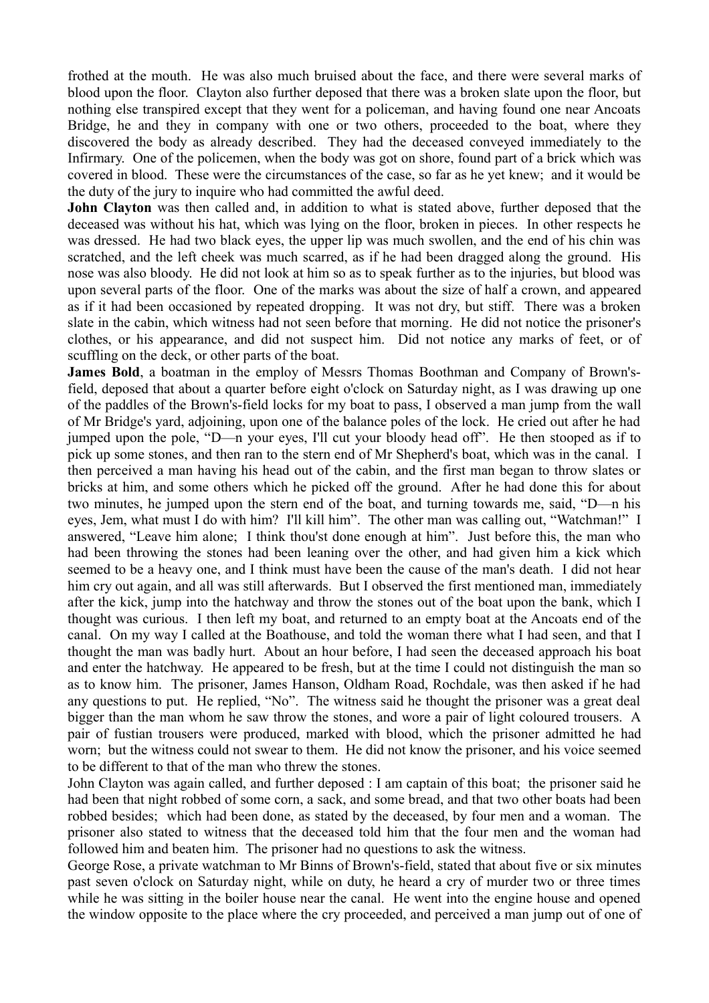frothed at the mouth. He was also much bruised about the face, and there were several marks of blood upon the floor. Clayton also further deposed that there was a broken slate upon the floor, but nothing else transpired except that they went for a policeman, and having found one near Ancoats Bridge, he and they in company with one or two others, proceeded to the boat, where they discovered the body as already described. They had the deceased conveyed immediately to the Infirmary. One of the policemen, when the body was got on shore, found part of a brick which was covered in blood. These were the circumstances of the case, so far as he yet knew; and it would be the duty of the jury to inquire who had committed the awful deed.

**John Clayton** was then called and, in addition to what is stated above, further deposed that the deceased was without his hat, which was lying on the floor, broken in pieces. In other respects he was dressed. He had two black eyes, the upper lip was much swollen, and the end of his chin was scratched, and the left cheek was much scarred, as if he had been dragged along the ground. His nose was also bloody. He did not look at him so as to speak further as to the injuries, but blood was upon several parts of the floor. One of the marks was about the size of half a crown, and appeared as if it had been occasioned by repeated dropping. It was not dry, but stiff. There was a broken slate in the cabin, which witness had not seen before that morning. He did not notice the prisoner's clothes, or his appearance, and did not suspect him. Did not notice any marks of feet, or of scuffling on the deck, or other parts of the boat.

**James Bold**, a boatman in the employ of Messrs Thomas Boothman and Company of Brown'sfield, deposed that about a quarter before eight o'clock on Saturday night, as I was drawing up one of the paddles of the Brown's-field locks for my boat to pass, I observed a man jump from the wall of Mr Bridge's yard, adjoining, upon one of the balance poles of the lock. He cried out after he had jumped upon the pole, "D—n your eyes, I'll cut your bloody head off". He then stooped as if to pick up some stones, and then ran to the stern end of Mr Shepherd's boat, which was in the canal. I then perceived a man having his head out of the cabin, and the first man began to throw slates or bricks at him, and some others which he picked off the ground. After he had done this for about two minutes, he jumped upon the stern end of the boat, and turning towards me, said, "D—n his eyes, Jem, what must I do with him? I'll kill him". The other man was calling out, "Watchman!" I answered, "Leave him alone; I think thou'st done enough at him". Just before this, the man who had been throwing the stones had been leaning over the other, and had given him a kick which seemed to be a heavy one, and I think must have been the cause of the man's death. I did not hear him cry out again, and all was still afterwards. But I observed the first mentioned man, immediately after the kick, jump into the hatchway and throw the stones out of the boat upon the bank, which I thought was curious. I then left my boat, and returned to an empty boat at the Ancoats end of the canal. On my way I called at the Boathouse, and told the woman there what I had seen, and that I thought the man was badly hurt. About an hour before, I had seen the deceased approach his boat and enter the hatchway. He appeared to be fresh, but at the time I could not distinguish the man so as to know him. The prisoner, James Hanson, Oldham Road, Rochdale, was then asked if he had any questions to put. He replied, "No". The witness said he thought the prisoner was a great deal bigger than the man whom he saw throw the stones, and wore a pair of light coloured trousers. A pair of fustian trousers were produced, marked with blood, which the prisoner admitted he had worn; but the witness could not swear to them. He did not know the prisoner, and his voice seemed to be different to that of the man who threw the stones.

John Clayton was again called, and further deposed : I am captain of this boat; the prisoner said he had been that night robbed of some corn, a sack, and some bread, and that two other boats had been robbed besides; which had been done, as stated by the deceased, by four men and a woman. The prisoner also stated to witness that the deceased told him that the four men and the woman had followed him and beaten him. The prisoner had no questions to ask the witness.

George Rose, a private watchman to Mr Binns of Brown's-field, stated that about five or six minutes past seven o'clock on Saturday night, while on duty, he heard a cry of murder two or three times while he was sitting in the boiler house near the canal. He went into the engine house and opened the window opposite to the place where the cry proceeded, and perceived a man jump out of one of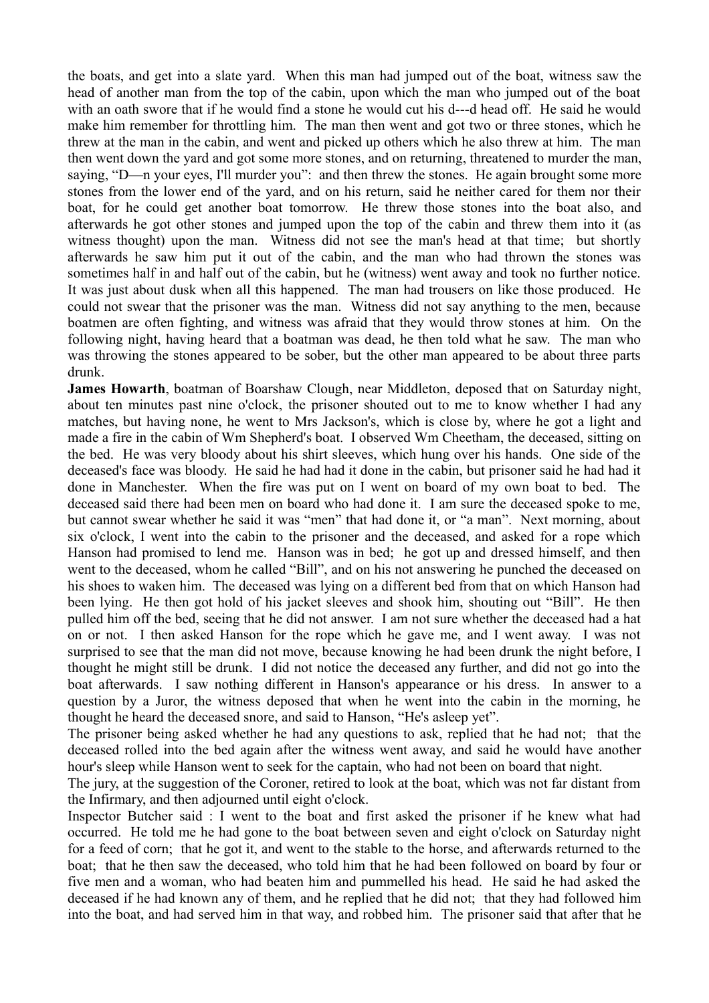the boats, and get into a slate yard. When this man had jumped out of the boat, witness saw the head of another man from the top of the cabin, upon which the man who jumped out of the boat with an oath swore that if he would find a stone he would cut his d---d head off. He said he would make him remember for throttling him. The man then went and got two or three stones, which he threw at the man in the cabin, and went and picked up others which he also threw at him. The man then went down the yard and got some more stones, and on returning, threatened to murder the man, saying, "D—n your eyes, I'll murder you": and then threw the stones. He again brought some more stones from the lower end of the yard, and on his return, said he neither cared for them nor their boat, for he could get another boat tomorrow. He threw those stones into the boat also, and afterwards he got other stones and jumped upon the top of the cabin and threw them into it (as witness thought) upon the man. Witness did not see the man's head at that time; but shortly afterwards he saw him put it out of the cabin, and the man who had thrown the stones was sometimes half in and half out of the cabin, but he (witness) went away and took no further notice. It was just about dusk when all this happened. The man had trousers on like those produced. He could not swear that the prisoner was the man. Witness did not say anything to the men, because boatmen are often fighting, and witness was afraid that they would throw stones at him. On the following night, having heard that a boatman was dead, he then told what he saw. The man who was throwing the stones appeared to be sober, but the other man appeared to be about three parts drunk.

**James Howarth**, boatman of Boarshaw Clough, near Middleton, deposed that on Saturday night, about ten minutes past nine o'clock, the prisoner shouted out to me to know whether I had any matches, but having none, he went to Mrs Jackson's, which is close by, where he got a light and made a fire in the cabin of Wm Shepherd's boat. I observed Wm Cheetham, the deceased, sitting on the bed. He was very bloody about his shirt sleeves, which hung over his hands. One side of the deceased's face was bloody. He said he had had it done in the cabin, but prisoner said he had had it done in Manchester. When the fire was put on I went on board of my own boat to bed. The deceased said there had been men on board who had done it. I am sure the deceased spoke to me, but cannot swear whether he said it was "men" that had done it, or "a man". Next morning, about six o'clock, I went into the cabin to the prisoner and the deceased, and asked for a rope which Hanson had promised to lend me. Hanson was in bed; he got up and dressed himself, and then went to the deceased, whom he called "Bill", and on his not answering he punched the deceased on his shoes to waken him. The deceased was lying on a different bed from that on which Hanson had been lying. He then got hold of his jacket sleeves and shook him, shouting out "Bill". He then pulled him off the bed, seeing that he did not answer. I am not sure whether the deceased had a hat on or not. I then asked Hanson for the rope which he gave me, and I went away. I was not surprised to see that the man did not move, because knowing he had been drunk the night before, I thought he might still be drunk. I did not notice the deceased any further, and did not go into the boat afterwards. I saw nothing different in Hanson's appearance or his dress. In answer to a question by a Juror, the witness deposed that when he went into the cabin in the morning, he thought he heard the deceased snore, and said to Hanson, "He's asleep yet".

The prisoner being asked whether he had any questions to ask, replied that he had not; that the deceased rolled into the bed again after the witness went away, and said he would have another hour's sleep while Hanson went to seek for the captain, who had not been on board that night.

The jury, at the suggestion of the Coroner, retired to look at the boat, which was not far distant from the Infirmary, and then adjourned until eight o'clock.

Inspector Butcher said : I went to the boat and first asked the prisoner if he knew what had occurred. He told me he had gone to the boat between seven and eight o'clock on Saturday night for a feed of corn; that he got it, and went to the stable to the horse, and afterwards returned to the boat; that he then saw the deceased, who told him that he had been followed on board by four or five men and a woman, who had beaten him and pummelled his head. He said he had asked the deceased if he had known any of them, and he replied that he did not; that they had followed him into the boat, and had served him in that way, and robbed him. The prisoner said that after that he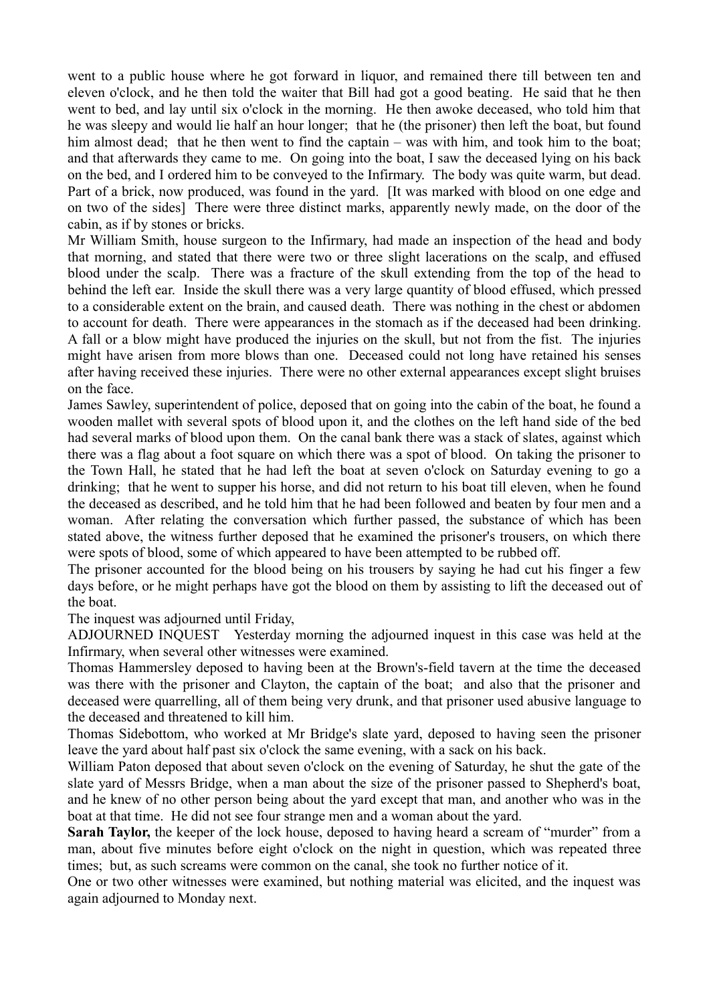went to a public house where he got forward in liquor, and remained there till between ten and eleven o'clock, and he then told the waiter that Bill had got a good beating. He said that he then went to bed, and lay until six o'clock in the morning. He then awoke deceased, who told him that he was sleepy and would lie half an hour longer; that he (the prisoner) then left the boat, but found him almost dead; that he then went to find the captain – was with him, and took him to the boat; and that afterwards they came to me. On going into the boat, I saw the deceased lying on his back on the bed, and I ordered him to be conveyed to the Infirmary. The body was quite warm, but dead. Part of a brick, now produced, was found in the yard. [It was marked with blood on one edge and on two of the sides] There were three distinct marks, apparently newly made, on the door of the cabin, as if by stones or bricks.

Mr William Smith, house surgeon to the Infirmary, had made an inspection of the head and body that morning, and stated that there were two or three slight lacerations on the scalp, and effused blood under the scalp. There was a fracture of the skull extending from the top of the head to behind the left ear. Inside the skull there was a very large quantity of blood effused, which pressed to a considerable extent on the brain, and caused death. There was nothing in the chest or abdomen to account for death. There were appearances in the stomach as if the deceased had been drinking. A fall or a blow might have produced the injuries on the skull, but not from the fist. The injuries might have arisen from more blows than one. Deceased could not long have retained his senses after having received these injuries. There were no other external appearances except slight bruises on the face.

James Sawley, superintendent of police, deposed that on going into the cabin of the boat, he found a wooden mallet with several spots of blood upon it, and the clothes on the left hand side of the bed had several marks of blood upon them. On the canal bank there was a stack of slates, against which there was a flag about a foot square on which there was a spot of blood. On taking the prisoner to the Town Hall, he stated that he had left the boat at seven o'clock on Saturday evening to go a drinking; that he went to supper his horse, and did not return to his boat till eleven, when he found the deceased as described, and he told him that he had been followed and beaten by four men and a woman. After relating the conversation which further passed, the substance of which has been stated above, the witness further deposed that he examined the prisoner's trousers, on which there were spots of blood, some of which appeared to have been attempted to be rubbed off.

The prisoner accounted for the blood being on his trousers by saying he had cut his finger a few days before, or he might perhaps have got the blood on them by assisting to lift the deceased out of the boat.

The inquest was adjourned until Friday,

ADJOURNED INQUEST Yesterday morning the adjourned inquest in this case was held at the Infirmary, when several other witnesses were examined.

Thomas Hammersley deposed to having been at the Brown's-field tavern at the time the deceased was there with the prisoner and Clayton, the captain of the boat; and also that the prisoner and deceased were quarrelling, all of them being very drunk, and that prisoner used abusive language to the deceased and threatened to kill him.

Thomas Sidebottom, who worked at Mr Bridge's slate yard, deposed to having seen the prisoner leave the yard about half past six o'clock the same evening, with a sack on his back.

William Paton deposed that about seven o'clock on the evening of Saturday, he shut the gate of the slate yard of Messrs Bridge, when a man about the size of the prisoner passed to Shepherd's boat, and he knew of no other person being about the yard except that man, and another who was in the boat at that time. He did not see four strange men and a woman about the yard.

**Sarah Taylor,** the keeper of the lock house, deposed to having heard a scream of "murder" from a man, about five minutes before eight o'clock on the night in question, which was repeated three times; but, as such screams were common on the canal, she took no further notice of it.

One or two other witnesses were examined, but nothing material was elicited, and the inquest was again adjourned to Monday next.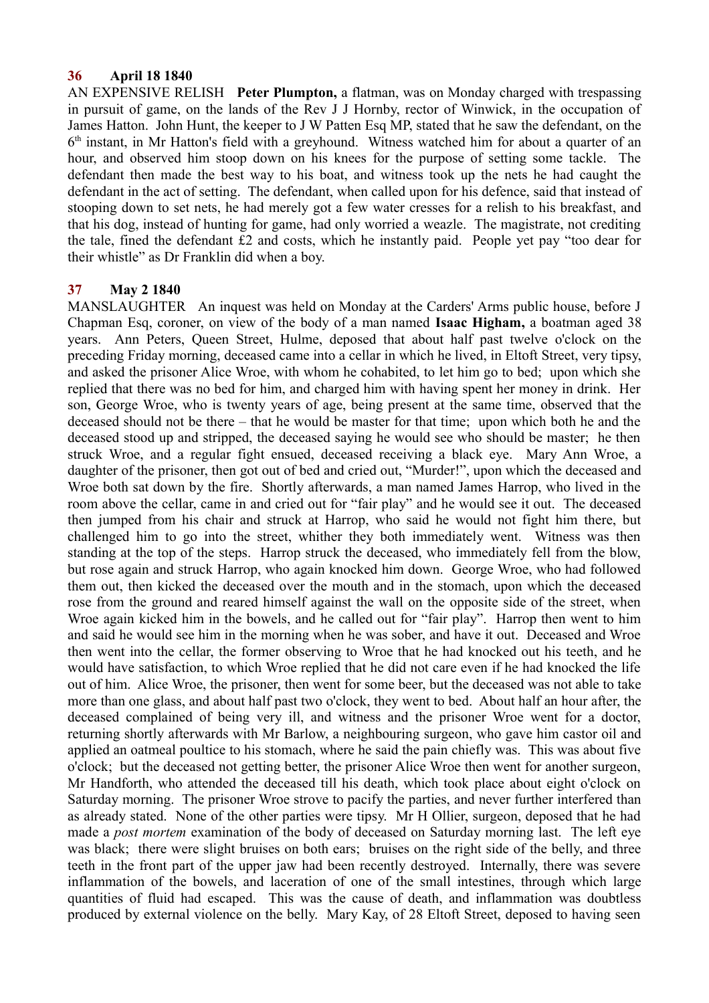### **36 April 18 1840**

AN EXPENSIVE RELISH **Peter Plumpton,** a flatman, was on Monday charged with trespassing in pursuit of game, on the lands of the Rev J J Hornby, rector of Winwick, in the occupation of James Hatton. John Hunt, the keeper to J W Patten Esq MP, stated that he saw the defendant, on the 6<sup>th</sup> instant, in Mr Hatton's field with a greyhound. Witness watched him for about a quarter of an hour, and observed him stoop down on his knees for the purpose of setting some tackle. The defendant then made the best way to his boat, and witness took up the nets he had caught the defendant in the act of setting. The defendant, when called upon for his defence, said that instead of stooping down to set nets, he had merely got a few water cresses for a relish to his breakfast, and that his dog, instead of hunting for game, had only worried a weazle. The magistrate, not crediting the tale, fined the defendant £2 and costs, which he instantly paid. People yet pay "too dear for their whistle" as Dr Franklin did when a boy.

## **37 May 2 1840**

MANSLAUGHTER An inquest was held on Monday at the Carders' Arms public house, before J Chapman Esq, coroner, on view of the body of a man named **Isaac Higham,** a boatman aged 38 years. Ann Peters, Queen Street, Hulme, deposed that about half past twelve o'clock on the preceding Friday morning, deceased came into a cellar in which he lived, in Eltoft Street, very tipsy, and asked the prisoner Alice Wroe, with whom he cohabited, to let him go to bed; upon which she replied that there was no bed for him, and charged him with having spent her money in drink. Her son, George Wroe, who is twenty years of age, being present at the same time, observed that the deceased should not be there – that he would be master for that time; upon which both he and the deceased stood up and stripped, the deceased saying he would see who should be master; he then struck Wroe, and a regular fight ensued, deceased receiving a black eye. Mary Ann Wroe, a daughter of the prisoner, then got out of bed and cried out, "Murder!", upon which the deceased and Wroe both sat down by the fire. Shortly afterwards, a man named James Harrop, who lived in the room above the cellar, came in and cried out for "fair play" and he would see it out. The deceased then jumped from his chair and struck at Harrop, who said he would not fight him there, but challenged him to go into the street, whither they both immediately went. Witness was then standing at the top of the steps. Harrop struck the deceased, who immediately fell from the blow, but rose again and struck Harrop, who again knocked him down. George Wroe, who had followed them out, then kicked the deceased over the mouth and in the stomach, upon which the deceased rose from the ground and reared himself against the wall on the opposite side of the street, when Wroe again kicked him in the bowels, and he called out for "fair play". Harrop then went to him and said he would see him in the morning when he was sober, and have it out. Deceased and Wroe then went into the cellar, the former observing to Wroe that he had knocked out his teeth, and he would have satisfaction, to which Wroe replied that he did not care even if he had knocked the life out of him. Alice Wroe, the prisoner, then went for some beer, but the deceased was not able to take more than one glass, and about half past two o'clock, they went to bed. About half an hour after, the deceased complained of being very ill, and witness and the prisoner Wroe went for a doctor, returning shortly afterwards with Mr Barlow, a neighbouring surgeon, who gave him castor oil and applied an oatmeal poultice to his stomach, where he said the pain chiefly was. This was about five o'clock; but the deceased not getting better, the prisoner Alice Wroe then went for another surgeon, Mr Handforth, who attended the deceased till his death, which took place about eight o'clock on Saturday morning. The prisoner Wroe strove to pacify the parties, and never further interfered than as already stated. None of the other parties were tipsy. Mr H Ollier, surgeon, deposed that he had made a *post mortem* examination of the body of deceased on Saturday morning last. The left eye was black; there were slight bruises on both ears; bruises on the right side of the belly, and three teeth in the front part of the upper jaw had been recently destroyed. Internally, there was severe inflammation of the bowels, and laceration of one of the small intestines, through which large quantities of fluid had escaped. This was the cause of death, and inflammation was doubtless produced by external violence on the belly. Mary Kay, of 28 Eltoft Street, deposed to having seen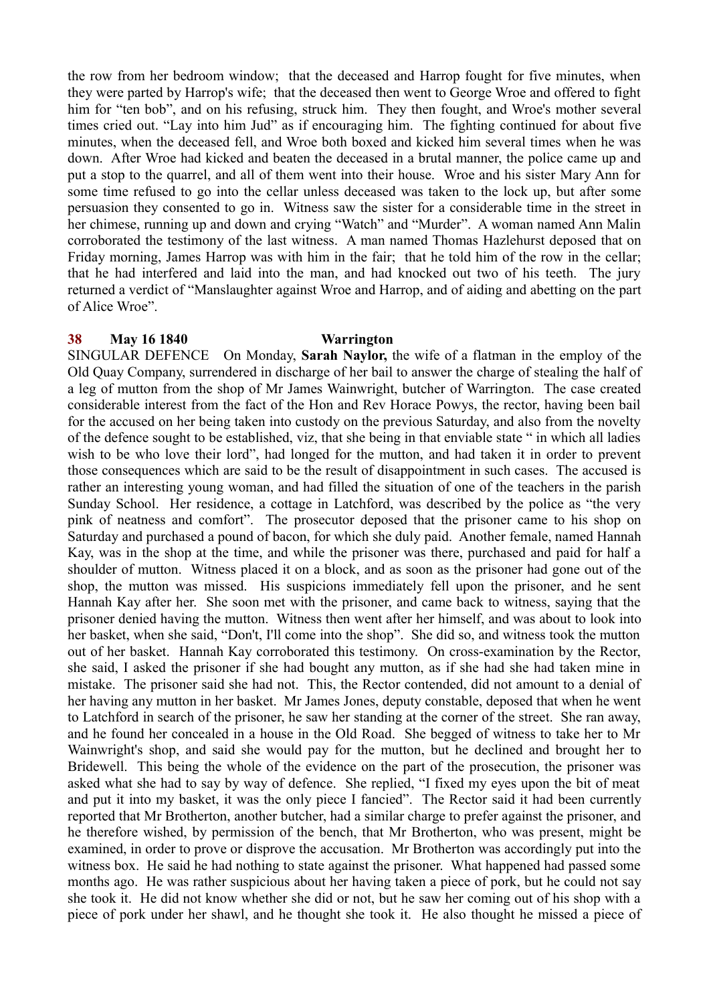the row from her bedroom window; that the deceased and Harrop fought for five minutes, when they were parted by Harrop's wife; that the deceased then went to George Wroe and offered to fight him for "ten bob", and on his refusing, struck him. They then fought, and Wroe's mother several times cried out. "Lay into him Jud" as if encouraging him. The fighting continued for about five minutes, when the deceased fell, and Wroe both boxed and kicked him several times when he was down. After Wroe had kicked and beaten the deceased in a brutal manner, the police came up and put a stop to the quarrel, and all of them went into their house. Wroe and his sister Mary Ann for some time refused to go into the cellar unless deceased was taken to the lock up, but after some persuasion they consented to go in. Witness saw the sister for a considerable time in the street in her chimese, running up and down and crying "Watch" and "Murder". A woman named Ann Malin corroborated the testimony of the last witness. A man named Thomas Hazlehurst deposed that on Friday morning, James Harrop was with him in the fair; that he told him of the row in the cellar; that he had interfered and laid into the man, and had knocked out two of his teeth. The jury returned a verdict of "Manslaughter against Wroe and Harrop, and of aiding and abetting on the part of Alice Wroe".

### **38 May 16 1840 Warrington**

SINGULAR DEFENCE On Monday, **Sarah Naylor,** the wife of a flatman in the employ of the Old Quay Company, surrendered in discharge of her bail to answer the charge of stealing the half of a leg of mutton from the shop of Mr James Wainwright, butcher of Warrington. The case created considerable interest from the fact of the Hon and Rev Horace Powys, the rector, having been bail for the accused on her being taken into custody on the previous Saturday, and also from the novelty of the defence sought to be established, viz, that she being in that enviable state " in which all ladies wish to be who love their lord", had longed for the mutton, and had taken it in order to prevent those consequences which are said to be the result of disappointment in such cases. The accused is rather an interesting young woman, and had filled the situation of one of the teachers in the parish Sunday School. Her residence, a cottage in Latchford, was described by the police as "the very pink of neatness and comfort". The prosecutor deposed that the prisoner came to his shop on Saturday and purchased a pound of bacon, for which she duly paid. Another female, named Hannah Kay, was in the shop at the time, and while the prisoner was there, purchased and paid for half a shoulder of mutton. Witness placed it on a block, and as soon as the prisoner had gone out of the shop, the mutton was missed. His suspicions immediately fell upon the prisoner, and he sent Hannah Kay after her. She soon met with the prisoner, and came back to witness, saying that the prisoner denied having the mutton. Witness then went after her himself, and was about to look into her basket, when she said, "Don't, I'll come into the shop". She did so, and witness took the mutton out of her basket. Hannah Kay corroborated this testimony. On cross-examination by the Rector, she said, I asked the prisoner if she had bought any mutton, as if she had she had taken mine in mistake. The prisoner said she had not. This, the Rector contended, did not amount to a denial of her having any mutton in her basket. Mr James Jones, deputy constable, deposed that when he went to Latchford in search of the prisoner, he saw her standing at the corner of the street. She ran away, and he found her concealed in a house in the Old Road. She begged of witness to take her to Mr Wainwright's shop, and said she would pay for the mutton, but he declined and brought her to Bridewell. This being the whole of the evidence on the part of the prosecution, the prisoner was asked what she had to say by way of defence. She replied, "I fixed my eyes upon the bit of meat and put it into my basket, it was the only piece I fancied". The Rector said it had been currently reported that Mr Brotherton, another butcher, had a similar charge to prefer against the prisoner, and he therefore wished, by permission of the bench, that Mr Brotherton, who was present, might be examined, in order to prove or disprove the accusation. Mr Brotherton was accordingly put into the witness box. He said he had nothing to state against the prisoner. What happened had passed some months ago. He was rather suspicious about her having taken a piece of pork, but he could not say she took it. He did not know whether she did or not, but he saw her coming out of his shop with a piece of pork under her shawl, and he thought she took it. He also thought he missed a piece of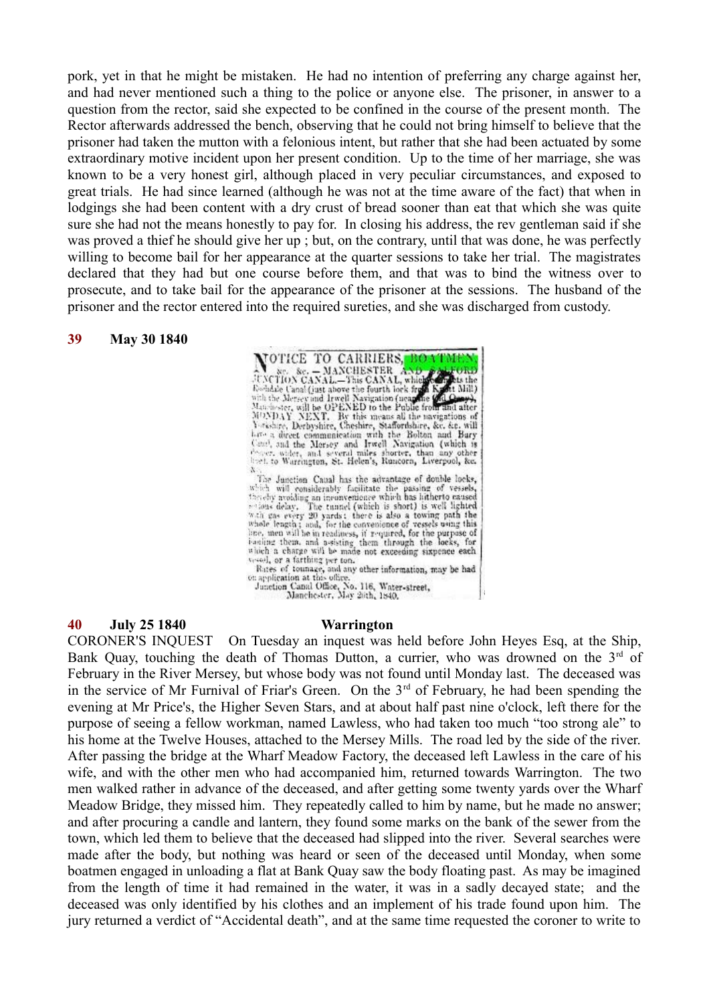pork, yet in that he might be mistaken. He had no intention of preferring any charge against her, and had never mentioned such a thing to the police or anyone else. The prisoner, in answer to a question from the rector, said she expected to be confined in the course of the present month. The Rector afterwards addressed the bench, observing that he could not bring himself to believe that the prisoner had taken the mutton with a felonious intent, but rather that she had been actuated by some extraordinary motive incident upon her present condition. Up to the time of her marriage, she was known to be a very honest girl, although placed in very peculiar circumstances, and exposed to great trials. He had since learned (although he was not at the time aware of the fact) that when in lodgings she had been content with a dry crust of bread sooner than eat that which she was quite sure she had not the means honestly to pay for. In closing his address, the rev gentleman said if she was proved a thief he should give her up ; but, on the contrary, until that was done, he was perfectly willing to become bail for her appearance at the quarter sessions to take her trial. The magistrates declared that they had but one course before them, and that was to bind the witness over to prosecute, and to take bail for the appearance of the prisoner at the sessions. The husband of the prisoner and the rector entered into the required sureties, and she was discharged from custody.

VOTICE TO CARRIERS,

 $\mathbf{X}$ 

### **39 May 30 1840**

line, men will be in readiness, if required, for the purpose of booling them, and a-sisting them through the locks, for which a charge will be made not exceeding sixpence each vessel, or a farthing per ton.<br>
Rates of tounage, and any other information, may be had on application at this office.<br>
Junction Canal Office, No. 116, Water-street,<br>
Junction Canal Office, No. 116, Water-street,<br>
Manchest

X. The Janetian Canal has the advantage of double locks, which will considerably facilitate the passing of vessels, thereby avoiding an inconvenience which has lither to caused sections delay. The tunnel (which is short) i

NOTICE TO CARRIERS, BOATBURN<br>
New Sec. - MANCHESTER AND 2020000<br>
NEXCRIDN CANAL.-This CANAL, which seems the food of the second control of a<br>
solidate Canal (just above the fourth lock from Kecket Mill)<br>
with the Mersey an

**40 July 25 1840 Warrington**

CORONER'S INQUEST On Tuesday an inquest was held before John Heyes Esq, at the Ship, Bank Quay, touching the death of Thomas Dutton, a currier, who was drowned on the  $3<sup>rd</sup>$  of February in the River Mersey, but whose body was not found until Monday last. The deceased was in the service of Mr Furnival of Friar's Green. On the  $3<sup>rd</sup>$  of February, he had been spending the evening at Mr Price's, the Higher Seven Stars, and at about half past nine o'clock, left there for the purpose of seeing a fellow workman, named Lawless, who had taken too much "too strong ale" to his home at the Twelve Houses, attached to the Mersey Mills. The road led by the side of the river. After passing the bridge at the Wharf Meadow Factory, the deceased left Lawless in the care of his wife, and with the other men who had accompanied him, returned towards Warrington. The two men walked rather in advance of the deceased, and after getting some twenty yards over the Wharf Meadow Bridge, they missed him. They repeatedly called to him by name, but he made no answer; and after procuring a candle and lantern, they found some marks on the bank of the sewer from the town, which led them to believe that the deceased had slipped into the river. Several searches were made after the body, but nothing was heard or seen of the deceased until Monday, when some boatmen engaged in unloading a flat at Bank Quay saw the body floating past. As may be imagined from the length of time it had remained in the water, it was in a sadly decayed state; and the deceased was only identified by his clothes and an implement of his trade found upon him. The jury returned a verdict of "Accidental death", and at the same time requested the coroner to write to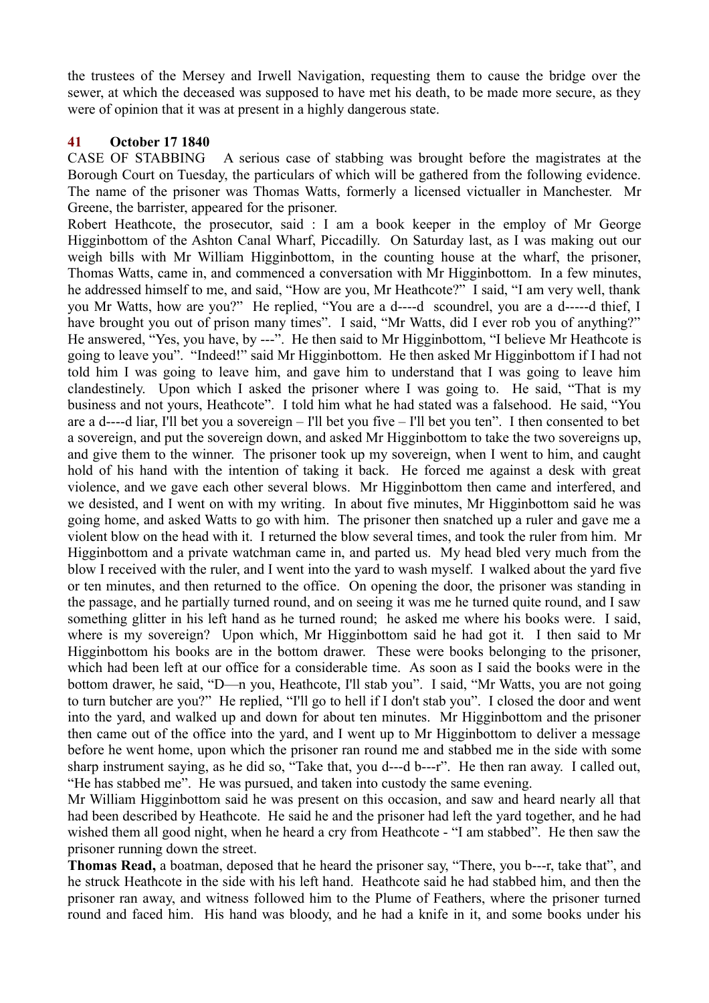the trustees of the Mersey and Irwell Navigation, requesting them to cause the bridge over the sewer, at which the deceased was supposed to have met his death, to be made more secure, as they were of opinion that it was at present in a highly dangerous state.

## **41 October 17 1840**

CASE OF STABBING A serious case of stabbing was brought before the magistrates at the Borough Court on Tuesday, the particulars of which will be gathered from the following evidence. The name of the prisoner was Thomas Watts, formerly a licensed victualler in Manchester. Mr Greene, the barrister, appeared for the prisoner.

Robert Heathcote, the prosecutor, said : I am a book keeper in the employ of Mr George Higginbottom of the Ashton Canal Wharf, Piccadilly. On Saturday last, as I was making out our weigh bills with Mr William Higginbottom, in the counting house at the wharf, the prisoner, Thomas Watts, came in, and commenced a conversation with Mr Higginbottom. In a few minutes, he addressed himself to me, and said, "How are you, Mr Heathcote?" I said, "I am very well, thank you Mr Watts, how are you?" He replied, "You are a d----d scoundrel, you are a d-----d thief, I have brought you out of prison many times". I said, "Mr Watts, did I ever rob you of anything?" He answered, "Yes, you have, by ---". He then said to Mr Higginbottom, "I believe Mr Heathcote is going to leave you". "Indeed!" said Mr Higginbottom. He then asked Mr Higginbottom if I had not told him I was going to leave him, and gave him to understand that I was going to leave him clandestinely. Upon which I asked the prisoner where I was going to. He said, "That is my business and not yours, Heathcote". I told him what he had stated was a falsehood. He said, "You are a d----d liar, I'll bet you a sovereign – I'll bet you five – I'll bet you ten". I then consented to bet a sovereign, and put the sovereign down, and asked Mr Higginbottom to take the two sovereigns up, and give them to the winner. The prisoner took up my sovereign, when I went to him, and caught hold of his hand with the intention of taking it back. He forced me against a desk with great violence, and we gave each other several blows. Mr Higginbottom then came and interfered, and we desisted, and I went on with my writing. In about five minutes, Mr Higginbottom said he was going home, and asked Watts to go with him. The prisoner then snatched up a ruler and gave me a violent blow on the head with it. I returned the blow several times, and took the ruler from him. Mr Higginbottom and a private watchman came in, and parted us. My head bled very much from the blow I received with the ruler, and I went into the yard to wash myself. I walked about the yard five or ten minutes, and then returned to the office. On opening the door, the prisoner was standing in the passage, and he partially turned round, and on seeing it was me he turned quite round, and I saw something glitter in his left hand as he turned round; he asked me where his books were. I said, where is my sovereign? Upon which, Mr Higginbottom said he had got it. I then said to Mr Higginbottom his books are in the bottom drawer. These were books belonging to the prisoner, which had been left at our office for a considerable time. As soon as I said the books were in the bottom drawer, he said, "D—n you, Heathcote, I'll stab you". I said, "Mr Watts, you are not going to turn butcher are you?" He replied, "I'll go to hell if I don't stab you". I closed the door and went into the yard, and walked up and down for about ten minutes. Mr Higginbottom and the prisoner then came out of the office into the yard, and I went up to Mr Higginbottom to deliver a message before he went home, upon which the prisoner ran round me and stabbed me in the side with some sharp instrument saying, as he did so, "Take that, you d---d b---r". He then ran away. I called out, "He has stabbed me". He was pursued, and taken into custody the same evening.

Mr William Higginbottom said he was present on this occasion, and saw and heard nearly all that had been described by Heathcote. He said he and the prisoner had left the yard together, and he had wished them all good night, when he heard a cry from Heathcote - "I am stabbed". He then saw the prisoner running down the street.

**Thomas Read,** a boatman, deposed that he heard the prisoner say, "There, you b---r, take that", and he struck Heathcote in the side with his left hand. Heathcote said he had stabbed him, and then the prisoner ran away, and witness followed him to the Plume of Feathers, where the prisoner turned round and faced him. His hand was bloody, and he had a knife in it, and some books under his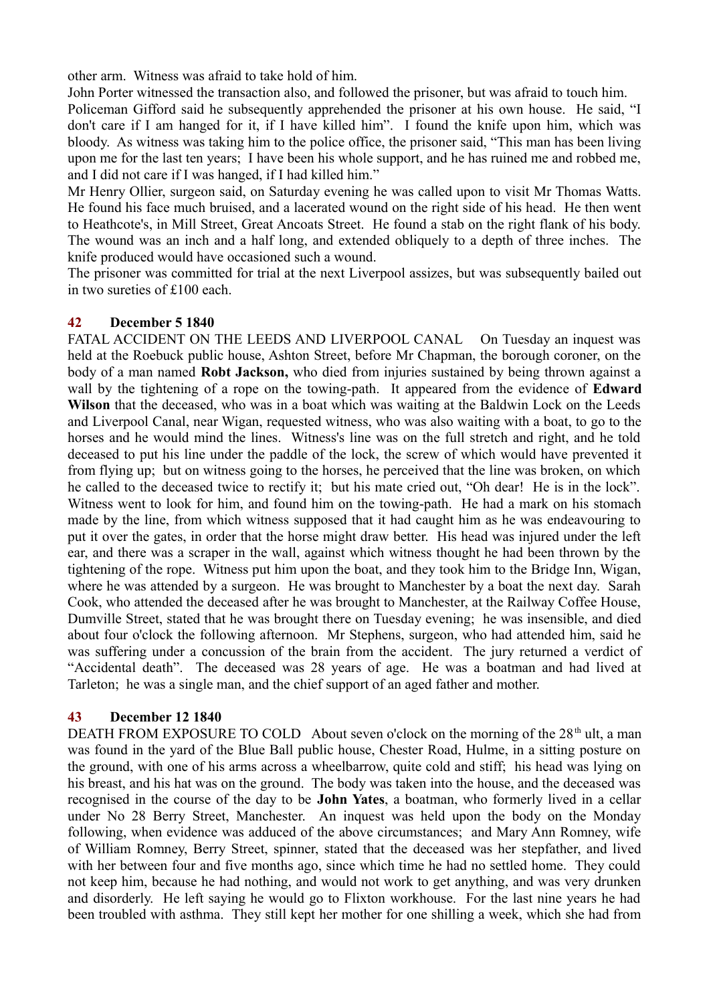other arm. Witness was afraid to take hold of him.

John Porter witnessed the transaction also, and followed the prisoner, but was afraid to touch him. Policeman Gifford said he subsequently apprehended the prisoner at his own house. He said, "I don't care if I am hanged for it, if I have killed him". I found the knife upon him, which was bloody. As witness was taking him to the police office, the prisoner said, "This man has been living upon me for the last ten years; I have been his whole support, and he has ruined me and robbed me, and I did not care if I was hanged, if I had killed him."

Mr Henry Ollier, surgeon said, on Saturday evening he was called upon to visit Mr Thomas Watts. He found his face much bruised, and a lacerated wound on the right side of his head. He then went to Heathcote's, in Mill Street, Great Ancoats Street. He found a stab on the right flank of his body. The wound was an inch and a half long, and extended obliquely to a depth of three inches. The knife produced would have occasioned such a wound.

The prisoner was committed for trial at the next Liverpool assizes, but was subsequently bailed out in two sureties of £100 each.

## **42 December 5 1840**

FATAL ACCIDENT ON THE LEEDS AND LIVERPOOL CANAL On Tuesday an inquest was held at the Roebuck public house, Ashton Street, before Mr Chapman, the borough coroner, on the body of a man named **Robt Jackson,** who died from injuries sustained by being thrown against a wall by the tightening of a rope on the towing-path. It appeared from the evidence of **Edward Wilson** that the deceased, who was in a boat which was waiting at the Baldwin Lock on the Leeds and Liverpool Canal, near Wigan, requested witness, who was also waiting with a boat, to go to the horses and he would mind the lines. Witness's line was on the full stretch and right, and he told deceased to put his line under the paddle of the lock, the screw of which would have prevented it from flying up; but on witness going to the horses, he perceived that the line was broken, on which he called to the deceased twice to rectify it; but his mate cried out, "Oh dear! He is in the lock". Witness went to look for him, and found him on the towing-path. He had a mark on his stomach made by the line, from which witness supposed that it had caught him as he was endeavouring to put it over the gates, in order that the horse might draw better. His head was injured under the left ear, and there was a scraper in the wall, against which witness thought he had been thrown by the tightening of the rope. Witness put him upon the boat, and they took him to the Bridge Inn, Wigan, where he was attended by a surgeon. He was brought to Manchester by a boat the next day. Sarah Cook, who attended the deceased after he was brought to Manchester, at the Railway Coffee House, Dumville Street, stated that he was brought there on Tuesday evening; he was insensible, and died about four o'clock the following afternoon. Mr Stephens, surgeon, who had attended him, said he was suffering under a concussion of the brain from the accident. The jury returned a verdict of "Accidental death". The deceased was 28 years of age. He was a boatman and had lived at Tarleton; he was a single man, and the chief support of an aged father and mother.

## **43 December 12 1840**

DEATH FROM EXPOSURE TO COLD About seven o'clock on the morning of the  $28<sup>th</sup>$  ult. a man was found in the yard of the Blue Ball public house, Chester Road, Hulme, in a sitting posture on the ground, with one of his arms across a wheelbarrow, quite cold and stiff; his head was lying on his breast, and his hat was on the ground. The body was taken into the house, and the deceased was recognised in the course of the day to be **John Yates**, a boatman, who formerly lived in a cellar under No 28 Berry Street, Manchester. An inquest was held upon the body on the Monday following, when evidence was adduced of the above circumstances; and Mary Ann Romney, wife of William Romney, Berry Street, spinner, stated that the deceased was her stepfather, and lived with her between four and five months ago, since which time he had no settled home. They could not keep him, because he had nothing, and would not work to get anything, and was very drunken and disorderly. He left saying he would go to Flixton workhouse. For the last nine years he had been troubled with asthma. They still kept her mother for one shilling a week, which she had from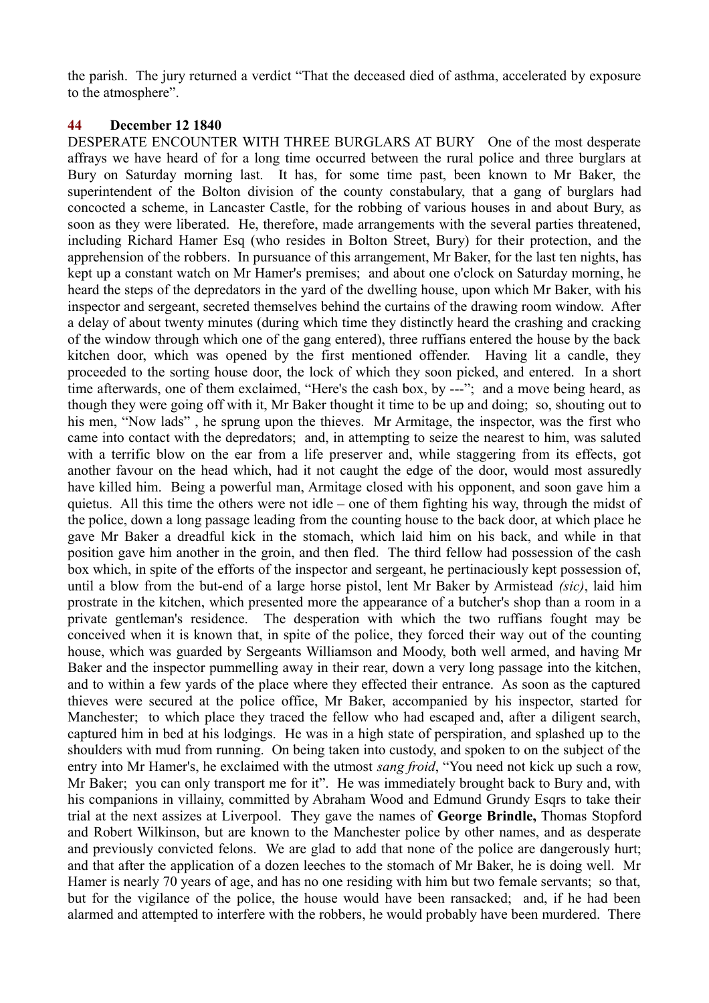the parish. The jury returned a verdict "That the deceased died of asthma, accelerated by exposure to the atmosphere".

### **44 December 12 1840**

DESPERATE ENCOUNTER WITH THREE BURGLARS AT BURY One of the most desperate affrays we have heard of for a long time occurred between the rural police and three burglars at Bury on Saturday morning last. It has, for some time past, been known to Mr Baker, the superintendent of the Bolton division of the county constabulary, that a gang of burglars had concocted a scheme, in Lancaster Castle, for the robbing of various houses in and about Bury, as soon as they were liberated. He, therefore, made arrangements with the several parties threatened, including Richard Hamer Esq (who resides in Bolton Street, Bury) for their protection, and the apprehension of the robbers. In pursuance of this arrangement, Mr Baker, for the last ten nights, has kept up a constant watch on Mr Hamer's premises; and about one o'clock on Saturday morning, he heard the steps of the depredators in the yard of the dwelling house, upon which Mr Baker, with his inspector and sergeant, secreted themselves behind the curtains of the drawing room window. After a delay of about twenty minutes (during which time they distinctly heard the crashing and cracking of the window through which one of the gang entered), three ruffians entered the house by the back kitchen door, which was opened by the first mentioned offender. Having lit a candle, they proceeded to the sorting house door, the lock of which they soon picked, and entered. In a short time afterwards, one of them exclaimed, "Here's the cash box, by ---"; and a move being heard, as though they were going off with it, Mr Baker thought it time to be up and doing; so, shouting out to his men, "Now lads" , he sprung upon the thieves. Mr Armitage, the inspector, was the first who came into contact with the depredators; and, in attempting to seize the nearest to him, was saluted with a terrific blow on the ear from a life preserver and, while staggering from its effects, got another favour on the head which, had it not caught the edge of the door, would most assuredly have killed him. Being a powerful man, Armitage closed with his opponent, and soon gave him a quietus. All this time the others were not idle – one of them fighting his way, through the midst of the police, down a long passage leading from the counting house to the back door, at which place he gave Mr Baker a dreadful kick in the stomach, which laid him on his back, and while in that position gave him another in the groin, and then fled. The third fellow had possession of the cash box which, in spite of the efforts of the inspector and sergeant, he pertinaciously kept possession of, until a blow from the but-end of a large horse pistol, lent Mr Baker by Armistead *(sic)*, laid him prostrate in the kitchen, which presented more the appearance of a butcher's shop than a room in a private gentleman's residence. The desperation with which the two ruffians fought may be conceived when it is known that, in spite of the police, they forced their way out of the counting house, which was guarded by Sergeants Williamson and Moody, both well armed, and having Mr Baker and the inspector pummelling away in their rear, down a very long passage into the kitchen, and to within a few yards of the place where they effected their entrance. As soon as the captured thieves were secured at the police office, Mr Baker, accompanied by his inspector, started for Manchester; to which place they traced the fellow who had escaped and, after a diligent search, captured him in bed at his lodgings. He was in a high state of perspiration, and splashed up to the shoulders with mud from running. On being taken into custody, and spoken to on the subject of the entry into Mr Hamer's, he exclaimed with the utmost *sang froid*, "You need not kick up such a row, Mr Baker; you can only transport me for it". He was immediately brought back to Bury and, with his companions in villainy, committed by Abraham Wood and Edmund Grundy Esqrs to take their trial at the next assizes at Liverpool. They gave the names of **George Brindle,** Thomas Stopford and Robert Wilkinson, but are known to the Manchester police by other names, and as desperate and previously convicted felons. We are glad to add that none of the police are dangerously hurt; and that after the application of a dozen leeches to the stomach of Mr Baker, he is doing well. Mr Hamer is nearly 70 years of age, and has no one residing with him but two female servants; so that, but for the vigilance of the police, the house would have been ransacked; and, if he had been alarmed and attempted to interfere with the robbers, he would probably have been murdered. There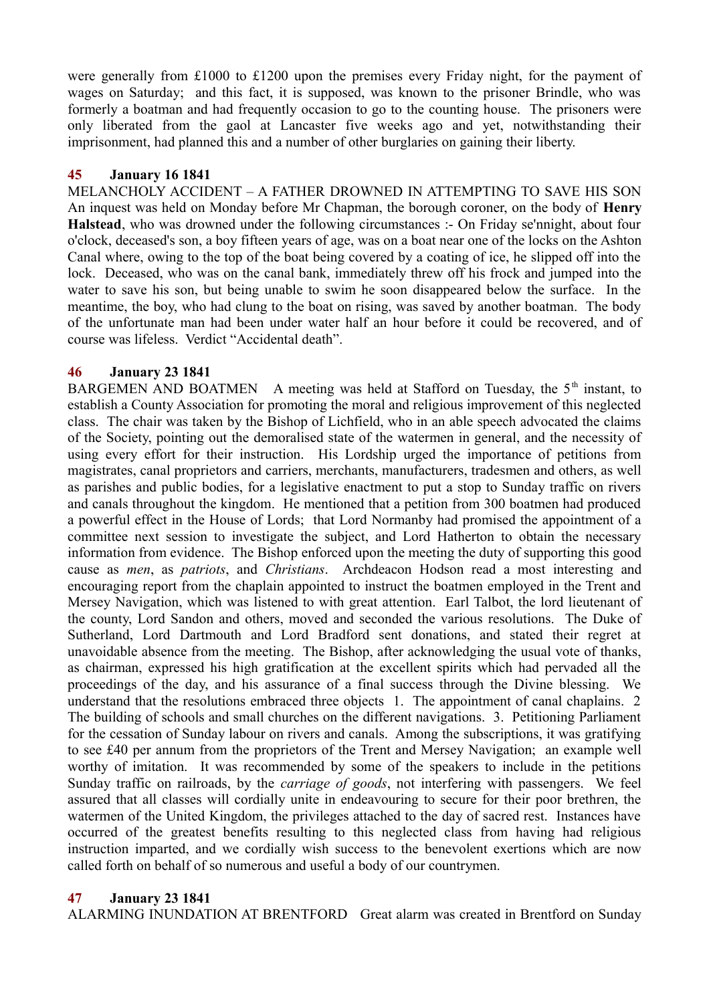were generally from £1000 to £1200 upon the premises every Friday night, for the payment of wages on Saturday; and this fact, it is supposed, was known to the prisoner Brindle, who was formerly a boatman and had frequently occasion to go to the counting house. The prisoners were only liberated from the gaol at Lancaster five weeks ago and yet, notwithstanding their imprisonment, had planned this and a number of other burglaries on gaining their liberty.

### **45 January 16 1841**

MELANCHOLY ACCIDENT – A FATHER DROWNED IN ATTEMPTING TO SAVE HIS SON An inquest was held on Monday before Mr Chapman, the borough coroner, on the body of **Henry Halstead**, who was drowned under the following circumstances :- On Friday se'nnight, about four o'clock, deceased's son, a boy fifteen years of age, was on a boat near one of the locks on the Ashton Canal where, owing to the top of the boat being covered by a coating of ice, he slipped off into the lock. Deceased, who was on the canal bank, immediately threw off his frock and jumped into the water to save his son, but being unable to swim he soon disappeared below the surface. In the meantime, the boy, who had clung to the boat on rising, was saved by another boatman. The body of the unfortunate man had been under water half an hour before it could be recovered, and of course was lifeless. Verdict "Accidental death".

## **46 January 23 1841**

BARGEMEN AND BOATMEN A meeting was held at Stafford on Tuesday, the  $5<sup>th</sup>$  instant, to establish a County Association for promoting the moral and religious improvement of this neglected class. The chair was taken by the Bishop of Lichfield, who in an able speech advocated the claims of the Society, pointing out the demoralised state of the watermen in general, and the necessity of using every effort for their instruction. His Lordship urged the importance of petitions from magistrates, canal proprietors and carriers, merchants, manufacturers, tradesmen and others, as well as parishes and public bodies, for a legislative enactment to put a stop to Sunday traffic on rivers and canals throughout the kingdom. He mentioned that a petition from 300 boatmen had produced a powerful effect in the House of Lords; that Lord Normanby had promised the appointment of a committee next session to investigate the subject, and Lord Hatherton to obtain the necessary information from evidence. The Bishop enforced upon the meeting the duty of supporting this good cause as *men*, as *patriots*, and *Christians*. Archdeacon Hodson read a most interesting and encouraging report from the chaplain appointed to instruct the boatmen employed in the Trent and Mersey Navigation, which was listened to with great attention. Earl Talbot, the lord lieutenant of the county, Lord Sandon and others, moved and seconded the various resolutions. The Duke of Sutherland, Lord Dartmouth and Lord Bradford sent donations, and stated their regret at unavoidable absence from the meeting. The Bishop, after acknowledging the usual vote of thanks, as chairman, expressed his high gratification at the excellent spirits which had pervaded all the proceedings of the day, and his assurance of a final success through the Divine blessing. We understand that the resolutions embraced three objects 1. The appointment of canal chaplains. 2 The building of schools and small churches on the different navigations. 3. Petitioning Parliament for the cessation of Sunday labour on rivers and canals. Among the subscriptions, it was gratifying to see £40 per annum from the proprietors of the Trent and Mersey Navigation; an example well worthy of imitation. It was recommended by some of the speakers to include in the petitions Sunday traffic on railroads, by the *carriage of goods*, not interfering with passengers. We feel assured that all classes will cordially unite in endeavouring to secure for their poor brethren, the watermen of the United Kingdom, the privileges attached to the day of sacred rest. Instances have occurred of the greatest benefits resulting to this neglected class from having had religious instruction imparted, and we cordially wish success to the benevolent exertions which are now called forth on behalf of so numerous and useful a body of our countrymen.

### **47 January 23 1841**

ALARMING INUNDATION AT BRENTFORD Great alarm was created in Brentford on Sunday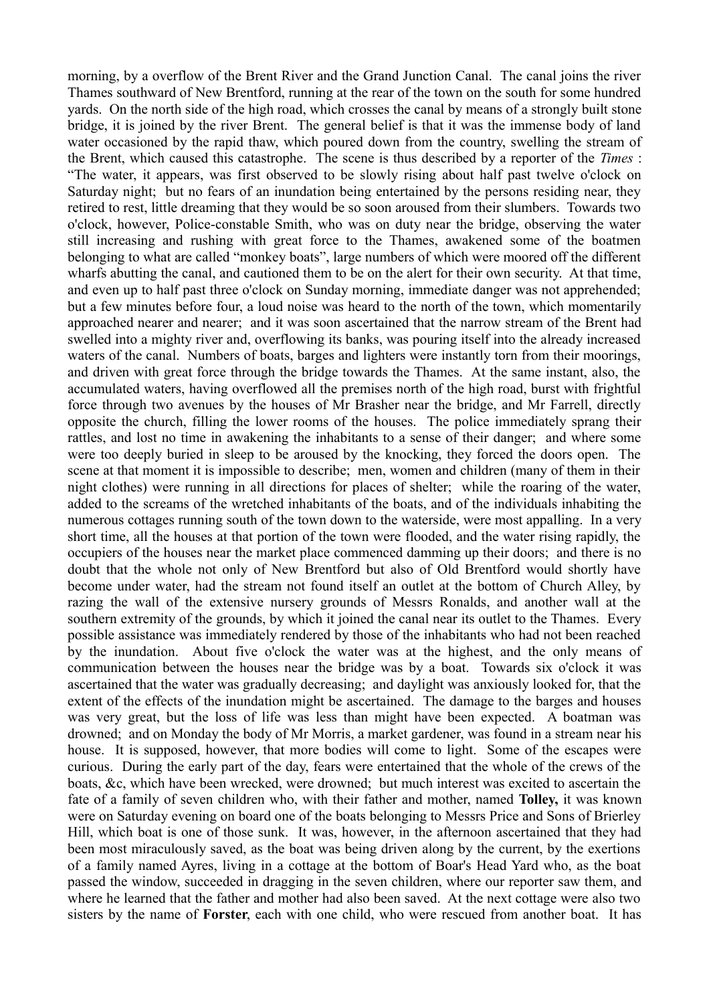morning, by a overflow of the Brent River and the Grand Junction Canal. The canal joins the river Thames southward of New Brentford, running at the rear of the town on the south for some hundred yards. On the north side of the high road, which crosses the canal by means of a strongly built stone bridge, it is joined by the river Brent. The general belief is that it was the immense body of land water occasioned by the rapid thaw, which poured down from the country, swelling the stream of the Brent, which caused this catastrophe. The scene is thus described by a reporter of the *Times* : "The water, it appears, was first observed to be slowly rising about half past twelve o'clock on Saturday night; but no fears of an inundation being entertained by the persons residing near, they retired to rest, little dreaming that they would be so soon aroused from their slumbers. Towards two o'clock, however, Police-constable Smith, who was on duty near the bridge, observing the water still increasing and rushing with great force to the Thames, awakened some of the boatmen belonging to what are called "monkey boats", large numbers of which were moored off the different wharfs abutting the canal, and cautioned them to be on the alert for their own security. At that time, and even up to half past three o'clock on Sunday morning, immediate danger was not apprehended; but a few minutes before four, a loud noise was heard to the north of the town, which momentarily approached nearer and nearer; and it was soon ascertained that the narrow stream of the Brent had swelled into a mighty river and, overflowing its banks, was pouring itself into the already increased waters of the canal. Numbers of boats, barges and lighters were instantly torn from their moorings, and driven with great force through the bridge towards the Thames. At the same instant, also, the accumulated waters, having overflowed all the premises north of the high road, burst with frightful force through two avenues by the houses of Mr Brasher near the bridge, and Mr Farrell, directly opposite the church, filling the lower rooms of the houses. The police immediately sprang their rattles, and lost no time in awakening the inhabitants to a sense of their danger; and where some were too deeply buried in sleep to be aroused by the knocking, they forced the doors open. The scene at that moment it is impossible to describe; men, women and children (many of them in their night clothes) were running in all directions for places of shelter; while the roaring of the water, added to the screams of the wretched inhabitants of the boats, and of the individuals inhabiting the numerous cottages running south of the town down to the waterside, were most appalling. In a very short time, all the houses at that portion of the town were flooded, and the water rising rapidly, the occupiers of the houses near the market place commenced damming up their doors; and there is no doubt that the whole not only of New Brentford but also of Old Brentford would shortly have become under water, had the stream not found itself an outlet at the bottom of Church Alley, by razing the wall of the extensive nursery grounds of Messrs Ronalds, and another wall at the southern extremity of the grounds, by which it joined the canal near its outlet to the Thames. Every possible assistance was immediately rendered by those of the inhabitants who had not been reached by the inundation. About five o'clock the water was at the highest, and the only means of communication between the houses near the bridge was by a boat. Towards six o'clock it was ascertained that the water was gradually decreasing; and daylight was anxiously looked for, that the extent of the effects of the inundation might be ascertained. The damage to the barges and houses was very great, but the loss of life was less than might have been expected. A boatman was drowned; and on Monday the body of Mr Morris, a market gardener, was found in a stream near his house. It is supposed, however, that more bodies will come to light. Some of the escapes were curious. During the early part of the day, fears were entertained that the whole of the crews of the boats, &c, which have been wrecked, were drowned; but much interest was excited to ascertain the fate of a family of seven children who, with their father and mother, named **Tolley,** it was known were on Saturday evening on board one of the boats belonging to Messrs Price and Sons of Brierley Hill, which boat is one of those sunk. It was, however, in the afternoon ascertained that they had been most miraculously saved, as the boat was being driven along by the current, by the exertions of a family named Ayres, living in a cottage at the bottom of Boar's Head Yard who, as the boat passed the window, succeeded in dragging in the seven children, where our reporter saw them, and where he learned that the father and mother had also been saved. At the next cottage were also two sisters by the name of **Forster**, each with one child, who were rescued from another boat. It has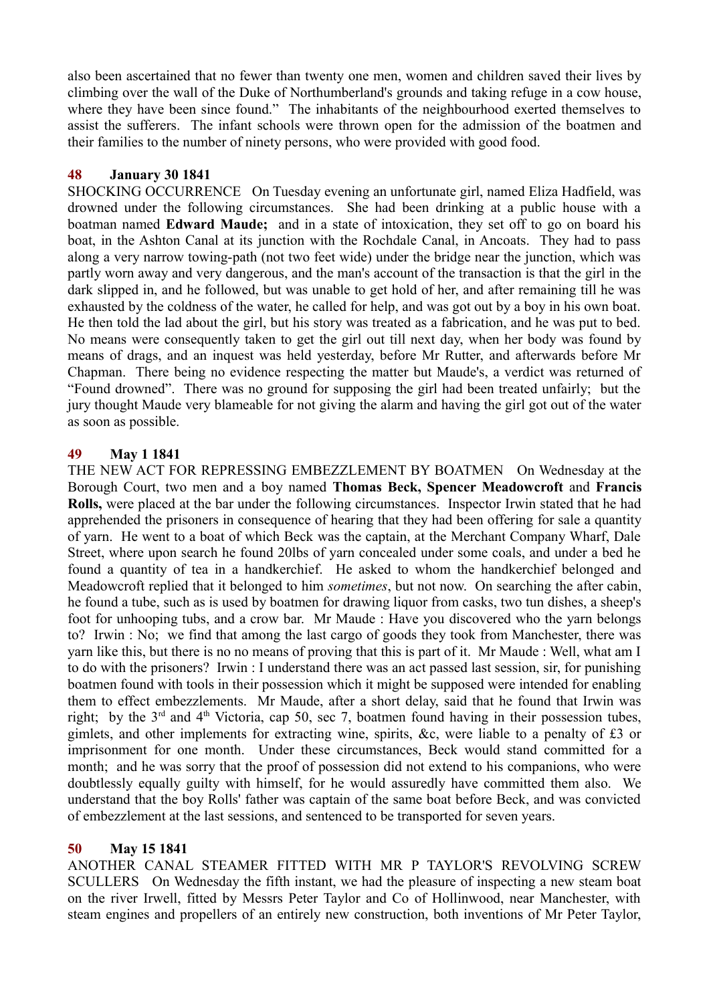also been ascertained that no fewer than twenty one men, women and children saved their lives by climbing over the wall of the Duke of Northumberland's grounds and taking refuge in a cow house, where they have been since found." The inhabitants of the neighbourhood exerted themselves to assist the sufferers. The infant schools were thrown open for the admission of the boatmen and their families to the number of ninety persons, who were provided with good food.

## **48 January 30 1841**

SHOCKING OCCURRENCE On Tuesday evening an unfortunate girl, named Eliza Hadfield, was drowned under the following circumstances. She had been drinking at a public house with a boatman named **Edward Maude;** and in a state of intoxication, they set off to go on board his boat, in the Ashton Canal at its junction with the Rochdale Canal, in Ancoats. They had to pass along a very narrow towing-path (not two feet wide) under the bridge near the junction, which was partly worn away and very dangerous, and the man's account of the transaction is that the girl in the dark slipped in, and he followed, but was unable to get hold of her, and after remaining till he was exhausted by the coldness of the water, he called for help, and was got out by a boy in his own boat. He then told the lad about the girl, but his story was treated as a fabrication, and he was put to bed. No means were consequently taken to get the girl out till next day, when her body was found by means of drags, and an inquest was held yesterday, before Mr Rutter, and afterwards before Mr Chapman. There being no evidence respecting the matter but Maude's, a verdict was returned of "Found drowned". There was no ground for supposing the girl had been treated unfairly; but the jury thought Maude very blameable for not giving the alarm and having the girl got out of the water as soon as possible.

## **49 May 1 1841**

THE NEW ACT FOR REPRESSING EMBEZZLEMENT BY BOATMEN On Wednesday at the Borough Court, two men and a boy named **Thomas Beck, Spencer Meadowcroft** and **Francis Rolls,** were placed at the bar under the following circumstances. Inspector Irwin stated that he had apprehended the prisoners in consequence of hearing that they had been offering for sale a quantity of yarn. He went to a boat of which Beck was the captain, at the Merchant Company Wharf, Dale Street, where upon search he found 20lbs of yarn concealed under some coals, and under a bed he found a quantity of tea in a handkerchief. He asked to whom the handkerchief belonged and Meadowcroft replied that it belonged to him *sometimes*, but not now. On searching the after cabin, he found a tube, such as is used by boatmen for drawing liquor from casks, two tun dishes, a sheep's foot for unhooping tubs, and a crow bar. Mr Maude : Have you discovered who the yarn belongs to? Irwin : No; we find that among the last cargo of goods they took from Manchester, there was yarn like this, but there is no no means of proving that this is part of it. Mr Maude : Well, what am I to do with the prisoners? Irwin : I understand there was an act passed last session, sir, for punishing boatmen found with tools in their possession which it might be supposed were intended for enabling them to effect embezzlements. Mr Maude, after a short delay, said that he found that Irwin was right; by the  $3<sup>rd</sup>$  and  $4<sup>th</sup>$  Victoria, cap 50, sec 7, boatmen found having in their possession tubes, gimlets, and other implements for extracting wine, spirits, &c, were liable to a penalty of £3 or imprisonment for one month. Under these circumstances, Beck would stand committed for a month; and he was sorry that the proof of possession did not extend to his companions, who were doubtlessly equally guilty with himself, for he would assuredly have committed them also. We understand that the boy Rolls' father was captain of the same boat before Beck, and was convicted of embezzlement at the last sessions, and sentenced to be transported for seven years.

### **50 May 15 1841**

ANOTHER CANAL STEAMER FITTED WITH MR P TAYLOR'S REVOLVING SCREW SCULLERS On Wednesday the fifth instant, we had the pleasure of inspecting a new steam boat on the river Irwell, fitted by Messrs Peter Taylor and Co of Hollinwood, near Manchester, with steam engines and propellers of an entirely new construction, both inventions of Mr Peter Taylor,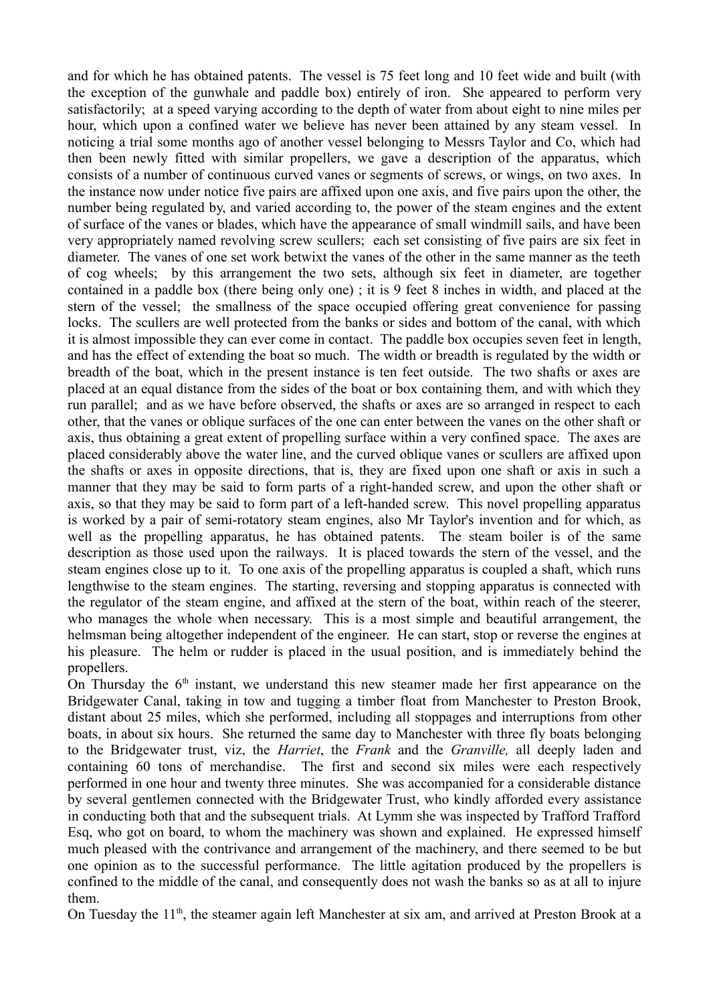and for which he has obtained patents. The vessel is 75 feet long and 10 feet wide and built (with the exception of the gunwhale and paddle box) entirely of iron. She appeared to perform very satisfactorily; at a speed varying according to the depth of water from about eight to nine miles per hour, which upon a confined water we believe has never been attained by any steam vessel. In noticing a trial some months ago of another vessel belonging to Messrs Taylor and Co, which had then been newly fitted with similar propellers, we gave a description of the apparatus, which consists of a number of continuous curved vanes or segments of screws, or wings, on two axes. In the instance now under notice five pairs are affixed upon one axis, and five pairs upon the other, the number being regulated by, and varied according to, the power of the steam engines and the extent of surface of the vanes or blades, which have the appearance of small windmill sails, and have been very appropriately named revolving screw scullers; each set consisting of five pairs are six feet in diameter. The vanes of one set work betwixt the vanes of the other in the same manner as the teeth of cog wheels; by this arrangement the two sets, although six feet in diameter, are together contained in a paddle box (there being only one) ; it is 9 feet 8 inches in width, and placed at the stern of the vessel; the smallness of the space occupied offering great convenience for passing locks. The scullers are well protected from the banks or sides and bottom of the canal, with which it is almost impossible they can ever come in contact. The paddle box occupies seven feet in length, and has the effect of extending the boat so much. The width or breadth is regulated by the width or breadth of the boat, which in the present instance is ten feet outside. The two shafts or axes are placed at an equal distance from the sides of the boat or box containing them, and with which they run parallel; and as we have before observed, the shafts or axes are so arranged in respect to each other, that the vanes or oblique surfaces of the one can enter between the vanes on the other shaft or axis, thus obtaining a great extent of propelling surface within a very confined space. The axes are placed considerably above the water line, and the curved oblique vanes or scullers are affixed upon the shafts or axes in opposite directions, that is, they are fixed upon one shaft or axis in such a manner that they may be said to form parts of a right-handed screw, and upon the other shaft or axis, so that they may be said to form part of a left-handed screw. This novel propelling apparatus is worked by a pair of semi-rotatory steam engines, also Mr Taylor's invention and for which, as well as the propelling apparatus, he has obtained patents. The steam boiler is of the same description as those used upon the railways. It is placed towards the stern of the vessel, and the steam engines close up to it. To one axis of the propelling apparatus is coupled a shaft, which runs lengthwise to the steam engines. The starting, reversing and stopping apparatus is connected with the regulator of the steam engine, and affixed at the stern of the boat, within reach of the steerer, who manages the whole when necessary. This is a most simple and beautiful arrangement, the helmsman being altogether independent of the engineer. He can start, stop or reverse the engines at his pleasure. The helm or rudder is placed in the usual position, and is immediately behind the propellers.

On Thursday the  $6<sup>th</sup>$  instant, we understand this new steamer made her first appearance on the Bridgewater Canal, taking in tow and tugging a timber float from Manchester to Preston Brook, distant about 25 miles, which she performed, including all stoppages and interruptions from other boats, in about six hours. She returned the same day to Manchester with three fly boats belonging to the Bridgewater trust, viz, the *Harriet*, the *Frank* and the *Granville,* all deeply laden and containing 60 tons of merchandise. The first and second six miles were each respectively performed in one hour and twenty three minutes. She was accompanied for a considerable distance by several gentlemen connected with the Bridgewater Trust, who kindly afforded every assistance in conducting both that and the subsequent trials. At Lymm she was inspected by Trafford Trafford Esq, who got on board, to whom the machinery was shown and explained. He expressed himself much pleased with the contrivance and arrangement of the machinery, and there seemed to be but one opinion as to the successful performance. The little agitation produced by the propellers is confined to the middle of the canal, and consequently does not wash the banks so as at all to injure them.

On Tuesday the 11<sup>th</sup>, the steamer again left Manchester at six am, and arrived at Preston Brook at a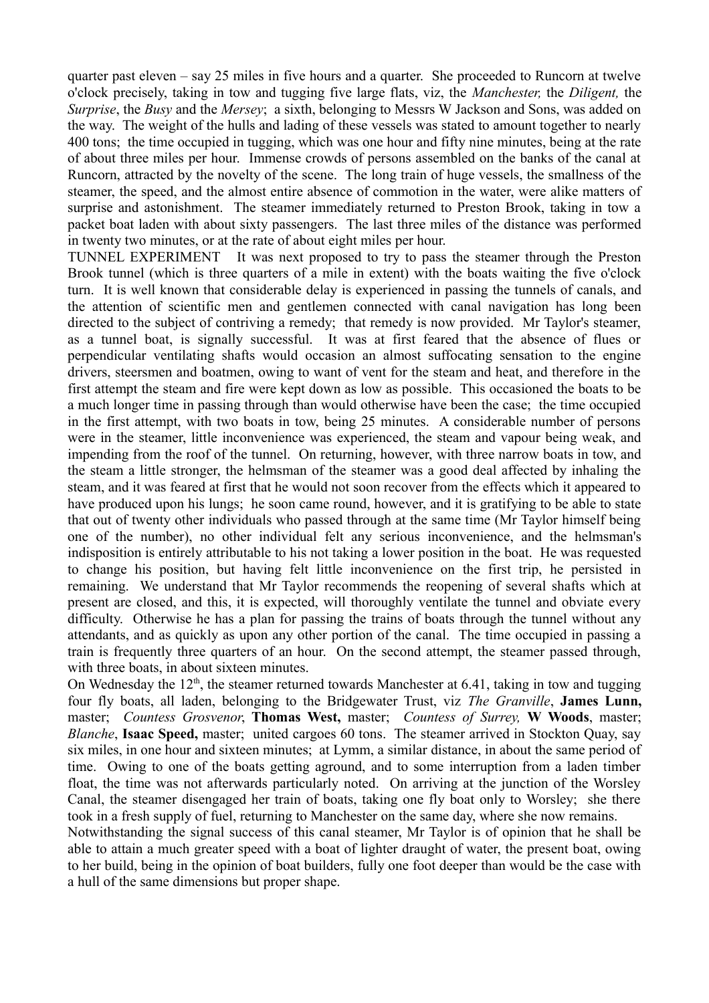quarter past eleven – say 25 miles in five hours and a quarter. She proceeded to Runcorn at twelve o'clock precisely, taking in tow and tugging five large flats, viz, the *Manchester,* the *Diligent,* the *Surprise*, the *Busy* and the *Mersey*; a sixth, belonging to Messrs W Jackson and Sons, was added on the way. The weight of the hulls and lading of these vessels was stated to amount together to nearly 400 tons; the time occupied in tugging, which was one hour and fifty nine minutes, being at the rate of about three miles per hour. Immense crowds of persons assembled on the banks of the canal at Runcorn, attracted by the novelty of the scene. The long train of huge vessels, the smallness of the steamer, the speed, and the almost entire absence of commotion in the water, were alike matters of surprise and astonishment. The steamer immediately returned to Preston Brook, taking in tow a packet boat laden with about sixty passengers. The last three miles of the distance was performed in twenty two minutes, or at the rate of about eight miles per hour.

TUNNEL EXPERIMENT It was next proposed to try to pass the steamer through the Preston Brook tunnel (which is three quarters of a mile in extent) with the boats waiting the five o'clock turn. It is well known that considerable delay is experienced in passing the tunnels of canals, and the attention of scientific men and gentlemen connected with canal navigation has long been directed to the subject of contriving a remedy; that remedy is now provided. Mr Taylor's steamer, as a tunnel boat, is signally successful. It was at first feared that the absence of flues or perpendicular ventilating shafts would occasion an almost suffocating sensation to the engine drivers, steersmen and boatmen, owing to want of vent for the steam and heat, and therefore in the first attempt the steam and fire were kept down as low as possible. This occasioned the boats to be a much longer time in passing through than would otherwise have been the case; the time occupied in the first attempt, with two boats in tow, being 25 minutes. A considerable number of persons were in the steamer, little inconvenience was experienced, the steam and vapour being weak, and impending from the roof of the tunnel. On returning, however, with three narrow boats in tow, and the steam a little stronger, the helmsman of the steamer was a good deal affected by inhaling the steam, and it was feared at first that he would not soon recover from the effects which it appeared to have produced upon his lungs; he soon came round, however, and it is gratifying to be able to state that out of twenty other individuals who passed through at the same time (Mr Taylor himself being one of the number), no other individual felt any serious inconvenience, and the helmsman's indisposition is entirely attributable to his not taking a lower position in the boat. He was requested to change his position, but having felt little inconvenience on the first trip, he persisted in remaining. We understand that Mr Taylor recommends the reopening of several shafts which at present are closed, and this, it is expected, will thoroughly ventilate the tunnel and obviate every difficulty. Otherwise he has a plan for passing the trains of boats through the tunnel without any attendants, and as quickly as upon any other portion of the canal. The time occupied in passing a train is frequently three quarters of an hour. On the second attempt, the steamer passed through, with three boats, in about sixteen minutes.

On Wednesday the  $12<sup>th</sup>$ , the steamer returned towards Manchester at 6.41, taking in tow and tugging four fly boats, all laden, belonging to the Bridgewater Trust, viz *The Granville*, **James Lunn,** master; *Countess Grosvenor*, **Thomas West,** master; *Countess of Surrey,* **W Woods**, master; *Blanche*, **Isaac Speed,** master; united cargoes 60 tons. The steamer arrived in Stockton Quay, say six miles, in one hour and sixteen minutes; at Lymm, a similar distance, in about the same period of time. Owing to one of the boats getting aground, and to some interruption from a laden timber float, the time was not afterwards particularly noted. On arriving at the junction of the Worsley Canal, the steamer disengaged her train of boats, taking one fly boat only to Worsley; she there took in a fresh supply of fuel, returning to Manchester on the same day, where she now remains.

Notwithstanding the signal success of this canal steamer, Mr Taylor is of opinion that he shall be able to attain a much greater speed with a boat of lighter draught of water, the present boat, owing to her build, being in the opinion of boat builders, fully one foot deeper than would be the case with a hull of the same dimensions but proper shape.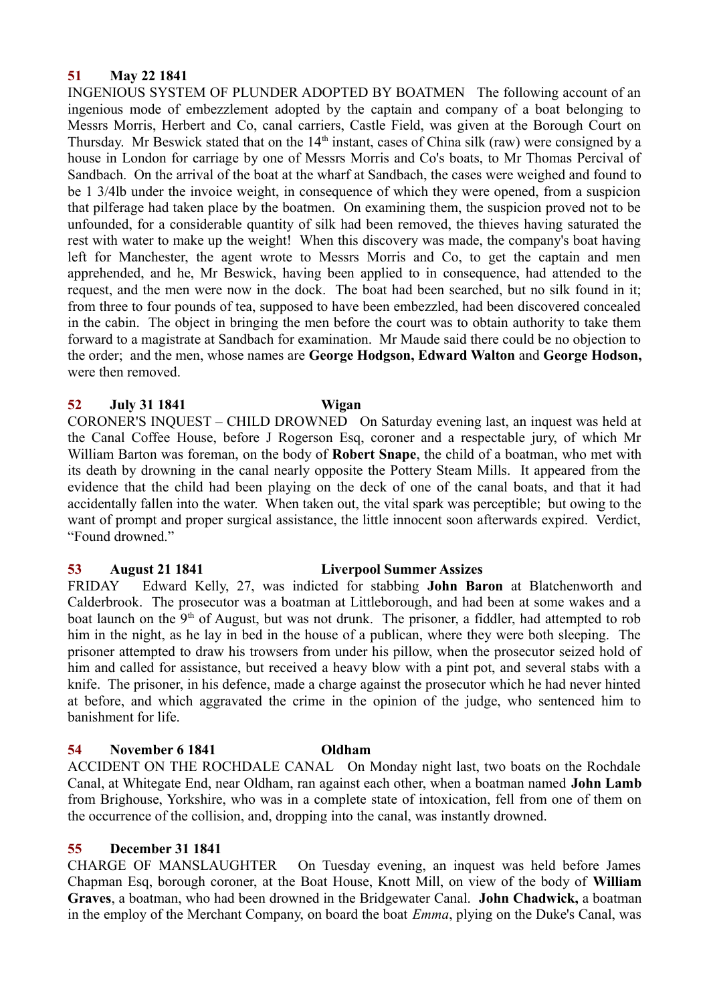## **51 May 22 1841**

INGENIOUS SYSTEM OF PLUNDER ADOPTED BY BOATMEN The following account of an ingenious mode of embezzlement adopted by the captain and company of a boat belonging to Messrs Morris, Herbert and Co, canal carriers, Castle Field, was given at the Borough Court on Thursday. Mr Beswick stated that on the  $14<sup>th</sup>$  instant, cases of China silk (raw) were consigned by a house in London for carriage by one of Messrs Morris and Co's boats, to Mr Thomas Percival of Sandbach. On the arrival of the boat at the wharf at Sandbach, the cases were weighed and found to be 1 3/4lb under the invoice weight, in consequence of which they were opened, from a suspicion that pilferage had taken place by the boatmen. On examining them, the suspicion proved not to be unfounded, for a considerable quantity of silk had been removed, the thieves having saturated the rest with water to make up the weight! When this discovery was made, the company's boat having left for Manchester, the agent wrote to Messrs Morris and Co, to get the captain and men apprehended, and he, Mr Beswick, having been applied to in consequence, had attended to the request, and the men were now in the dock. The boat had been searched, but no silk found in it; from three to four pounds of tea, supposed to have been embezzled, had been discovered concealed in the cabin. The object in bringing the men before the court was to obtain authority to take them forward to a magistrate at Sandbach for examination. Mr Maude said there could be no objection to the order; and the men, whose names are **George Hodgson, Edward Walton** and **George Hodson,** were then removed.

## **52 July 31 1841 Wigan**

CORONER'S INQUEST – CHILD DROWNED On Saturday evening last, an inquest was held at the Canal Coffee House, before J Rogerson Esq, coroner and a respectable jury, of which Mr William Barton was foreman, on the body of **Robert Snape**, the child of a boatman, who met with its death by drowning in the canal nearly opposite the Pottery Steam Mills. It appeared from the evidence that the child had been playing on the deck of one of the canal boats, and that it had accidentally fallen into the water. When taken out, the vital spark was perceptible; but owing to the want of prompt and proper surgical assistance, the little innocent soon afterwards expired. Verdict, "Found drowned."

## **53 August 21 1841 Liverpool Summer Assizes**

FRIDAY Edward Kelly, 27, was indicted for stabbing **John Baron** at Blatchenworth and Calderbrook. The prosecutor was a boatman at Littleborough, and had been at some wakes and a boat launch on the 9<sup>th</sup> of August, but was not drunk. The prisoner, a fiddler, had attempted to rob him in the night, as he lay in bed in the house of a publican, where they were both sleeping. The prisoner attempted to draw his trowsers from under his pillow, when the prosecutor seized hold of him and called for assistance, but received a heavy blow with a pint pot, and several stabs with a knife. The prisoner, in his defence, made a charge against the prosecutor which he had never hinted at before, and which aggravated the crime in the opinion of the judge, who sentenced him to banishment for life.

## **54 November 6 1841 Oldham**

ACCIDENT ON THE ROCHDALE CANAL On Monday night last, two boats on the Rochdale Canal, at Whitegate End, near Oldham, ran against each other, when a boatman named **John Lamb** from Brighouse, Yorkshire, who was in a complete state of intoxication, fell from one of them on the occurrence of the collision, and, dropping into the canal, was instantly drowned.

## **55 December 31 1841**

CHARGE OF MANSLAUGHTER On Tuesday evening, an inquest was held before James Chapman Esq, borough coroner, at the Boat House, Knott Mill, on view of the body of **William Graves**, a boatman, who had been drowned in the Bridgewater Canal. **John Chadwick,** a boatman in the employ of the Merchant Company, on board the boat *Emma*, plying on the Duke's Canal, was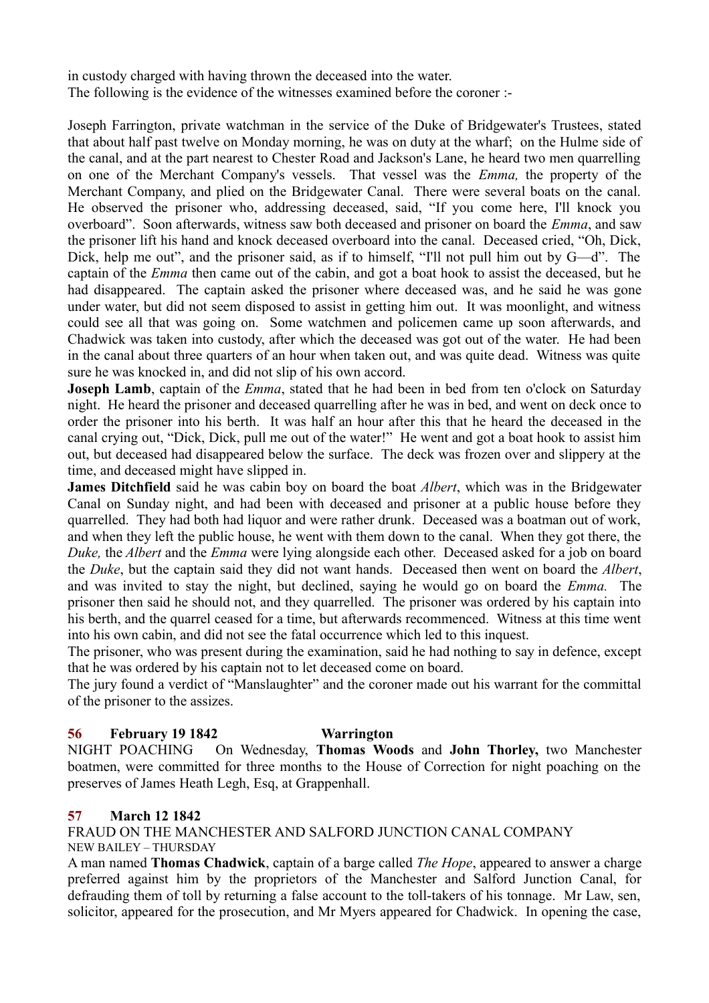in custody charged with having thrown the deceased into the water. The following is the evidence of the witnesses examined before the coroner :-

Joseph Farrington, private watchman in the service of the Duke of Bridgewater's Trustees, stated that about half past twelve on Monday morning, he was on duty at the wharf; on the Hulme side of the canal, and at the part nearest to Chester Road and Jackson's Lane, he heard two men quarrelling on one of the Merchant Company's vessels. That vessel was the *Emma,* the property of the Merchant Company, and plied on the Bridgewater Canal. There were several boats on the canal. He observed the prisoner who, addressing deceased, said, "If you come here, I'll knock you overboard". Soon afterwards, witness saw both deceased and prisoner on board the *Emma*, and saw the prisoner lift his hand and knock deceased overboard into the canal. Deceased cried, "Oh, Dick, Dick, help me out", and the prisoner said, as if to himself, "I'll not pull him out by G—d". The captain of the *Emma* then came out of the cabin, and got a boat hook to assist the deceased, but he had disappeared. The captain asked the prisoner where deceased was, and he said he was gone under water, but did not seem disposed to assist in getting him out. It was moonlight, and witness could see all that was going on. Some watchmen and policemen came up soon afterwards, and Chadwick was taken into custody, after which the deceased was got out of the water. He had been in the canal about three quarters of an hour when taken out, and was quite dead. Witness was quite sure he was knocked in, and did not slip of his own accord.

**Joseph Lamb**, captain of the *Emma*, stated that he had been in bed from ten o'clock on Saturday night. He heard the prisoner and deceased quarrelling after he was in bed, and went on deck once to order the prisoner into his berth. It was half an hour after this that he heard the deceased in the canal crying out, "Dick, Dick, pull me out of the water!" He went and got a boat hook to assist him out, but deceased had disappeared below the surface. The deck was frozen over and slippery at the time, and deceased might have slipped in.

**James Ditchfield** said he was cabin boy on board the boat *Albert*, which was in the Bridgewater Canal on Sunday night, and had been with deceased and prisoner at a public house before they quarrelled. They had both had liquor and were rather drunk. Deceased was a boatman out of work, and when they left the public house, he went with them down to the canal. When they got there, the *Duke,* the *Albert* and the *Emma* were lying alongside each other. Deceased asked for a job on board the *Duke*, but the captain said they did not want hands. Deceased then went on board the *Albert*, and was invited to stay the night, but declined, saying he would go on board the *Emma.* The prisoner then said he should not, and they quarrelled. The prisoner was ordered by his captain into his berth, and the quarrel ceased for a time, but afterwards recommenced. Witness at this time went into his own cabin, and did not see the fatal occurrence which led to this inquest.

The prisoner, who was present during the examination, said he had nothing to say in defence, except that he was ordered by his captain not to let deceased come on board.

The jury found a verdict of "Manslaughter" and the coroner made out his warrant for the committal of the prisoner to the assizes.

## **56 February 19 1842 Warrington**

NIGHT POACHING On Wednesday, **Thomas Woods** and **John Thorley,** two Manchester boatmen, were committed for three months to the House of Correction for night poaching on the preserves of James Heath Legh, Esq, at Grappenhall.

### **57 March 12 1842**

FRAUD ON THE MANCHESTER AND SALFORD JUNCTION CANAL COMPANY NEW BAILEY – THURSDAY

A man named **Thomas Chadwick**, captain of a barge called *The Hope*, appeared to answer a charge preferred against him by the proprietors of the Manchester and Salford Junction Canal, for defrauding them of toll by returning a false account to the toll-takers of his tonnage. Mr Law, sen, solicitor, appeared for the prosecution, and Mr Myers appeared for Chadwick. In opening the case,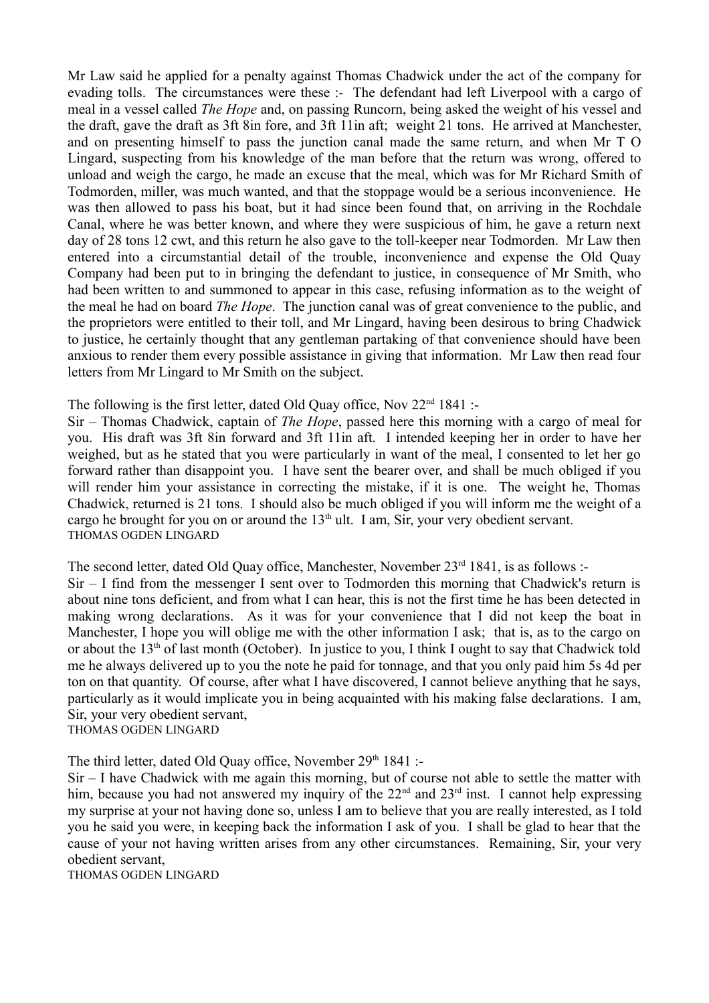Mr Law said he applied for a penalty against Thomas Chadwick under the act of the company for evading tolls. The circumstances were these :- The defendant had left Liverpool with a cargo of meal in a vessel called *The Hope* and, on passing Runcorn, being asked the weight of his vessel and the draft, gave the draft as 3ft 8in fore, and 3ft 11in aft; weight 21 tons. He arrived at Manchester, and on presenting himself to pass the junction canal made the same return, and when Mr T O Lingard, suspecting from his knowledge of the man before that the return was wrong, offered to unload and weigh the cargo, he made an excuse that the meal, which was for Mr Richard Smith of Todmorden, miller, was much wanted, and that the stoppage would be a serious inconvenience. He was then allowed to pass his boat, but it had since been found that, on arriving in the Rochdale Canal, where he was better known, and where they were suspicious of him, he gave a return next day of 28 tons 12 cwt, and this return he also gave to the toll-keeper near Todmorden. Mr Law then entered into a circumstantial detail of the trouble, inconvenience and expense the Old Quay Company had been put to in bringing the defendant to justice, in consequence of Mr Smith, who had been written to and summoned to appear in this case, refusing information as to the weight of the meal he had on board *The Hope*. The junction canal was of great convenience to the public, and the proprietors were entitled to their toll, and Mr Lingard, having been desirous to bring Chadwick to justice, he certainly thought that any gentleman partaking of that convenience should have been anxious to render them every possible assistance in giving that information. Mr Law then read four letters from Mr Lingard to Mr Smith on the subject.

The following is the first letter, dated Old Quay office, Nov  $22<sup>nd</sup> 1841$ :

Sir – Thomas Chadwick, captain of *The Hope*, passed here this morning with a cargo of meal for you. His draft was 3ft 8in forward and 3ft 11in aft. I intended keeping her in order to have her weighed, but as he stated that you were particularly in want of the meal, I consented to let her go forward rather than disappoint you. I have sent the bearer over, and shall be much obliged if you will render him your assistance in correcting the mistake, if it is one. The weight he, Thomas Chadwick, returned is 21 tons. I should also be much obliged if you will inform me the weight of a cargo he brought for you on or around the  $13<sup>th</sup>$  ult. I am, Sir, your very obedient servant. THOMAS OGDEN LINGARD

The second letter, dated Old Quay office, Manchester, November  $23<sup>rd</sup> 1841$ , is as follows :-

Sir – I find from the messenger I sent over to Todmorden this morning that Chadwick's return is about nine tons deficient, and from what I can hear, this is not the first time he has been detected in making wrong declarations. As it was for your convenience that I did not keep the boat in Manchester, I hope you will oblige me with the other information I ask; that is, as to the cargo on or about the 13<sup>th</sup> of last month (October). In justice to you, I think I ought to say that Chadwick told me he always delivered up to you the note he paid for tonnage, and that you only paid him 5s 4d per ton on that quantity. Of course, after what I have discovered, I cannot believe anything that he says, particularly as it would implicate you in being acquainted with his making false declarations. I am, Sir, your very obedient servant, THOMAS OGDEN LINGARD

The third letter, dated Old Quay office, November 29<sup>th</sup> 1841 :-

Sir – I have Chadwick with me again this morning, but of course not able to settle the matter with him, because you had not answered my inquiry of the  $22<sup>nd</sup>$  and  $23<sup>rd</sup>$  inst. I cannot help expressing my surprise at your not having done so, unless I am to believe that you are really interested, as I told you he said you were, in keeping back the information I ask of you. I shall be glad to hear that the cause of your not having written arises from any other circumstances. Remaining, Sir, your very obedient servant,

THOMAS OGDEN LINGARD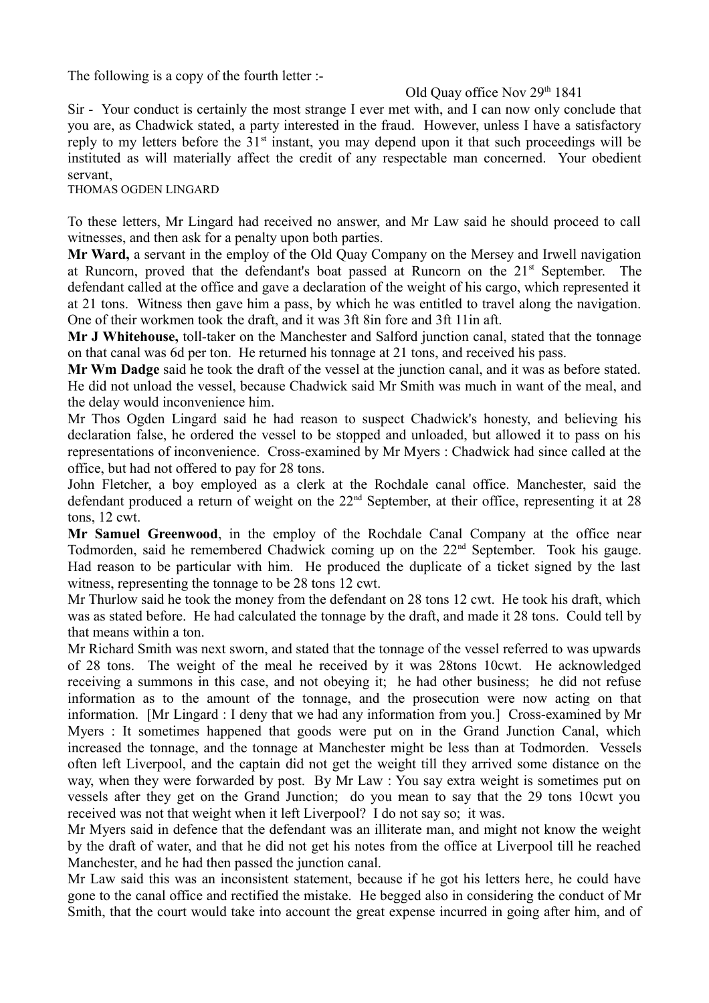The following is a copy of the fourth letter :-

## Old Quay office Nov 29<sup>th</sup> 1841

Sir - Your conduct is certainly the most strange I ever met with, and I can now only conclude that you are, as Chadwick stated, a party interested in the fraud. However, unless I have a satisfactory reply to my letters before the 31<sup>st</sup> instant, you may depend upon it that such proceedings will be instituted as will materially affect the credit of any respectable man concerned. Your obedient servant,

THOMAS OGDEN LINGARD

To these letters, Mr Lingard had received no answer, and Mr Law said he should proceed to call witnesses, and then ask for a penalty upon both parties.

**Mr Ward,** a servant in the employ of the Old Quay Company on the Mersey and Irwell navigation at Runcorn, proved that the defendant's boat passed at Runcorn on the 21st September. The defendant called at the office and gave a declaration of the weight of his cargo, which represented it at 21 tons. Witness then gave him a pass, by which he was entitled to travel along the navigation. One of their workmen took the draft, and it was 3ft 8in fore and 3ft 11in aft.

**Mr J Whitehouse,** toll-taker on the Manchester and Salford junction canal, stated that the tonnage on that canal was 6d per ton. He returned his tonnage at 21 tons, and received his pass.

**Mr Wm Dadge** said he took the draft of the vessel at the junction canal, and it was as before stated. He did not unload the vessel, because Chadwick said Mr Smith was much in want of the meal, and the delay would inconvenience him.

Mr Thos Ogden Lingard said he had reason to suspect Chadwick's honesty, and believing his declaration false, he ordered the vessel to be stopped and unloaded, but allowed it to pass on his representations of inconvenience. Cross-examined by Mr Myers : Chadwick had since called at the office, but had not offered to pay for 28 tons.

John Fletcher, a boy employed as a clerk at the Rochdale canal office. Manchester, said the defendant produced a return of weight on the 22nd September, at their office, representing it at 28 tons, 12 cwt.

**Mr Samuel Greenwood**, in the employ of the Rochdale Canal Company at the office near Todmorden, said he remembered Chadwick coming up on the 22<sup>nd</sup> September. Took his gauge. Had reason to be particular with him. He produced the duplicate of a ticket signed by the last witness, representing the tonnage to be 28 tons 12 cwt.

Mr Thurlow said he took the money from the defendant on 28 tons 12 cwt. He took his draft, which was as stated before. He had calculated the tonnage by the draft, and made it 28 tons. Could tell by that means within a ton.

Mr Richard Smith was next sworn, and stated that the tonnage of the vessel referred to was upwards of 28 tons. The weight of the meal he received by it was 28tons 10cwt. He acknowledged receiving a summons in this case, and not obeying it; he had other business; he did not refuse information as to the amount of the tonnage, and the prosecution were now acting on that information. [Mr Lingard : I deny that we had any information from you.] Cross-examined by Mr Myers : It sometimes happened that goods were put on in the Grand Junction Canal, which increased the tonnage, and the tonnage at Manchester might be less than at Todmorden. Vessels often left Liverpool, and the captain did not get the weight till they arrived some distance on the way, when they were forwarded by post. By Mr Law : You say extra weight is sometimes put on vessels after they get on the Grand Junction; do you mean to say that the 29 tons 10cwt you received was not that weight when it left Liverpool? I do not say so; it was.

Mr Myers said in defence that the defendant was an illiterate man, and might not know the weight by the draft of water, and that he did not get his notes from the office at Liverpool till he reached Manchester, and he had then passed the junction canal.

Mr Law said this was an inconsistent statement, because if he got his letters here, he could have gone to the canal office and rectified the mistake. He begged also in considering the conduct of Mr Smith, that the court would take into account the great expense incurred in going after him, and of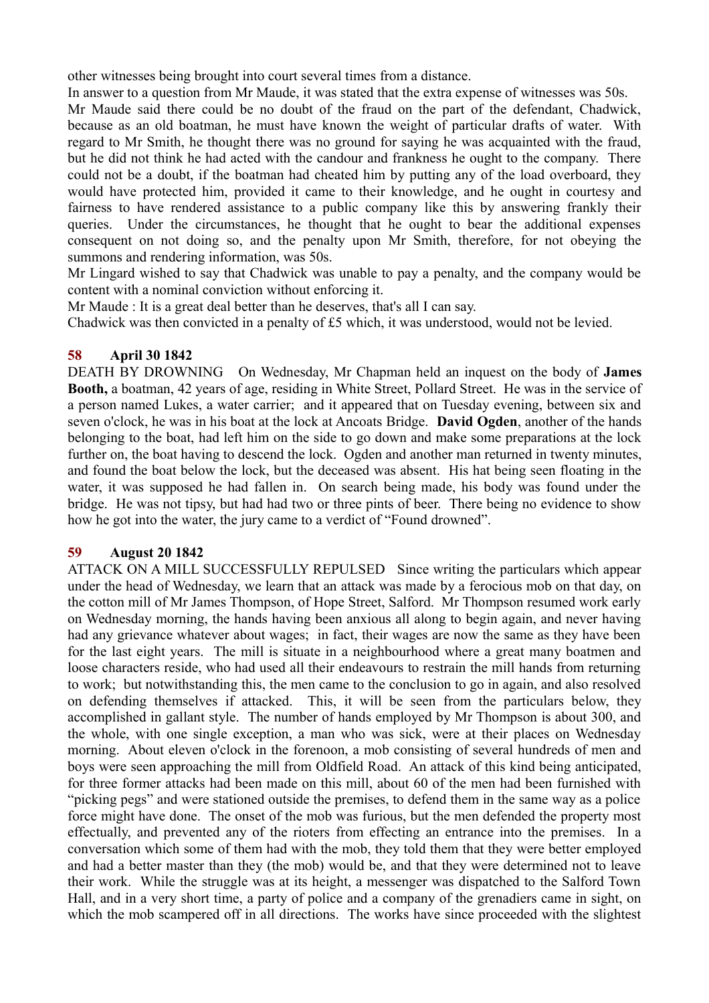other witnesses being brought into court several times from a distance.

In answer to a question from Mr Maude, it was stated that the extra expense of witnesses was 50s. Mr Maude said there could be no doubt of the fraud on the part of the defendant, Chadwick, because as an old boatman, he must have known the weight of particular drafts of water. With regard to Mr Smith, he thought there was no ground for saying he was acquainted with the fraud, but he did not think he had acted with the candour and frankness he ought to the company. There could not be a doubt, if the boatman had cheated him by putting any of the load overboard, they would have protected him, provided it came to their knowledge, and he ought in courtesy and fairness to have rendered assistance to a public company like this by answering frankly their queries. Under the circumstances, he thought that he ought to bear the additional expenses consequent on not doing so, and the penalty upon Mr Smith, therefore, for not obeying the summons and rendering information, was 50s.

Mr Lingard wished to say that Chadwick was unable to pay a penalty, and the company would be content with a nominal conviction without enforcing it.

Mr Maude : It is a great deal better than he deserves, that's all I can say.

Chadwick was then convicted in a penalty of £5 which, it was understood, would not be levied.

## **58 April 30 1842**

DEATH BY DROWNING On Wednesday, Mr Chapman held an inquest on the body of **James Booth,** a boatman, 42 years of age, residing in White Street, Pollard Street. He was in the service of a person named Lukes, a water carrier; and it appeared that on Tuesday evening, between six and seven o'clock, he was in his boat at the lock at Ancoats Bridge. **David Ogden**, another of the hands belonging to the boat, had left him on the side to go down and make some preparations at the lock further on, the boat having to descend the lock. Ogden and another man returned in twenty minutes, and found the boat below the lock, but the deceased was absent. His hat being seen floating in the water, it was supposed he had fallen in. On search being made, his body was found under the bridge. He was not tipsy, but had had two or three pints of beer. There being no evidence to show how he got into the water, the jury came to a verdict of "Found drowned".

## **59 August 20 1842**

ATTACK ON A MILL SUCCESSFULLY REPULSED Since writing the particulars which appear under the head of Wednesday, we learn that an attack was made by a ferocious mob on that day, on the cotton mill of Mr James Thompson, of Hope Street, Salford. Mr Thompson resumed work early on Wednesday morning, the hands having been anxious all along to begin again, and never having had any grievance whatever about wages; in fact, their wages are now the same as they have been for the last eight years. The mill is situate in a neighbourhood where a great many boatmen and loose characters reside, who had used all their endeavours to restrain the mill hands from returning to work; but notwithstanding this, the men came to the conclusion to go in again, and also resolved on defending themselves if attacked. This, it will be seen from the particulars below, they accomplished in gallant style. The number of hands employed by Mr Thompson is about 300, and the whole, with one single exception, a man who was sick, were at their places on Wednesday morning. About eleven o'clock in the forenoon, a mob consisting of several hundreds of men and boys were seen approaching the mill from Oldfield Road. An attack of this kind being anticipated, for three former attacks had been made on this mill, about 60 of the men had been furnished with "picking pegs" and were stationed outside the premises, to defend them in the same way as a police force might have done. The onset of the mob was furious, but the men defended the property most effectually, and prevented any of the rioters from effecting an entrance into the premises. In a conversation which some of them had with the mob, they told them that they were better employed and had a better master than they (the mob) would be, and that they were determined not to leave their work. While the struggle was at its height, a messenger was dispatched to the Salford Town Hall, and in a very short time, a party of police and a company of the grenadiers came in sight, on which the mob scampered off in all directions. The works have since proceeded with the slightest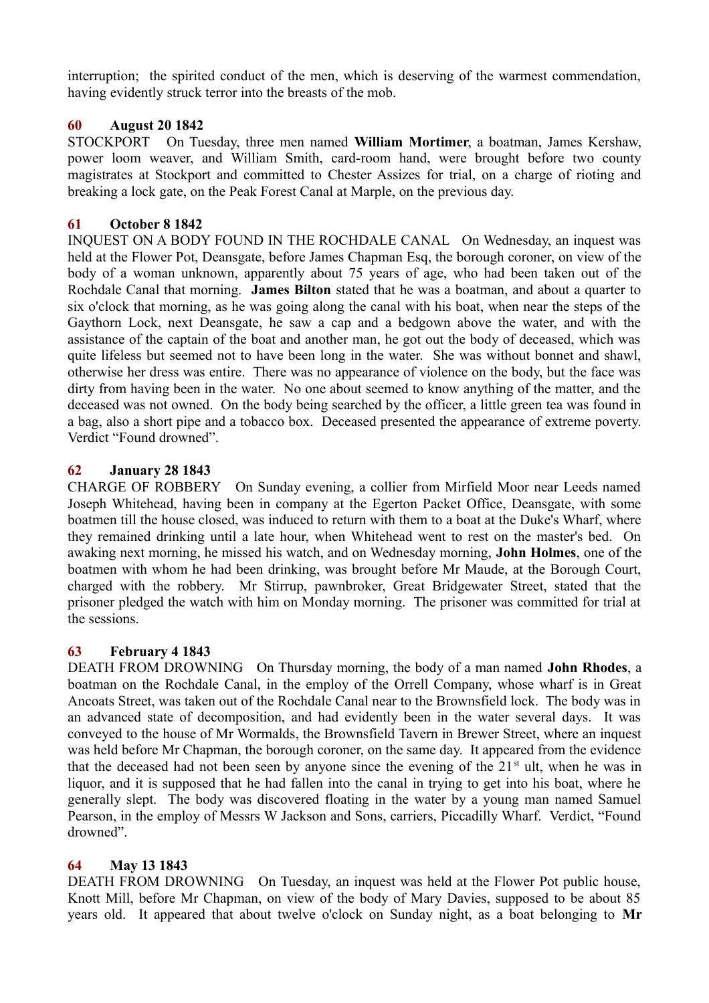interruption; the spirited conduct of the men, which is deserving of the warmest commendation, having evidently struck terror into the breasts of the mob.

## **60 August 20 1842**

STOCKPORT On Tuesday, three men named **William Mortimer**, a boatman, James Kershaw, power loom weaver, and William Smith, card-room hand, were brought before two county magistrates at Stockport and committed to Chester Assizes for trial, on a charge of rioting and breaking a lock gate, on the Peak Forest Canal at Marple, on the previous day.

## **61 October 8 1842**

INQUEST ON A BODY FOUND IN THE ROCHDALE CANAL On Wednesday, an inquest was held at the Flower Pot, Deansgate, before James Chapman Esq, the borough coroner, on view of the body of a woman unknown, apparently about 75 years of age, who had been taken out of the Rochdale Canal that morning. **James Bilton** stated that he was a boatman, and about a quarter to six o'clock that morning, as he was going along the canal with his boat, when near the steps of the Gaythorn Lock, next Deansgate, he saw a cap and a bedgown above the water, and with the assistance of the captain of the boat and another man, he got out the body of deceased, which was quite lifeless but seemed not to have been long in the water. She was without bonnet and shawl, otherwise her dress was entire. There was no appearance of violence on the body, but the face was dirty from having been in the water. No one about seemed to know anything of the matter, and the deceased was not owned. On the body being searched by the officer, a little green tea was found in a bag, also a short pipe and a tobacco box. Deceased presented the appearance of extreme poverty. Verdict "Found drowned".

## **62 January 28 1843**

CHARGE OF ROBBERY On Sunday evening, a collier from Mirfield Moor near Leeds named Joseph Whitehead, having been in company at the Egerton Packet Office, Deansgate, with some boatmen till the house closed, was induced to return with them to a boat at the Duke's Wharf, where they remained drinking until a late hour, when Whitehead went to rest on the master's bed. On awaking next morning, he missed his watch, and on Wednesday morning, **John Holmes**, one of the boatmen with whom he had been drinking, was brought before Mr Maude, at the Borough Court, charged with the robbery. Mr Stirrup, pawnbroker, Great Bridgewater Street, stated that the prisoner pledged the watch with him on Monday morning. The prisoner was committed for trial at the sessions.

### **63 February 4 1843**

DEATH FROM DROWNING On Thursday morning, the body of a man named **John Rhodes**, a boatman on the Rochdale Canal, in the employ of the Orrell Company, whose wharf is in Great Ancoats Street, was taken out of the Rochdale Canal near to the Brownsfield lock. The body was in an advanced state of decomposition, and had evidently been in the water several days. It was conveyed to the house of Mr Wormalds, the Brownsfield Tavern in Brewer Street, where an inquest was held before Mr Chapman, the borough coroner, on the same day. It appeared from the evidence that the deceased had not been seen by anyone since the evening of the  $21<sup>st</sup>$  ult, when he was in liquor, and it is supposed that he had fallen into the canal in trying to get into his boat, where he generally slept. The body was discovered floating in the water by a young man named Samuel Pearson, in the employ of Messrs W Jackson and Sons, carriers, Piccadilly Wharf. Verdict, "Found drowned".

### **64 May 13 1843**

DEATH FROM DROWNING On Tuesday, an inquest was held at the Flower Pot public house, Knott Mill, before Mr Chapman, on view of the body of Mary Davies, supposed to be about 85 years old. It appeared that about twelve o'clock on Sunday night, as a boat belonging to **Mr**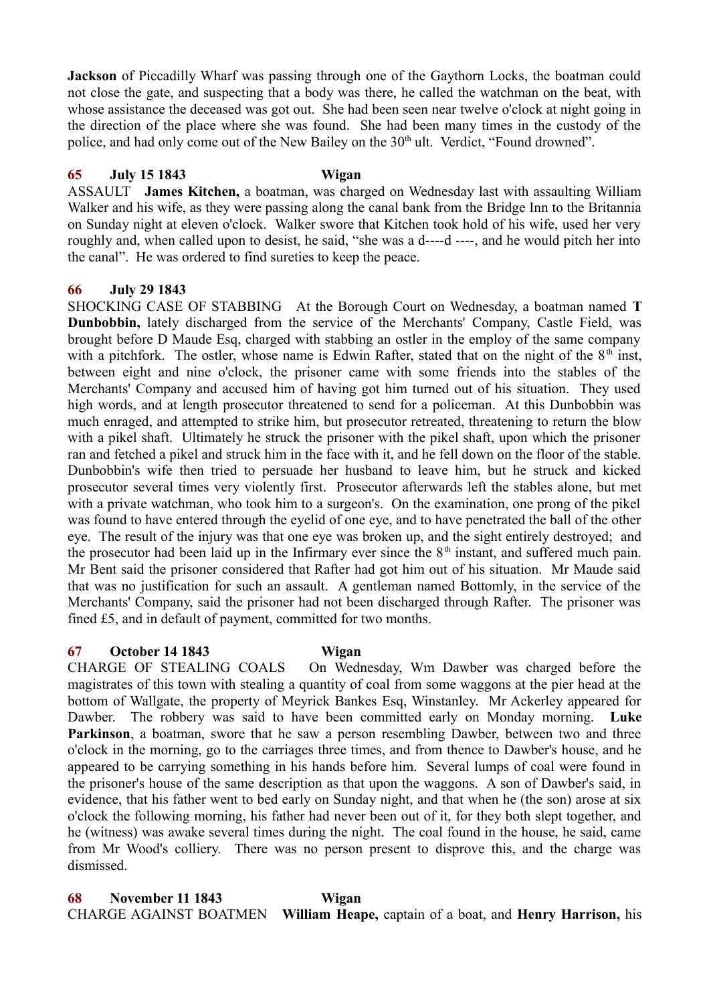**Jackson** of Piccadilly Wharf was passing through one of the Gaythorn Locks, the boatman could not close the gate, and suspecting that a body was there, he called the watchman on the beat, with whose assistance the deceased was got out. She had been seen near twelve o'clock at night going in the direction of the place where she was found. She had been many times in the custody of the police, and had only come out of the New Bailey on the 30<sup>th</sup> ult. Verdict, "Found drowned".

### **65 July 15 1843 Wigan**

ASSAULT **James Kitchen,** a boatman, was charged on Wednesday last with assaulting William Walker and his wife, as they were passing along the canal bank from the Bridge Inn to the Britannia on Sunday night at eleven o'clock. Walker swore that Kitchen took hold of his wife, used her very roughly and, when called upon to desist, he said, "she was a d----d ----, and he would pitch her into the canal". He was ordered to find sureties to keep the peace.

### **66 July 29 1843**

SHOCKING CASE OF STABBING At the Borough Court on Wednesday, a boatman named **T Dunbobbin,** lately discharged from the service of the Merchants' Company, Castle Field, was brought before D Maude Esq, charged with stabbing an ostler in the employ of the same company with a pitchfork. The ostler, whose name is Edwin Rafter, stated that on the night of the  $8<sup>th</sup>$  inst, between eight and nine o'clock, the prisoner came with some friends into the stables of the Merchants' Company and accused him of having got him turned out of his situation. They used high words, and at length prosecutor threatened to send for a policeman. At this Dunbobbin was much enraged, and attempted to strike him, but prosecutor retreated, threatening to return the blow with a pikel shaft. Ultimately he struck the prisoner with the pikel shaft, upon which the prisoner ran and fetched a pikel and struck him in the face with it, and he fell down on the floor of the stable. Dunbobbin's wife then tried to persuade her husband to leave him, but he struck and kicked prosecutor several times very violently first. Prosecutor afterwards left the stables alone, but met with a private watchman, who took him to a surgeon's. On the examination, one prong of the pikel was found to have entered through the eyelid of one eye, and to have penetrated the ball of the other eye. The result of the injury was that one eye was broken up, and the sight entirely destroyed; and the prosecutor had been laid up in the Infirmary ever since the  $8<sup>th</sup>$  instant, and suffered much pain. Mr Bent said the prisoner considered that Rafter had got him out of his situation. Mr Maude said that was no justification for such an assault. A gentleman named Bottomly, in the service of the Merchants' Company, said the prisoner had not been discharged through Rafter. The prisoner was fined £5, and in default of payment, committed for two months.

### **67 October 14 1843 Wigan**

CHARGE OF STEALING COALS On Wednesday, Wm Dawber was charged before the magistrates of this town with stealing a quantity of coal from some waggons at the pier head at the bottom of Wallgate, the property of Meyrick Bankes Esq, Winstanley. Mr Ackerley appeared for Dawber. The robbery was said to have been committed early on Monday morning. **Luke Parkinson**, a boatman, swore that he saw a person resembling Dawber, between two and three o'clock in the morning, go to the carriages three times, and from thence to Dawber's house, and he appeared to be carrying something in his hands before him. Several lumps of coal were found in the prisoner's house of the same description as that upon the waggons. A son of Dawber's said, in evidence, that his father went to bed early on Sunday night, and that when he (the son) arose at six o'clock the following morning, his father had never been out of it, for they both slept together, and he (witness) was awake several times during the night. The coal found in the house, he said, came from Mr Wood's colliery. There was no person present to disprove this, and the charge was dismissed.

**68 November 11 1843 Wigan** CHARGE AGAINST BOATMEN **William Heape,** captain of a boat, and **Henry Harrison,** his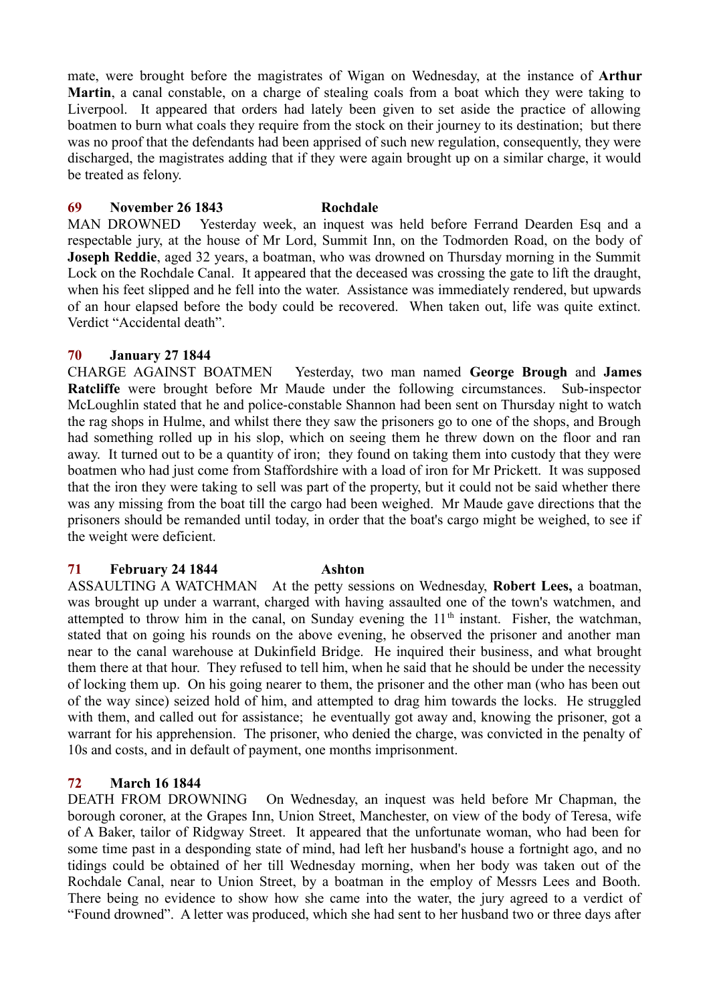mate, were brought before the magistrates of Wigan on Wednesday, at the instance of **Arthur Martin**, a canal constable, on a charge of stealing coals from a boat which they were taking to Liverpool. It appeared that orders had lately been given to set aside the practice of allowing boatmen to burn what coals they require from the stock on their journey to its destination; but there was no proof that the defendants had been apprised of such new regulation, consequently, they were discharged, the magistrates adding that if they were again brought up on a similar charge, it would be treated as felony.

### **69 November 26 1843 Rochdale**

MAN DROWNED Yesterday week, an inquest was held before Ferrand Dearden Esq and a respectable jury, at the house of Mr Lord, Summit Inn, on the Todmorden Road, on the body of **Joseph Reddie**, aged 32 years, a boatman, who was drowned on Thursday morning in the Summit Lock on the Rochdale Canal. It appeared that the deceased was crossing the gate to lift the draught, when his feet slipped and he fell into the water. Assistance was immediately rendered, but upwards of an hour elapsed before the body could be recovered. When taken out, life was quite extinct. Verdict "Accidental death".

## **70 January 27 1844**

CHARGE AGAINST BOATMEN Yesterday, two man named **George Brough** and **James Ratcliffe** were brought before Mr Maude under the following circumstances. Sub-inspector McLoughlin stated that he and police-constable Shannon had been sent on Thursday night to watch the rag shops in Hulme, and whilst there they saw the prisoners go to one of the shops, and Brough had something rolled up in his slop, which on seeing them he threw down on the floor and ran away. It turned out to be a quantity of iron; they found on taking them into custody that they were boatmen who had just come from Staffordshire with a load of iron for Mr Prickett. It was supposed that the iron they were taking to sell was part of the property, but it could not be said whether there was any missing from the boat till the cargo had been weighed. Mr Maude gave directions that the prisoners should be remanded until today, in order that the boat's cargo might be weighed, to see if the weight were deficient.

## **71 February 24 1844 Ashton**

ASSAULTING A WATCHMAN At the petty sessions on Wednesday, **Robert Lees,** a boatman, was brought up under a warrant, charged with having assaulted one of the town's watchmen, and attempted to throw him in the canal, on Sunday evening the  $11<sup>th</sup>$  instant. Fisher, the watchman, stated that on going his rounds on the above evening, he observed the prisoner and another man near to the canal warehouse at Dukinfield Bridge. He inquired their business, and what brought them there at that hour. They refused to tell him, when he said that he should be under the necessity of locking them up. On his going nearer to them, the prisoner and the other man (who has been out of the way since) seized hold of him, and attempted to drag him towards the locks. He struggled with them, and called out for assistance; he eventually got away and, knowing the prisoner, got a warrant for his apprehension. The prisoner, who denied the charge, was convicted in the penalty of 10s and costs, and in default of payment, one months imprisonment.

## **72 March 16 1844**

DEATH FROM DROWNING On Wednesday, an inquest was held before Mr Chapman, the borough coroner, at the Grapes Inn, Union Street, Manchester, on view of the body of Teresa, wife of A Baker, tailor of Ridgway Street. It appeared that the unfortunate woman, who had been for some time past in a desponding state of mind, had left her husband's house a fortnight ago, and no tidings could be obtained of her till Wednesday morning, when her body was taken out of the Rochdale Canal, near to Union Street, by a boatman in the employ of Messrs Lees and Booth. There being no evidence to show how she came into the water, the jury agreed to a verdict of "Found drowned". A letter was produced, which she had sent to her husband two or three days after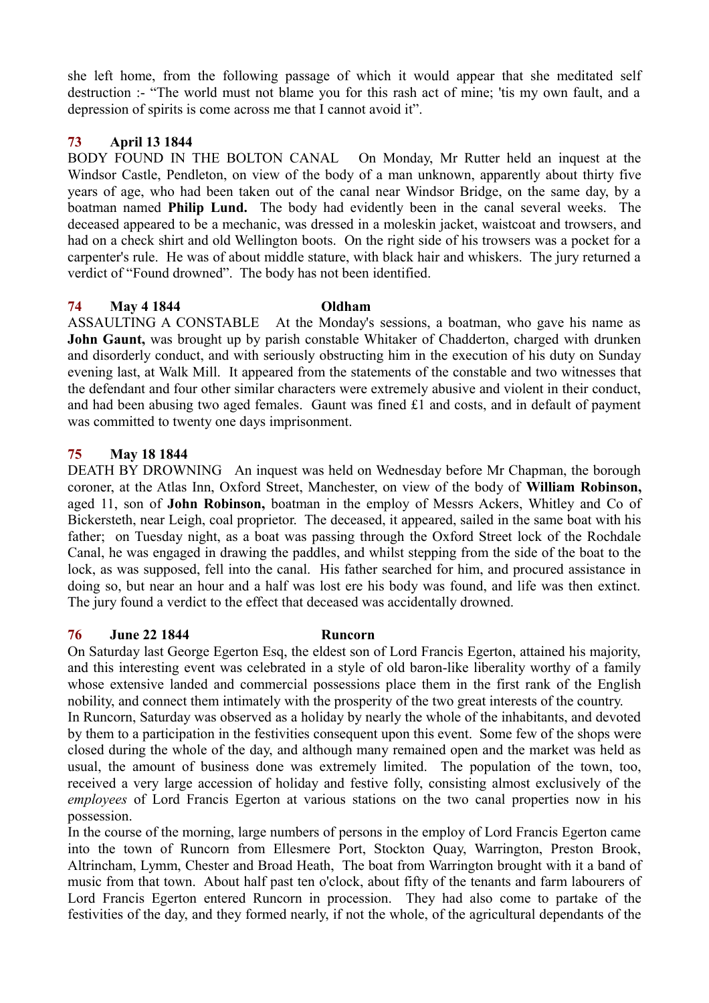she left home, from the following passage of which it would appear that she meditated self destruction :- "The world must not blame you for this rash act of mine; 'tis my own fault, and a depression of spirits is come across me that I cannot avoid it".

# **73 April 13 1844**

BODY FOUND IN THE BOLTON CANAL On Monday, Mr Rutter held an inquest at the Windsor Castle, Pendleton, on view of the body of a man unknown, apparently about thirty five years of age, who had been taken out of the canal near Windsor Bridge, on the same day, by a boatman named **Philip Lund.** The body had evidently been in the canal several weeks. The deceased appeared to be a mechanic, was dressed in a moleskin jacket, waistcoat and trowsers, and had on a check shirt and old Wellington boots. On the right side of his trowsers was a pocket for a carpenter's rule. He was of about middle stature, with black hair and whiskers. The jury returned a verdict of "Found drowned". The body has not been identified.

## **74 May 4 1844 Oldham**

ASSAULTING A CONSTABLE At the Monday's sessions, a boatman, who gave his name as **John Gaunt,** was brought up by parish constable Whitaker of Chadderton, charged with drunken and disorderly conduct, and with seriously obstructing him in the execution of his duty on Sunday evening last, at Walk Mill. It appeared from the statements of the constable and two witnesses that the defendant and four other similar characters were extremely abusive and violent in their conduct, and had been abusing two aged females. Gaunt was fined £1 and costs, and in default of payment was committed to twenty one days imprisonment.

# **75 May 18 1844**

DEATH BY DROWNING An inquest was held on Wednesday before Mr Chapman, the borough coroner, at the Atlas Inn, Oxford Street, Manchester, on view of the body of **William Robinson,** aged 11, son of **John Robinson,** boatman in the employ of Messrs Ackers, Whitley and Co of Bickersteth, near Leigh, coal proprietor. The deceased, it appeared, sailed in the same boat with his father; on Tuesday night, as a boat was passing through the Oxford Street lock of the Rochdale Canal, he was engaged in drawing the paddles, and whilst stepping from the side of the boat to the lock, as was supposed, fell into the canal. His father searched for him, and procured assistance in doing so, but near an hour and a half was lost ere his body was found, and life was then extinct. The jury found a verdict to the effect that deceased was accidentally drowned.

# **76 June 22 1844 Runcorn**

On Saturday last George Egerton Esq, the eldest son of Lord Francis Egerton, attained his majority, and this interesting event was celebrated in a style of old baron-like liberality worthy of a family whose extensive landed and commercial possessions place them in the first rank of the English nobility, and connect them intimately with the prosperity of the two great interests of the country.

In Runcorn, Saturday was observed as a holiday by nearly the whole of the inhabitants, and devoted by them to a participation in the festivities consequent upon this event. Some few of the shops were closed during the whole of the day, and although many remained open and the market was held as usual, the amount of business done was extremely limited. The population of the town, too, received a very large accession of holiday and festive folly, consisting almost exclusively of the *employees* of Lord Francis Egerton at various stations on the two canal properties now in his possession.

In the course of the morning, large numbers of persons in the employ of Lord Francis Egerton came into the town of Runcorn from Ellesmere Port, Stockton Quay, Warrington, Preston Brook, Altrincham, Lymm, Chester and Broad Heath, The boat from Warrington brought with it a band of music from that town. About half past ten o'clock, about fifty of the tenants and farm labourers of Lord Francis Egerton entered Runcorn in procession. They had also come to partake of the festivities of the day, and they formed nearly, if not the whole, of the agricultural dependants of the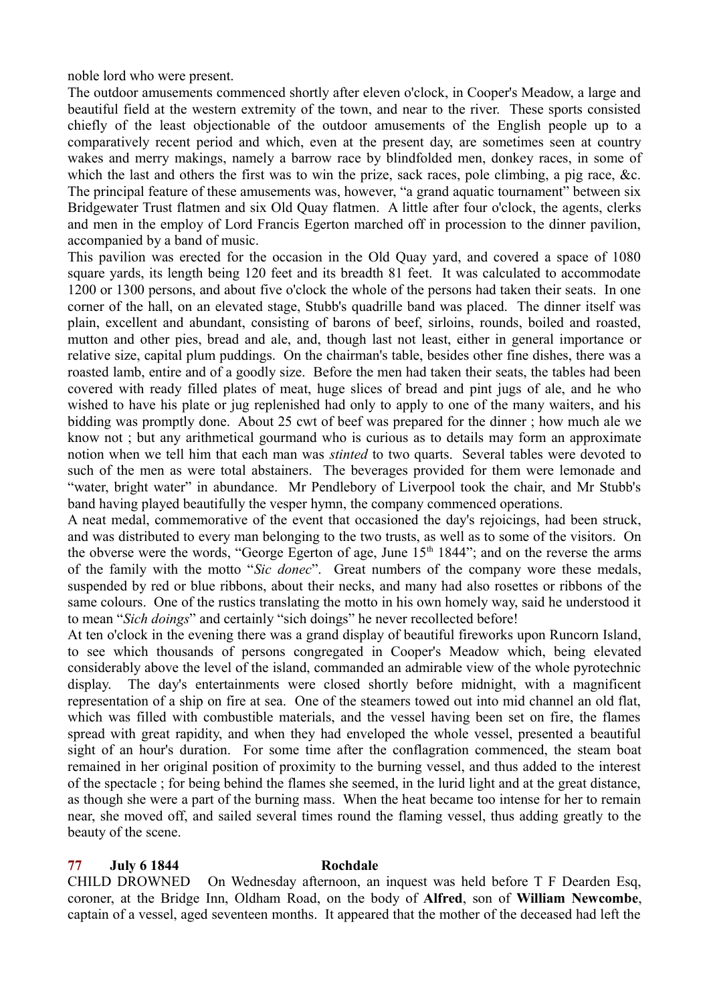noble lord who were present.

The outdoor amusements commenced shortly after eleven o'clock, in Cooper's Meadow, a large and beautiful field at the western extremity of the town, and near to the river. These sports consisted chiefly of the least objectionable of the outdoor amusements of the English people up to a comparatively recent period and which, even at the present day, are sometimes seen at country wakes and merry makings, namely a barrow race by blindfolded men, donkey races, in some of which the last and others the first was to win the prize, sack races, pole climbing, a pig race, &c. The principal feature of these amusements was, however, "a grand aquatic tournament" between six Bridgewater Trust flatmen and six Old Quay flatmen. A little after four o'clock, the agents, clerks and men in the employ of Lord Francis Egerton marched off in procession to the dinner pavilion, accompanied by a band of music.

This pavilion was erected for the occasion in the Old Quay yard, and covered a space of 1080 square yards, its length being 120 feet and its breadth 81 feet. It was calculated to accommodate 1200 or 1300 persons, and about five o'clock the whole of the persons had taken their seats. In one corner of the hall, on an elevated stage, Stubb's quadrille band was placed. The dinner itself was plain, excellent and abundant, consisting of barons of beef, sirloins, rounds, boiled and roasted, mutton and other pies, bread and ale, and, though last not least, either in general importance or relative size, capital plum puddings. On the chairman's table, besides other fine dishes, there was a roasted lamb, entire and of a goodly size. Before the men had taken their seats, the tables had been covered with ready filled plates of meat, huge slices of bread and pint jugs of ale, and he who wished to have his plate or jug replenished had only to apply to one of the many waiters, and his bidding was promptly done. About 25 cwt of beef was prepared for the dinner ; how much ale we know not ; but any arithmetical gourmand who is curious as to details may form an approximate notion when we tell him that each man was *stinted* to two quarts. Several tables were devoted to such of the men as were total abstainers. The beverages provided for them were lemonade and "water, bright water" in abundance. Mr Pendlebory of Liverpool took the chair, and Mr Stubb's band having played beautifully the vesper hymn, the company commenced operations.

A neat medal, commemorative of the event that occasioned the day's rejoicings, had been struck, and was distributed to every man belonging to the two trusts, as well as to some of the visitors. On the obverse were the words, "George Egerton of age, June  $15<sup>th</sup> 1844$ "; and on the reverse the arms of the family with the motto "*Sic donec*". Great numbers of the company wore these medals, suspended by red or blue ribbons, about their necks, and many had also rosettes or ribbons of the same colours. One of the rustics translating the motto in his own homely way, said he understood it to mean "*Sich doings*" and certainly "sich doings" he never recollected before!

At ten o'clock in the evening there was a grand display of beautiful fireworks upon Runcorn Island, to see which thousands of persons congregated in Cooper's Meadow which, being elevated considerably above the level of the island, commanded an admirable view of the whole pyrotechnic display. The day's entertainments were closed shortly before midnight, with a magnificent representation of a ship on fire at sea. One of the steamers towed out into mid channel an old flat, which was filled with combustible materials, and the vessel having been set on fire, the flames spread with great rapidity, and when they had enveloped the whole vessel, presented a beautiful sight of an hour's duration. For some time after the conflagration commenced, the steam boat remained in her original position of proximity to the burning vessel, and thus added to the interest of the spectacle ; for being behind the flames she seemed, in the lurid light and at the great distance, as though she were a part of the burning mass. When the heat became too intense for her to remain near, she moved off, and sailed several times round the flaming vessel, thus adding greatly to the beauty of the scene.

### **77 July 6 1844 Rochdale**

CHILD DROWNED On Wednesday afternoon, an inquest was held before T F Dearden Esq, coroner, at the Bridge Inn, Oldham Road, on the body of **Alfred**, son of **William Newcombe**, captain of a vessel, aged seventeen months. It appeared that the mother of the deceased had left the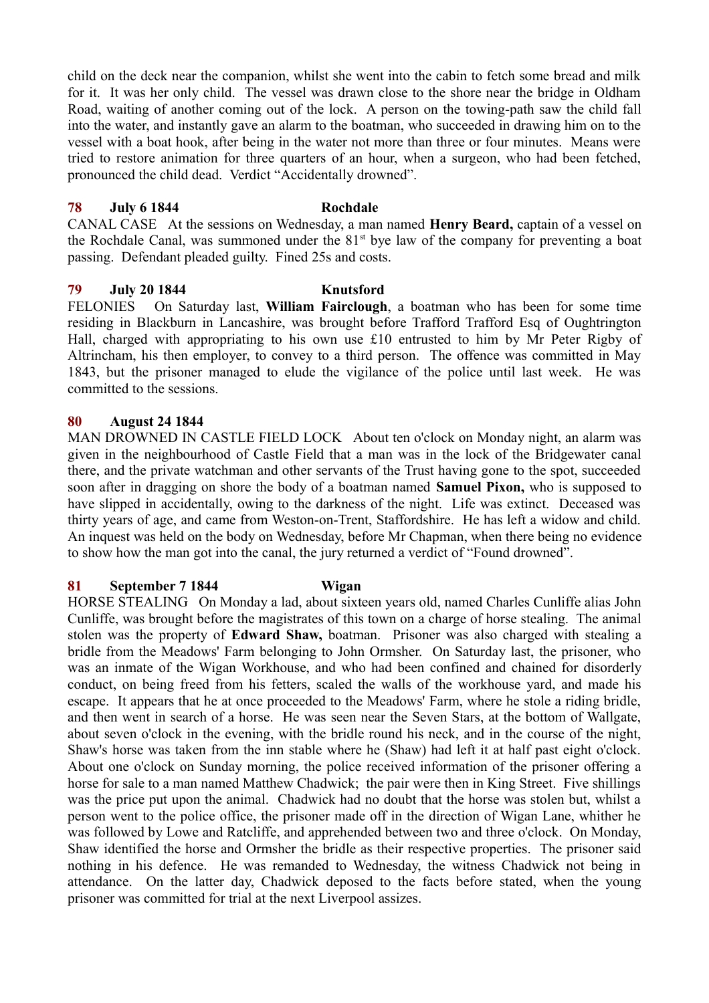child on the deck near the companion, whilst she went into the cabin to fetch some bread and milk for it. It was her only child. The vessel was drawn close to the shore near the bridge in Oldham Road, waiting of another coming out of the lock. A person on the towing-path saw the child fall into the water, and instantly gave an alarm to the boatman, who succeeded in drawing him on to the vessel with a boat hook, after being in the water not more than three or four minutes. Means were tried to restore animation for three quarters of an hour, when a surgeon, who had been fetched, pronounced the child dead. Verdict "Accidentally drowned".

#### **78 July 6 1844 Rochdale**

CANAL CASE At the sessions on Wednesday, a man named **Henry Beard,** captain of a vessel on the Rochdale Canal, was summoned under the  $81<sup>st</sup>$  bye law of the company for preventing a boat passing. Defendant pleaded guilty. Fined 25s and costs.

### **79 July 20 1844 Knutsford**

FELONIES On Saturday last, **William Fairclough**, a boatman who has been for some time residing in Blackburn in Lancashire, was brought before Trafford Trafford Esq of Oughtrington Hall, charged with appropriating to his own use £10 entrusted to him by Mr Peter Rigby of Altrincham, his then employer, to convey to a third person. The offence was committed in May 1843, but the prisoner managed to elude the vigilance of the police until last week. He was committed to the sessions.

### **80 August 24 1844**

MAN DROWNED IN CASTLE FIELD LOCK About ten o'clock on Monday night, an alarm was given in the neighbourhood of Castle Field that a man was in the lock of the Bridgewater canal there, and the private watchman and other servants of the Trust having gone to the spot, succeeded soon after in dragging on shore the body of a boatman named **Samuel Pixon,** who is supposed to have slipped in accidentally, owing to the darkness of the night. Life was extinct. Deceased was thirty years of age, and came from Weston-on-Trent, Staffordshire. He has left a widow and child. An inquest was held on the body on Wednesday, before Mr Chapman, when there being no evidence to show how the man got into the canal, the jury returned a verdict of "Found drowned".

### **81 September 7 1844 Wigan**

HORSE STEALING On Monday a lad, about sixteen years old, named Charles Cunliffe alias John Cunliffe, was brought before the magistrates of this town on a charge of horse stealing. The animal stolen was the property of **Edward Shaw,** boatman. Prisoner was also charged with stealing a bridle from the Meadows' Farm belonging to John Ormsher. On Saturday last, the prisoner, who was an inmate of the Wigan Workhouse, and who had been confined and chained for disorderly conduct, on being freed from his fetters, scaled the walls of the workhouse yard, and made his escape. It appears that he at once proceeded to the Meadows' Farm, where he stole a riding bridle, and then went in search of a horse. He was seen near the Seven Stars, at the bottom of Wallgate, about seven o'clock in the evening, with the bridle round his neck, and in the course of the night, Shaw's horse was taken from the inn stable where he (Shaw) had left it at half past eight o'clock. About one o'clock on Sunday morning, the police received information of the prisoner offering a horse for sale to a man named Matthew Chadwick; the pair were then in King Street. Five shillings was the price put upon the animal. Chadwick had no doubt that the horse was stolen but, whilst a person went to the police office, the prisoner made off in the direction of Wigan Lane, whither he was followed by Lowe and Ratcliffe, and apprehended between two and three o'clock. On Monday, Shaw identified the horse and Ormsher the bridle as their respective properties. The prisoner said nothing in his defence. He was remanded to Wednesday, the witness Chadwick not being in attendance. On the latter day, Chadwick deposed to the facts before stated, when the young prisoner was committed for trial at the next Liverpool assizes.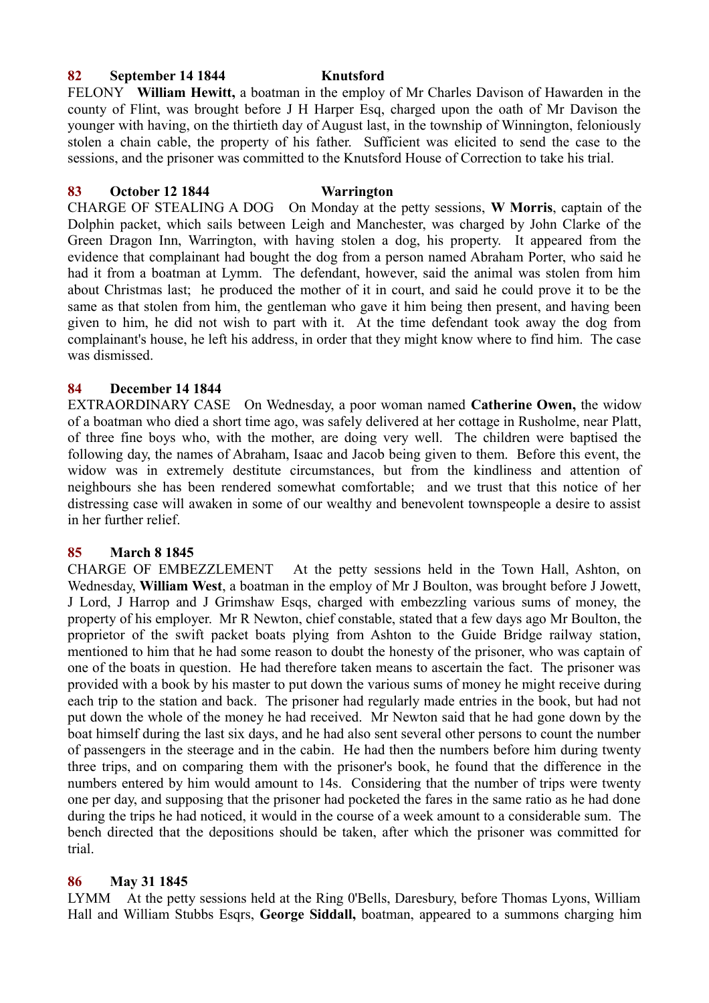## **82 September 14 1844 Knutsford**

FELONY **William Hewitt,** a boatman in the employ of Mr Charles Davison of Hawarden in the county of Flint, was brought before J H Harper Esq, charged upon the oath of Mr Davison the younger with having, on the thirtieth day of August last, in the township of Winnington, feloniously stolen a chain cable, the property of his father. Sufficient was elicited to send the case to the sessions, and the prisoner was committed to the Knutsford House of Correction to take his trial.

## **83 October 12 1844 Warrington**

CHARGE OF STEALING A DOG On Monday at the petty sessions, **W Morris**, captain of the Dolphin packet, which sails between Leigh and Manchester, was charged by John Clarke of the Green Dragon Inn, Warrington, with having stolen a dog, his property. It appeared from the evidence that complainant had bought the dog from a person named Abraham Porter, who said he had it from a boatman at Lymm. The defendant, however, said the animal was stolen from him about Christmas last; he produced the mother of it in court, and said he could prove it to be the same as that stolen from him, the gentleman who gave it him being then present, and having been given to him, he did not wish to part with it. At the time defendant took away the dog from complainant's house, he left his address, in order that they might know where to find him. The case was dismissed.

## **84 December 14 1844**

EXTRAORDINARY CASE On Wednesday, a poor woman named **Catherine Owen,** the widow of a boatman who died a short time ago, was safely delivered at her cottage in Rusholme, near Platt, of three fine boys who, with the mother, are doing very well. The children were baptised the following day, the names of Abraham, Isaac and Jacob being given to them. Before this event, the widow was in extremely destitute circumstances, but from the kindliness and attention of neighbours she has been rendered somewhat comfortable; and we trust that this notice of her distressing case will awaken in some of our wealthy and benevolent townspeople a desire to assist in her further relief.

# **85 March 8 1845**

CHARGE OF EMBEZZLEMENT At the petty sessions held in the Town Hall, Ashton, on Wednesday, **William West**, a boatman in the employ of Mr J Boulton, was brought before J Jowett, J Lord, J Harrop and J Grimshaw Esqs, charged with embezzling various sums of money, the property of his employer. Mr R Newton, chief constable, stated that a few days ago Mr Boulton, the proprietor of the swift packet boats plying from Ashton to the Guide Bridge railway station, mentioned to him that he had some reason to doubt the honesty of the prisoner, who was captain of one of the boats in question. He had therefore taken means to ascertain the fact. The prisoner was provided with a book by his master to put down the various sums of money he might receive during each trip to the station and back. The prisoner had regularly made entries in the book, but had not put down the whole of the money he had received. Mr Newton said that he had gone down by the boat himself during the last six days, and he had also sent several other persons to count the number of passengers in the steerage and in the cabin. He had then the numbers before him during twenty three trips, and on comparing them with the prisoner's book, he found that the difference in the numbers entered by him would amount to 14s. Considering that the number of trips were twenty one per day, and supposing that the prisoner had pocketed the fares in the same ratio as he had done during the trips he had noticed, it would in the course of a week amount to a considerable sum. The bench directed that the depositions should be taken, after which the prisoner was committed for trial.

# **86 May 31 1845**

LYMM At the petty sessions held at the Ring 0'Bells, Daresbury, before Thomas Lyons, William Hall and William Stubbs Esqrs, **George Siddall,** boatman, appeared to a summons charging him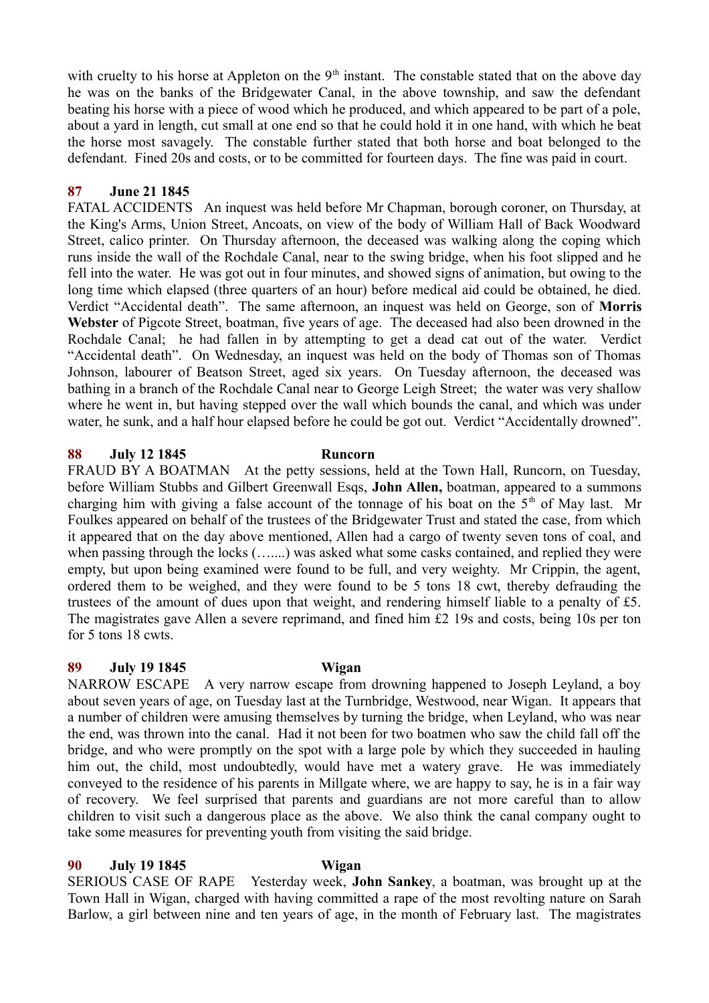with cruelty to his horse at Appleton on the  $9<sup>th</sup>$  instant. The constable stated that on the above day he was on the banks of the Bridgewater Canal, in the above township, and saw the defendant beating his horse with a piece of wood which he produced, and which appeared to be part of a pole, about a yard in length, cut small at one end so that he could hold it in one hand, with which he beat the horse most savagely. The constable further stated that both horse and boat belonged to the defendant. Fined 20s and costs, or to be committed for fourteen days. The fine was paid in court.

## **87 June 21 1845**

FATAL ACCIDENTS An inquest was held before Mr Chapman, borough coroner, on Thursday, at the King's Arms, Union Street, Ancoats, on view of the body of William Hall of Back Woodward Street, calico printer. On Thursday afternoon, the deceased was walking along the coping which runs inside the wall of the Rochdale Canal, near to the swing bridge, when his foot slipped and he fell into the water. He was got out in four minutes, and showed signs of animation, but owing to the long time which elapsed (three quarters of an hour) before medical aid could be obtained, he died. Verdict "Accidental death". The same afternoon, an inquest was held on George, son of **Morris Webster** of Pigcote Street, boatman, five years of age. The deceased had also been drowned in the Rochdale Canal; he had fallen in by attempting to get a dead cat out of the water. Verdict "Accidental death". On Wednesday, an inquest was held on the body of Thomas son of Thomas Johnson, labourer of Beatson Street, aged six years. On Tuesday afternoon, the deceased was bathing in a branch of the Rochdale Canal near to George Leigh Street; the water was very shallow where he went in, but having stepped over the wall which bounds the canal, and which was under water, he sunk, and a half hour elapsed before he could be got out. Verdict "Accidentally drowned".

### **88 July 12 1845 Runcorn**

FRAUD BY A BOATMAN At the petty sessions, held at the Town Hall, Runcorn, on Tuesday, before William Stubbs and Gilbert Greenwall Esqs, **John Allen,** boatman, appeared to a summons charging him with giving a false account of the tonnage of his boat on the 5<sup>th</sup> of May last. Mr Foulkes appeared on behalf of the trustees of the Bridgewater Trust and stated the case, from which it appeared that on the day above mentioned, Allen had a cargo of twenty seven tons of coal, and when passing through the locks (…....) was asked what some casks contained, and replied they were empty, but upon being examined were found to be full, and very weighty. Mr Crippin, the agent, ordered them to be weighed, and they were found to be 5 tons 18 cwt, thereby defrauding the trustees of the amount of dues upon that weight, and rendering himself liable to a penalty of £5. The magistrates gave Allen a severe reprimand, and fined him £2 19s and costs, being 10s per ton for 5 tons 18 cwts.

### **89 July 19 1845 Wigan**

NARROW ESCAPE A very narrow escape from drowning happened to Joseph Leyland, a boy about seven years of age, on Tuesday last at the Turnbridge, Westwood, near Wigan. It appears that a number of children were amusing themselves by turning the bridge, when Leyland, who was near the end, was thrown into the canal. Had it not been for two boatmen who saw the child fall off the bridge, and who were promptly on the spot with a large pole by which they succeeded in hauling him out, the child, most undoubtedly, would have met a watery grave. He was immediately conveyed to the residence of his parents in Millgate where, we are happy to say, he is in a fair way of recovery. We feel surprised that parents and guardians are not more careful than to allow children to visit such a dangerous place as the above. We also think the canal company ought to take some measures for preventing youth from visiting the said bridge.

### **90 July 19 1845 Wigan**

SERIOUS CASE OF RAPE Yesterday week, **John Sankey**, a boatman, was brought up at the Town Hall in Wigan, charged with having committed a rape of the most revolting nature on Sarah Barlow, a girl between nine and ten years of age, in the month of February last. The magistrates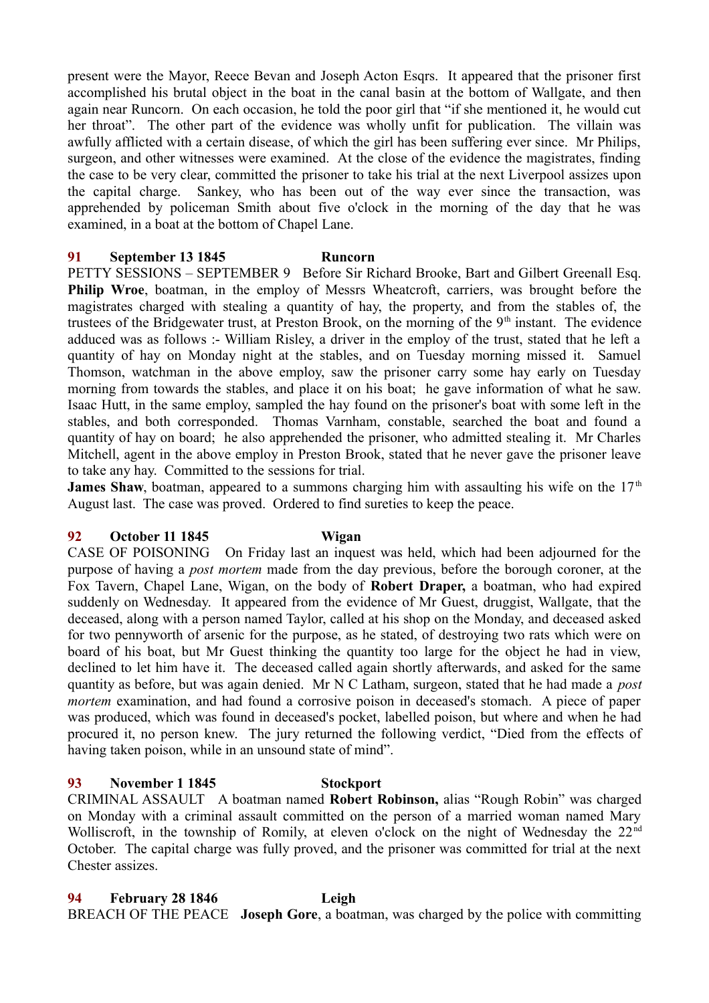present were the Mayor, Reece Bevan and Joseph Acton Esqrs. It appeared that the prisoner first accomplished his brutal object in the boat in the canal basin at the bottom of Wallgate, and then again near Runcorn. On each occasion, he told the poor girl that "if she mentioned it, he would cut her throat". The other part of the evidence was wholly unfit for publication. The villain was awfully afflicted with a certain disease, of which the girl has been suffering ever since. Mr Philips, surgeon, and other witnesses were examined. At the close of the evidence the magistrates, finding the case to be very clear, committed the prisoner to take his trial at the next Liverpool assizes upon the capital charge. Sankey, who has been out of the way ever since the transaction, was apprehended by policeman Smith about five o'clock in the morning of the day that he was examined, in a boat at the bottom of Chapel Lane.

## **91 September 13 1845 Runcorn**

PETTY SESSIONS – SEPTEMBER 9 Before Sir Richard Brooke, Bart and Gilbert Greenall Esq. **Philip Wroe**, boatman, in the employ of Messrs Wheatcroft, carriers, was brought before the magistrates charged with stealing a quantity of hay, the property, and from the stables of, the trustees of the Bridgewater trust, at Preston Brook, on the morning of the  $9<sup>th</sup>$  instant. The evidence adduced was as follows :- William Risley, a driver in the employ of the trust, stated that he left a quantity of hay on Monday night at the stables, and on Tuesday morning missed it. Samuel Thomson, watchman in the above employ, saw the prisoner carry some hay early on Tuesday morning from towards the stables, and place it on his boat; he gave information of what he saw. Isaac Hutt, in the same employ, sampled the hay found on the prisoner's boat with some left in the stables, and both corresponded. Thomas Varnham, constable, searched the boat and found a quantity of hay on board; he also apprehended the prisoner, who admitted stealing it. Mr Charles Mitchell, agent in the above employ in Preston Brook, stated that he never gave the prisoner leave to take any hay. Committed to the sessions for trial.

**James Shaw**, boatman, appeared to a summons charging him with assaulting his wife on the  $17<sup>th</sup>$ August last. The case was proved. Ordered to find sureties to keep the peace.

## **92 October 11 1845 Wigan**

CASE OF POISONING On Friday last an inquest was held, which had been adjourned for the purpose of having a *post mortem* made from the day previous, before the borough coroner, at the Fox Tavern, Chapel Lane, Wigan, on the body of **Robert Draper,** a boatman, who had expired suddenly on Wednesday. It appeared from the evidence of Mr Guest, druggist, Wallgate, that the deceased, along with a person named Taylor, called at his shop on the Monday, and deceased asked for two pennyworth of arsenic for the purpose, as he stated, of destroying two rats which were on board of his boat, but Mr Guest thinking the quantity too large for the object he had in view, declined to let him have it. The deceased called again shortly afterwards, and asked for the same quantity as before, but was again denied. Mr N C Latham, surgeon, stated that he had made a *post mortem* examination, and had found a corrosive poison in deceased's stomach. A piece of paper was produced, which was found in deceased's pocket, labelled poison, but where and when he had procured it, no person knew. The jury returned the following verdict, "Died from the effects of having taken poison, while in an unsound state of mind".

# **93 November 1 1845 Stockport**

CRIMINAL ASSAULT A boatman named **Robert Robinson,** alias "Rough Robin" was charged on Monday with a criminal assault committed on the person of a married woman named Mary Wolliscroft, in the township of Romily, at eleven o'clock on the night of Wednesday the 22<sup>nd</sup> October. The capital charge was fully proved, and the prisoner was committed for trial at the next Chester assizes.

**94 February 28 1846 Leigh** BREACH OF THE PEACE **Joseph Gore**, a boatman, was charged by the police with committing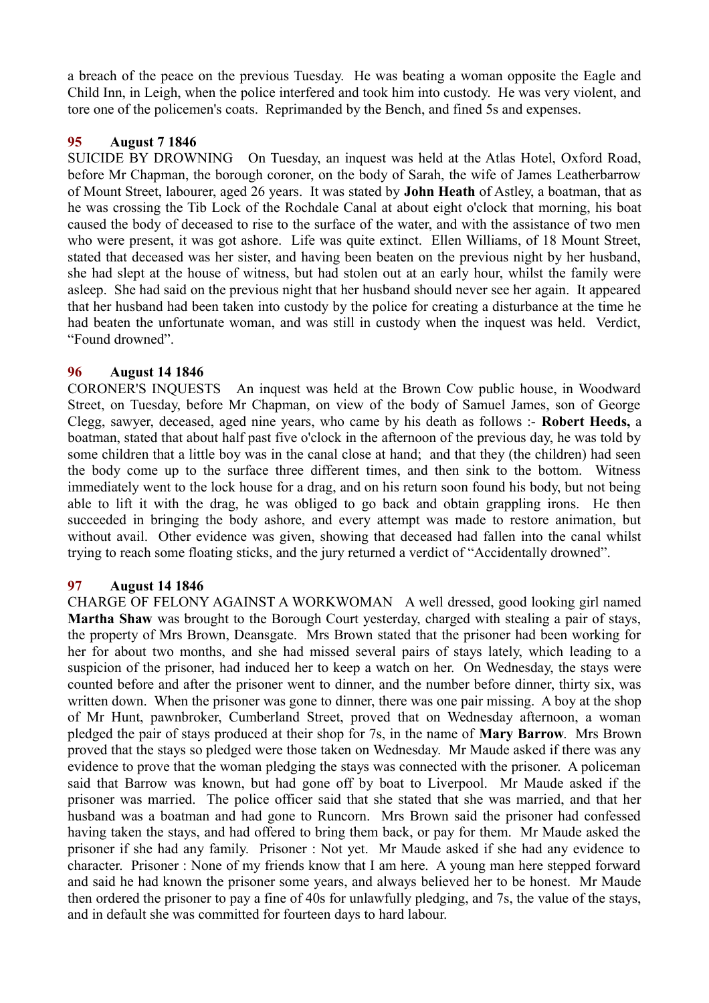a breach of the peace on the previous Tuesday. He was beating a woman opposite the Eagle and Child Inn, in Leigh, when the police interfered and took him into custody. He was very violent, and tore one of the policemen's coats. Reprimanded by the Bench, and fined 5s and expenses.

## **95 August 7 1846**

SUICIDE BY DROWNING On Tuesday, an inquest was held at the Atlas Hotel, Oxford Road, before Mr Chapman, the borough coroner, on the body of Sarah, the wife of James Leatherbarrow of Mount Street, labourer, aged 26 years. It was stated by **John Heath** of Astley, a boatman, that as he was crossing the Tib Lock of the Rochdale Canal at about eight o'clock that morning, his boat caused the body of deceased to rise to the surface of the water, and with the assistance of two men who were present, it was got ashore. Life was quite extinct. Ellen Williams, of 18 Mount Street, stated that deceased was her sister, and having been beaten on the previous night by her husband, she had slept at the house of witness, but had stolen out at an early hour, whilst the family were asleep. She had said on the previous night that her husband should never see her again. It appeared that her husband had been taken into custody by the police for creating a disturbance at the time he had beaten the unfortunate woman, and was still in custody when the inquest was held. Verdict, "Found drowned".

## **96 August 14 1846**

CORONER'S INQUESTS An inquest was held at the Brown Cow public house, in Woodward Street, on Tuesday, before Mr Chapman, on view of the body of Samuel James, son of George Clegg, sawyer, deceased, aged nine years, who came by his death as follows :- **Robert Heeds,** a boatman, stated that about half past five o'clock in the afternoon of the previous day, he was told by some children that a little boy was in the canal close at hand; and that they (the children) had seen the body come up to the surface three different times, and then sink to the bottom. Witness immediately went to the lock house for a drag, and on his return soon found his body, but not being able to lift it with the drag, he was obliged to go back and obtain grappling irons. He then succeeded in bringing the body ashore, and every attempt was made to restore animation, but without avail. Other evidence was given, showing that deceased had fallen into the canal whilst trying to reach some floating sticks, and the jury returned a verdict of "Accidentally drowned".

### **97 August 14 1846**

CHARGE OF FELONY AGAINST A WORKWOMAN A well dressed, good looking girl named **Martha Shaw** was brought to the Borough Court yesterday, charged with stealing a pair of stays, the property of Mrs Brown, Deansgate. Mrs Brown stated that the prisoner had been working for her for about two months, and she had missed several pairs of stays lately, which leading to a suspicion of the prisoner, had induced her to keep a watch on her. On Wednesday, the stays were counted before and after the prisoner went to dinner, and the number before dinner, thirty six, was written down. When the prisoner was gone to dinner, there was one pair missing. A boy at the shop of Mr Hunt, pawnbroker, Cumberland Street, proved that on Wednesday afternoon, a woman pledged the pair of stays produced at their shop for 7s, in the name of **Mary Barrow**. Mrs Brown proved that the stays so pledged were those taken on Wednesday. Mr Maude asked if there was any evidence to prove that the woman pledging the stays was connected with the prisoner. A policeman said that Barrow was known, but had gone off by boat to Liverpool. Mr Maude asked if the prisoner was married. The police officer said that she stated that she was married, and that her husband was a boatman and had gone to Runcorn. Mrs Brown said the prisoner had confessed having taken the stays, and had offered to bring them back, or pay for them. Mr Maude asked the prisoner if she had any family. Prisoner : Not yet. Mr Maude asked if she had any evidence to character. Prisoner : None of my friends know that I am here. A young man here stepped forward and said he had known the prisoner some years, and always believed her to be honest. Mr Maude then ordered the prisoner to pay a fine of 40s for unlawfully pledging, and 7s, the value of the stays, and in default she was committed for fourteen days to hard labour.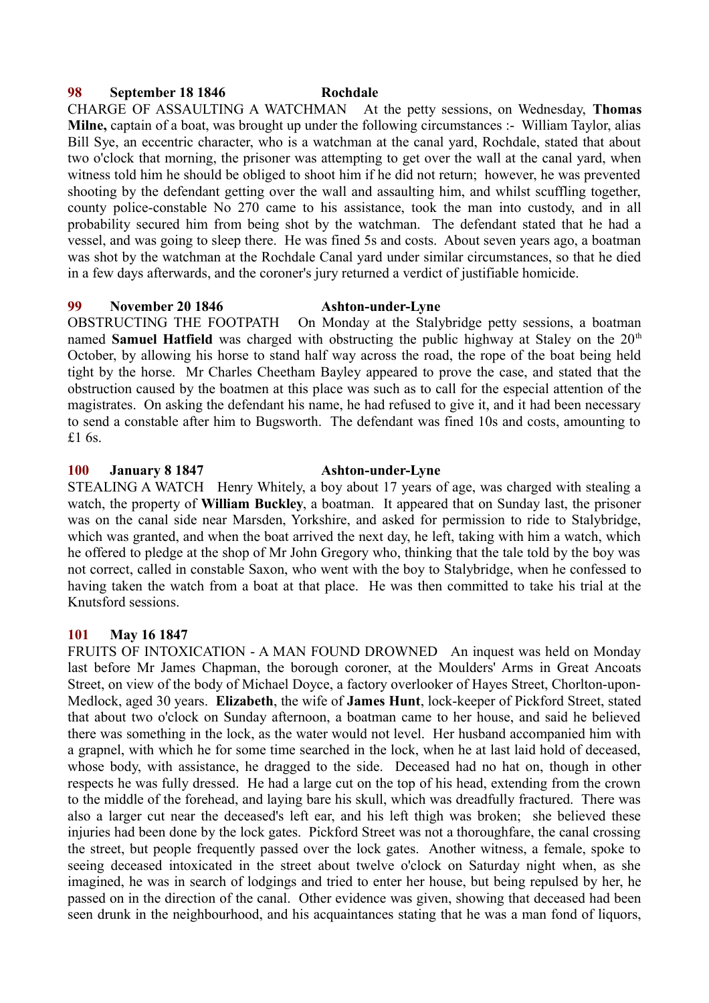## **98 September 18 1846 Rochdale**

CHARGE OF ASSAULTING A WATCHMAN At the petty sessions, on Wednesday, **Thomas Milne,** captain of a boat, was brought up under the following circumstances :- William Taylor, alias Bill Sye, an eccentric character, who is a watchman at the canal yard, Rochdale, stated that about two o'clock that morning, the prisoner was attempting to get over the wall at the canal yard, when witness told him he should be obliged to shoot him if he did not return; however, he was prevented shooting by the defendant getting over the wall and assaulting him, and whilst scuffling together, county police-constable No 270 came to his assistance, took the man into custody, and in all probability secured him from being shot by the watchman. The defendant stated that he had a vessel, and was going to sleep there. He was fined 5s and costs. About seven years ago, a boatman was shot by the watchman at the Rochdale Canal yard under similar circumstances, so that he died in a few days afterwards, and the coroner's jury returned a verdict of justifiable homicide.

#### **99 November 20 1846 Ashton-under-Lyne**

OBSTRUCTING THE FOOTPATH On Monday at the Stalybridge petty sessions, a boatman named **Samuel Hatfield** was charged with obstructing the public highway at Staley on the 20<sup>th</sup> October, by allowing his horse to stand half way across the road, the rope of the boat being held tight by the horse. Mr Charles Cheetham Bayley appeared to prove the case, and stated that the obstruction caused by the boatmen at this place was such as to call for the especial attention of the magistrates. On asking the defendant his name, he had refused to give it, and it had been necessary

**100 January 8 1847 Ashton-under-Lyne**

£1 6s.

STEALING A WATCH Henry Whitely, a boy about 17 years of age, was charged with stealing a watch, the property of **William Buckley**, a boatman. It appeared that on Sunday last, the prisoner was on the canal side near Marsden, Yorkshire, and asked for permission to ride to Stalybridge, which was granted, and when the boat arrived the next day, he left, taking with him a watch, which he offered to pledge at the shop of Mr John Gregory who, thinking that the tale told by the boy was not correct, called in constable Saxon, who went with the boy to Stalybridge, when he confessed to having taken the watch from a boat at that place. He was then committed to take his trial at the Knutsford sessions.

to send a constable after him to Bugsworth. The defendant was fined 10s and costs, amounting to

# **101 May 16 1847**

FRUITS OF INTOXICATION - A MAN FOUND DROWNED An inquest was held on Monday last before Mr James Chapman, the borough coroner, at the Moulders' Arms in Great Ancoats Street, on view of the body of Michael Doyce, a factory overlooker of Hayes Street, Chorlton-upon-Medlock, aged 30 years. **Elizabeth**, the wife of **James Hunt**, lock-keeper of Pickford Street, stated that about two o'clock on Sunday afternoon, a boatman came to her house, and said he believed there was something in the lock, as the water would not level. Her husband accompanied him with a grapnel, with which he for some time searched in the lock, when he at last laid hold of deceased, whose body, with assistance, he dragged to the side. Deceased had no hat on, though in other respects he was fully dressed. He had a large cut on the top of his head, extending from the crown to the middle of the forehead, and laying bare his skull, which was dreadfully fractured. There was also a larger cut near the deceased's left ear, and his left thigh was broken; she believed these injuries had been done by the lock gates. Pickford Street was not a thoroughfare, the canal crossing the street, but people frequently passed over the lock gates. Another witness, a female, spoke to seeing deceased intoxicated in the street about twelve o'clock on Saturday night when, as she imagined, he was in search of lodgings and tried to enter her house, but being repulsed by her, he passed on in the direction of the canal. Other evidence was given, showing that deceased had been seen drunk in the neighbourhood, and his acquaintances stating that he was a man fond of liquors,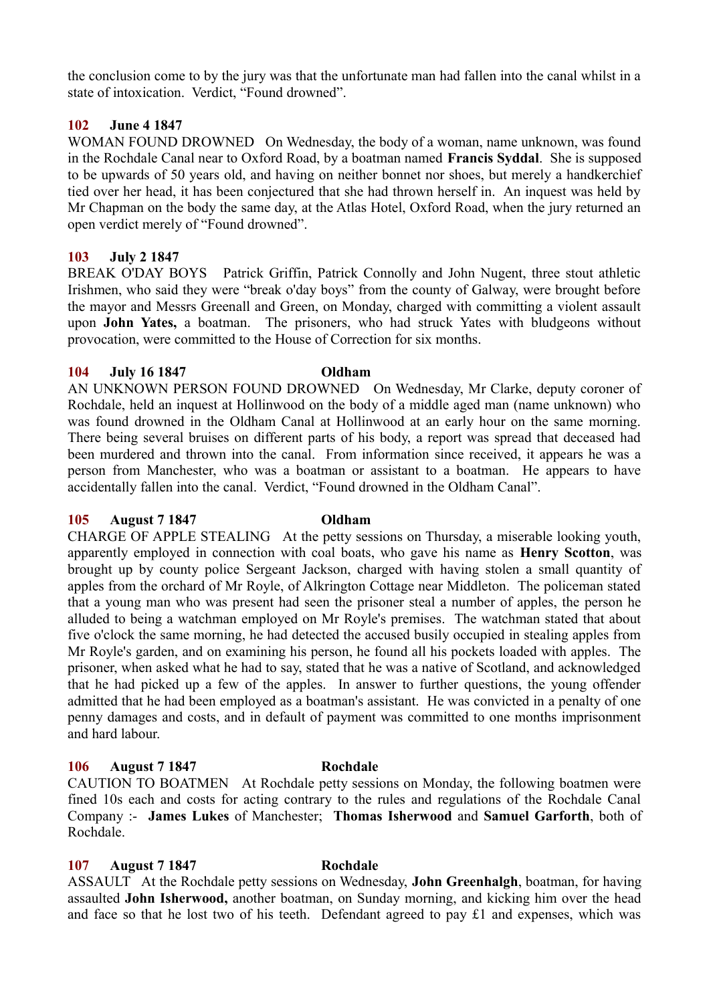the conclusion come to by the jury was that the unfortunate man had fallen into the canal whilst in a state of intoxication. Verdict, "Found drowned".

### **102 June 4 1847**

WOMAN FOUND DROWNED On Wednesday, the body of a woman, name unknown, was found in the Rochdale Canal near to Oxford Road, by a boatman named **Francis Syddal**. She is supposed to be upwards of 50 years old, and having on neither bonnet nor shoes, but merely a handkerchief tied over her head, it has been conjectured that she had thrown herself in. An inquest was held by Mr Chapman on the body the same day, at the Atlas Hotel, Oxford Road, when the jury returned an open verdict merely of "Found drowned".

#### **103 July 2 1847**

BREAK O'DAY BOYS Patrick Griffin, Patrick Connolly and John Nugent, three stout athletic Irishmen, who said they were "break o'day boys" from the county of Galway, were brought before the mayor and Messrs Greenall and Green, on Monday, charged with committing a violent assault upon **John Yates,** a boatman. The prisoners, who had struck Yates with bludgeons without provocation, were committed to the House of Correction for six months.

#### **104 July 16 1847 Oldham**

AN UNKNOWN PERSON FOUND DROWNED On Wednesday, Mr Clarke, deputy coroner of Rochdale, held an inquest at Hollinwood on the body of a middle aged man (name unknown) who was found drowned in the Oldham Canal at Hollinwood at an early hour on the same morning. There being several bruises on different parts of his body, a report was spread that deceased had been murdered and thrown into the canal. From information since received, it appears he was a person from Manchester, who was a boatman or assistant to a boatman. He appears to have accidentally fallen into the canal. Verdict, "Found drowned in the Oldham Canal".

#### **105 August 7 1847 Oldham**

CHARGE OF APPLE STEALING At the petty sessions on Thursday, a miserable looking youth, apparently employed in connection with coal boats, who gave his name as **Henry Scotton**, was brought up by county police Sergeant Jackson, charged with having stolen a small quantity of apples from the orchard of Mr Royle, of Alkrington Cottage near Middleton. The policeman stated that a young man who was present had seen the prisoner steal a number of apples, the person he alluded to being a watchman employed on Mr Royle's premises. The watchman stated that about five o'clock the same morning, he had detected the accused busily occupied in stealing apples from Mr Royle's garden, and on examining his person, he found all his pockets loaded with apples. The prisoner, when asked what he had to say, stated that he was a native of Scotland, and acknowledged that he had picked up a few of the apples. In answer to further questions, the young offender admitted that he had been employed as a boatman's assistant. He was convicted in a penalty of one penny damages and costs, and in default of payment was committed to one months imprisonment and hard labour.

### **106 August 7 1847 Rochdale**

CAUTION TO BOATMEN At Rochdale petty sessions on Monday, the following boatmen were fined 10s each and costs for acting contrary to the rules and regulations of the Rochdale Canal Company :- **James Lukes** of Manchester; **Thomas Isherwood** and **Samuel Garforth**, both of Rochdale.

### **107 August 7 1847 Rochdale**

ASSAULT At the Rochdale petty sessions on Wednesday, **John Greenhalgh**, boatman, for having assaulted **John Isherwood,** another boatman, on Sunday morning, and kicking him over the head and face so that he lost two of his teeth. Defendant agreed to pay £1 and expenses, which was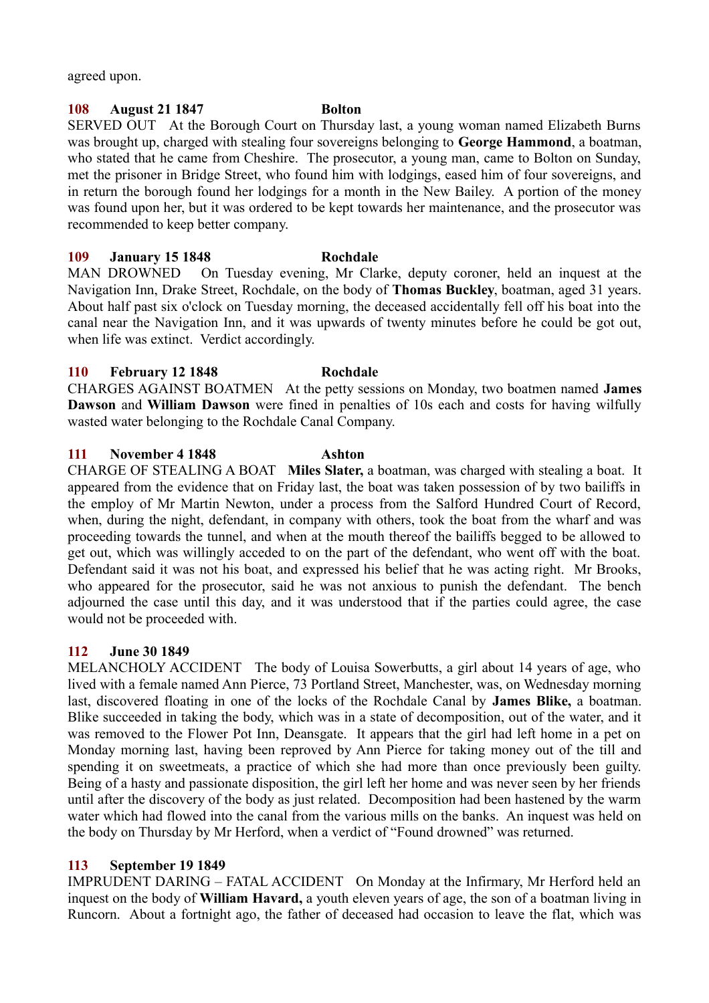agreed upon.

# **108 August 21 1847 Bolton**

SERVED OUT At the Borough Court on Thursday last, a young woman named Elizabeth Burns was brought up, charged with stealing four sovereigns belonging to **George Hammond**, a boatman, who stated that he came from Cheshire. The prosecutor, a young man, came to Bolton on Sunday, met the prisoner in Bridge Street, who found him with lodgings, eased him of four sovereigns, and in return the borough found her lodgings for a month in the New Bailey. A portion of the money was found upon her, but it was ordered to be kept towards her maintenance, and the prosecutor was recommended to keep better company.

## **109 January 15 1848 Rochdale**

MAN DROWNED On Tuesday evening, Mr Clarke, deputy coroner, held an inquest at the Navigation Inn, Drake Street, Rochdale, on the body of **Thomas Buckley**, boatman, aged 31 years. About half past six o'clock on Tuesday morning, the deceased accidentally fell off his boat into the canal near the Navigation Inn, and it was upwards of twenty minutes before he could be got out, when life was extinct. Verdict accordingly.

## **110 February 12 1848 Rochdale**

CHARGES AGAINST BOATMEN At the petty sessions on Monday, two boatmen named **James Dawson** and **William Dawson** were fined in penalties of 10s each and costs for having wilfully wasted water belonging to the Rochdale Canal Company.

## **111 November 4 1848 Ashton**

CHARGE OF STEALING A BOAT **Miles Slater,** a boatman, was charged with stealing a boat. It appeared from the evidence that on Friday last, the boat was taken possession of by two bailiffs in the employ of Mr Martin Newton, under a process from the Salford Hundred Court of Record, when, during the night, defendant, in company with others, took the boat from the wharf and was proceeding towards the tunnel, and when at the mouth thereof the bailiffs begged to be allowed to get out, which was willingly acceded to on the part of the defendant, who went off with the boat. Defendant said it was not his boat, and expressed his belief that he was acting right. Mr Brooks, who appeared for the prosecutor, said he was not anxious to punish the defendant. The bench adjourned the case until this day, and it was understood that if the parties could agree, the case would not be proceeded with.

### **112 June 30 1849**

MELANCHOLY ACCIDENT The body of Louisa Sowerbutts, a girl about 14 years of age, who lived with a female named Ann Pierce, 73 Portland Street, Manchester, was, on Wednesday morning last, discovered floating in one of the locks of the Rochdale Canal by **James Blike,** a boatman. Blike succeeded in taking the body, which was in a state of decomposition, out of the water, and it was removed to the Flower Pot Inn, Deansgate. It appears that the girl had left home in a pet on Monday morning last, having been reproved by Ann Pierce for taking money out of the till and spending it on sweetmeats, a practice of which she had more than once previously been guilty. Being of a hasty and passionate disposition, the girl left her home and was never seen by her friends until after the discovery of the body as just related. Decomposition had been hastened by the warm water which had flowed into the canal from the various mills on the banks. An inquest was held on the body on Thursday by Mr Herford, when a verdict of "Found drowned" was returned.

### **113 September 19 1849**

IMPRUDENT DARING – FATAL ACCIDENT On Monday at the Infirmary, Mr Herford held an inquest on the body of **William Havard,** a youth eleven years of age, the son of a boatman living in Runcorn. About a fortnight ago, the father of deceased had occasion to leave the flat, which was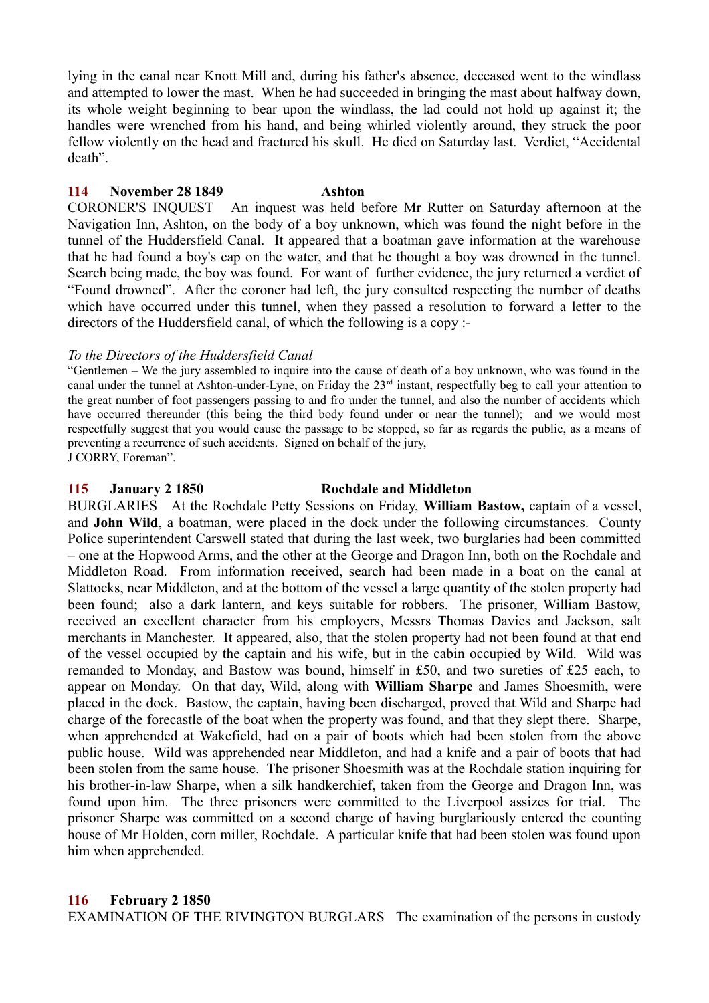lying in the canal near Knott Mill and, during his father's absence, deceased went to the windlass and attempted to lower the mast. When he had succeeded in bringing the mast about halfway down, its whole weight beginning to bear upon the windlass, the lad could not hold up against it; the handles were wrenched from his hand, and being whirled violently around, they struck the poor fellow violently on the head and fractured his skull. He died on Saturday last. Verdict, "Accidental death".

## **114 November 28 1849 Ashton**

CORONER'S INQUEST An inquest was held before Mr Rutter on Saturday afternoon at the Navigation Inn, Ashton, on the body of a boy unknown, which was found the night before in the tunnel of the Huddersfield Canal. It appeared that a boatman gave information at the warehouse that he had found a boy's cap on the water, and that he thought a boy was drowned in the tunnel. Search being made, the boy was found. For want of further evidence, the jury returned a verdict of "Found drowned". After the coroner had left, the jury consulted respecting the number of deaths which have occurred under this tunnel, when they passed a resolution to forward a letter to the directors of the Huddersfield canal, of which the following is a copy :-

## *To the Directors of the Huddersfield Canal*

"Gentlemen – We the jury assembled to inquire into the cause of death of a boy unknown, who was found in the canal under the tunnel at Ashton-under-Lyne, on Friday the 23rd instant, respectfully beg to call your attention to the great number of foot passengers passing to and fro under the tunnel, and also the number of accidents which have occurred thereunder (this being the third body found under or near the tunnel); and we would most respectfully suggest that you would cause the passage to be stopped, so far as regards the public, as a means of preventing a recurrence of such accidents. Signed on behalf of the jury, J CORRY, Foreman".

### **115 January 2 1850 Rochdale and Middleton**

BURGLARIES At the Rochdale Petty Sessions on Friday, **William Bastow,** captain of a vessel, and **John Wild**, a boatman, were placed in the dock under the following circumstances. County Police superintendent Carswell stated that during the last week, two burglaries had been committed – one at the Hopwood Arms, and the other at the George and Dragon Inn, both on the Rochdale and Middleton Road. From information received, search had been made in a boat on the canal at Slattocks, near Middleton, and at the bottom of the vessel a large quantity of the stolen property had been found; also a dark lantern, and keys suitable for robbers. The prisoner, William Bastow, received an excellent character from his employers, Messrs Thomas Davies and Jackson, salt merchants in Manchester. It appeared, also, that the stolen property had not been found at that end of the vessel occupied by the captain and his wife, but in the cabin occupied by Wild. Wild was remanded to Monday, and Bastow was bound, himself in £50, and two sureties of £25 each, to appear on Monday. On that day, Wild, along with **William Sharpe** and James Shoesmith, were placed in the dock. Bastow, the captain, having been discharged, proved that Wild and Sharpe had charge of the forecastle of the boat when the property was found, and that they slept there. Sharpe, when apprehended at Wakefield, had on a pair of boots which had been stolen from the above public house. Wild was apprehended near Middleton, and had a knife and a pair of boots that had been stolen from the same house. The prisoner Shoesmith was at the Rochdale station inquiring for his brother-in-law Sharpe, when a silk handkerchief, taken from the George and Dragon Inn, was found upon him. The three prisoners were committed to the Liverpool assizes for trial. The prisoner Sharpe was committed on a second charge of having burglariously entered the counting house of Mr Holden, corn miller, Rochdale. A particular knife that had been stolen was found upon him when apprehended.

# **116 February 2 1850**

EXAMINATION OF THE RIVINGTON BURGLARS The examination of the persons in custody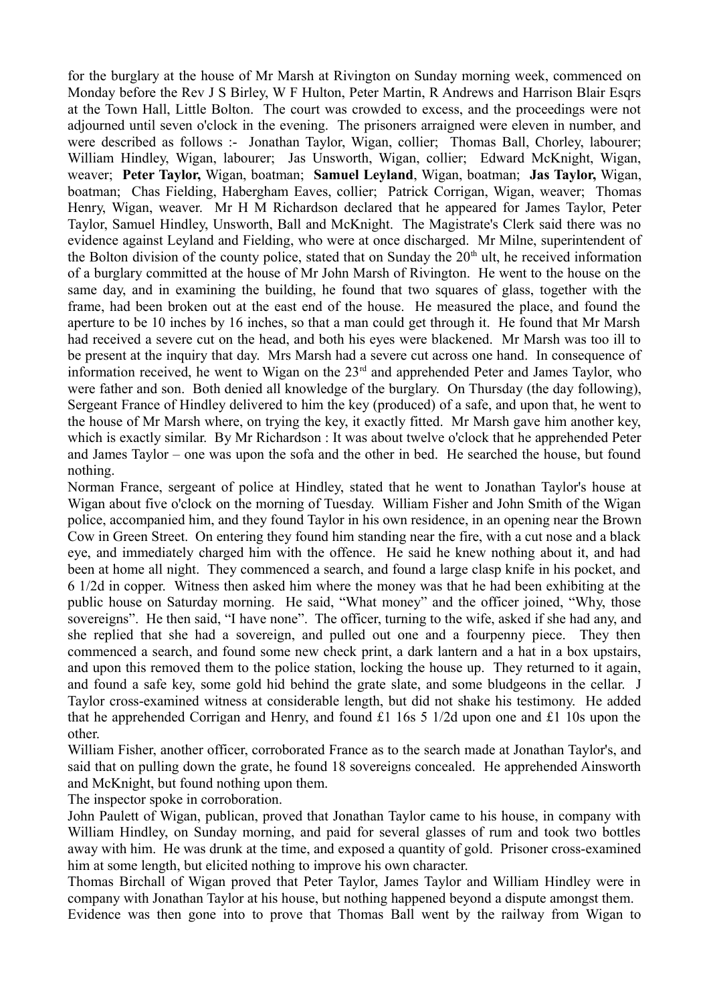for the burglary at the house of Mr Marsh at Rivington on Sunday morning week, commenced on Monday before the Rev J S Birley, W F Hulton, Peter Martin, R Andrews and Harrison Blair Esqrs at the Town Hall, Little Bolton. The court was crowded to excess, and the proceedings were not adjourned until seven o'clock in the evening. The prisoners arraigned were eleven in number, and were described as follows :- Jonathan Taylor, Wigan, collier; Thomas Ball, Chorley, labourer; William Hindley, Wigan, labourer; Jas Unsworth, Wigan, collier; Edward McKnight, Wigan, weaver; **Peter Taylor,** Wigan, boatman; **Samuel Leyland**, Wigan, boatman; **Jas Taylor,** Wigan, boatman; Chas Fielding, Habergham Eaves, collier; Patrick Corrigan, Wigan, weaver; Thomas Henry, Wigan, weaver. Mr H M Richardson declared that he appeared for James Taylor, Peter Taylor, Samuel Hindley, Unsworth, Ball and McKnight. The Magistrate's Clerk said there was no evidence against Leyland and Fielding, who were at once discharged. Mr Milne, superintendent of the Bolton division of the county police, stated that on Sunday the  $20<sup>th</sup>$  ult, he received information of a burglary committed at the house of Mr John Marsh of Rivington. He went to the house on the same day, and in examining the building, he found that two squares of glass, together with the frame, had been broken out at the east end of the house. He measured the place, and found the aperture to be 10 inches by 16 inches, so that a man could get through it. He found that Mr Marsh had received a severe cut on the head, and both his eyes were blackened. Mr Marsh was too ill to be present at the inquiry that day. Mrs Marsh had a severe cut across one hand. In consequence of information received, he went to Wigan on the 23<sup>rd</sup> and apprehended Peter and James Taylor, who were father and son. Both denied all knowledge of the burglary. On Thursday (the day following), Sergeant France of Hindley delivered to him the key (produced) of a safe, and upon that, he went to the house of Mr Marsh where, on trying the key, it exactly fitted. Mr Marsh gave him another key, which is exactly similar. By Mr Richardson : It was about twelve o'clock that he apprehended Peter and James Taylor – one was upon the sofa and the other in bed. He searched the house, but found nothing.

Norman France, sergeant of police at Hindley, stated that he went to Jonathan Taylor's house at Wigan about five o'clock on the morning of Tuesday. William Fisher and John Smith of the Wigan police, accompanied him, and they found Taylor in his own residence, in an opening near the Brown Cow in Green Street. On entering they found him standing near the fire, with a cut nose and a black eye, and immediately charged him with the offence. He said he knew nothing about it, and had been at home all night. They commenced a search, and found a large clasp knife in his pocket, and 6 1/2d in copper. Witness then asked him where the money was that he had been exhibiting at the public house on Saturday morning. He said, "What money" and the officer joined, "Why, those sovereigns". He then said, "I have none". The officer, turning to the wife, asked if she had any, and she replied that she had a sovereign, and pulled out one and a fourpenny piece. They then commenced a search, and found some new check print, a dark lantern and a hat in a box upstairs, and upon this removed them to the police station, locking the house up. They returned to it again, and found a safe key, some gold hid behind the grate slate, and some bludgeons in the cellar. J Taylor cross-examined witness at considerable length, but did not shake his testimony. He added that he apprehended Corrigan and Henry, and found £1 16s 5 1/2d upon one and £1 10s upon the other.

William Fisher, another officer, corroborated France as to the search made at Jonathan Taylor's, and said that on pulling down the grate, he found 18 sovereigns concealed. He apprehended Ainsworth and McKnight, but found nothing upon them.

The inspector spoke in corroboration.

John Paulett of Wigan, publican, proved that Jonathan Taylor came to his house, in company with William Hindley, on Sunday morning, and paid for several glasses of rum and took two bottles away with him. He was drunk at the time, and exposed a quantity of gold. Prisoner cross-examined him at some length, but elicited nothing to improve his own character.

Thomas Birchall of Wigan proved that Peter Taylor, James Taylor and William Hindley were in company with Jonathan Taylor at his house, but nothing happened beyond a dispute amongst them.

Evidence was then gone into to prove that Thomas Ball went by the railway from Wigan to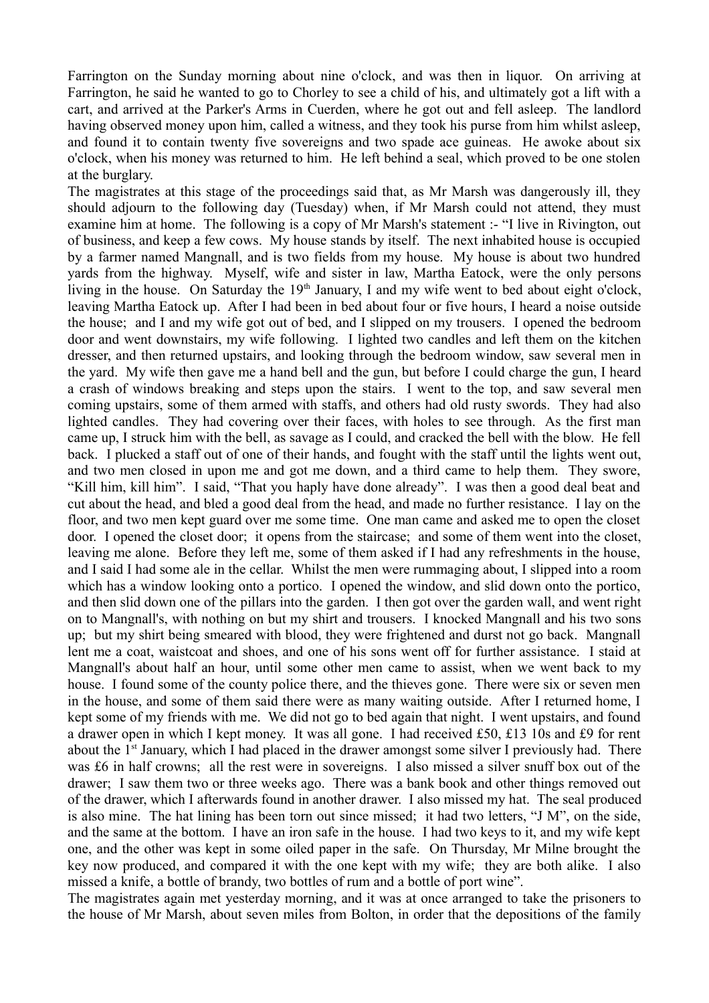Farrington on the Sunday morning about nine o'clock, and was then in liquor. On arriving at Farrington, he said he wanted to go to Chorley to see a child of his, and ultimately got a lift with a cart, and arrived at the Parker's Arms in Cuerden, where he got out and fell asleep. The landlord having observed money upon him, called a witness, and they took his purse from him whilst asleep, and found it to contain twenty five sovereigns and two spade ace guineas. He awoke about six o'clock, when his money was returned to him. He left behind a seal, which proved to be one stolen at the burglary.

The magistrates at this stage of the proceedings said that, as Mr Marsh was dangerously ill, they should adjourn to the following day (Tuesday) when, if Mr Marsh could not attend, they must examine him at home. The following is a copy of Mr Marsh's statement :- "I live in Rivington, out of business, and keep a few cows. My house stands by itself. The next inhabited house is occupied by a farmer named Mangnall, and is two fields from my house. My house is about two hundred yards from the highway. Myself, wife and sister in law, Martha Eatock, were the only persons living in the house. On Saturday the  $19<sup>th</sup>$  January, I and my wife went to bed about eight o'clock, leaving Martha Eatock up. After I had been in bed about four or five hours, I heard a noise outside the house; and I and my wife got out of bed, and I slipped on my trousers. I opened the bedroom door and went downstairs, my wife following. I lighted two candles and left them on the kitchen dresser, and then returned upstairs, and looking through the bedroom window, saw several men in the yard. My wife then gave me a hand bell and the gun, but before I could charge the gun, I heard a crash of windows breaking and steps upon the stairs. I went to the top, and saw several men coming upstairs, some of them armed with staffs, and others had old rusty swords. They had also lighted candles. They had covering over their faces, with holes to see through. As the first man came up, I struck him with the bell, as savage as I could, and cracked the bell with the blow. He fell back. I plucked a staff out of one of their hands, and fought with the staff until the lights went out, and two men closed in upon me and got me down, and a third came to help them. They swore, "Kill him, kill him". I said, "That you haply have done already". I was then a good deal beat and cut about the head, and bled a good deal from the head, and made no further resistance. I lay on the floor, and two men kept guard over me some time. One man came and asked me to open the closet door. I opened the closet door; it opens from the staircase; and some of them went into the closet, leaving me alone. Before they left me, some of them asked if I had any refreshments in the house, and I said I had some ale in the cellar. Whilst the men were rummaging about, I slipped into a room which has a window looking onto a portico. I opened the window, and slid down onto the portico, and then slid down one of the pillars into the garden. I then got over the garden wall, and went right on to Mangnall's, with nothing on but my shirt and trousers. I knocked Mangnall and his two sons up; but my shirt being smeared with blood, they were frightened and durst not go back. Mangnall lent me a coat, waistcoat and shoes, and one of his sons went off for further assistance. I staid at Mangnall's about half an hour, until some other men came to assist, when we went back to my house. I found some of the county police there, and the thieves gone. There were six or seven men in the house, and some of them said there were as many waiting outside. After I returned home, I kept some of my friends with me. We did not go to bed again that night. I went upstairs, and found a drawer open in which I kept money. It was all gone. I had received £50, £13 10s and £9 for rent about the 1<sup>st</sup> January, which I had placed in the drawer amongst some silver I previously had. There was £6 in half crowns; all the rest were in sovereigns. I also missed a silver snuff box out of the drawer; I saw them two or three weeks ago. There was a bank book and other things removed out of the drawer, which I afterwards found in another drawer. I also missed my hat. The seal produced is also mine. The hat lining has been torn out since missed; it had two letters, "J M", on the side, and the same at the bottom. I have an iron safe in the house. I had two keys to it, and my wife kept one, and the other was kept in some oiled paper in the safe. On Thursday, Mr Milne brought the key now produced, and compared it with the one kept with my wife; they are both alike. I also missed a knife, a bottle of brandy, two bottles of rum and a bottle of port wine".

The magistrates again met yesterday morning, and it was at once arranged to take the prisoners to the house of Mr Marsh, about seven miles from Bolton, in order that the depositions of the family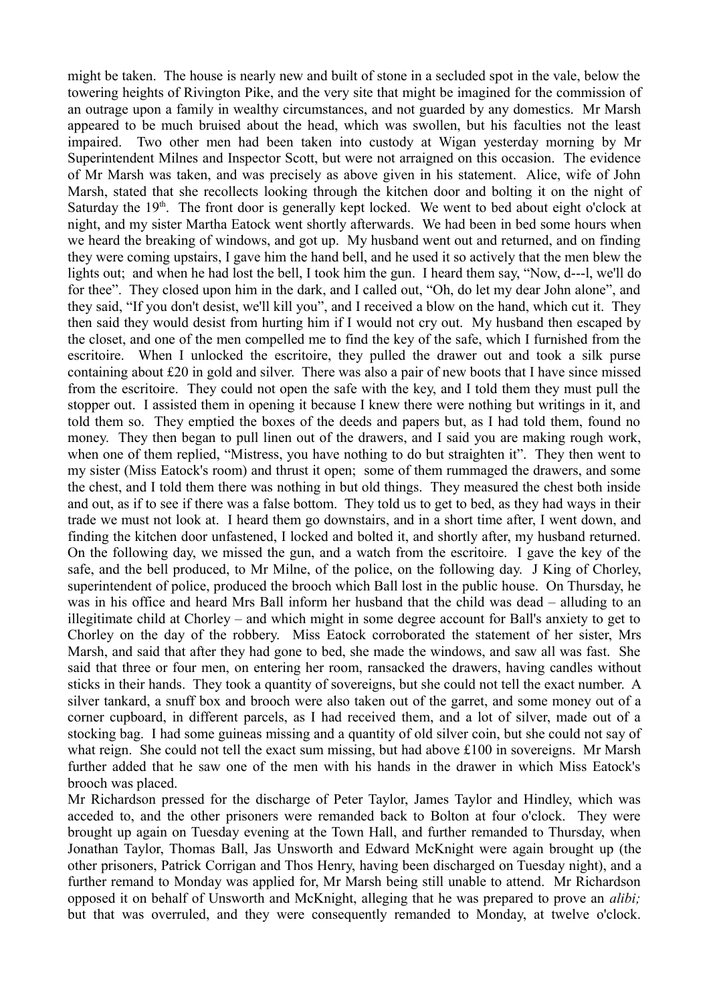might be taken. The house is nearly new and built of stone in a secluded spot in the vale, below the towering heights of Rivington Pike, and the very site that might be imagined for the commission of an outrage upon a family in wealthy circumstances, and not guarded by any domestics. Mr Marsh appeared to be much bruised about the head, which was swollen, but his faculties not the least impaired. Two other men had been taken into custody at Wigan yesterday morning by Mr Superintendent Milnes and Inspector Scott, but were not arraigned on this occasion. The evidence of Mr Marsh was taken, and was precisely as above given in his statement. Alice, wife of John Marsh, stated that she recollects looking through the kitchen door and bolting it on the night of Saturday the  $19<sup>th</sup>$ . The front door is generally kept locked. We went to bed about eight o'clock at night, and my sister Martha Eatock went shortly afterwards. We had been in bed some hours when we heard the breaking of windows, and got up. My husband went out and returned, and on finding they were coming upstairs, I gave him the hand bell, and he used it so actively that the men blew the lights out; and when he had lost the bell, I took him the gun. I heard them say, "Now, d---l, we'll do for thee". They closed upon him in the dark, and I called out, "Oh, do let my dear John alone", and they said, "If you don't desist, we'll kill you", and I received a blow on the hand, which cut it. They then said they would desist from hurting him if I would not cry out. My husband then escaped by the closet, and one of the men compelled me to find the key of the safe, which I furnished from the escritoire. When I unlocked the escritoire, they pulled the drawer out and took a silk purse containing about £20 in gold and silver. There was also a pair of new boots that I have since missed from the escritoire. They could not open the safe with the key, and I told them they must pull the stopper out. I assisted them in opening it because I knew there were nothing but writings in it, and told them so. They emptied the boxes of the deeds and papers but, as I had told them, found no money. They then began to pull linen out of the drawers, and I said you are making rough work, when one of them replied, "Mistress, you have nothing to do but straighten it". They then went to my sister (Miss Eatock's room) and thrust it open; some of them rummaged the drawers, and some the chest, and I told them there was nothing in but old things. They measured the chest both inside and out, as if to see if there was a false bottom. They told us to get to bed, as they had ways in their trade we must not look at. I heard them go downstairs, and in a short time after, I went down, and finding the kitchen door unfastened, I locked and bolted it, and shortly after, my husband returned. On the following day, we missed the gun, and a watch from the escritoire. I gave the key of the safe, and the bell produced, to Mr Milne, of the police, on the following day. J King of Chorley, superintendent of police, produced the brooch which Ball lost in the public house. On Thursday, he was in his office and heard Mrs Ball inform her husband that the child was dead – alluding to an illegitimate child at Chorley – and which might in some degree account for Ball's anxiety to get to Chorley on the day of the robbery. Miss Eatock corroborated the statement of her sister, Mrs Marsh, and said that after they had gone to bed, she made the windows, and saw all was fast. She said that three or four men, on entering her room, ransacked the drawers, having candles without sticks in their hands. They took a quantity of sovereigns, but she could not tell the exact number. A silver tankard, a snuff box and brooch were also taken out of the garret, and some money out of a corner cupboard, in different parcels, as I had received them, and a lot of silver, made out of a stocking bag. I had some guineas missing and a quantity of old silver coin, but she could not say of what reign. She could not tell the exact sum missing, but had above £100 in sovereigns. Mr Marsh further added that he saw one of the men with his hands in the drawer in which Miss Eatock's brooch was placed.

Mr Richardson pressed for the discharge of Peter Taylor, James Taylor and Hindley, which was acceded to, and the other prisoners were remanded back to Bolton at four o'clock. They were brought up again on Tuesday evening at the Town Hall, and further remanded to Thursday, when Jonathan Taylor, Thomas Ball, Jas Unsworth and Edward McKnight were again brought up (the other prisoners, Patrick Corrigan and Thos Henry, having been discharged on Tuesday night), and a further remand to Monday was applied for, Mr Marsh being still unable to attend. Mr Richardson opposed it on behalf of Unsworth and McKnight, alleging that he was prepared to prove an *alibi;* but that was overruled, and they were consequently remanded to Monday, at twelve o'clock.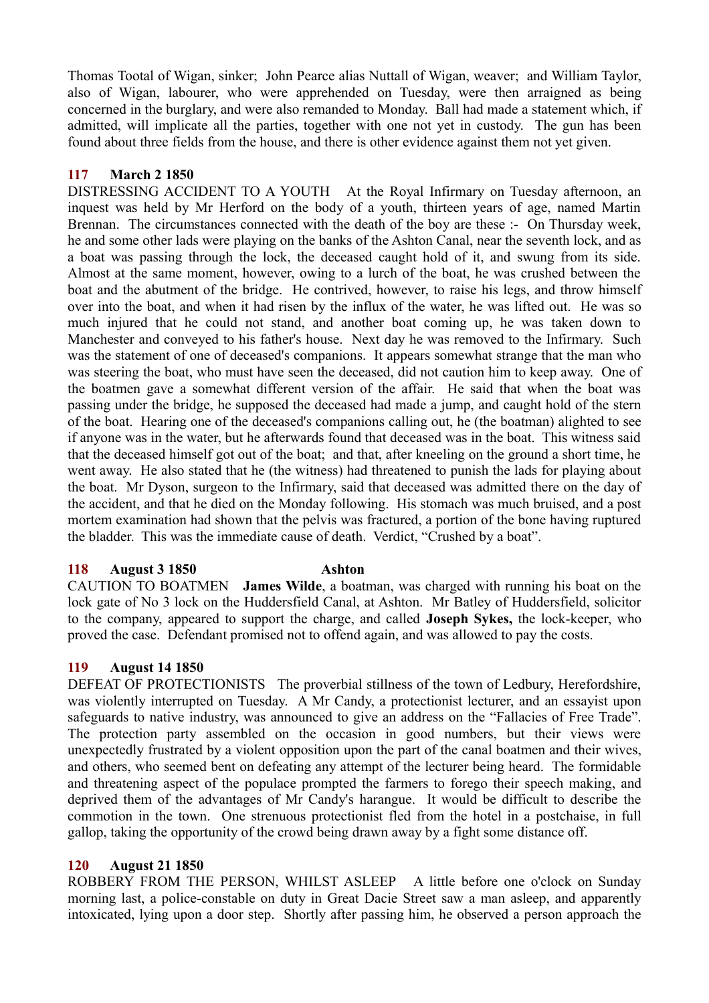Thomas Tootal of Wigan, sinker; John Pearce alias Nuttall of Wigan, weaver; and William Taylor, also of Wigan, labourer, who were apprehended on Tuesday, were then arraigned as being concerned in the burglary, and were also remanded to Monday. Ball had made a statement which, if admitted, will implicate all the parties, together with one not yet in custody. The gun has been found about three fields from the house, and there is other evidence against them not yet given.

## **117 March 2 1850**

DISTRESSING ACCIDENT TO A YOUTH At the Royal Infirmary on Tuesday afternoon, an inquest was held by Mr Herford on the body of a youth, thirteen years of age, named Martin Brennan. The circumstances connected with the death of the boy are these :- On Thursday week, he and some other lads were playing on the banks of the Ashton Canal, near the seventh lock, and as a boat was passing through the lock, the deceased caught hold of it, and swung from its side. Almost at the same moment, however, owing to a lurch of the boat, he was crushed between the boat and the abutment of the bridge. He contrived, however, to raise his legs, and throw himself over into the boat, and when it had risen by the influx of the water, he was lifted out. He was so much injured that he could not stand, and another boat coming up, he was taken down to Manchester and conveyed to his father's house. Next day he was removed to the Infirmary. Such was the statement of one of deceased's companions. It appears somewhat strange that the man who was steering the boat, who must have seen the deceased, did not caution him to keep away. One of the boatmen gave a somewhat different version of the affair. He said that when the boat was passing under the bridge, he supposed the deceased had made a jump, and caught hold of the stern of the boat. Hearing one of the deceased's companions calling out, he (the boatman) alighted to see if anyone was in the water, but he afterwards found that deceased was in the boat. This witness said that the deceased himself got out of the boat; and that, after kneeling on the ground a short time, he went away. He also stated that he (the witness) had threatened to punish the lads for playing about the boat. Mr Dyson, surgeon to the Infirmary, said that deceased was admitted there on the day of the accident, and that he died on the Monday following. His stomach was much bruised, and a post mortem examination had shown that the pelvis was fractured, a portion of the bone having ruptured the bladder. This was the immediate cause of death. Verdict, "Crushed by a boat".

### **118 August 3 1850 Ashton**

CAUTION TO BOATMEN **James Wilde**, a boatman, was charged with running his boat on the lock gate of No 3 lock on the Huddersfield Canal, at Ashton. Mr Batley of Huddersfield, solicitor to the company, appeared to support the charge, and called **Joseph Sykes,** the lock-keeper, who proved the case. Defendant promised not to offend again, and was allowed to pay the costs.

### **119 August 14 1850**

DEFEAT OF PROTECTIONISTS The proverbial stillness of the town of Ledbury, Herefordshire, was violently interrupted on Tuesday. A Mr Candy, a protectionist lecturer, and an essayist upon safeguards to native industry, was announced to give an address on the "Fallacies of Free Trade". The protection party assembled on the occasion in good numbers, but their views were unexpectedly frustrated by a violent opposition upon the part of the canal boatmen and their wives, and others, who seemed bent on defeating any attempt of the lecturer being heard. The formidable and threatening aspect of the populace prompted the farmers to forego their speech making, and deprived them of the advantages of Mr Candy's harangue. It would be difficult to describe the commotion in the town. One strenuous protectionist fled from the hotel in a postchaise, in full gallop, taking the opportunity of the crowd being drawn away by a fight some distance off.

### **120 August 21 1850**

ROBBERY FROM THE PERSON, WHILST ASLEEP A little before one o'clock on Sunday morning last, a police-constable on duty in Great Dacie Street saw a man asleep, and apparently intoxicated, lying upon a door step. Shortly after passing him, he observed a person approach the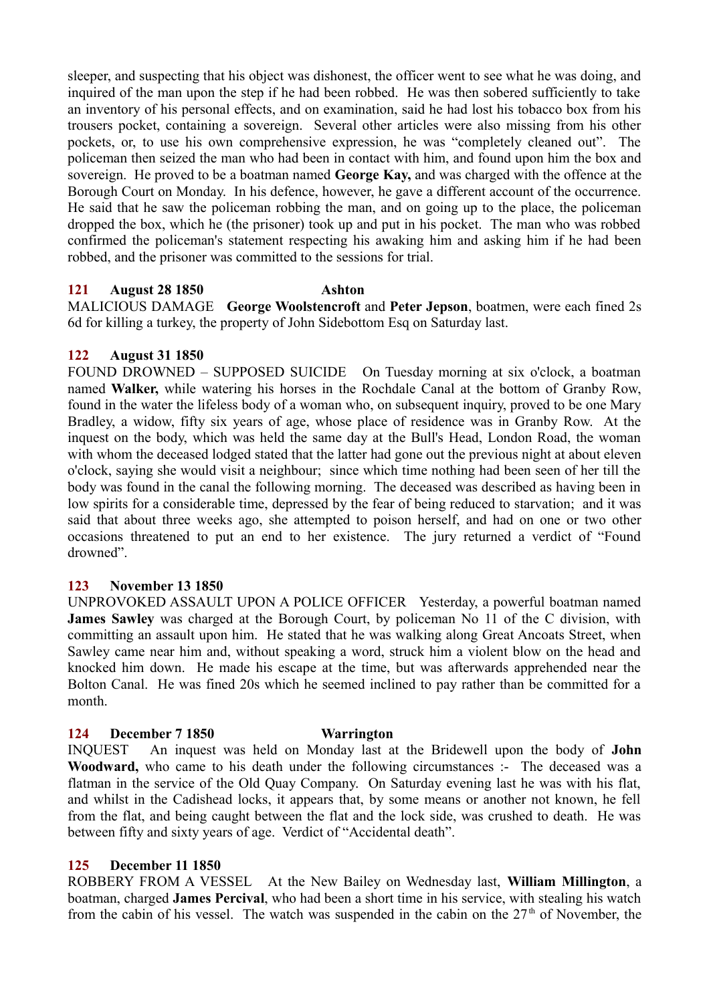sleeper, and suspecting that his object was dishonest, the officer went to see what he was doing, and inquired of the man upon the step if he had been robbed. He was then sobered sufficiently to take an inventory of his personal effects, and on examination, said he had lost his tobacco box from his trousers pocket, containing a sovereign. Several other articles were also missing from his other pockets, or, to use his own comprehensive expression, he was "completely cleaned out". The policeman then seized the man who had been in contact with him, and found upon him the box and sovereign. He proved to be a boatman named **George Kay,** and was charged with the offence at the Borough Court on Monday. In his defence, however, he gave a different account of the occurrence. He said that he saw the policeman robbing the man, and on going up to the place, the policeman dropped the box, which he (the prisoner) took up and put in his pocket. The man who was robbed confirmed the policeman's statement respecting his awaking him and asking him if he had been robbed, and the prisoner was committed to the sessions for trial.

## **121 August 28 1850 Ashton**

MALICIOUS DAMAGE **George Woolstencroft** and **Peter Jepson**, boatmen, were each fined 2s 6d for killing a turkey, the property of John Sidebottom Esq on Saturday last.

## **122 August 31 1850**

FOUND DROWNED – SUPPOSED SUICIDE On Tuesday morning at six o'clock, a boatman named **Walker,** while watering his horses in the Rochdale Canal at the bottom of Granby Row, found in the water the lifeless body of a woman who, on subsequent inquiry, proved to be one Mary Bradley, a widow, fifty six years of age, whose place of residence was in Granby Row. At the inquest on the body, which was held the same day at the Bull's Head, London Road, the woman with whom the deceased lodged stated that the latter had gone out the previous night at about eleven o'clock, saying she would visit a neighbour; since which time nothing had been seen of her till the body was found in the canal the following morning. The deceased was described as having been in low spirits for a considerable time, depressed by the fear of being reduced to starvation; and it was said that about three weeks ago, she attempted to poison herself, and had on one or two other occasions threatened to put an end to her existence. The jury returned a verdict of "Found drowned".

# **123 November 13 1850**

UNPROVOKED ASSAULT UPON A POLICE OFFICER Yesterday, a powerful boatman named **James Sawley** was charged at the Borough Court, by policeman No 11 of the C division, with committing an assault upon him. He stated that he was walking along Great Ancoats Street, when Sawley came near him and, without speaking a word, struck him a violent blow on the head and knocked him down. He made his escape at the time, but was afterwards apprehended near the Bolton Canal. He was fined 20s which he seemed inclined to pay rather than be committed for a month.

# **124 December 7 1850 Warrington**

INQUEST An inquest was held on Monday last at the Bridewell upon the body of **John Woodward,** who came to his death under the following circumstances :- The deceased was a flatman in the service of the Old Quay Company. On Saturday evening last he was with his flat, and whilst in the Cadishead locks, it appears that, by some means or another not known, he fell from the flat, and being caught between the flat and the lock side, was crushed to death. He was between fifty and sixty years of age. Verdict of "Accidental death".

### **125 December 11 1850**

ROBBERY FROM A VESSEL At the New Bailey on Wednesday last, **William Millington**, a boatman, charged **James Percival**, who had been a short time in his service, with stealing his watch from the cabin of his vessel. The watch was suspended in the cabin on the  $27<sup>th</sup>$  of November, the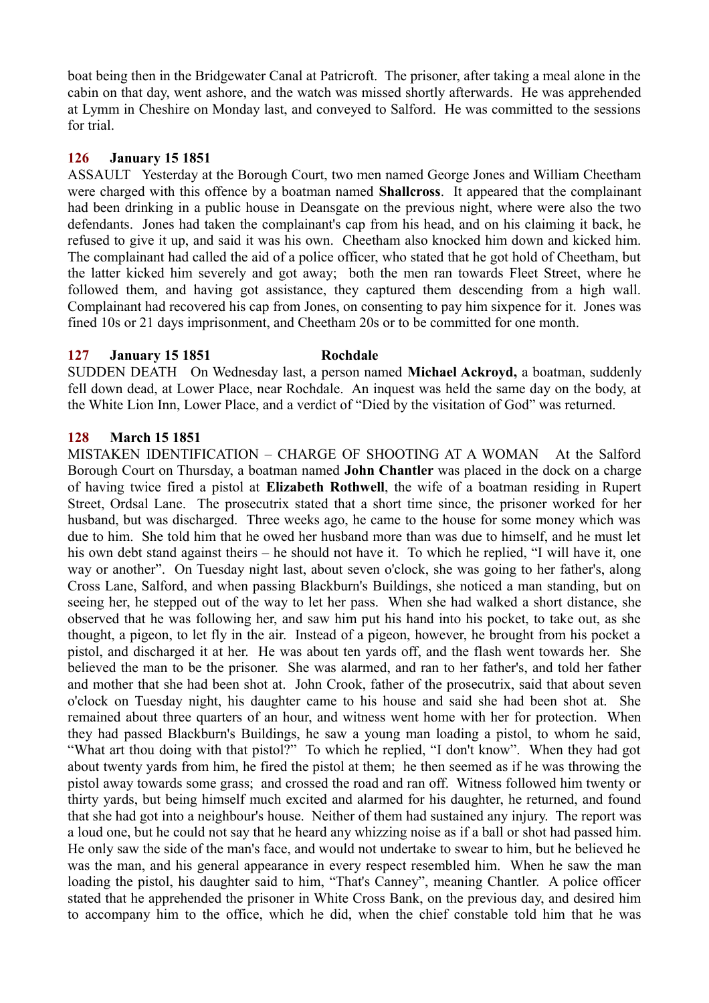boat being then in the Bridgewater Canal at Patricroft. The prisoner, after taking a meal alone in the cabin on that day, went ashore, and the watch was missed shortly afterwards. He was apprehended at Lymm in Cheshire on Monday last, and conveyed to Salford. He was committed to the sessions for trial.

### **126 January 15 1851**

ASSAULT Yesterday at the Borough Court, two men named George Jones and William Cheetham were charged with this offence by a boatman named **Shallcross**. It appeared that the complainant had been drinking in a public house in Deansgate on the previous night, where were also the two defendants. Jones had taken the complainant's cap from his head, and on his claiming it back, he refused to give it up, and said it was his own. Cheetham also knocked him down and kicked him. The complainant had called the aid of a police officer, who stated that he got hold of Cheetham, but the latter kicked him severely and got away; both the men ran towards Fleet Street, where he followed them, and having got assistance, they captured them descending from a high wall. Complainant had recovered his cap from Jones, on consenting to pay him sixpence for it. Jones was fined 10s or 21 days imprisonment, and Cheetham 20s or to be committed for one month.

#### **127 January 15 1851 Rochdale**

SUDDEN DEATH On Wednesday last, a person named **Michael Ackroyd,** a boatman, suddenly fell down dead, at Lower Place, near Rochdale. An inquest was held the same day on the body, at the White Lion Inn, Lower Place, and a verdict of "Died by the visitation of God" was returned.

### **128 March 15 1851**

MISTAKEN IDENTIFICATION – CHARGE OF SHOOTING AT A WOMAN At the Salford Borough Court on Thursday, a boatman named **John Chantler** was placed in the dock on a charge of having twice fired a pistol at **Elizabeth Rothwell**, the wife of a boatman residing in Rupert Street, Ordsal Lane. The prosecutrix stated that a short time since, the prisoner worked for her husband, but was discharged. Three weeks ago, he came to the house for some money which was due to him. She told him that he owed her husband more than was due to himself, and he must let his own debt stand against theirs – he should not have it. To which he replied, "I will have it, one way or another". On Tuesday night last, about seven o'clock, she was going to her father's, along Cross Lane, Salford, and when passing Blackburn's Buildings, she noticed a man standing, but on seeing her, he stepped out of the way to let her pass. When she had walked a short distance, she observed that he was following her, and saw him put his hand into his pocket, to take out, as she thought, a pigeon, to let fly in the air. Instead of a pigeon, however, he brought from his pocket a pistol, and discharged it at her. He was about ten yards off, and the flash went towards her. She believed the man to be the prisoner. She was alarmed, and ran to her father's, and told her father and mother that she had been shot at. John Crook, father of the prosecutrix, said that about seven o'clock on Tuesday night, his daughter came to his house and said she had been shot at. She remained about three quarters of an hour, and witness went home with her for protection. When they had passed Blackburn's Buildings, he saw a young man loading a pistol, to whom he said, "What art thou doing with that pistol?" To which he replied, "I don't know". When they had got about twenty yards from him, he fired the pistol at them; he then seemed as if he was throwing the pistol away towards some grass; and crossed the road and ran off. Witness followed him twenty or thirty yards, but being himself much excited and alarmed for his daughter, he returned, and found that she had got into a neighbour's house. Neither of them had sustained any injury. The report was a loud one, but he could not say that he heard any whizzing noise as if a ball or shot had passed him. He only saw the side of the man's face, and would not undertake to swear to him, but he believed he was the man, and his general appearance in every respect resembled him. When he saw the man loading the pistol, his daughter said to him, "That's Canney", meaning Chantler. A police officer stated that he apprehended the prisoner in White Cross Bank, on the previous day, and desired him to accompany him to the office, which he did, when the chief constable told him that he was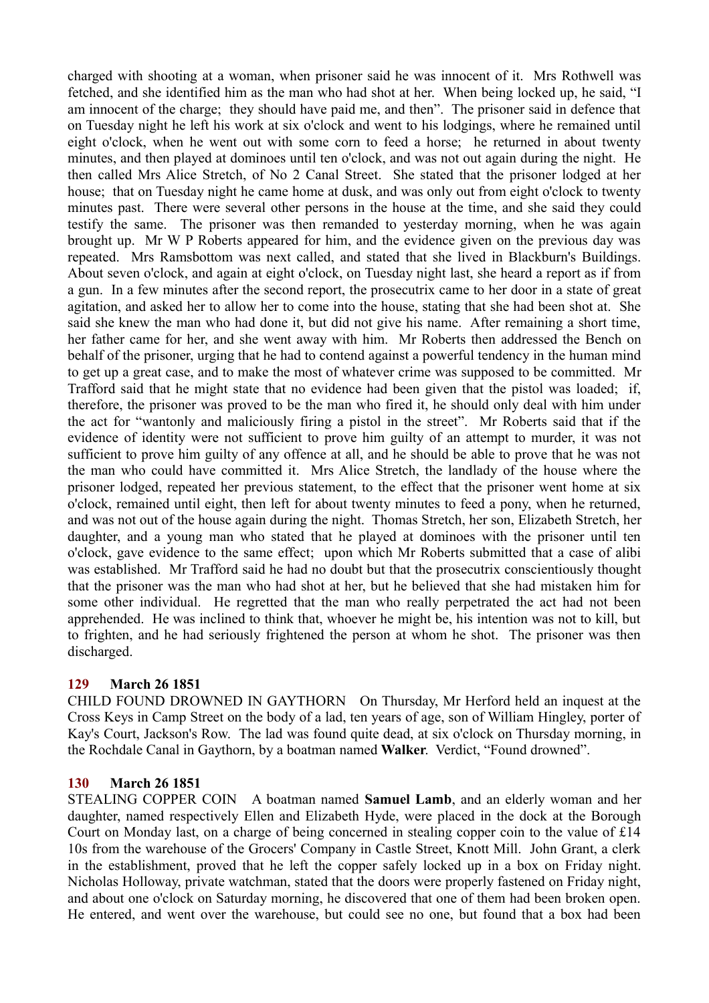charged with shooting at a woman, when prisoner said he was innocent of it. Mrs Rothwell was fetched, and she identified him as the man who had shot at her. When being locked up, he said, "I am innocent of the charge; they should have paid me, and then". The prisoner said in defence that on Tuesday night he left his work at six o'clock and went to his lodgings, where he remained until eight o'clock, when he went out with some corn to feed a horse; he returned in about twenty minutes, and then played at dominoes until ten o'clock, and was not out again during the night. He then called Mrs Alice Stretch, of No 2 Canal Street. She stated that the prisoner lodged at her house; that on Tuesday night he came home at dusk, and was only out from eight o'clock to twenty minutes past. There were several other persons in the house at the time, and she said they could testify the same. The prisoner was then remanded to yesterday morning, when he was again brought up. Mr W P Roberts appeared for him, and the evidence given on the previous day was repeated. Mrs Ramsbottom was next called, and stated that she lived in Blackburn's Buildings. About seven o'clock, and again at eight o'clock, on Tuesday night last, she heard a report as if from a gun. In a few minutes after the second report, the prosecutrix came to her door in a state of great agitation, and asked her to allow her to come into the house, stating that she had been shot at. She said she knew the man who had done it, but did not give his name. After remaining a short time, her father came for her, and she went away with him. Mr Roberts then addressed the Bench on behalf of the prisoner, urging that he had to contend against a powerful tendency in the human mind to get up a great case, and to make the most of whatever crime was supposed to be committed. Mr Trafford said that he might state that no evidence had been given that the pistol was loaded; if, therefore, the prisoner was proved to be the man who fired it, he should only deal with him under the act for "wantonly and maliciously firing a pistol in the street". Mr Roberts said that if the evidence of identity were not sufficient to prove him guilty of an attempt to murder, it was not sufficient to prove him guilty of any offence at all, and he should be able to prove that he was not the man who could have committed it. Mrs Alice Stretch, the landlady of the house where the prisoner lodged, repeated her previous statement, to the effect that the prisoner went home at six o'clock, remained until eight, then left for about twenty minutes to feed a pony, when he returned, and was not out of the house again during the night. Thomas Stretch, her son, Elizabeth Stretch, her daughter, and a young man who stated that he played at dominoes with the prisoner until ten o'clock, gave evidence to the same effect; upon which Mr Roberts submitted that a case of alibi was established. Mr Trafford said he had no doubt but that the prosecutrix conscientiously thought that the prisoner was the man who had shot at her, but he believed that she had mistaken him for some other individual. He regretted that the man who really perpetrated the act had not been apprehended. He was inclined to think that, whoever he might be, his intention was not to kill, but to frighten, and he had seriously frightened the person at whom he shot. The prisoner was then discharged.

# **129 March 26 1851**

CHILD FOUND DROWNED IN GAYTHORN On Thursday, Mr Herford held an inquest at the Cross Keys in Camp Street on the body of a lad, ten years of age, son of William Hingley, porter of Kay's Court, Jackson's Row. The lad was found quite dead, at six o'clock on Thursday morning, in the Rochdale Canal in Gaythorn, by a boatman named **Walker**. Verdict, "Found drowned".

# **130 March 26 1851**

STEALING COPPER COIN A boatman named **Samuel Lamb**, and an elderly woman and her daughter, named respectively Ellen and Elizabeth Hyde, were placed in the dock at the Borough Court on Monday last, on a charge of being concerned in stealing copper coin to the value of £14 10s from the warehouse of the Grocers' Company in Castle Street, Knott Mill. John Grant, a clerk in the establishment, proved that he left the copper safely locked up in a box on Friday night. Nicholas Holloway, private watchman, stated that the doors were properly fastened on Friday night, and about one o'clock on Saturday morning, he discovered that one of them had been broken open. He entered, and went over the warehouse, but could see no one, but found that a box had been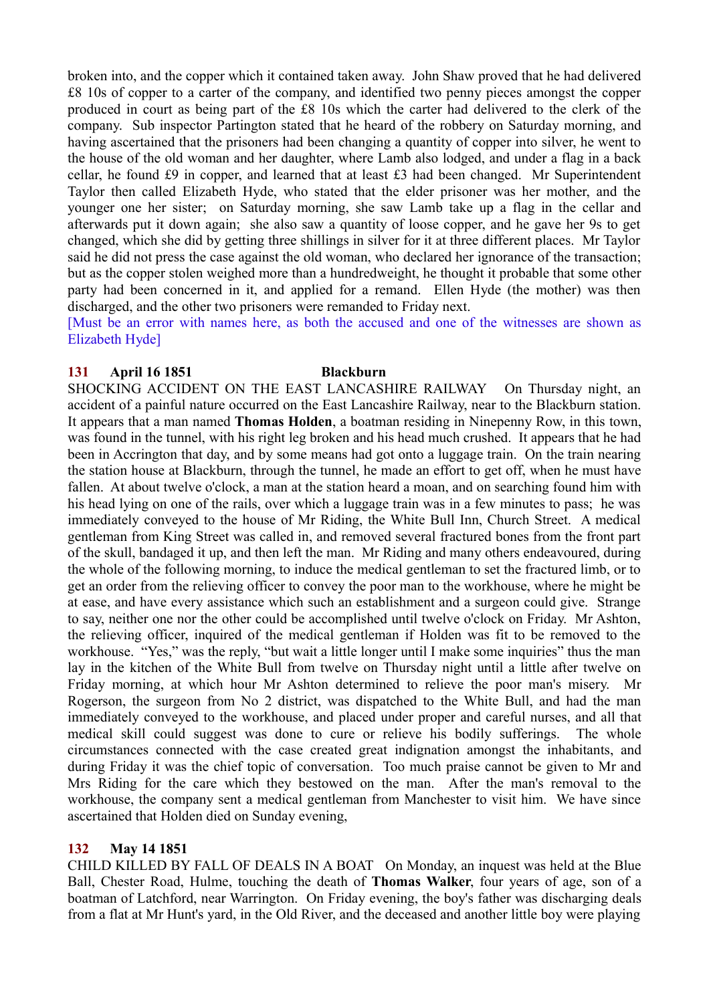broken into, and the copper which it contained taken away. John Shaw proved that he had delivered £8 10s of copper to a carter of the company, and identified two penny pieces amongst the copper produced in court as being part of the £8 10s which the carter had delivered to the clerk of the company. Sub inspector Partington stated that he heard of the robbery on Saturday morning, and having ascertained that the prisoners had been changing a quantity of copper into silver, he went to the house of the old woman and her daughter, where Lamb also lodged, and under a flag in a back cellar, he found £9 in copper, and learned that at least £3 had been changed. Mr Superintendent Taylor then called Elizabeth Hyde, who stated that the elder prisoner was her mother, and the younger one her sister; on Saturday morning, she saw Lamb take up a flag in the cellar and afterwards put it down again; she also saw a quantity of loose copper, and he gave her 9s to get changed, which she did by getting three shillings in silver for it at three different places. Mr Taylor said he did not press the case against the old woman, who declared her ignorance of the transaction; but as the copper stolen weighed more than a hundredweight, he thought it probable that some other party had been concerned in it, and applied for a remand. Ellen Hyde (the mother) was then discharged, and the other two prisoners were remanded to Friday next.

[Must be an error with names here, as both the accused and one of the witnesses are shown as Elizabeth Hyde]

## **131 April 16 1851 Blackburn**

SHOCKING ACCIDENT ON THE EAST LANCASHIRE RAILWAY On Thursday night, an accident of a painful nature occurred on the East Lancashire Railway, near to the Blackburn station. It appears that a man named **Thomas Holden**, a boatman residing in Ninepenny Row, in this town, was found in the tunnel, with his right leg broken and his head much crushed. It appears that he had been in Accrington that day, and by some means had got onto a luggage train. On the train nearing the station house at Blackburn, through the tunnel, he made an effort to get off, when he must have fallen. At about twelve o'clock, a man at the station heard a moan, and on searching found him with his head lying on one of the rails, over which a luggage train was in a few minutes to pass; he was immediately conveyed to the house of Mr Riding, the White Bull Inn, Church Street. A medical gentleman from King Street was called in, and removed several fractured bones from the front part of the skull, bandaged it up, and then left the man. Mr Riding and many others endeavoured, during the whole of the following morning, to induce the medical gentleman to set the fractured limb, or to get an order from the relieving officer to convey the poor man to the workhouse, where he might be at ease, and have every assistance which such an establishment and a surgeon could give. Strange to say, neither one nor the other could be accomplished until twelve o'clock on Friday. Mr Ashton, the relieving officer, inquired of the medical gentleman if Holden was fit to be removed to the workhouse. "Yes," was the reply, "but wait a little longer until I make some inquiries" thus the man lay in the kitchen of the White Bull from twelve on Thursday night until a little after twelve on Friday morning, at which hour Mr Ashton determined to relieve the poor man's misery. Mr Rogerson, the surgeon from No 2 district, was dispatched to the White Bull, and had the man immediately conveyed to the workhouse, and placed under proper and careful nurses, and all that medical skill could suggest was done to cure or relieve his bodily sufferings. The whole circumstances connected with the case created great indignation amongst the inhabitants, and during Friday it was the chief topic of conversation. Too much praise cannot be given to Mr and Mrs Riding for the care which they bestowed on the man. After the man's removal to the workhouse, the company sent a medical gentleman from Manchester to visit him. We have since ascertained that Holden died on Sunday evening,

# **132 May 14 1851**

CHILD KILLED BY FALL OF DEALS IN A BOAT On Monday, an inquest was held at the Blue Ball, Chester Road, Hulme, touching the death of **Thomas Walker**, four years of age, son of a boatman of Latchford, near Warrington. On Friday evening, the boy's father was discharging deals from a flat at Mr Hunt's yard, in the Old River, and the deceased and another little boy were playing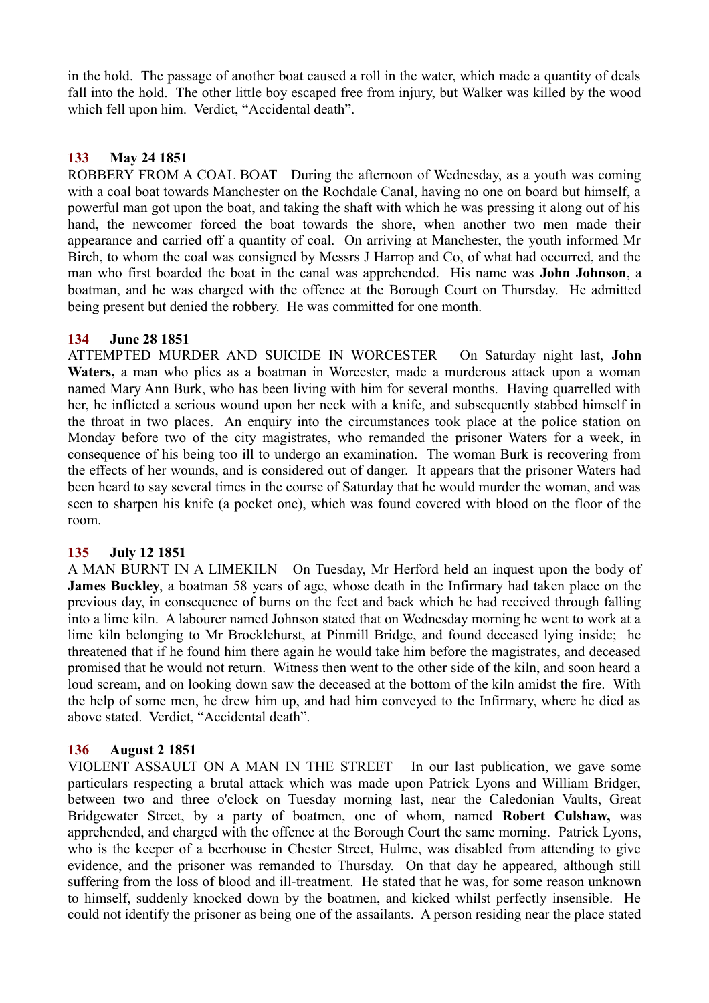in the hold. The passage of another boat caused a roll in the water, which made a quantity of deals fall into the hold. The other little boy escaped free from injury, but Walker was killed by the wood which fell upon him. Verdict, "Accidental death".

## **133 May 24 1851**

ROBBERY FROM A COAL BOAT During the afternoon of Wednesday, as a youth was coming with a coal boat towards Manchester on the Rochdale Canal, having no one on board but himself, a powerful man got upon the boat, and taking the shaft with which he was pressing it along out of his hand, the newcomer forced the boat towards the shore, when another two men made their appearance and carried off a quantity of coal. On arriving at Manchester, the youth informed Mr Birch, to whom the coal was consigned by Messrs J Harrop and Co, of what had occurred, and the man who first boarded the boat in the canal was apprehended. His name was **John Johnson**, a boatman, and he was charged with the offence at the Borough Court on Thursday. He admitted being present but denied the robbery. He was committed for one month.

## **134 June 28 1851**

ATTEMPTED MURDER AND SUICIDE IN WORCESTER On Saturday night last, **John Waters,** a man who plies as a boatman in Worcester, made a murderous attack upon a woman named Mary Ann Burk, who has been living with him for several months. Having quarrelled with her, he inflicted a serious wound upon her neck with a knife, and subsequently stabbed himself in the throat in two places. An enquiry into the circumstances took place at the police station on Monday before two of the city magistrates, who remanded the prisoner Waters for a week, in consequence of his being too ill to undergo an examination. The woman Burk is recovering from the effects of her wounds, and is considered out of danger. It appears that the prisoner Waters had been heard to say several times in the course of Saturday that he would murder the woman, and was seen to sharpen his knife (a pocket one), which was found covered with blood on the floor of the room.

### **135 July 12 1851**

A MAN BURNT IN A LIMEKILN On Tuesday, Mr Herford held an inquest upon the body of **James Buckley**, a boatman 58 years of age, whose death in the Infirmary had taken place on the previous day, in consequence of burns on the feet and back which he had received through falling into a lime kiln. A labourer named Johnson stated that on Wednesday morning he went to work at a lime kiln belonging to Mr Brocklehurst, at Pinmill Bridge, and found deceased lying inside; he threatened that if he found him there again he would take him before the magistrates, and deceased promised that he would not return. Witness then went to the other side of the kiln, and soon heard a loud scream, and on looking down saw the deceased at the bottom of the kiln amidst the fire. With the help of some men, he drew him up, and had him conveyed to the Infirmary, where he died as above stated. Verdict, "Accidental death".

# **136 August 2 1851**

VIOLENT ASSAULT ON A MAN IN THE STREET In our last publication, we gave some particulars respecting a brutal attack which was made upon Patrick Lyons and William Bridger, between two and three o'clock on Tuesday morning last, near the Caledonian Vaults, Great Bridgewater Street, by a party of boatmen, one of whom, named **Robert Culshaw,** was apprehended, and charged with the offence at the Borough Court the same morning. Patrick Lyons, who is the keeper of a beerhouse in Chester Street, Hulme, was disabled from attending to give evidence, and the prisoner was remanded to Thursday. On that day he appeared, although still suffering from the loss of blood and ill-treatment. He stated that he was, for some reason unknown to himself, suddenly knocked down by the boatmen, and kicked whilst perfectly insensible. He could not identify the prisoner as being one of the assailants. A person residing near the place stated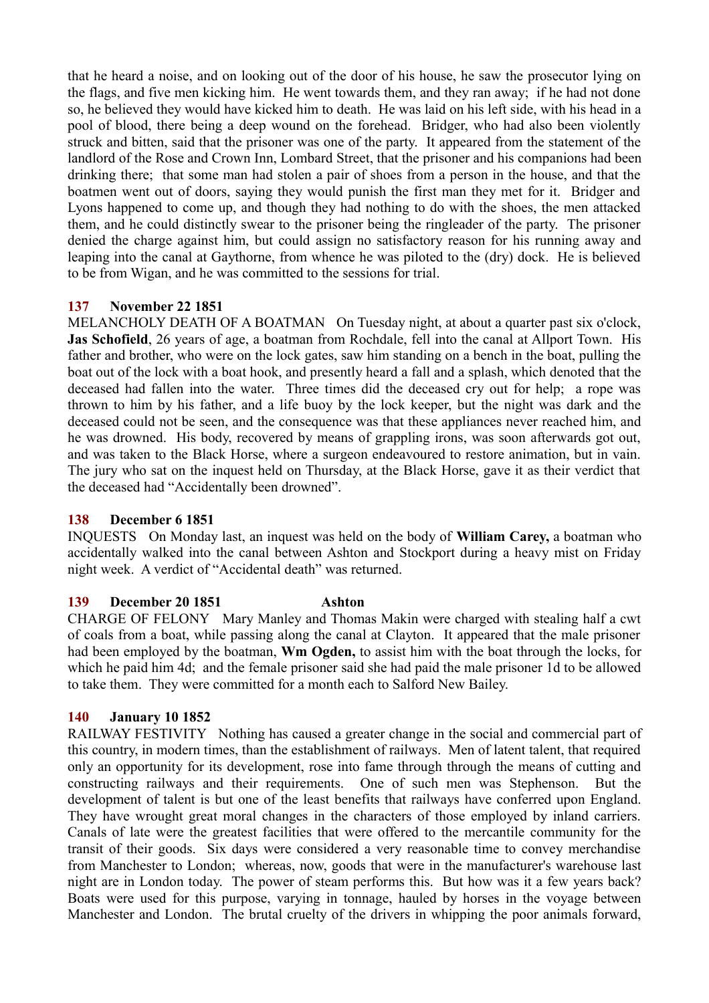that he heard a noise, and on looking out of the door of his house, he saw the prosecutor lying on the flags, and five men kicking him. He went towards them, and they ran away; if he had not done so, he believed they would have kicked him to death. He was laid on his left side, with his head in a pool of blood, there being a deep wound on the forehead. Bridger, who had also been violently struck and bitten, said that the prisoner was one of the party. It appeared from the statement of the landlord of the Rose and Crown Inn, Lombard Street, that the prisoner and his companions had been drinking there; that some man had stolen a pair of shoes from a person in the house, and that the boatmen went out of doors, saying they would punish the first man they met for it. Bridger and Lyons happened to come up, and though they had nothing to do with the shoes, the men attacked them, and he could distinctly swear to the prisoner being the ringleader of the party. The prisoner denied the charge against him, but could assign no satisfactory reason for his running away and leaping into the canal at Gaythorne, from whence he was piloted to the (dry) dock. He is believed to be from Wigan, and he was committed to the sessions for trial.

# **137 November 22 1851**

MELANCHOLY DEATH OF A BOATMAN On Tuesday night, at about a quarter past six o'clock, **Jas Schofield**, 26 years of age, a boatman from Rochdale, fell into the canal at Allport Town. His father and brother, who were on the lock gates, saw him standing on a bench in the boat, pulling the boat out of the lock with a boat hook, and presently heard a fall and a splash, which denoted that the deceased had fallen into the water. Three times did the deceased cry out for help; a rope was thrown to him by his father, and a life buoy by the lock keeper, but the night was dark and the deceased could not be seen, and the consequence was that these appliances never reached him, and he was drowned. His body, recovered by means of grappling irons, was soon afterwards got out, and was taken to the Black Horse, where a surgeon endeavoured to restore animation, but in vain. The jury who sat on the inquest held on Thursday, at the Black Horse, gave it as their verdict that the deceased had "Accidentally been drowned".

## **138 December 6 1851**

INQUESTS On Monday last, an inquest was held on the body of **William Carey,** a boatman who accidentally walked into the canal between Ashton and Stockport during a heavy mist on Friday night week. A verdict of "Accidental death" was returned.

### **139 December 20 1851 Ashton**

CHARGE OF FELONY Mary Manley and Thomas Makin were charged with stealing half a cwt of coals from a boat, while passing along the canal at Clayton. It appeared that the male prisoner had been employed by the boatman, **Wm Ogden,** to assist him with the boat through the locks, for which he paid him 4d; and the female prisoner said she had paid the male prisoner 1d to be allowed to take them. They were committed for a month each to Salford New Bailey.

# **140 January 10 1852**

RAILWAY FESTIVITY Nothing has caused a greater change in the social and commercial part of this country, in modern times, than the establishment of railways. Men of latent talent, that required only an opportunity for its development, rose into fame through through the means of cutting and constructing railways and their requirements. One of such men was Stephenson. But the development of talent is but one of the least benefits that railways have conferred upon England. They have wrought great moral changes in the characters of those employed by inland carriers. Canals of late were the greatest facilities that were offered to the mercantile community for the transit of their goods. Six days were considered a very reasonable time to convey merchandise from Manchester to London; whereas, now, goods that were in the manufacturer's warehouse last night are in London today. The power of steam performs this. But how was it a few years back? Boats were used for this purpose, varying in tonnage, hauled by horses in the voyage between Manchester and London. The brutal cruelty of the drivers in whipping the poor animals forward,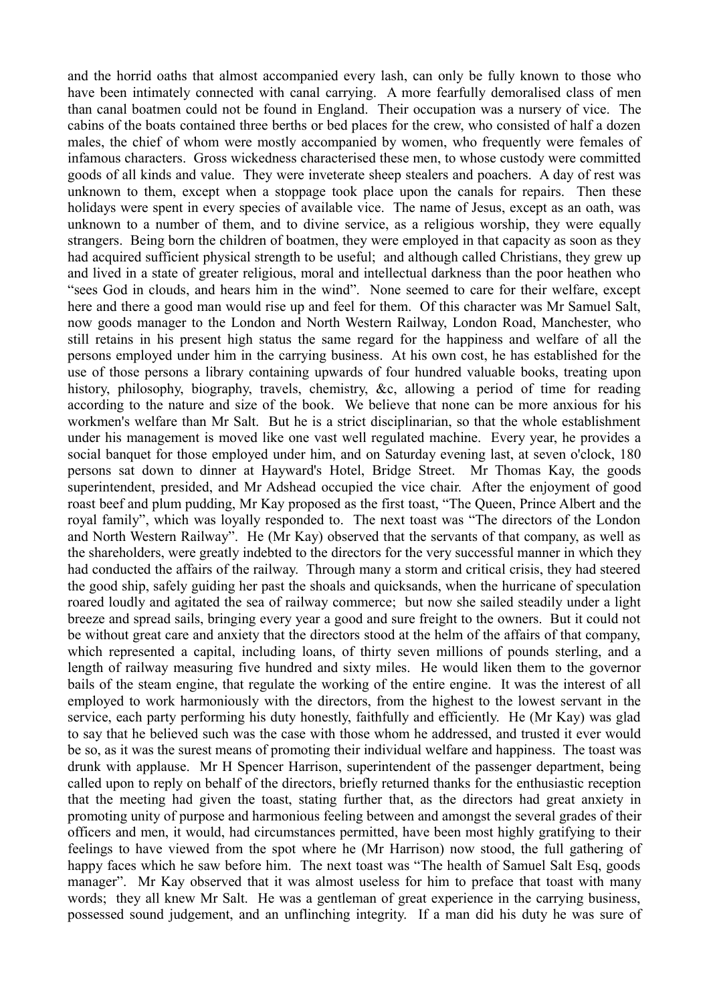and the horrid oaths that almost accompanied every lash, can only be fully known to those who have been intimately connected with canal carrying. A more fearfully demoralised class of men than canal boatmen could not be found in England. Their occupation was a nursery of vice. The cabins of the boats contained three berths or bed places for the crew, who consisted of half a dozen males, the chief of whom were mostly accompanied by women, who frequently were females of infamous characters. Gross wickedness characterised these men, to whose custody were committed goods of all kinds and value. They were inveterate sheep stealers and poachers. A day of rest was unknown to them, except when a stoppage took place upon the canals for repairs. Then these holidays were spent in every species of available vice. The name of Jesus, except as an oath, was unknown to a number of them, and to divine service, as a religious worship, they were equally strangers. Being born the children of boatmen, they were employed in that capacity as soon as they had acquired sufficient physical strength to be useful; and although called Christians, they grew up and lived in a state of greater religious, moral and intellectual darkness than the poor heathen who "sees God in clouds, and hears him in the wind". None seemed to care for their welfare, except here and there a good man would rise up and feel for them. Of this character was Mr Samuel Salt, now goods manager to the London and North Western Railway, London Road, Manchester, who still retains in his present high status the same regard for the happiness and welfare of all the persons employed under him in the carrying business. At his own cost, he has established for the use of those persons a library containing upwards of four hundred valuable books, treating upon history, philosophy, biography, travels, chemistry, &c, allowing a period of time for reading according to the nature and size of the book. We believe that none can be more anxious for his workmen's welfare than Mr Salt. But he is a strict disciplinarian, so that the whole establishment under his management is moved like one vast well regulated machine. Every year, he provides a social banquet for those employed under him, and on Saturday evening last, at seven o'clock, 180 persons sat down to dinner at Hayward's Hotel, Bridge Street. Mr Thomas Kay, the goods superintendent, presided, and Mr Adshead occupied the vice chair. After the enjoyment of good roast beef and plum pudding, Mr Kay proposed as the first toast, "The Queen, Prince Albert and the royal family", which was loyally responded to. The next toast was "The directors of the London and North Western Railway". He (Mr Kay) observed that the servants of that company, as well as the shareholders, were greatly indebted to the directors for the very successful manner in which they had conducted the affairs of the railway. Through many a storm and critical crisis, they had steered the good ship, safely guiding her past the shoals and quicksands, when the hurricane of speculation roared loudly and agitated the sea of railway commerce; but now she sailed steadily under a light breeze and spread sails, bringing every year a good and sure freight to the owners. But it could not be without great care and anxiety that the directors stood at the helm of the affairs of that company, which represented a capital, including loans, of thirty seven millions of pounds sterling, and a length of railway measuring five hundred and sixty miles. He would liken them to the governor bails of the steam engine, that regulate the working of the entire engine. It was the interest of all employed to work harmoniously with the directors, from the highest to the lowest servant in the service, each party performing his duty honestly, faithfully and efficiently. He (Mr Kay) was glad to say that he believed such was the case with those whom he addressed, and trusted it ever would be so, as it was the surest means of promoting their individual welfare and happiness. The toast was drunk with applause. Mr H Spencer Harrison, superintendent of the passenger department, being called upon to reply on behalf of the directors, briefly returned thanks for the enthusiastic reception that the meeting had given the toast, stating further that, as the directors had great anxiety in promoting unity of purpose and harmonious feeling between and amongst the several grades of their officers and men, it would, had circumstances permitted, have been most highly gratifying to their feelings to have viewed from the spot where he (Mr Harrison) now stood, the full gathering of happy faces which he saw before him. The next toast was "The health of Samuel Salt Esq, goods manager". Mr Kay observed that it was almost useless for him to preface that toast with many words; they all knew Mr Salt. He was a gentleman of great experience in the carrying business, possessed sound judgement, and an unflinching integrity. If a man did his duty he was sure of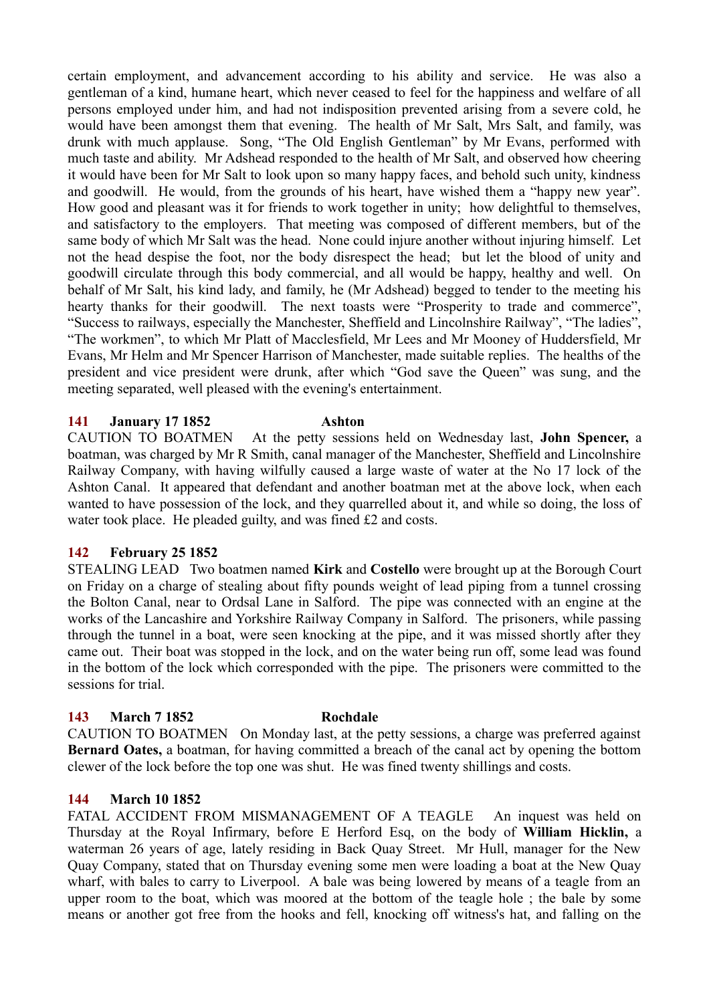certain employment, and advancement according to his ability and service. He was also a gentleman of a kind, humane heart, which never ceased to feel for the happiness and welfare of all persons employed under him, and had not indisposition prevented arising from a severe cold, he would have been amongst them that evening. The health of Mr Salt, Mrs Salt, and family, was drunk with much applause. Song, "The Old English Gentleman" by Mr Evans, performed with much taste and ability. Mr Adshead responded to the health of Mr Salt, and observed how cheering it would have been for Mr Salt to look upon so many happy faces, and behold such unity, kindness and goodwill. He would, from the grounds of his heart, have wished them a "happy new year". How good and pleasant was it for friends to work together in unity; how delightful to themselves, and satisfactory to the employers. That meeting was composed of different members, but of the same body of which Mr Salt was the head. None could injure another without injuring himself. Let not the head despise the foot, nor the body disrespect the head; but let the blood of unity and goodwill circulate through this body commercial, and all would be happy, healthy and well. On behalf of Mr Salt, his kind lady, and family, he (Mr Adshead) begged to tender to the meeting his hearty thanks for their goodwill. The next toasts were "Prosperity to trade and commerce", "Success to railways, especially the Manchester, Sheffield and Lincolnshire Railway", "The ladies", "The workmen", to which Mr Platt of Macclesfield, Mr Lees and Mr Mooney of Huddersfield, Mr Evans, Mr Helm and Mr Spencer Harrison of Manchester, made suitable replies. The healths of the president and vice president were drunk, after which "God save the Queen" was sung, and the meeting separated, well pleased with the evening's entertainment.

### **141 January 17 1852 Ashton**

CAUTION TO BOATMEN At the petty sessions held on Wednesday last, **John Spencer,** a boatman, was charged by Mr R Smith, canal manager of the Manchester, Sheffield and Lincolnshire Railway Company, with having wilfully caused a large waste of water at the No 17 lock of the Ashton Canal. It appeared that defendant and another boatman met at the above lock, when each wanted to have possession of the lock, and they quarrelled about it, and while so doing, the loss of water took place. He pleaded guilty, and was fined £2 and costs.

# **142 February 25 1852**

STEALING LEAD Two boatmen named **Kirk** and **Costello** were brought up at the Borough Court on Friday on a charge of stealing about fifty pounds weight of lead piping from a tunnel crossing the Bolton Canal, near to Ordsal Lane in Salford. The pipe was connected with an engine at the works of the Lancashire and Yorkshire Railway Company in Salford. The prisoners, while passing through the tunnel in a boat, were seen knocking at the pipe, and it was missed shortly after they came out. Their boat was stopped in the lock, and on the water being run off, some lead was found in the bottom of the lock which corresponded with the pipe. The prisoners were committed to the sessions for trial.

# **143 March 7 1852 Rochdale**

CAUTION TO BOATMEN On Monday last, at the petty sessions, a charge was preferred against **Bernard Oates,** a boatman, for having committed a breach of the canal act by opening the bottom clewer of the lock before the top one was shut. He was fined twenty shillings and costs.

### **144 March 10 1852**

FATAL ACCIDENT FROM MISMANAGEMENT OF A TEAGLE An inquest was held on Thursday at the Royal Infirmary, before E Herford Esq, on the body of **William Hicklin,** a waterman 26 years of age, lately residing in Back Quay Street. Mr Hull, manager for the New Quay Company, stated that on Thursday evening some men were loading a boat at the New Quay wharf, with bales to carry to Liverpool. A bale was being lowered by means of a teagle from an upper room to the boat, which was moored at the bottom of the teagle hole ; the bale by some means or another got free from the hooks and fell, knocking off witness's hat, and falling on the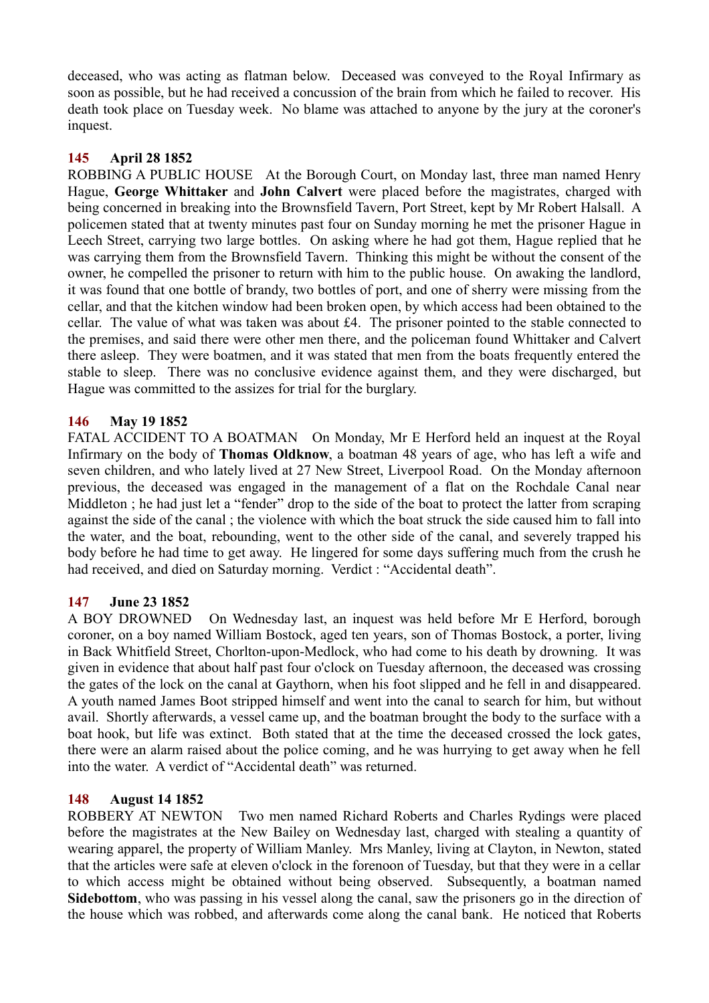deceased, who was acting as flatman below. Deceased was conveyed to the Royal Infirmary as soon as possible, but he had received a concussion of the brain from which he failed to recover. His death took place on Tuesday week. No blame was attached to anyone by the jury at the coroner's inquest.

## **145 April 28 1852**

ROBBING A PUBLIC HOUSE At the Borough Court, on Monday last, three man named Henry Hague, **George Whittaker** and **John Calvert** were placed before the magistrates, charged with being concerned in breaking into the Brownsfield Tavern, Port Street, kept by Mr Robert Halsall. A policemen stated that at twenty minutes past four on Sunday morning he met the prisoner Hague in Leech Street, carrying two large bottles. On asking where he had got them, Hague replied that he was carrying them from the Brownsfield Tavern. Thinking this might be without the consent of the owner, he compelled the prisoner to return with him to the public house. On awaking the landlord, it was found that one bottle of brandy, two bottles of port, and one of sherry were missing from the cellar, and that the kitchen window had been broken open, by which access had been obtained to the cellar. The value of what was taken was about £4. The prisoner pointed to the stable connected to the premises, and said there were other men there, and the policeman found Whittaker and Calvert there asleep. They were boatmen, and it was stated that men from the boats frequently entered the stable to sleep. There was no conclusive evidence against them, and they were discharged, but Hague was committed to the assizes for trial for the burglary.

## **146 May 19 1852**

FATAL ACCIDENT TO A BOATMAN On Monday, Mr E Herford held an inquest at the Royal Infirmary on the body of **Thomas Oldknow**, a boatman 48 years of age, who has left a wife and seven children, and who lately lived at 27 New Street, Liverpool Road. On the Monday afternoon previous, the deceased was engaged in the management of a flat on the Rochdale Canal near Middleton; he had just let a "fender" drop to the side of the boat to protect the latter from scraping against the side of the canal ; the violence with which the boat struck the side caused him to fall into the water, and the boat, rebounding, went to the other side of the canal, and severely trapped his body before he had time to get away. He lingered for some days suffering much from the crush he had received, and died on Saturday morning. Verdict : "Accidental death".

# **147 June 23 1852**

A BOY DROWNED On Wednesday last, an inquest was held before Mr E Herford, borough coroner, on a boy named William Bostock, aged ten years, son of Thomas Bostock, a porter, living in Back Whitfield Street, Chorlton-upon-Medlock, who had come to his death by drowning. It was given in evidence that about half past four o'clock on Tuesday afternoon, the deceased was crossing the gates of the lock on the canal at Gaythorn, when his foot slipped and he fell in and disappeared. A youth named James Boot stripped himself and went into the canal to search for him, but without avail. Shortly afterwards, a vessel came up, and the boatman brought the body to the surface with a boat hook, but life was extinct. Both stated that at the time the deceased crossed the lock gates, there were an alarm raised about the police coming, and he was hurrying to get away when he fell into the water. A verdict of "Accidental death" was returned.

### **148 August 14 1852**

ROBBERY AT NEWTON Two men named Richard Roberts and Charles Rydings were placed before the magistrates at the New Bailey on Wednesday last, charged with stealing a quantity of wearing apparel, the property of William Manley. Mrs Manley, living at Clayton, in Newton, stated that the articles were safe at eleven o'clock in the forenoon of Tuesday, but that they were in a cellar to which access might be obtained without being observed. Subsequently, a boatman named **Sidebottom**, who was passing in his vessel along the canal, saw the prisoners go in the direction of the house which was robbed, and afterwards come along the canal bank. He noticed that Roberts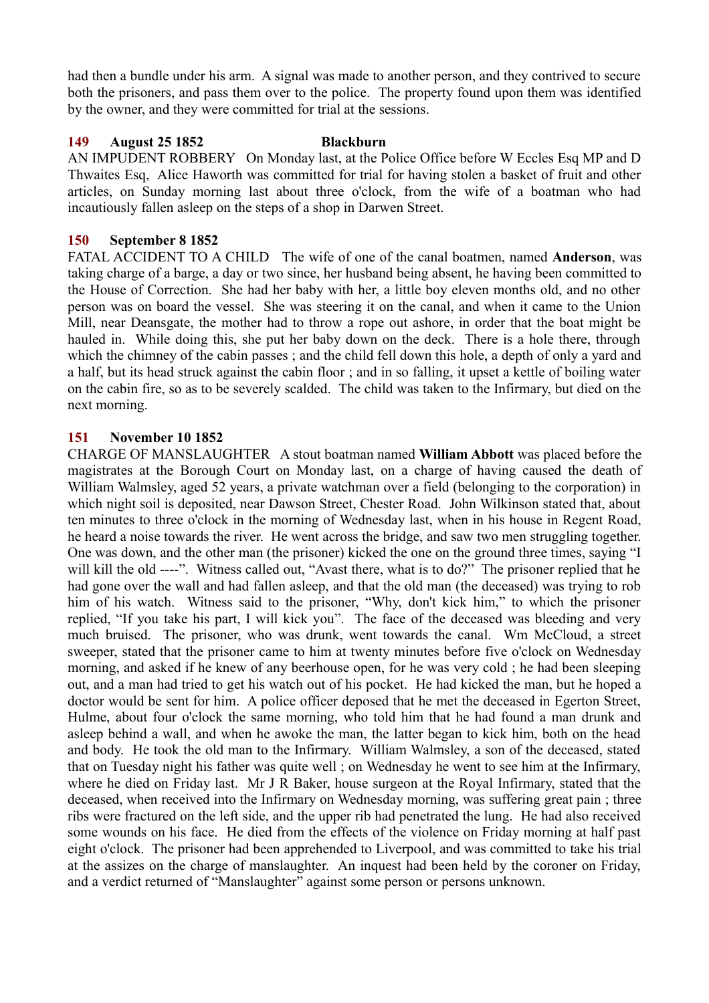had then a bundle under his arm. A signal was made to another person, and they contrived to secure both the prisoners, and pass them over to the police. The property found upon them was identified by the owner, and they were committed for trial at the sessions.

### **149 August 25 1852 Blackburn**

AN IMPUDENT ROBBERY On Monday last, at the Police Office before W Eccles Esq MP and D Thwaites Esq, Alice Haworth was committed for trial for having stolen a basket of fruit and other articles, on Sunday morning last about three o'clock, from the wife of a boatman who had incautiously fallen asleep on the steps of a shop in Darwen Street.

### **150 September 8 1852**

FATAL ACCIDENT TO A CHILD The wife of one of the canal boatmen, named **Anderson**, was taking charge of a barge, a day or two since, her husband being absent, he having been committed to the House of Correction. She had her baby with her, a little boy eleven months old, and no other person was on board the vessel. She was steering it on the canal, and when it came to the Union Mill, near Deansgate, the mother had to throw a rope out ashore, in order that the boat might be hauled in. While doing this, she put her baby down on the deck. There is a hole there, through which the chimney of the cabin passes ; and the child fell down this hole, a depth of only a yard and a half, but its head struck against the cabin floor ; and in so falling, it upset a kettle of boiling water on the cabin fire, so as to be severely scalded. The child was taken to the Infirmary, but died on the next morning.

### **151 November 10 1852**

CHARGE OF MANSLAUGHTER A stout boatman named **William Abbott** was placed before the magistrates at the Borough Court on Monday last, on a charge of having caused the death of William Walmsley, aged 52 years, a private watchman over a field (belonging to the corporation) in which night soil is deposited, near Dawson Street, Chester Road. John Wilkinson stated that, about ten minutes to three o'clock in the morning of Wednesday last, when in his house in Regent Road, he heard a noise towards the river. He went across the bridge, and saw two men struggling together. One was down, and the other man (the prisoner) kicked the one on the ground three times, saying "I will kill the old ----". Witness called out, "Avast there, what is to do?" The prisoner replied that he had gone over the wall and had fallen asleep, and that the old man (the deceased) was trying to rob him of his watch. Witness said to the prisoner, "Why, don't kick him," to which the prisoner replied, "If you take his part, I will kick you". The face of the deceased was bleeding and very much bruised. The prisoner, who was drunk, went towards the canal. Wm McCloud, a street sweeper, stated that the prisoner came to him at twenty minutes before five o'clock on Wednesday morning, and asked if he knew of any beerhouse open, for he was very cold ; he had been sleeping out, and a man had tried to get his watch out of his pocket. He had kicked the man, but he hoped a doctor would be sent for him. A police officer deposed that he met the deceased in Egerton Street, Hulme, about four o'clock the same morning, who told him that he had found a man drunk and asleep behind a wall, and when he awoke the man, the latter began to kick him, both on the head and body. He took the old man to the Infirmary. William Walmsley, a son of the deceased, stated that on Tuesday night his father was quite well ; on Wednesday he went to see him at the Infirmary, where he died on Friday last. Mr J R Baker, house surgeon at the Royal Infirmary, stated that the deceased, when received into the Infirmary on Wednesday morning, was suffering great pain ; three ribs were fractured on the left side, and the upper rib had penetrated the lung. He had also received some wounds on his face. He died from the effects of the violence on Friday morning at half past eight o'clock. The prisoner had been apprehended to Liverpool, and was committed to take his trial at the assizes on the charge of manslaughter. An inquest had been held by the coroner on Friday, and a verdict returned of "Manslaughter" against some person or persons unknown.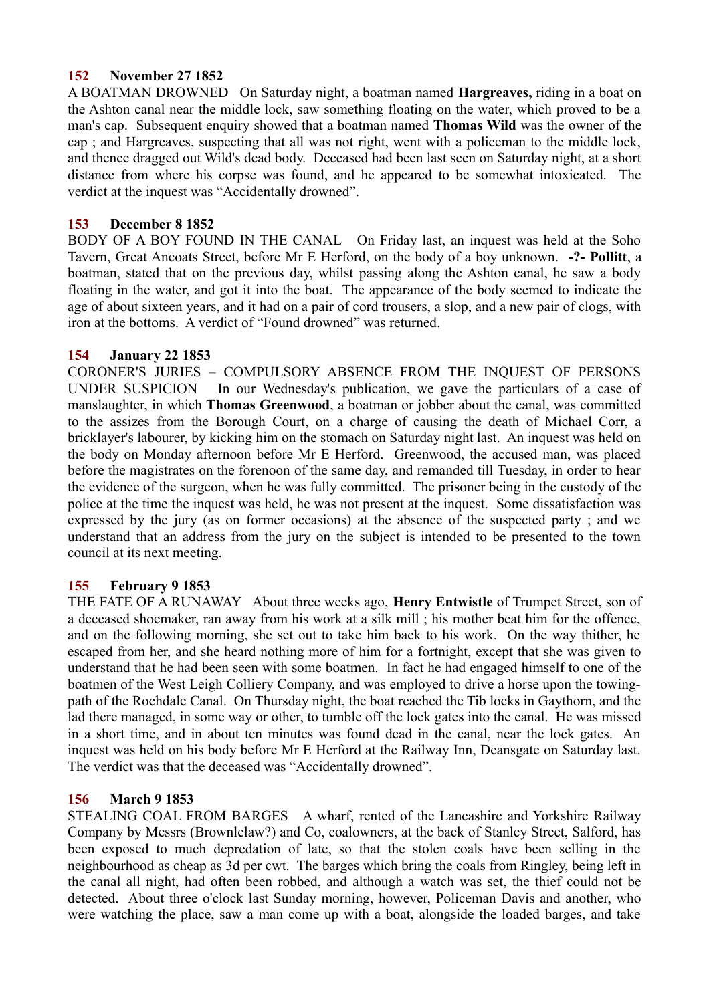# **152 November 27 1852**

A BOATMAN DROWNED On Saturday night, a boatman named **Hargreaves,** riding in a boat on the Ashton canal near the middle lock, saw something floating on the water, which proved to be a man's cap. Subsequent enquiry showed that a boatman named **Thomas Wild** was the owner of the cap ; and Hargreaves, suspecting that all was not right, went with a policeman to the middle lock, and thence dragged out Wild's dead body. Deceased had been last seen on Saturday night, at a short distance from where his corpse was found, and he appeared to be somewhat intoxicated. The verdict at the inquest was "Accidentally drowned".

# **153 December 8 1852**

BODY OF A BOY FOUND IN THE CANAL On Friday last, an inquest was held at the Soho Tavern, Great Ancoats Street, before Mr E Herford, on the body of a boy unknown. **-?- Pollitt**, a boatman, stated that on the previous day, whilst passing along the Ashton canal, he saw a body floating in the water, and got it into the boat. The appearance of the body seemed to indicate the age of about sixteen years, and it had on a pair of cord trousers, a slop, and a new pair of clogs, with iron at the bottoms. A verdict of "Found drowned" was returned.

# **154 January 22 1853**

CORONER'S JURIES – COMPULSORY ABSENCE FROM THE INQUEST OF PERSONS UNDER SUSPICION In our Wednesday's publication, we gave the particulars of a case of manslaughter, in which **Thomas Greenwood**, a boatman or jobber about the canal, was committed to the assizes from the Borough Court, on a charge of causing the death of Michael Corr, a bricklayer's labourer, by kicking him on the stomach on Saturday night last. An inquest was held on the body on Monday afternoon before Mr E Herford. Greenwood, the accused man, was placed before the magistrates on the forenoon of the same day, and remanded till Tuesday, in order to hear the evidence of the surgeon, when he was fully committed. The prisoner being in the custody of the police at the time the inquest was held, he was not present at the inquest. Some dissatisfaction was expressed by the jury (as on former occasions) at the absence of the suspected party ; and we understand that an address from the jury on the subject is intended to be presented to the town council at its next meeting.

# **155 February 9 1853**

THE FATE OF A RUNAWAY About three weeks ago, **Henry Entwistle** of Trumpet Street, son of a deceased shoemaker, ran away from his work at a silk mill ; his mother beat him for the offence, and on the following morning, she set out to take him back to his work. On the way thither, he escaped from her, and she heard nothing more of him for a fortnight, except that she was given to understand that he had been seen with some boatmen. In fact he had engaged himself to one of the boatmen of the West Leigh Colliery Company, and was employed to drive a horse upon the towingpath of the Rochdale Canal. On Thursday night, the boat reached the Tib locks in Gaythorn, and the lad there managed, in some way or other, to tumble off the lock gates into the canal. He was missed in a short time, and in about ten minutes was found dead in the canal, near the lock gates. An inquest was held on his body before Mr E Herford at the Railway Inn, Deansgate on Saturday last. The verdict was that the deceased was "Accidentally drowned".

# **156 March 9 1853**

STEALING COAL FROM BARGES A wharf, rented of the Lancashire and Yorkshire Railway Company by Messrs (Brownlelaw?) and Co, coalowners, at the back of Stanley Street, Salford, has been exposed to much depredation of late, so that the stolen coals have been selling in the neighbourhood as cheap as 3d per cwt. The barges which bring the coals from Ringley, being left in the canal all night, had often been robbed, and although a watch was set, the thief could not be detected. About three o'clock last Sunday morning, however, Policeman Davis and another, who were watching the place, saw a man come up with a boat, alongside the loaded barges, and take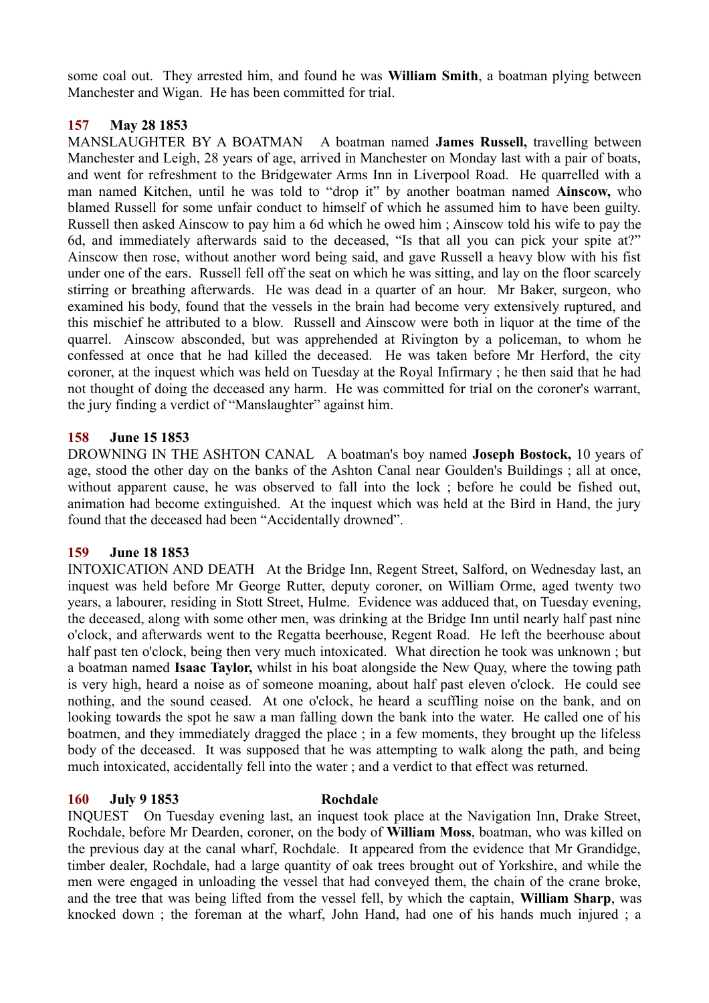some coal out. They arrested him, and found he was **William Smith**, a boatman plying between Manchester and Wigan. He has been committed for trial.

## **157 May 28 1853**

MANSLAUGHTER BY A BOATMAN A boatman named **James Russell,** travelling between Manchester and Leigh, 28 years of age, arrived in Manchester on Monday last with a pair of boats, and went for refreshment to the Bridgewater Arms Inn in Liverpool Road. He quarrelled with a man named Kitchen, until he was told to "drop it" by another boatman named **Ainscow,** who blamed Russell for some unfair conduct to himself of which he assumed him to have been guilty. Russell then asked Ainscow to pay him a 6d which he owed him ; Ainscow told his wife to pay the 6d, and immediately afterwards said to the deceased, "Is that all you can pick your spite at?" Ainscow then rose, without another word being said, and gave Russell a heavy blow with his fist under one of the ears. Russell fell off the seat on which he was sitting, and lay on the floor scarcely stirring or breathing afterwards. He was dead in a quarter of an hour. Mr Baker, surgeon, who examined his body, found that the vessels in the brain had become very extensively ruptured, and this mischief he attributed to a blow. Russell and Ainscow were both in liquor at the time of the quarrel. Ainscow absconded, but was apprehended at Rivington by a policeman, to whom he confessed at once that he had killed the deceased. He was taken before Mr Herford, the city coroner, at the inquest which was held on Tuesday at the Royal Infirmary ; he then said that he had not thought of doing the deceased any harm. He was committed for trial on the coroner's warrant, the jury finding a verdict of "Manslaughter" against him.

## **158 June 15 1853**

DROWNING IN THE ASHTON CANAL A boatman's boy named **Joseph Bostock,** 10 years of age, stood the other day on the banks of the Ashton Canal near Goulden's Buildings ; all at once, without apparent cause, he was observed to fall into the lock ; before he could be fished out, animation had become extinguished. At the inquest which was held at the Bird in Hand, the jury found that the deceased had been "Accidentally drowned".

### **159 June 18 1853**

INTOXICATION AND DEATH At the Bridge Inn, Regent Street, Salford, on Wednesday last, an inquest was held before Mr George Rutter, deputy coroner, on William Orme, aged twenty two years, a labourer, residing in Stott Street, Hulme. Evidence was adduced that, on Tuesday evening, the deceased, along with some other men, was drinking at the Bridge Inn until nearly half past nine o'clock, and afterwards went to the Regatta beerhouse, Regent Road. He left the beerhouse about half past ten o'clock, being then very much intoxicated. What direction he took was unknown ; but a boatman named **Isaac Taylor,** whilst in his boat alongside the New Quay, where the towing path is very high, heard a noise as of someone moaning, about half past eleven o'clock. He could see nothing, and the sound ceased. At one o'clock, he heard a scuffling noise on the bank, and on looking towards the spot he saw a man falling down the bank into the water. He called one of his boatmen, and they immediately dragged the place ; in a few moments, they brought up the lifeless body of the deceased. It was supposed that he was attempting to walk along the path, and being much intoxicated, accidentally fell into the water ; and a verdict to that effect was returned.

### **160 July 9 1853 Rochdale**

INQUEST On Tuesday evening last, an inquest took place at the Navigation Inn, Drake Street, Rochdale, before Mr Dearden, coroner, on the body of **William Moss**, boatman, who was killed on the previous day at the canal wharf, Rochdale. It appeared from the evidence that Mr Grandidge, timber dealer, Rochdale, had a large quantity of oak trees brought out of Yorkshire, and while the men were engaged in unloading the vessel that had conveyed them, the chain of the crane broke, and the tree that was being lifted from the vessel fell, by which the captain, **William Sharp**, was knocked down ; the foreman at the wharf, John Hand, had one of his hands much injured ; a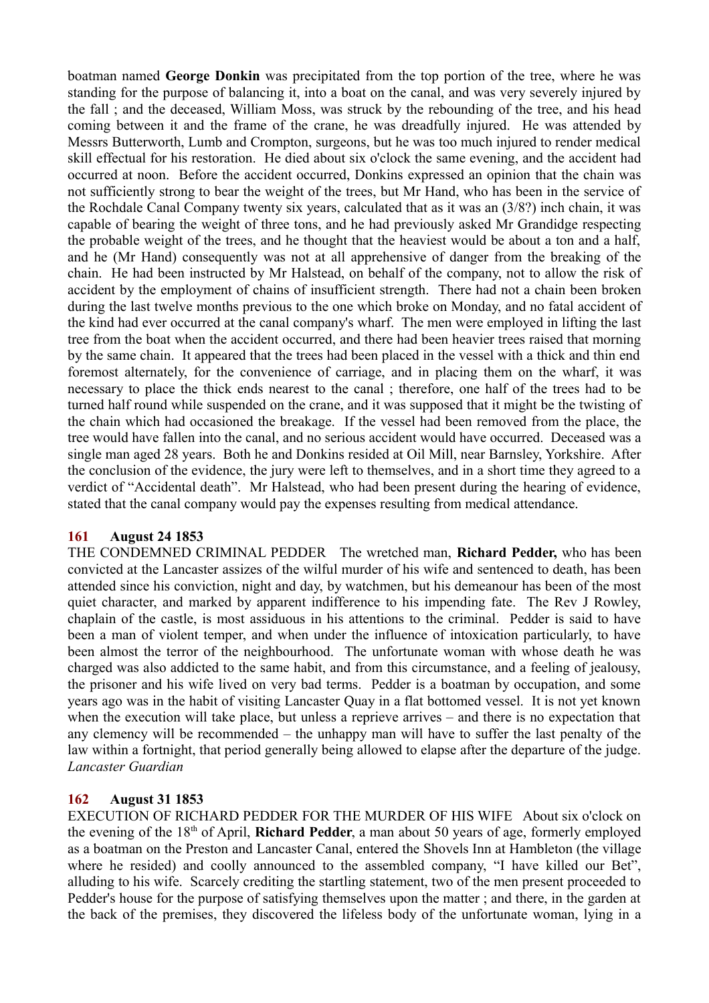boatman named **George Donkin** was precipitated from the top portion of the tree, where he was standing for the purpose of balancing it, into a boat on the canal, and was very severely injured by the fall ; and the deceased, William Moss, was struck by the rebounding of the tree, and his head coming between it and the frame of the crane, he was dreadfully injured. He was attended by Messrs Butterworth, Lumb and Crompton, surgeons, but he was too much injured to render medical skill effectual for his restoration. He died about six o'clock the same evening, and the accident had occurred at noon. Before the accident occurred, Donkins expressed an opinion that the chain was not sufficiently strong to bear the weight of the trees, but Mr Hand, who has been in the service of the Rochdale Canal Company twenty six years, calculated that as it was an (3/8?) inch chain, it was capable of bearing the weight of three tons, and he had previously asked Mr Grandidge respecting the probable weight of the trees, and he thought that the heaviest would be about a ton and a half, and he (Mr Hand) consequently was not at all apprehensive of danger from the breaking of the chain. He had been instructed by Mr Halstead, on behalf of the company, not to allow the risk of accident by the employment of chains of insufficient strength. There had not a chain been broken during the last twelve months previous to the one which broke on Monday, and no fatal accident of the kind had ever occurred at the canal company's wharf. The men were employed in lifting the last tree from the boat when the accident occurred, and there had been heavier trees raised that morning by the same chain. It appeared that the trees had been placed in the vessel with a thick and thin end foremost alternately, for the convenience of carriage, and in placing them on the wharf, it was necessary to place the thick ends nearest to the canal ; therefore, one half of the trees had to be turned half round while suspended on the crane, and it was supposed that it might be the twisting of the chain which had occasioned the breakage. If the vessel had been removed from the place, the tree would have fallen into the canal, and no serious accident would have occurred. Deceased was a single man aged 28 years. Both he and Donkins resided at Oil Mill, near Barnsley, Yorkshire. After the conclusion of the evidence, the jury were left to themselves, and in a short time they agreed to a verdict of "Accidental death". Mr Halstead, who had been present during the hearing of evidence, stated that the canal company would pay the expenses resulting from medical attendance.

### **161 August 24 1853**

THE CONDEMNED CRIMINAL PEDDER The wretched man, **Richard Pedder,** who has been convicted at the Lancaster assizes of the wilful murder of his wife and sentenced to death, has been attended since his conviction, night and day, by watchmen, but his demeanour has been of the most quiet character, and marked by apparent indifference to his impending fate. The Rev J Rowley, chaplain of the castle, is most assiduous in his attentions to the criminal. Pedder is said to have been a man of violent temper, and when under the influence of intoxication particularly, to have been almost the terror of the neighbourhood. The unfortunate woman with whose death he was charged was also addicted to the same habit, and from this circumstance, and a feeling of jealousy, the prisoner and his wife lived on very bad terms. Pedder is a boatman by occupation, and some years ago was in the habit of visiting Lancaster Quay in a flat bottomed vessel. It is not yet known when the execution will take place, but unless a reprieve arrives – and there is no expectation that any clemency will be recommended – the unhappy man will have to suffer the last penalty of the law within a fortnight, that period generally being allowed to elapse after the departure of the judge. *Lancaster Guardian*

# **162 August 31 1853**

EXECUTION OF RICHARD PEDDER FOR THE MURDER OF HIS WIFE About six o'clock on the evening of the 18th of April, **Richard Pedder**, a man about 50 years of age, formerly employed as a boatman on the Preston and Lancaster Canal, entered the Shovels Inn at Hambleton (the village where he resided) and coolly announced to the assembled company, "I have killed our Bet", alluding to his wife. Scarcely crediting the startling statement, two of the men present proceeded to Pedder's house for the purpose of satisfying themselves upon the matter ; and there, in the garden at the back of the premises, they discovered the lifeless body of the unfortunate woman, lying in a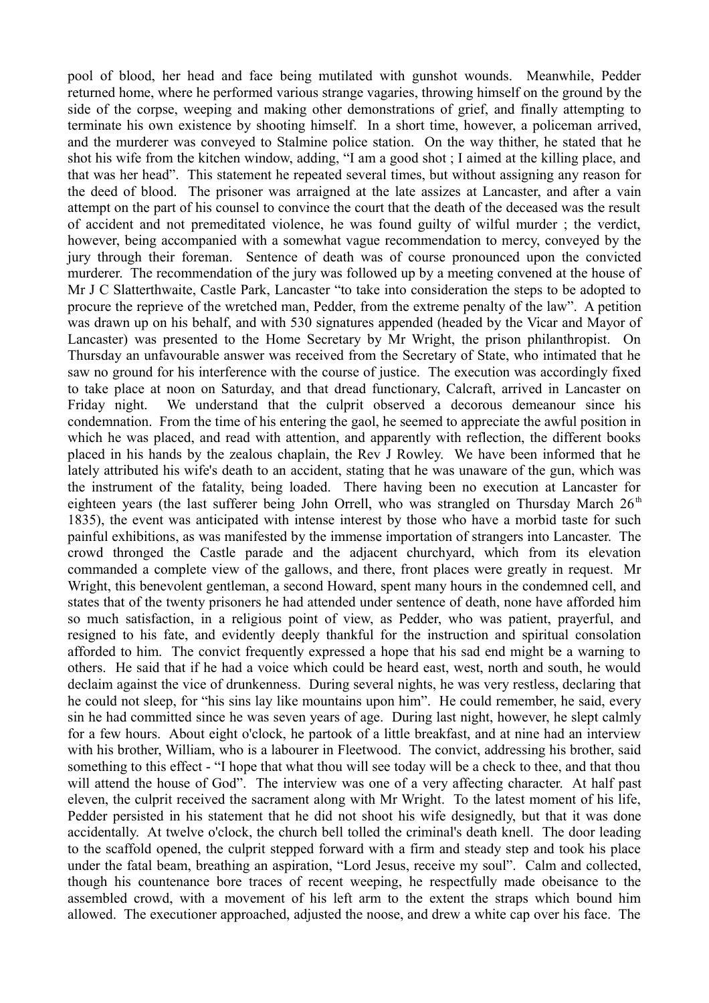pool of blood, her head and face being mutilated with gunshot wounds. Meanwhile, Pedder returned home, where he performed various strange vagaries, throwing himself on the ground by the side of the corpse, weeping and making other demonstrations of grief, and finally attempting to terminate his own existence by shooting himself. In a short time, however, a policeman arrived, and the murderer was conveyed to Stalmine police station. On the way thither, he stated that he shot his wife from the kitchen window, adding, "I am a good shot ; I aimed at the killing place, and that was her head". This statement he repeated several times, but without assigning any reason for the deed of blood. The prisoner was arraigned at the late assizes at Lancaster, and after a vain attempt on the part of his counsel to convince the court that the death of the deceased was the result of accident and not premeditated violence, he was found guilty of wilful murder ; the verdict, however, being accompanied with a somewhat vague recommendation to mercy, conveyed by the jury through their foreman. Sentence of death was of course pronounced upon the convicted murderer. The recommendation of the jury was followed up by a meeting convened at the house of Mr J C Slatterthwaite, Castle Park, Lancaster "to take into consideration the steps to be adopted to procure the reprieve of the wretched man, Pedder, from the extreme penalty of the law". A petition was drawn up on his behalf, and with 530 signatures appended (headed by the Vicar and Mayor of Lancaster) was presented to the Home Secretary by Mr Wright, the prison philanthropist. On Thursday an unfavourable answer was received from the Secretary of State, who intimated that he saw no ground for his interference with the course of justice. The execution was accordingly fixed to take place at noon on Saturday, and that dread functionary, Calcraft, arrived in Lancaster on Friday night. We understand that the culprit observed a decorous demeanour since his condemnation. From the time of his entering the gaol, he seemed to appreciate the awful position in which he was placed, and read with attention, and apparently with reflection, the different books placed in his hands by the zealous chaplain, the Rev J Rowley. We have been informed that he lately attributed his wife's death to an accident, stating that he was unaware of the gun, which was the instrument of the fatality, being loaded. There having been no execution at Lancaster for eighteen years (the last sufferer being John Orrell, who was strangled on Thursday March  $26<sup>th</sup>$ 1835), the event was anticipated with intense interest by those who have a morbid taste for such painful exhibitions, as was manifested by the immense importation of strangers into Lancaster. The crowd thronged the Castle parade and the adjacent churchyard, which from its elevation commanded a complete view of the gallows, and there, front places were greatly in request. Mr Wright, this benevolent gentleman, a second Howard, spent many hours in the condemned cell, and states that of the twenty prisoners he had attended under sentence of death, none have afforded him so much satisfaction, in a religious point of view, as Pedder, who was patient, prayerful, and resigned to his fate, and evidently deeply thankful for the instruction and spiritual consolation afforded to him. The convict frequently expressed a hope that his sad end might be a warning to others. He said that if he had a voice which could be heard east, west, north and south, he would declaim against the vice of drunkenness. During several nights, he was very restless, declaring that he could not sleep, for "his sins lay like mountains upon him". He could remember, he said, every sin he had committed since he was seven years of age. During last night, however, he slept calmly for a few hours. About eight o'clock, he partook of a little breakfast, and at nine had an interview with his brother, William, who is a labourer in Fleetwood. The convict, addressing his brother, said something to this effect - "I hope that what thou will see today will be a check to thee, and that thou will attend the house of God". The interview was one of a very affecting character. At half past eleven, the culprit received the sacrament along with Mr Wright. To the latest moment of his life, Pedder persisted in his statement that he did not shoot his wife designedly, but that it was done accidentally. At twelve o'clock, the church bell tolled the criminal's death knell. The door leading to the scaffold opened, the culprit stepped forward with a firm and steady step and took his place under the fatal beam, breathing an aspiration, "Lord Jesus, receive my soul". Calm and collected, though his countenance bore traces of recent weeping, he respectfully made obeisance to the assembled crowd, with a movement of his left arm to the extent the straps which bound him allowed. The executioner approached, adjusted the noose, and drew a white cap over his face. The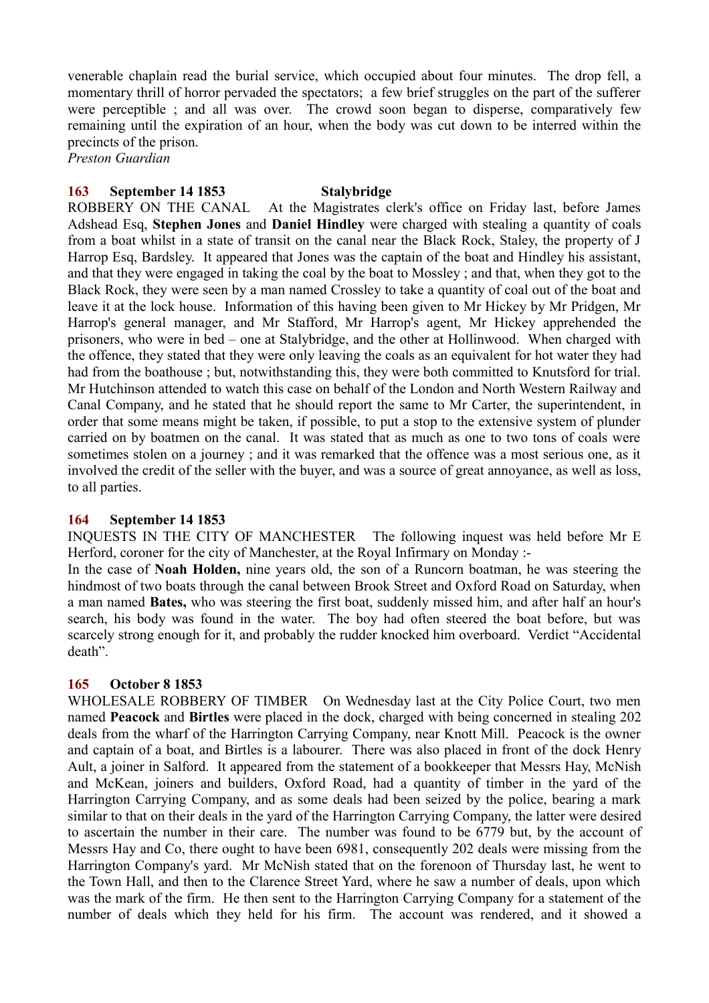venerable chaplain read the burial service, which occupied about four minutes. The drop fell, a momentary thrill of horror pervaded the spectators; a few brief struggles on the part of the sufferer were perceptible ; and all was over. The crowd soon began to disperse, comparatively few remaining until the expiration of an hour, when the body was cut down to be interred within the precincts of the prison.

*Preston Guardian*

## **163 September 14 1853 Stalybridge**

ROBBERY ON THE CANAL At the Magistrates clerk's office on Friday last, before James Adshead Esq, **Stephen Jones** and **Daniel Hindley** were charged with stealing a quantity of coals from a boat whilst in a state of transit on the canal near the Black Rock, Staley, the property of J Harrop Esq, Bardsley. It appeared that Jones was the captain of the boat and Hindley his assistant, and that they were engaged in taking the coal by the boat to Mossley ; and that, when they got to the Black Rock, they were seen by a man named Crossley to take a quantity of coal out of the boat and leave it at the lock house. Information of this having been given to Mr Hickey by Mr Pridgen, Mr Harrop's general manager, and Mr Stafford, Mr Harrop's agent, Mr Hickey apprehended the prisoners, who were in bed – one at Stalybridge, and the other at Hollinwood. When charged with the offence, they stated that they were only leaving the coals as an equivalent for hot water they had had from the boathouse ; but, notwithstanding this, they were both committed to Knutsford for trial. Mr Hutchinson attended to watch this case on behalf of the London and North Western Railway and Canal Company, and he stated that he should report the same to Mr Carter, the superintendent, in order that some means might be taken, if possible, to put a stop to the extensive system of plunder carried on by boatmen on the canal. It was stated that as much as one to two tons of coals were sometimes stolen on a journey ; and it was remarked that the offence was a most serious one, as it involved the credit of the seller with the buyer, and was a source of great annoyance, as well as loss, to all parties.

### **164 September 14 1853**

INQUESTS IN THE CITY OF MANCHESTER The following inquest was held before Mr E Herford, coroner for the city of Manchester, at the Royal Infirmary on Monday :-

In the case of **Noah Holden,** nine years old, the son of a Runcorn boatman, he was steering the hindmost of two boats through the canal between Brook Street and Oxford Road on Saturday, when a man named **Bates,** who was steering the first boat, suddenly missed him, and after half an hour's search, his body was found in the water. The boy had often steered the boat before, but was scarcely strong enough for it, and probably the rudder knocked him overboard. Verdict "Accidental death".

### **165 October 8 1853**

WHOLESALE ROBBERY OF TIMBER On Wednesday last at the City Police Court, two men named **Peacock** and **Birtles** were placed in the dock, charged with being concerned in stealing 202 deals from the wharf of the Harrington Carrying Company, near Knott Mill. Peacock is the owner and captain of a boat, and Birtles is a labourer. There was also placed in front of the dock Henry Ault, a joiner in Salford. It appeared from the statement of a bookkeeper that Messrs Hay, McNish and McKean, joiners and builders, Oxford Road, had a quantity of timber in the yard of the Harrington Carrying Company, and as some deals had been seized by the police, bearing a mark similar to that on their deals in the yard of the Harrington Carrying Company, the latter were desired to ascertain the number in their care. The number was found to be 6779 but, by the account of Messrs Hay and Co, there ought to have been 6981, consequently 202 deals were missing from the Harrington Company's yard. Mr McNish stated that on the forenoon of Thursday last, he went to the Town Hall, and then to the Clarence Street Yard, where he saw a number of deals, upon which was the mark of the firm. He then sent to the Harrington Carrying Company for a statement of the number of deals which they held for his firm. The account was rendered, and it showed a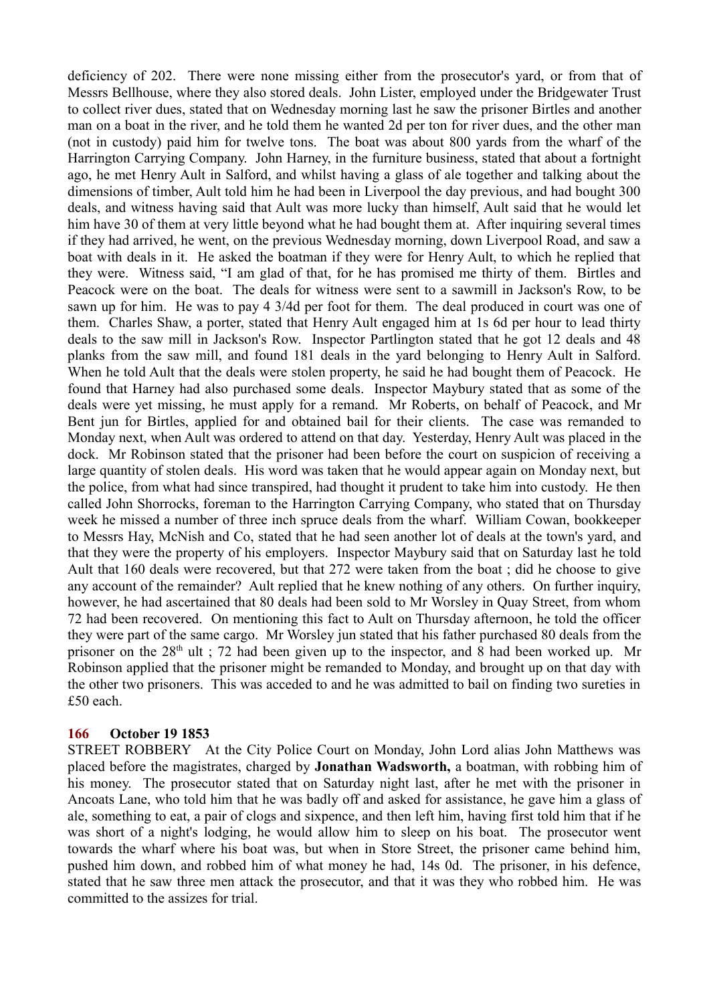deficiency of 202. There were none missing either from the prosecutor's yard, or from that of Messrs Bellhouse, where they also stored deals. John Lister, employed under the Bridgewater Trust to collect river dues, stated that on Wednesday morning last he saw the prisoner Birtles and another man on a boat in the river, and he told them he wanted 2d per ton for river dues, and the other man (not in custody) paid him for twelve tons. The boat was about 800 yards from the wharf of the Harrington Carrying Company. John Harney, in the furniture business, stated that about a fortnight ago, he met Henry Ault in Salford, and whilst having a glass of ale together and talking about the dimensions of timber, Ault told him he had been in Liverpool the day previous, and had bought 300 deals, and witness having said that Ault was more lucky than himself, Ault said that he would let him have 30 of them at very little beyond what he had bought them at. After inquiring several times if they had arrived, he went, on the previous Wednesday morning, down Liverpool Road, and saw a boat with deals in it. He asked the boatman if they were for Henry Ault, to which he replied that they were. Witness said, "I am glad of that, for he has promised me thirty of them. Birtles and Peacock were on the boat. The deals for witness were sent to a sawmill in Jackson's Row, to be sawn up for him. He was to pay 4 3/4d per foot for them. The deal produced in court was one of them. Charles Shaw, a porter, stated that Henry Ault engaged him at 1s 6d per hour to lead thirty deals to the saw mill in Jackson's Row. Inspector Partlington stated that he got 12 deals and 48 planks from the saw mill, and found 181 deals in the yard belonging to Henry Ault in Salford. When he told Ault that the deals were stolen property, he said he had bought them of Peacock. He found that Harney had also purchased some deals. Inspector Maybury stated that as some of the deals were yet missing, he must apply for a remand. Mr Roberts, on behalf of Peacock, and Mr Bent jun for Birtles, applied for and obtained bail for their clients. The case was remanded to Monday next, when Ault was ordered to attend on that day. Yesterday, Henry Ault was placed in the dock. Mr Robinson stated that the prisoner had been before the court on suspicion of receiving a large quantity of stolen deals. His word was taken that he would appear again on Monday next, but the police, from what had since transpired, had thought it prudent to take him into custody. He then called John Shorrocks, foreman to the Harrington Carrying Company, who stated that on Thursday week he missed a number of three inch spruce deals from the wharf. William Cowan, bookkeeper to Messrs Hay, McNish and Co, stated that he had seen another lot of deals at the town's yard, and that they were the property of his employers. Inspector Maybury said that on Saturday last he told Ault that 160 deals were recovered, but that 272 were taken from the boat ; did he choose to give any account of the remainder? Ault replied that he knew nothing of any others. On further inquiry, however, he had ascertained that 80 deals had been sold to Mr Worsley in Quay Street, from whom 72 had been recovered. On mentioning this fact to Ault on Thursday afternoon, he told the officer they were part of the same cargo. Mr Worsley jun stated that his father purchased 80 deals from the prisoner on the  $28<sup>th</sup>$  ult ; 72 had been given up to the inspector, and 8 had been worked up. Mr Robinson applied that the prisoner might be remanded to Monday, and brought up on that day with the other two prisoners. This was acceded to and he was admitted to bail on finding two sureties in £50 each.

### **166 October 19 1853**

STREET ROBBERY At the City Police Court on Monday, John Lord alias John Matthews was placed before the magistrates, charged by **Jonathan Wadsworth,** a boatman, with robbing him of his money. The prosecutor stated that on Saturday night last, after he met with the prisoner in Ancoats Lane, who told him that he was badly off and asked for assistance, he gave him a glass of ale, something to eat, a pair of clogs and sixpence, and then left him, having first told him that if he was short of a night's lodging, he would allow him to sleep on his boat. The prosecutor went towards the wharf where his boat was, but when in Store Street, the prisoner came behind him, pushed him down, and robbed him of what money he had, 14s 0d. The prisoner, in his defence, stated that he saw three men attack the prosecutor, and that it was they who robbed him. He was committed to the assizes for trial.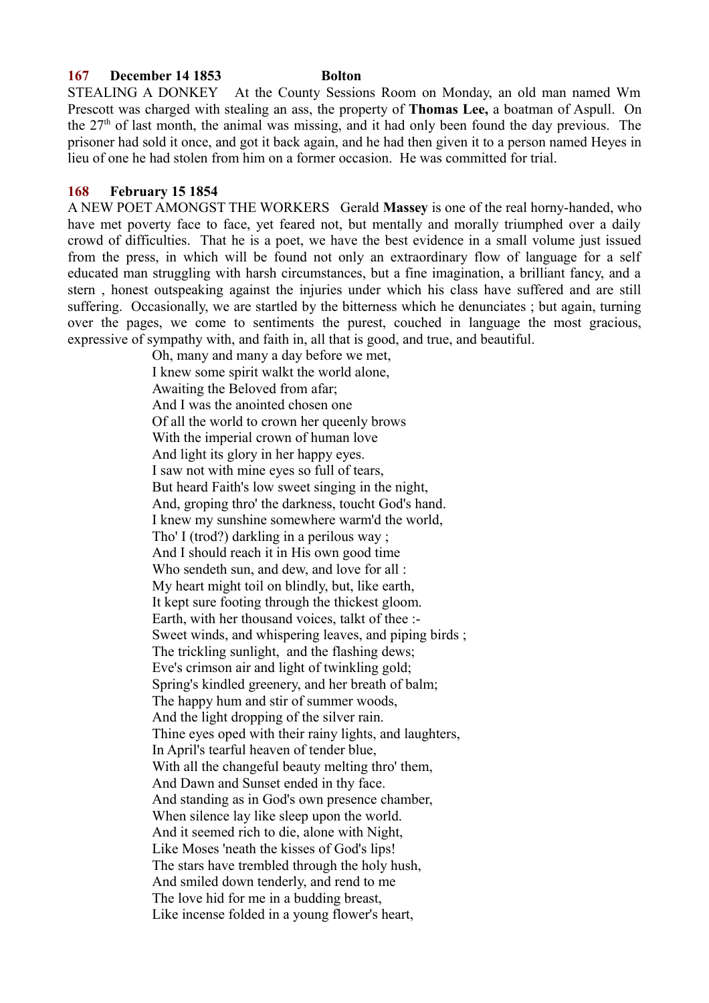#### **167 December 14 1853 Bolton**

STEALING A DONKEY At the County Sessions Room on Monday, an old man named Wm Prescott was charged with stealing an ass, the property of **Thomas Lee,** a boatman of Aspull. On the  $27<sup>th</sup>$  of last month, the animal was missing, and it had only been found the day previous. The prisoner had sold it once, and got it back again, and he had then given it to a person named Heyes in lieu of one he had stolen from him on a former occasion. He was committed for trial.

#### **168 February 15 1854**

A NEW POET AMONGST THE WORKERS Gerald **Massey** is one of the real horny-handed, who have met poverty face to face, yet feared not, but mentally and morally triumphed over a daily crowd of difficulties. That he is a poet, we have the best evidence in a small volume just issued from the press, in which will be found not only an extraordinary flow of language for a self educated man struggling with harsh circumstances, but a fine imagination, a brilliant fancy, and a stern , honest outspeaking against the injuries under which his class have suffered and are still suffering. Occasionally, we are startled by the bitterness which he denunciates ; but again, turning over the pages, we come to sentiments the purest, couched in language the most gracious, expressive of sympathy with, and faith in, all that is good, and true, and beautiful.

Oh, many and many a day before we met, I knew some spirit walkt the world alone, Awaiting the Beloved from afar; And I was the anointed chosen one Of all the world to crown her queenly brows With the imperial crown of human love And light its glory in her happy eyes. I saw not with mine eyes so full of tears, But heard Faith's low sweet singing in the night, And, groping thro' the darkness, toucht God's hand. I knew my sunshine somewhere warm'd the world, Tho' I (trod?) darkling in a perilous way; And I should reach it in His own good time Who sendeth sun, and dew, and love for all : My heart might toil on blindly, but, like earth, It kept sure footing through the thickest gloom. Earth, with her thousand voices, talkt of thee :- Sweet winds, and whispering leaves, and piping birds ; The trickling sunlight, and the flashing dews; Eve's crimson air and light of twinkling gold; Spring's kindled greenery, and her breath of balm; The happy hum and stir of summer woods, And the light dropping of the silver rain. Thine eyes oped with their rainy lights, and laughters, In April's tearful heaven of tender blue, With all the changeful beauty melting thro' them, And Dawn and Sunset ended in thy face. And standing as in God's own presence chamber, When silence lay like sleep upon the world. And it seemed rich to die, alone with Night, Like Moses 'neath the kisses of God's lips! The stars have trembled through the holy hush, And smiled down tenderly, and rend to me The love hid for me in a budding breast, Like incense folded in a young flower's heart,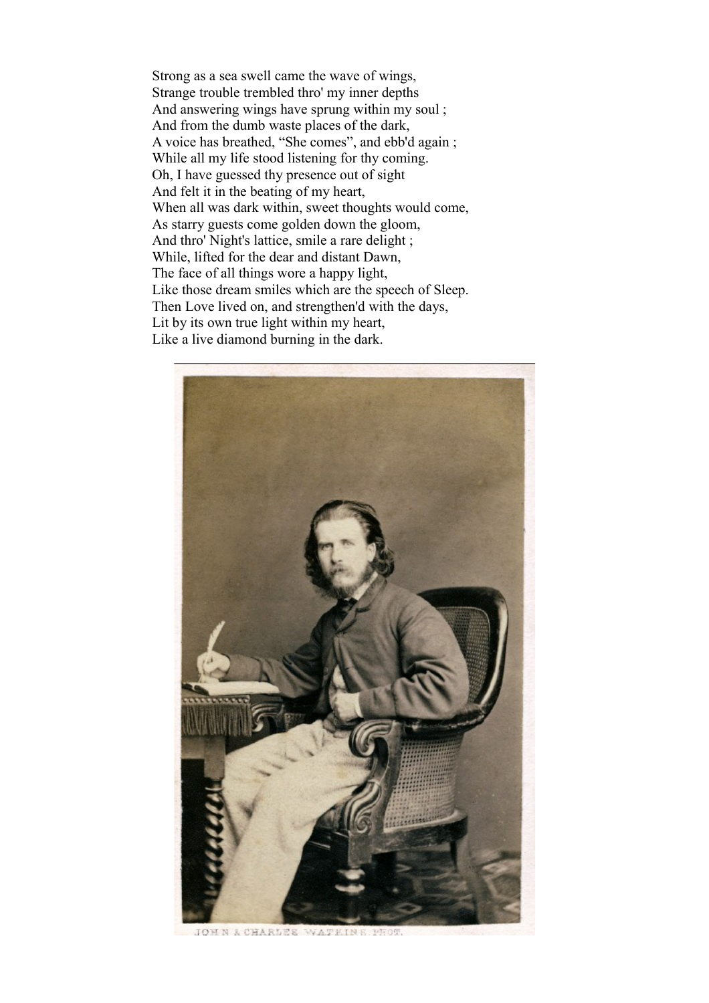Strong as a sea swell came the wave of wings, Strange trouble trembled thro' my inner depths And answering wings have sprung within my soul ; And from the dumb waste places of the dark, A voice has breathed, "She comes", and ebb'd again ; While all my life stood listening for thy coming. Oh, I have guessed thy presence out of sight And felt it in the beating of my heart, When all was dark within, sweet thoughts would come, As starry guests come golden down the gloom, And thro' Night's lattice, smile a rare delight ; While, lifted for the dear and distant Dawn, The face of all things wore a happy light, Like those dream smiles which are the speech of Sleep. Then Love lived on, and strengthen'd with the days, Lit by its own true light within my heart, Like a live diamond burning in the dark.



JOHN A CHARLES WATEINS PROT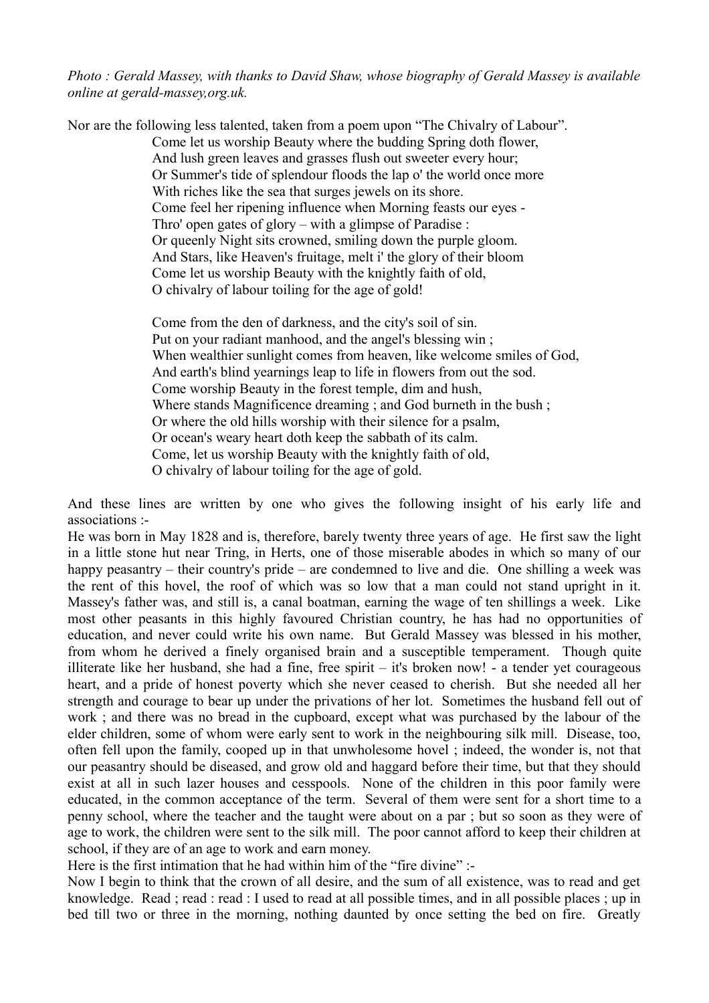*Photo : Gerald Massey, with thanks to David Shaw, whose biography of Gerald Massey is available online at gerald-massey,org.uk.*

Nor are the following less talented, taken from a poem upon "The Chivalry of Labour". Come let us worship Beauty where the budding Spring doth flower, And lush green leaves and grasses flush out sweeter every hour; Or Summer's tide of splendour floods the lap o' the world once more With riches like the sea that surges jewels on its shore. Come feel her ripening influence when Morning feasts our eves -Thro' open gates of glory – with a glimpse of Paradise : Or queenly Night sits crowned, smiling down the purple gloom. And Stars, like Heaven's fruitage, melt i' the glory of their bloom Come let us worship Beauty with the knightly faith of old, O chivalry of labour toiling for the age of gold!

> Come from the den of darkness, and the city's soil of sin. Put on your radiant manhood, and the angel's blessing win ; When wealthier sunlight comes from heaven, like welcome smiles of God, And earth's blind yearnings leap to life in flowers from out the sod. Come worship Beauty in the forest temple, dim and hush, Where stands Magnificence dreaming ; and God burneth in the bush ; Or where the old hills worship with their silence for a psalm, Or ocean's weary heart doth keep the sabbath of its calm. Come, let us worship Beauty with the knightly faith of old, O chivalry of labour toiling for the age of gold.

And these lines are written by one who gives the following insight of his early life and associations :-

He was born in May 1828 and is, therefore, barely twenty three years of age. He first saw the light in a little stone hut near Tring, in Herts, one of those miserable abodes in which so many of our happy peasantry – their country's pride – are condemned to live and die. One shilling a week was the rent of this hovel, the roof of which was so low that a man could not stand upright in it. Massey's father was, and still is, a canal boatman, earning the wage of ten shillings a week. Like most other peasants in this highly favoured Christian country, he has had no opportunities of education, and never could write his own name. But Gerald Massey was blessed in his mother, from whom he derived a finely organised brain and a susceptible temperament. Though quite illiterate like her husband, she had a fine, free spirit – it's broken now! - a tender yet courageous heart, and a pride of honest poverty which she never ceased to cherish. But she needed all her strength and courage to bear up under the privations of her lot. Sometimes the husband fell out of work ; and there was no bread in the cupboard, except what was purchased by the labour of the elder children, some of whom were early sent to work in the neighbouring silk mill. Disease, too, often fell upon the family, cooped up in that unwholesome hovel ; indeed, the wonder is, not that our peasantry should be diseased, and grow old and haggard before their time, but that they should exist at all in such lazer houses and cesspools. None of the children in this poor family were educated, in the common acceptance of the term. Several of them were sent for a short time to a penny school, where the teacher and the taught were about on a par ; but so soon as they were of age to work, the children were sent to the silk mill. The poor cannot afford to keep their children at school, if they are of an age to work and earn money.

Here is the first intimation that he had within him of the "fire divine" :-

Now I begin to think that the crown of all desire, and the sum of all existence, was to read and get knowledge. Read ; read : read : I used to read at all possible times, and in all possible places ; up in bed till two or three in the morning, nothing daunted by once setting the bed on fire. Greatly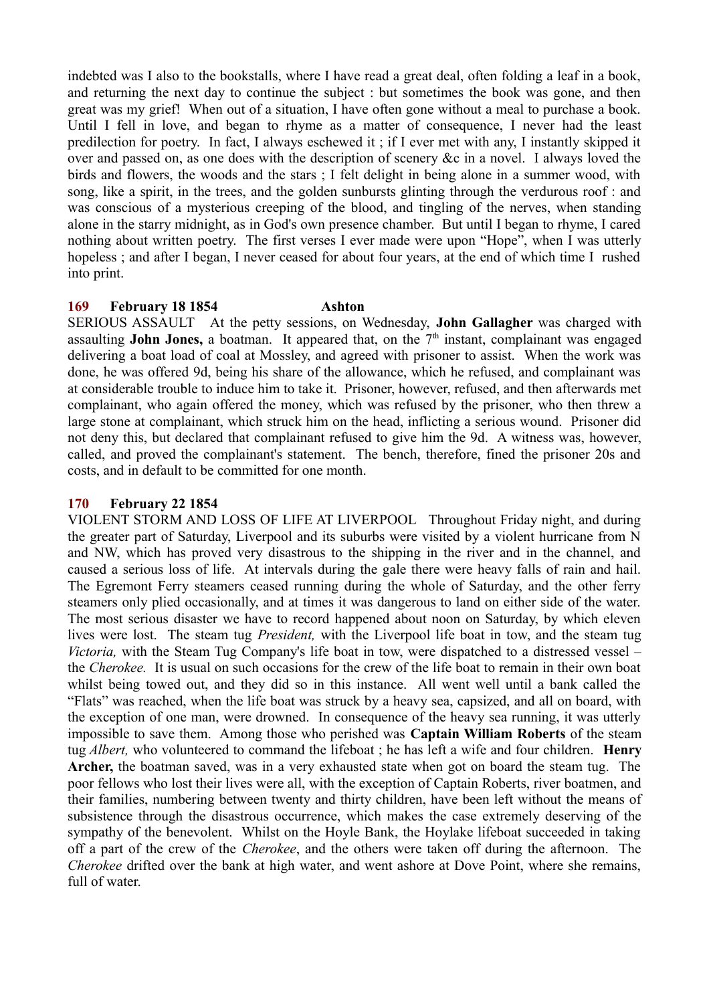indebted was I also to the bookstalls, where I have read a great deal, often folding a leaf in a book, and returning the next day to continue the subject : but sometimes the book was gone, and then great was my grief! When out of a situation, I have often gone without a meal to purchase a book. Until I fell in love, and began to rhyme as a matter of consequence, I never had the least predilection for poetry. In fact, I always eschewed it ; if I ever met with any, I instantly skipped it over and passed on, as one does with the description of scenery &c in a novel. I always loved the birds and flowers, the woods and the stars ; I felt delight in being alone in a summer wood, with song, like a spirit, in the trees, and the golden sunbursts glinting through the verdurous roof : and was conscious of a mysterious creeping of the blood, and tingling of the nerves, when standing alone in the starry midnight, as in God's own presence chamber. But until I began to rhyme, I cared nothing about written poetry. The first verses I ever made were upon "Hope", when I was utterly hopeless; and after I began, I never ceased for about four years, at the end of which time I rushed into print.

# **169 February 18 1854 Ashton**

SERIOUS ASSAULT At the petty sessions, on Wednesday, **John Gallagher** was charged with assaulting **John Jones,** a boatman. It appeared that, on the  $7<sup>th</sup>$  instant, complainant was engaged delivering a boat load of coal at Mossley, and agreed with prisoner to assist. When the work was done, he was offered 9d, being his share of the allowance, which he refused, and complainant was at considerable trouble to induce him to take it. Prisoner, however, refused, and then afterwards met complainant, who again offered the money, which was refused by the prisoner, who then threw a large stone at complainant, which struck him on the head, inflicting a serious wound. Prisoner did not deny this, but declared that complainant refused to give him the 9d. A witness was, however, called, and proved the complainant's statement. The bench, therefore, fined the prisoner 20s and costs, and in default to be committed for one month.

### **170 February 22 1854**

VIOLENT STORM AND LOSS OF LIFE AT LIVERPOOL Throughout Friday night, and during the greater part of Saturday, Liverpool and its suburbs were visited by a violent hurricane from N and NW, which has proved very disastrous to the shipping in the river and in the channel, and caused a serious loss of life. At intervals during the gale there were heavy falls of rain and hail. The Egremont Ferry steamers ceased running during the whole of Saturday, and the other ferry steamers only plied occasionally, and at times it was dangerous to land on either side of the water. The most serious disaster we have to record happened about noon on Saturday, by which eleven lives were lost. The steam tug *President,* with the Liverpool life boat in tow, and the steam tug *Victoria,* with the Steam Tug Company's life boat in tow, were dispatched to a distressed vessel – the *Cherokee.* It is usual on such occasions for the crew of the life boat to remain in their own boat whilst being towed out, and they did so in this instance. All went well until a bank called the "Flats" was reached, when the life boat was struck by a heavy sea, capsized, and all on board, with the exception of one man, were drowned. In consequence of the heavy sea running, it was utterly impossible to save them. Among those who perished was **Captain William Roberts** of the steam tug *Albert,* who volunteered to command the lifeboat ; he has left a wife and four children. **Henry Archer,** the boatman saved, was in a very exhausted state when got on board the steam tug. The poor fellows who lost their lives were all, with the exception of Captain Roberts, river boatmen, and their families, numbering between twenty and thirty children, have been left without the means of subsistence through the disastrous occurrence, which makes the case extremely deserving of the sympathy of the benevolent. Whilst on the Hoyle Bank, the Hoylake lifeboat succeeded in taking off a part of the crew of the *Cherokee*, and the others were taken off during the afternoon. The *Cherokee* drifted over the bank at high water, and went ashore at Dove Point, where she remains, full of water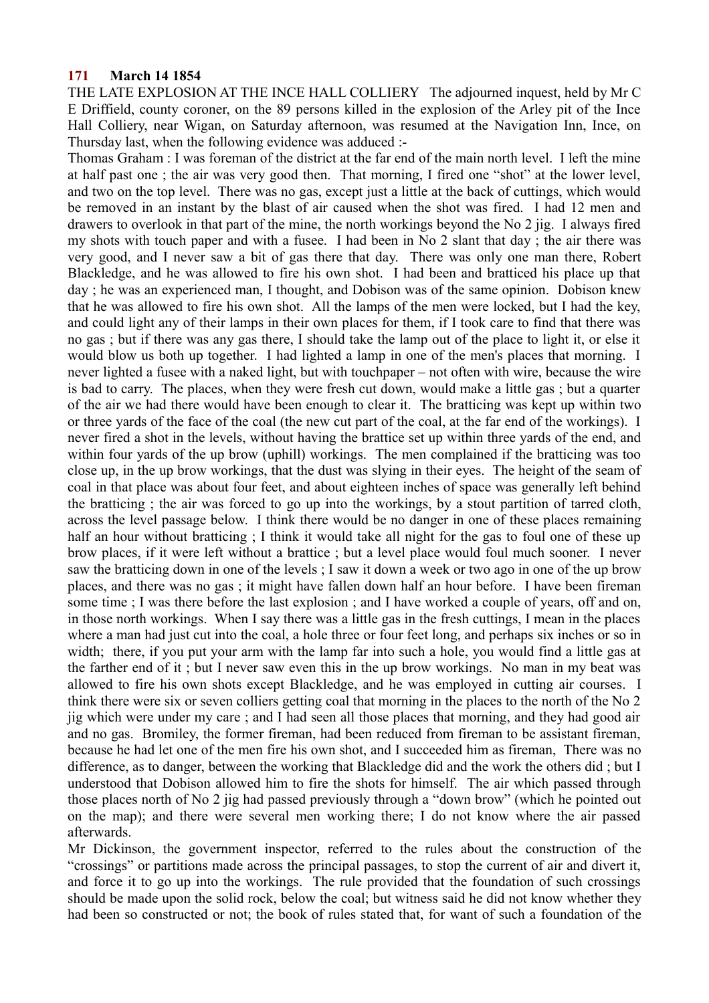## **171 March 14 1854**

THE LATE EXPLOSION AT THE INCE HALL COLLIERY The adjourned inquest, held by Mr C E Driffield, county coroner, on the 89 persons killed in the explosion of the Arley pit of the Ince Hall Colliery, near Wigan, on Saturday afternoon, was resumed at the Navigation Inn, Ince, on Thursday last, when the following evidence was adduced :-

Thomas Graham : I was foreman of the district at the far end of the main north level. I left the mine at half past one ; the air was very good then. That morning, I fired one "shot" at the lower level, and two on the top level. There was no gas, except just a little at the back of cuttings, which would be removed in an instant by the blast of air caused when the shot was fired. I had 12 men and drawers to overlook in that part of the mine, the north workings beyond the No 2 jig. I always fired my shots with touch paper and with a fusee. I had been in No 2 slant that day ; the air there was very good, and I never saw a bit of gas there that day. There was only one man there, Robert Blackledge, and he was allowed to fire his own shot. I had been and bratticed his place up that day ; he was an experienced man, I thought, and Dobison was of the same opinion. Dobison knew that he was allowed to fire his own shot. All the lamps of the men were locked, but I had the key, and could light any of their lamps in their own places for them, if I took care to find that there was no gas ; but if there was any gas there, I should take the lamp out of the place to light it, or else it would blow us both up together. I had lighted a lamp in one of the men's places that morning. I never lighted a fusee with a naked light, but with touchpaper – not often with wire, because the wire is bad to carry. The places, when they were fresh cut down, would make a little gas ; but a quarter of the air we had there would have been enough to clear it. The bratticing was kept up within two or three yards of the face of the coal (the new cut part of the coal, at the far end of the workings). I never fired a shot in the levels, without having the brattice set up within three yards of the end, and within four yards of the up brow (uphill) workings. The men complained if the bratticing was too close up, in the up brow workings, that the dust was slying in their eyes. The height of the seam of coal in that place was about four feet, and about eighteen inches of space was generally left behind the bratticing ; the air was forced to go up into the workings, by a stout partition of tarred cloth, across the level passage below. I think there would be no danger in one of these places remaining half an hour without bratticing ; I think it would take all night for the gas to foul one of these up brow places, if it were left without a brattice ; but a level place would foul much sooner. I never saw the bratticing down in one of the levels ; I saw it down a week or two ago in one of the up brow places, and there was no gas ; it might have fallen down half an hour before. I have been fireman some time ; I was there before the last explosion ; and I have worked a couple of years, off and on, in those north workings. When I say there was a little gas in the fresh cuttings, I mean in the places where a man had just cut into the coal, a hole three or four feet long, and perhaps six inches or so in width; there, if you put your arm with the lamp far into such a hole, you would find a little gas at the farther end of it ; but I never saw even this in the up brow workings. No man in my beat was allowed to fire his own shots except Blackledge, and he was employed in cutting air courses. I think there were six or seven colliers getting coal that morning in the places to the north of the No 2 jig which were under my care ; and I had seen all those places that morning, and they had good air and no gas. Bromiley, the former fireman, had been reduced from fireman to be assistant fireman, because he had let one of the men fire his own shot, and I succeeded him as fireman, There was no difference, as to danger, between the working that Blackledge did and the work the others did ; but I understood that Dobison allowed him to fire the shots for himself. The air which passed through those places north of No 2 jig had passed previously through a "down brow" (which he pointed out on the map); and there were several men working there; I do not know where the air passed afterwards.

Mr Dickinson, the government inspector, referred to the rules about the construction of the "crossings" or partitions made across the principal passages, to stop the current of air and divert it, and force it to go up into the workings. The rule provided that the foundation of such crossings should be made upon the solid rock, below the coal; but witness said he did not know whether they had been so constructed or not; the book of rules stated that, for want of such a foundation of the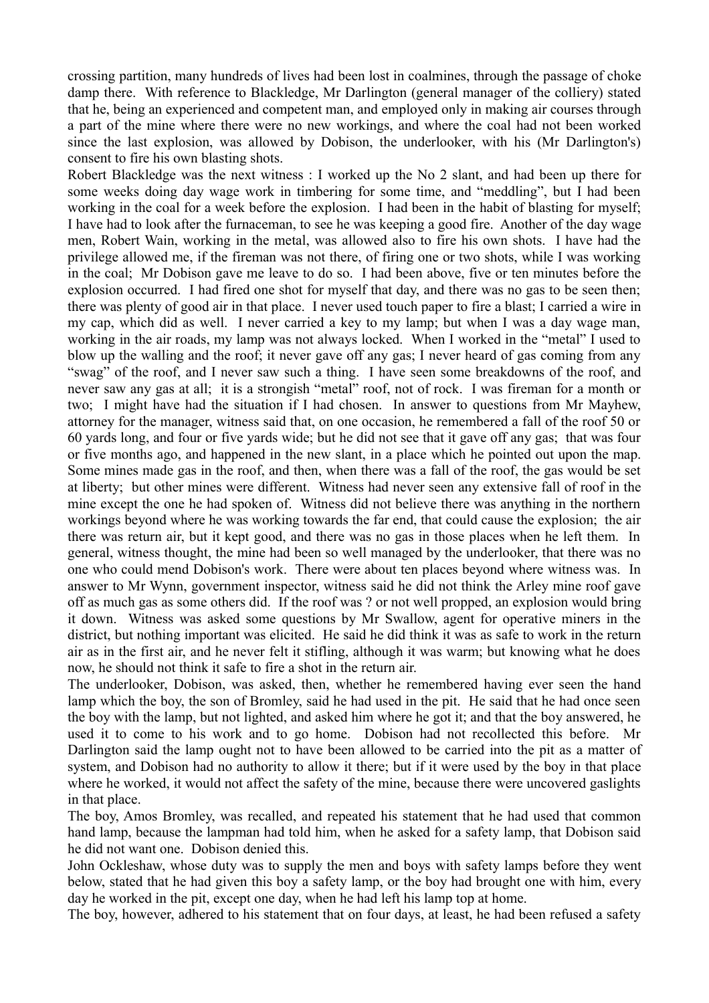crossing partition, many hundreds of lives had been lost in coalmines, through the passage of choke damp there. With reference to Blackledge, Mr Darlington (general manager of the colliery) stated that he, being an experienced and competent man, and employed only in making air courses through a part of the mine where there were no new workings, and where the coal had not been worked since the last explosion, was allowed by Dobison, the underlooker, with his (Mr Darlington's) consent to fire his own blasting shots.

Robert Blackledge was the next witness : I worked up the No 2 slant, and had been up there for some weeks doing day wage work in timbering for some time, and "meddling", but I had been working in the coal for a week before the explosion. I had been in the habit of blasting for myself; I have had to look after the furnaceman, to see he was keeping a good fire. Another of the day wage men, Robert Wain, working in the metal, was allowed also to fire his own shots. I have had the privilege allowed me, if the fireman was not there, of firing one or two shots, while I was working in the coal; Mr Dobison gave me leave to do so. I had been above, five or ten minutes before the explosion occurred. I had fired one shot for myself that day, and there was no gas to be seen then; there was plenty of good air in that place. I never used touch paper to fire a blast; I carried a wire in my cap, which did as well. I never carried a key to my lamp; but when I was a day wage man, working in the air roads, my lamp was not always locked. When I worked in the "metal" I used to blow up the walling and the roof; it never gave off any gas; I never heard of gas coming from any "swag" of the roof, and I never saw such a thing. I have seen some breakdowns of the roof, and never saw any gas at all; it is a strongish "metal" roof, not of rock. I was fireman for a month or two; I might have had the situation if I had chosen. In answer to questions from Mr Mayhew, attorney for the manager, witness said that, on one occasion, he remembered a fall of the roof 50 or 60 yards long, and four or five yards wide; but he did not see that it gave off any gas; that was four or five months ago, and happened in the new slant, in a place which he pointed out upon the map. Some mines made gas in the roof, and then, when there was a fall of the roof, the gas would be set at liberty; but other mines were different. Witness had never seen any extensive fall of roof in the mine except the one he had spoken of. Witness did not believe there was anything in the northern workings beyond where he was working towards the far end, that could cause the explosion; the air there was return air, but it kept good, and there was no gas in those places when he left them. In general, witness thought, the mine had been so well managed by the underlooker, that there was no one who could mend Dobison's work. There were about ten places beyond where witness was. In answer to Mr Wynn, government inspector, witness said he did not think the Arley mine roof gave off as much gas as some others did. If the roof was ? or not well propped, an explosion would bring it down. Witness was asked some questions by Mr Swallow, agent for operative miners in the district, but nothing important was elicited. He said he did think it was as safe to work in the return air as in the first air, and he never felt it stifling, although it was warm; but knowing what he does now, he should not think it safe to fire a shot in the return air.

The underlooker, Dobison, was asked, then, whether he remembered having ever seen the hand lamp which the boy, the son of Bromley, said he had used in the pit. He said that he had once seen the boy with the lamp, but not lighted, and asked him where he got it; and that the boy answered, he used it to come to his work and to go home. Dobison had not recollected this before. Mr Darlington said the lamp ought not to have been allowed to be carried into the pit as a matter of system, and Dobison had no authority to allow it there; but if it were used by the boy in that place where he worked, it would not affect the safety of the mine, because there were uncovered gaslights in that place.

The boy, Amos Bromley, was recalled, and repeated his statement that he had used that common hand lamp, because the lampman had told him, when he asked for a safety lamp, that Dobison said he did not want one. Dobison denied this.

John Ockleshaw, whose duty was to supply the men and boys with safety lamps before they went below, stated that he had given this boy a safety lamp, or the boy had brought one with him, every day he worked in the pit, except one day, when he had left his lamp top at home.

The boy, however, adhered to his statement that on four days, at least, he had been refused a safety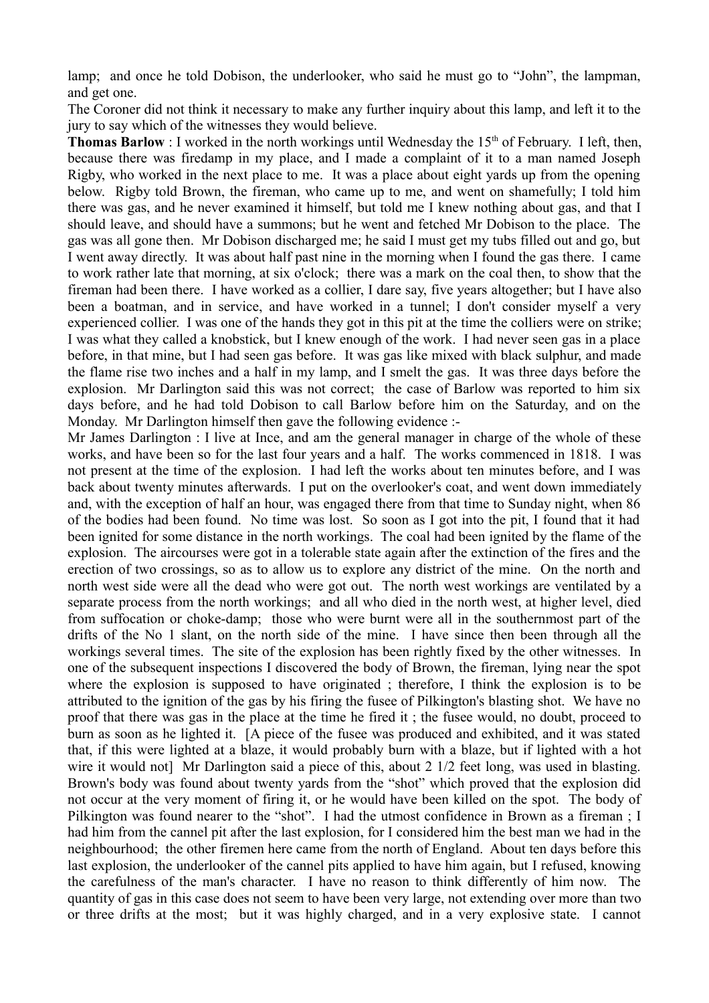lamp; and once he told Dobison, the underlooker, who said he must go to "John", the lampman, and get one.

The Coroner did not think it necessary to make any further inquiry about this lamp, and left it to the jury to say which of the witnesses they would believe.

**Thomas Barlow** : I worked in the north workings until Wednesday the  $15<sup>th</sup>$  of February. I left, then, because there was firedamp in my place, and I made a complaint of it to a man named Joseph Rigby, who worked in the next place to me. It was a place about eight yards up from the opening below. Rigby told Brown, the fireman, who came up to me, and went on shamefully; I told him there was gas, and he never examined it himself, but told me I knew nothing about gas, and that I should leave, and should have a summons; but he went and fetched Mr Dobison to the place. The gas was all gone then. Mr Dobison discharged me; he said I must get my tubs filled out and go, but I went away directly. It was about half past nine in the morning when I found the gas there. I came to work rather late that morning, at six o'clock; there was a mark on the coal then, to show that the fireman had been there. I have worked as a collier, I dare say, five years altogether; but I have also been a boatman, and in service, and have worked in a tunnel; I don't consider myself a very experienced collier. I was one of the hands they got in this pit at the time the colliers were on strike; I was what they called a knobstick, but I knew enough of the work. I had never seen gas in a place before, in that mine, but I had seen gas before. It was gas like mixed with black sulphur, and made the flame rise two inches and a half in my lamp, and I smelt the gas. It was three days before the explosion. Mr Darlington said this was not correct; the case of Barlow was reported to him six days before, and he had told Dobison to call Barlow before him on the Saturday, and on the Monday. Mr Darlington himself then gave the following evidence :-

Mr James Darlington : I live at Ince, and am the general manager in charge of the whole of these works, and have been so for the last four years and a half. The works commenced in 1818. I was not present at the time of the explosion. I had left the works about ten minutes before, and I was back about twenty minutes afterwards. I put on the overlooker's coat, and went down immediately and, with the exception of half an hour, was engaged there from that time to Sunday night, when 86 of the bodies had been found. No time was lost. So soon as I got into the pit, I found that it had been ignited for some distance in the north workings. The coal had been ignited by the flame of the explosion. The aircourses were got in a tolerable state again after the extinction of the fires and the erection of two crossings, so as to allow us to explore any district of the mine. On the north and north west side were all the dead who were got out. The north west workings are ventilated by a separate process from the north workings; and all who died in the north west, at higher level, died from suffocation or choke-damp; those who were burnt were all in the southernmost part of the drifts of the No 1 slant, on the north side of the mine. I have since then been through all the workings several times. The site of the explosion has been rightly fixed by the other witnesses. In one of the subsequent inspections I discovered the body of Brown, the fireman, lying near the spot where the explosion is supposed to have originated ; therefore, I think the explosion is to be attributed to the ignition of the gas by his firing the fusee of Pilkington's blasting shot. We have no proof that there was gas in the place at the time he fired it ; the fusee would, no doubt, proceed to burn as soon as he lighted it. [A piece of the fusee was produced and exhibited, and it was stated that, if this were lighted at a blaze, it would probably burn with a blaze, but if lighted with a hot wire it would not] Mr Darlington said a piece of this, about 2 1/2 feet long, was used in blasting. Brown's body was found about twenty yards from the "shot" which proved that the explosion did not occur at the very moment of firing it, or he would have been killed on the spot. The body of Pilkington was found nearer to the "shot". I had the utmost confidence in Brown as a fireman ; I had him from the cannel pit after the last explosion, for I considered him the best man we had in the neighbourhood; the other firemen here came from the north of England. About ten days before this last explosion, the underlooker of the cannel pits applied to have him again, but I refused, knowing the carefulness of the man's character. I have no reason to think differently of him now. The quantity of gas in this case does not seem to have been very large, not extending over more than two or three drifts at the most; but it was highly charged, and in a very explosive state. I cannot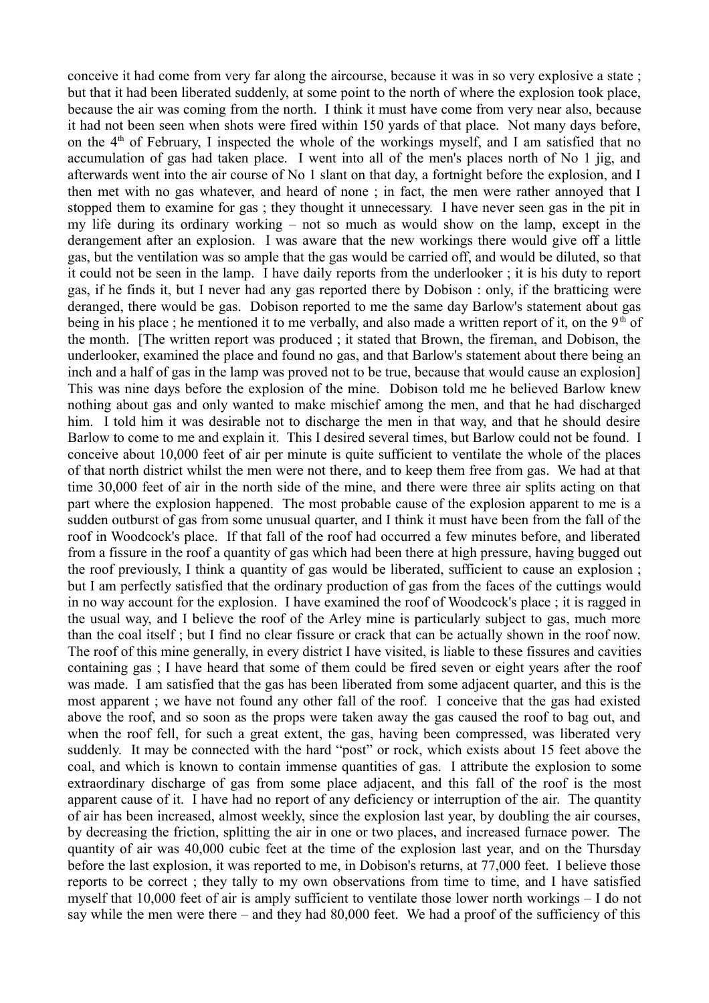conceive it had come from very far along the aircourse, because it was in so very explosive a state ; but that it had been liberated suddenly, at some point to the north of where the explosion took place, because the air was coming from the north. I think it must have come from very near also, because it had not been seen when shots were fired within 150 yards of that place. Not many days before, on the  $4<sup>th</sup>$  of February, I inspected the whole of the workings myself, and I am satisfied that no accumulation of gas had taken place. I went into all of the men's places north of No 1 jig, and afterwards went into the air course of No 1 slant on that day, a fortnight before the explosion, and I then met with no gas whatever, and heard of none ; in fact, the men were rather annoyed that I stopped them to examine for gas ; they thought it unnecessary. I have never seen gas in the pit in my life during its ordinary working – not so much as would show on the lamp, except in the derangement after an explosion. I was aware that the new workings there would give off a little gas, but the ventilation was so ample that the gas would be carried off, and would be diluted, so that it could not be seen in the lamp. I have daily reports from the underlooker ; it is his duty to report gas, if he finds it, but I never had any gas reported there by Dobison : only, if the bratticing were deranged, there would be gas. Dobison reported to me the same day Barlow's statement about gas being in his place; he mentioned it to me verbally, and also made a written report of it, on the 9<sup>th</sup> of the month. [The written report was produced ; it stated that Brown, the fireman, and Dobison, the underlooker, examined the place and found no gas, and that Barlow's statement about there being an inch and a half of gas in the lamp was proved not to be true, because that would cause an explosion] This was nine days before the explosion of the mine. Dobison told me he believed Barlow knew nothing about gas and only wanted to make mischief among the men, and that he had discharged him. I told him it was desirable not to discharge the men in that way, and that he should desire Barlow to come to me and explain it. This I desired several times, but Barlow could not be found. I conceive about 10,000 feet of air per minute is quite sufficient to ventilate the whole of the places of that north district whilst the men were not there, and to keep them free from gas. We had at that time 30,000 feet of air in the north side of the mine, and there were three air splits acting on that part where the explosion happened. The most probable cause of the explosion apparent to me is a sudden outburst of gas from some unusual quarter, and I think it must have been from the fall of the roof in Woodcock's place. If that fall of the roof had occurred a few minutes before, and liberated from a fissure in the roof a quantity of gas which had been there at high pressure, having bugged out the roof previously, I think a quantity of gas would be liberated, sufficient to cause an explosion ; but I am perfectly satisfied that the ordinary production of gas from the faces of the cuttings would in no way account for the explosion. I have examined the roof of Woodcock's place ; it is ragged in the usual way, and I believe the roof of the Arley mine is particularly subject to gas, much more than the coal itself ; but I find no clear fissure or crack that can be actually shown in the roof now. The roof of this mine generally, in every district I have visited, is liable to these fissures and cavities containing gas ; I have heard that some of them could be fired seven or eight years after the roof was made. I am satisfied that the gas has been liberated from some adjacent quarter, and this is the most apparent ; we have not found any other fall of the roof. I conceive that the gas had existed above the roof, and so soon as the props were taken away the gas caused the roof to bag out, and when the roof fell, for such a great extent, the gas, having been compressed, was liberated very suddenly. It may be connected with the hard "post" or rock, which exists about 15 feet above the coal, and which is known to contain immense quantities of gas. I attribute the explosion to some extraordinary discharge of gas from some place adjacent, and this fall of the roof is the most apparent cause of it. I have had no report of any deficiency or interruption of the air. The quantity of air has been increased, almost weekly, since the explosion last year, by doubling the air courses, by decreasing the friction, splitting the air in one or two places, and increased furnace power. The quantity of air was 40,000 cubic feet at the time of the explosion last year, and on the Thursday before the last explosion, it was reported to me, in Dobison's returns, at 77,000 feet. I believe those reports to be correct ; they tally to my own observations from time to time, and I have satisfied myself that 10,000 feet of air is amply sufficient to ventilate those lower north workings – I do not say while the men were there – and they had 80,000 feet. We had a proof of the sufficiency of this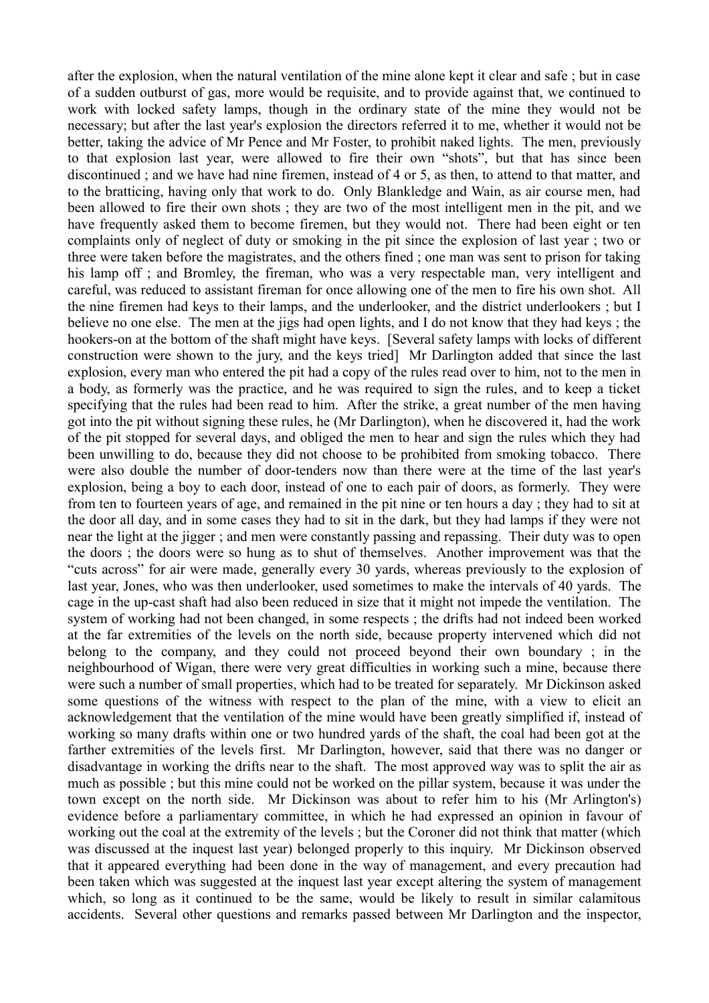after the explosion, when the natural ventilation of the mine alone kept it clear and safe ; but in case of a sudden outburst of gas, more would be requisite, and to provide against that, we continued to work with locked safety lamps, though in the ordinary state of the mine they would not be necessary; but after the last year's explosion the directors referred it to me, whether it would not be better, taking the advice of Mr Pence and Mr Foster, to prohibit naked lights. The men, previously to that explosion last year, were allowed to fire their own "shots", but that has since been discontinued ; and we have had nine firemen, instead of 4 or 5, as then, to attend to that matter, and to the bratticing, having only that work to do. Only Blankledge and Wain, as air course men, had been allowed to fire their own shots ; they are two of the most intelligent men in the pit, and we have frequently asked them to become firemen, but they would not. There had been eight or ten complaints only of neglect of duty or smoking in the pit since the explosion of last year ; two or three were taken before the magistrates, and the others fined ; one man was sent to prison for taking his lamp off ; and Bromley, the fireman, who was a very respectable man, very intelligent and careful, was reduced to assistant fireman for once allowing one of the men to fire his own shot. All the nine firemen had keys to their lamps, and the underlooker, and the district underlookers ; but I believe no one else. The men at the jigs had open lights, and I do not know that they had keys ; the hookers-on at the bottom of the shaft might have keys. [Several safety lamps with locks of different construction were shown to the jury, and the keys tried] Mr Darlington added that since the last explosion, every man who entered the pit had a copy of the rules read over to him, not to the men in a body, as formerly was the practice, and he was required to sign the rules, and to keep a ticket specifying that the rules had been read to him. After the strike, a great number of the men having got into the pit without signing these rules, he (Mr Darlington), when he discovered it, had the work of the pit stopped for several days, and obliged the men to hear and sign the rules which they had been unwilling to do, because they did not choose to be prohibited from smoking tobacco. There were also double the number of door-tenders now than there were at the time of the last year's explosion, being a boy to each door, instead of one to each pair of doors, as formerly. They were from ten to fourteen years of age, and remained in the pit nine or ten hours a day ; they had to sit at the door all day, and in some cases they had to sit in the dark, but they had lamps if they were not near the light at the jigger ; and men were constantly passing and repassing. Their duty was to open the doors ; the doors were so hung as to shut of themselves. Another improvement was that the "cuts across" for air were made, generally every 30 yards, whereas previously to the explosion of last year, Jones, who was then underlooker, used sometimes to make the intervals of 40 yards. The cage in the up-cast shaft had also been reduced in size that it might not impede the ventilation. The system of working had not been changed, in some respects ; the drifts had not indeed been worked at the far extremities of the levels on the north side, because property intervened which did not belong to the company, and they could not proceed beyond their own boundary ; in the neighbourhood of Wigan, there were very great difficulties in working such a mine, because there were such a number of small properties, which had to be treated for separately. Mr Dickinson asked some questions of the witness with respect to the plan of the mine, with a view to elicit an acknowledgement that the ventilation of the mine would have been greatly simplified if, instead of working so many drafts within one or two hundred yards of the shaft, the coal had been got at the farther extremities of the levels first. Mr Darlington, however, said that there was no danger or disadvantage in working the drifts near to the shaft. The most approved way was to split the air as much as possible ; but this mine could not be worked on the pillar system, because it was under the town except on the north side. Mr Dickinson was about to refer him to his (Mr Arlington's) evidence before a parliamentary committee, in which he had expressed an opinion in favour of working out the coal at the extremity of the levels ; but the Coroner did not think that matter (which was discussed at the inquest last year) belonged properly to this inquiry. Mr Dickinson observed that it appeared everything had been done in the way of management, and every precaution had been taken which was suggested at the inquest last year except altering the system of management which, so long as it continued to be the same, would be likely to result in similar calamitous accidents. Several other questions and remarks passed between Mr Darlington and the inspector,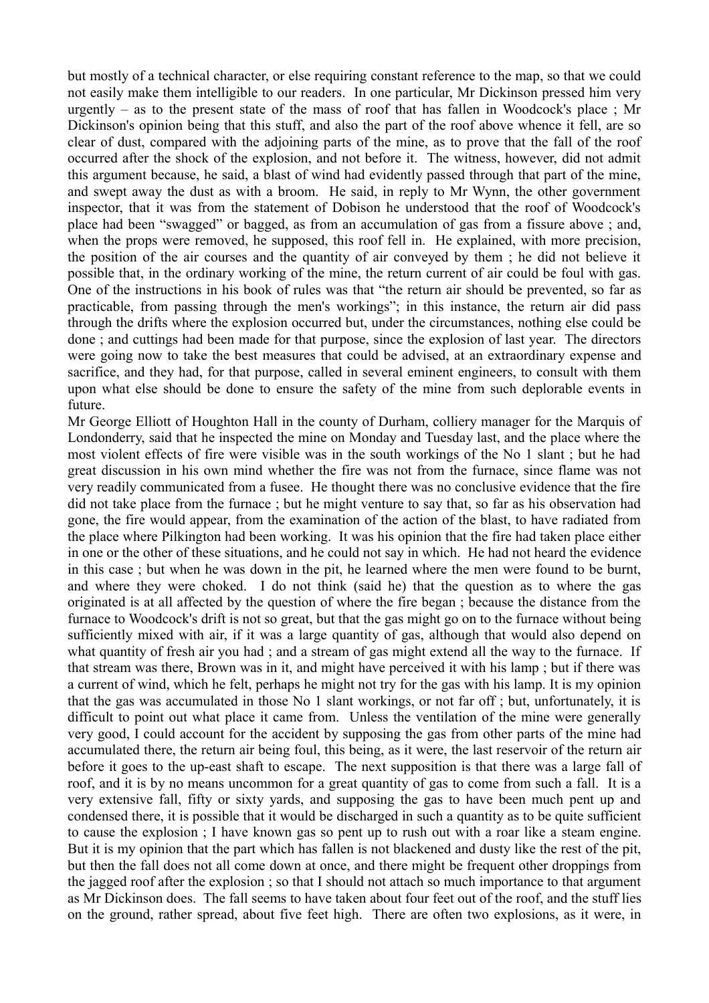but mostly of a technical character, or else requiring constant reference to the map, so that we could not easily make them intelligible to our readers. In one particular, Mr Dickinson pressed him very urgently – as to the present state of the mass of roof that has fallen in Woodcock's place ; Mr Dickinson's opinion being that this stuff, and also the part of the roof above whence it fell, are so clear of dust, compared with the adjoining parts of the mine, as to prove that the fall of the roof occurred after the shock of the explosion, and not before it. The witness, however, did not admit this argument because, he said, a blast of wind had evidently passed through that part of the mine, and swept away the dust as with a broom. He said, in reply to Mr Wynn, the other government inspector, that it was from the statement of Dobison he understood that the roof of Woodcock's place had been "swagged" or bagged, as from an accumulation of gas from a fissure above ; and, when the props were removed, he supposed, this roof fell in. He explained, with more precision, the position of the air courses and the quantity of air conveyed by them ; he did not believe it possible that, in the ordinary working of the mine, the return current of air could be foul with gas. One of the instructions in his book of rules was that "the return air should be prevented, so far as practicable, from passing through the men's workings"; in this instance, the return air did pass through the drifts where the explosion occurred but, under the circumstances, nothing else could be done ; and cuttings had been made for that purpose, since the explosion of last year. The directors were going now to take the best measures that could be advised, at an extraordinary expense and sacrifice, and they had, for that purpose, called in several eminent engineers, to consult with them upon what else should be done to ensure the safety of the mine from such deplorable events in future.

Mr George Elliott of Houghton Hall in the county of Durham, colliery manager for the Marquis of Londonderry, said that he inspected the mine on Monday and Tuesday last, and the place where the most violent effects of fire were visible was in the south workings of the No 1 slant ; but he had great discussion in his own mind whether the fire was not from the furnace, since flame was not very readily communicated from a fusee. He thought there was no conclusive evidence that the fire did not take place from the furnace ; but he might venture to say that, so far as his observation had gone, the fire would appear, from the examination of the action of the blast, to have radiated from the place where Pilkington had been working. It was his opinion that the fire had taken place either in one or the other of these situations, and he could not say in which. He had not heard the evidence in this case ; but when he was down in the pit, he learned where the men were found to be burnt, and where they were choked. I do not think (said he) that the question as to where the gas originated is at all affected by the question of where the fire began ; because the distance from the furnace to Woodcock's drift is not so great, but that the gas might go on to the furnace without being sufficiently mixed with air, if it was a large quantity of gas, although that would also depend on what quantity of fresh air you had; and a stream of gas might extend all the way to the furnace. If that stream was there, Brown was in it, and might have perceived it with his lamp ; but if there was a current of wind, which he felt, perhaps he might not try for the gas with his lamp. It is my opinion that the gas was accumulated in those No 1 slant workings, or not far off ; but, unfortunately, it is difficult to point out what place it came from. Unless the ventilation of the mine were generally very good, I could account for the accident by supposing the gas from other parts of the mine had accumulated there, the return air being foul, this being, as it were, the last reservoir of the return air before it goes to the up-east shaft to escape. The next supposition is that there was a large fall of roof, and it is by no means uncommon for a great quantity of gas to come from such a fall. It is a very extensive fall, fifty or sixty yards, and supposing the gas to have been much pent up and condensed there, it is possible that it would be discharged in such a quantity as to be quite sufficient to cause the explosion ; I have known gas so pent up to rush out with a roar like a steam engine. But it is my opinion that the part which has fallen is not blackened and dusty like the rest of the pit, but then the fall does not all come down at once, and there might be frequent other droppings from the jagged roof after the explosion ; so that I should not attach so much importance to that argument as Mr Dickinson does. The fall seems to have taken about four feet out of the roof, and the stuff lies on the ground, rather spread, about five feet high. There are often two explosions, as it were, in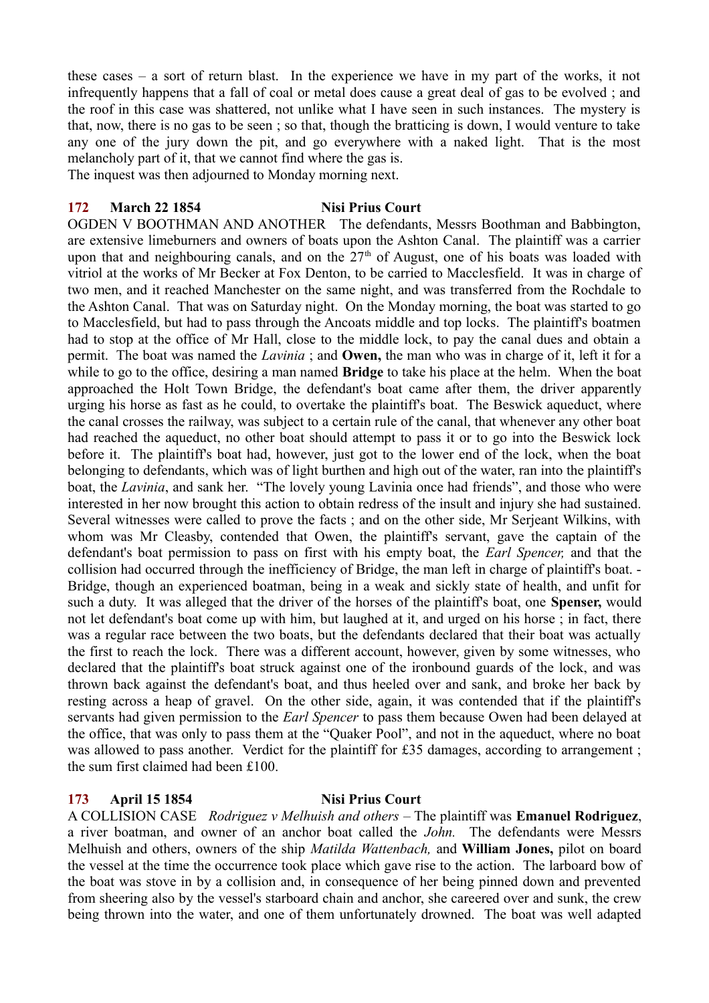these cases – a sort of return blast. In the experience we have in my part of the works, it not infrequently happens that a fall of coal or metal does cause a great deal of gas to be evolved ; and the roof in this case was shattered, not unlike what I have seen in such instances. The mystery is that, now, there is no gas to be seen ; so that, though the bratticing is down, I would venture to take any one of the jury down the pit, and go everywhere with a naked light. That is the most melancholy part of it, that we cannot find where the gas is.

The inquest was then adjourned to Monday morning next.

## **172 March 22 1854 Nisi Prius Court**

OGDEN V BOOTHMAN AND ANOTHER The defendants, Messrs Boothman and Babbington, are extensive limeburners and owners of boats upon the Ashton Canal. The plaintiff was a carrier upon that and neighbouring canals, and on the  $27<sup>th</sup>$  of August, one of his boats was loaded with vitriol at the works of Mr Becker at Fox Denton, to be carried to Macclesfield. It was in charge of two men, and it reached Manchester on the same night, and was transferred from the Rochdale to the Ashton Canal. That was on Saturday night. On the Monday morning, the boat was started to go to Macclesfield, but had to pass through the Ancoats middle and top locks. The plaintiff's boatmen had to stop at the office of Mr Hall, close to the middle lock, to pay the canal dues and obtain a permit. The boat was named the *Lavinia* ; and **Owen,** the man who was in charge of it, left it for a while to go to the office, desiring a man named **Bridge** to take his place at the helm. When the boat approached the Holt Town Bridge, the defendant's boat came after them, the driver apparently urging his horse as fast as he could, to overtake the plaintiff's boat. The Beswick aqueduct, where the canal crosses the railway, was subject to a certain rule of the canal, that whenever any other boat had reached the aqueduct, no other boat should attempt to pass it or to go into the Beswick lock before it. The plaintiff's boat had, however, just got to the lower end of the lock, when the boat belonging to defendants, which was of light burthen and high out of the water, ran into the plaintiff's boat, the *Lavinia*, and sank her. "The lovely young Lavinia once had friends", and those who were interested in her now brought this action to obtain redress of the insult and injury she had sustained. Several witnesses were called to prove the facts ; and on the other side, Mr Serjeant Wilkins, with whom was Mr Cleasby, contended that Owen, the plaintiff's servant, gave the captain of the defendant's boat permission to pass on first with his empty boat, the *Earl Spencer,* and that the collision had occurred through the inefficiency of Bridge, the man left in charge of plaintiff's boat. - Bridge, though an experienced boatman, being in a weak and sickly state of health, and unfit for such a duty. It was alleged that the driver of the horses of the plaintiff's boat, one **Spenser,** would not let defendant's boat come up with him, but laughed at it, and urged on his horse ; in fact, there was a regular race between the two boats, but the defendants declared that their boat was actually the first to reach the lock. There was a different account, however, given by some witnesses, who declared that the plaintiff's boat struck against one of the ironbound guards of the lock, and was thrown back against the defendant's boat, and thus heeled over and sank, and broke her back by resting across a heap of gravel. On the other side, again, it was contended that if the plaintiff's servants had given permission to the *Earl Spencer* to pass them because Owen had been delayed at the office, that was only to pass them at the "Quaker Pool", and not in the aqueduct, where no boat was allowed to pass another. Verdict for the plaintiff for £35 damages, according to arrangement; the sum first claimed had been £100.

## **173 April 15 1854 Nisi Prius Court**

A COLLISION CASE *Rodriguez v Melhuish and others* – The plaintiff was **Emanuel Rodriguez**, a river boatman, and owner of an anchor boat called the *John.* The defendants were Messrs Melhuish and others, owners of the ship *Matilda Wattenbach,* and **William Jones,** pilot on board the vessel at the time the occurrence took place which gave rise to the action. The larboard bow of the boat was stove in by a collision and, in consequence of her being pinned down and prevented from sheering also by the vessel's starboard chain and anchor, she careered over and sunk, the crew being thrown into the water, and one of them unfortunately drowned. The boat was well adapted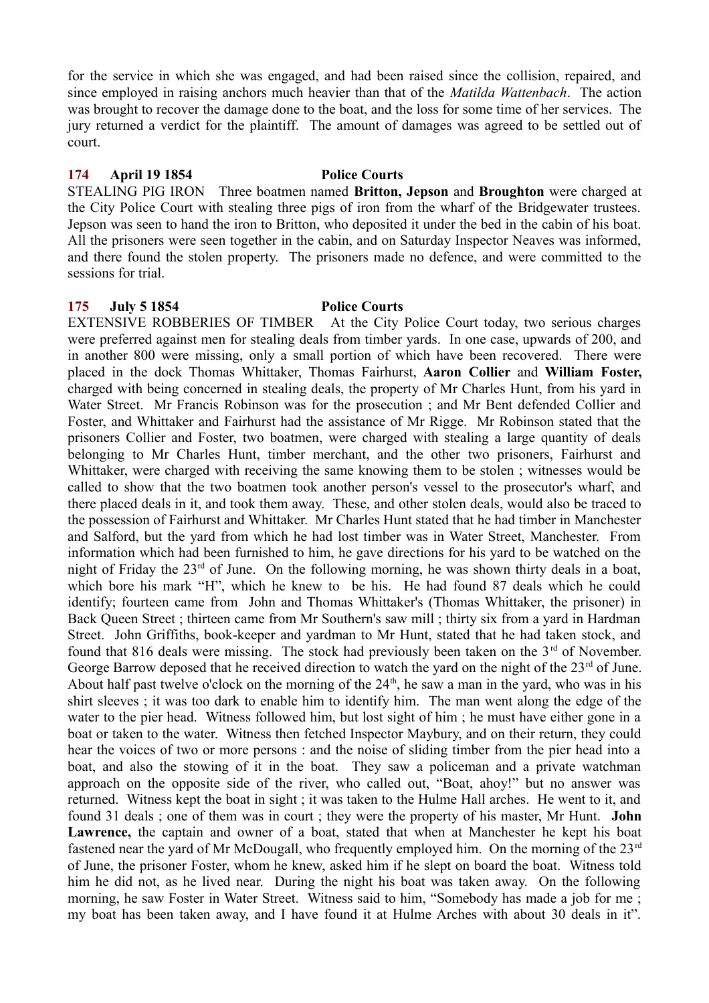for the service in which she was engaged, and had been raised since the collision, repaired, and since employed in raising anchors much heavier than that of the *Matilda Wattenbach*. The action was brought to recover the damage done to the boat, and the loss for some time of her services. The jury returned a verdict for the plaintiff. The amount of damages was agreed to be settled out of court.

#### **174 April 19 1854 Police Courts**

STEALING PIG IRON Three boatmen named **Britton, Jepson** and **Broughton** were charged at the City Police Court with stealing three pigs of iron from the wharf of the Bridgewater trustees. Jepson was seen to hand the iron to Britton, who deposited it under the bed in the cabin of his boat. All the prisoners were seen together in the cabin, and on Saturday Inspector Neaves was informed, and there found the stolen property. The prisoners made no defence, and were committed to the sessions for trial.

## **175 July 5 1854 Police Courts**

EXTENSIVE ROBBERIES OF TIMBER At the City Police Court today, two serious charges were preferred against men for stealing deals from timber yards. In one case, upwards of 200, and in another 800 were missing, only a small portion of which have been recovered. There were placed in the dock Thomas Whittaker, Thomas Fairhurst, **Aaron Collier** and **William Foster,** charged with being concerned in stealing deals, the property of Mr Charles Hunt, from his yard in Water Street. Mr Francis Robinson was for the prosecution ; and Mr Bent defended Collier and Foster, and Whittaker and Fairhurst had the assistance of Mr Rigge. Mr Robinson stated that the prisoners Collier and Foster, two boatmen, were charged with stealing a large quantity of deals belonging to Mr Charles Hunt, timber merchant, and the other two prisoners, Fairhurst and Whittaker, were charged with receiving the same knowing them to be stolen ; witnesses would be called to show that the two boatmen took another person's vessel to the prosecutor's wharf, and there placed deals in it, and took them away. These, and other stolen deals, would also be traced to the possession of Fairhurst and Whittaker. Mr Charles Hunt stated that he had timber in Manchester and Salford, but the yard from which he had lost timber was in Water Street, Manchester. From information which had been furnished to him, he gave directions for his yard to be watched on the night of Friday the  $23<sup>rd</sup>$  of June. On the following morning, he was shown thirty deals in a boat, which bore his mark "H", which he knew to be his. He had found 87 deals which he could identify; fourteen came from John and Thomas Whittaker's (Thomas Whittaker, the prisoner) in Back Queen Street ; thirteen came from Mr Southern's saw mill ; thirty six from a yard in Hardman Street. John Griffiths, book-keeper and yardman to Mr Hunt, stated that he had taken stock, and found that 816 deals were missing. The stock had previously been taken on the 3<sup>rd</sup> of November. George Barrow deposed that he received direction to watch the yard on the night of the  $23<sup>rd</sup>$  of June. About half past twelve o'clock on the morning of the  $24<sup>th</sup>$ , he saw a man in the yard, who was in his shirt sleeves ; it was too dark to enable him to identify him. The man went along the edge of the water to the pier head. Witness followed him, but lost sight of him ; he must have either gone in a boat or taken to the water. Witness then fetched Inspector Maybury, and on their return, they could hear the voices of two or more persons : and the noise of sliding timber from the pier head into a boat, and also the stowing of it in the boat. They saw a policeman and a private watchman approach on the opposite side of the river, who called out, "Boat, ahoy!" but no answer was returned. Witness kept the boat in sight ; it was taken to the Hulme Hall arches. He went to it, and found 31 deals ; one of them was in court ; they were the property of his master, Mr Hunt. **John Lawrence,** the captain and owner of a boat, stated that when at Manchester he kept his boat fastened near the yard of Mr McDougall, who frequently employed him. On the morning of the 23<sup>rd</sup> of June, the prisoner Foster, whom he knew, asked him if he slept on board the boat. Witness told him he did not, as he lived near. During the night his boat was taken away. On the following morning, he saw Foster in Water Street. Witness said to him, "Somebody has made a job for me ; my boat has been taken away, and I have found it at Hulme Arches with about 30 deals in it".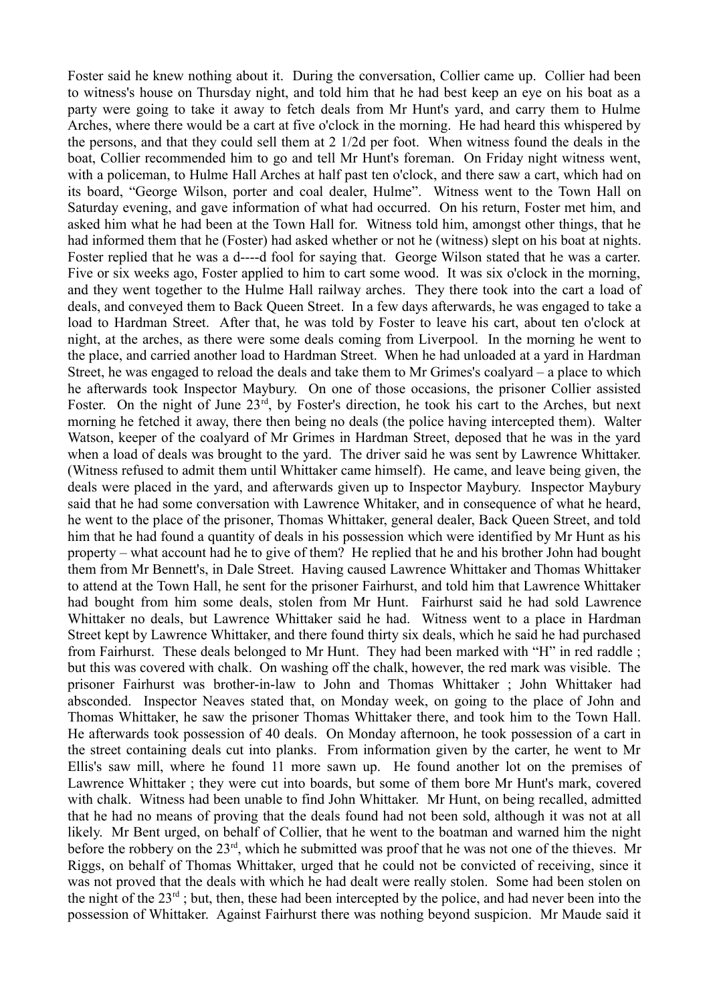Foster said he knew nothing about it. During the conversation, Collier came up. Collier had been to witness's house on Thursday night, and told him that he had best keep an eye on his boat as a party were going to take it away to fetch deals from Mr Hunt's yard, and carry them to Hulme Arches, where there would be a cart at five o'clock in the morning. He had heard this whispered by the persons, and that they could sell them at 2 1/2d per foot. When witness found the deals in the boat, Collier recommended him to go and tell Mr Hunt's foreman. On Friday night witness went, with a policeman, to Hulme Hall Arches at half past ten o'clock, and there saw a cart, which had on its board, "George Wilson, porter and coal dealer, Hulme". Witness went to the Town Hall on Saturday evening, and gave information of what had occurred. On his return, Foster met him, and asked him what he had been at the Town Hall for. Witness told him, amongst other things, that he had informed them that he (Foster) had asked whether or not he (witness) slept on his boat at nights. Foster replied that he was a d----d fool for saying that. George Wilson stated that he was a carter. Five or six weeks ago, Foster applied to him to cart some wood. It was six o'clock in the morning, and they went together to the Hulme Hall railway arches. They there took into the cart a load of deals, and conveyed them to Back Queen Street. In a few days afterwards, he was engaged to take a load to Hardman Street. After that, he was told by Foster to leave his cart, about ten o'clock at night, at the arches, as there were some deals coming from Liverpool. In the morning he went to the place, and carried another load to Hardman Street. When he had unloaded at a yard in Hardman Street, he was engaged to reload the deals and take them to Mr Grimes's coalyard – a place to which he afterwards took Inspector Maybury. On one of those occasions, the prisoner Collier assisted Foster. On the night of June 23rd, by Foster's direction, he took his cart to the Arches, but next morning he fetched it away, there then being no deals (the police having intercepted them). Walter Watson, keeper of the coalyard of Mr Grimes in Hardman Street, deposed that he was in the yard when a load of deals was brought to the yard. The driver said he was sent by Lawrence Whittaker. (Witness refused to admit them until Whittaker came himself). He came, and leave being given, the deals were placed in the yard, and afterwards given up to Inspector Maybury. Inspector Maybury said that he had some conversation with Lawrence Whitaker, and in consequence of what he heard, he went to the place of the prisoner, Thomas Whittaker, general dealer, Back Queen Street, and told him that he had found a quantity of deals in his possession which were identified by Mr Hunt as his property – what account had he to give of them? He replied that he and his brother John had bought them from Mr Bennett's, in Dale Street. Having caused Lawrence Whittaker and Thomas Whittaker to attend at the Town Hall, he sent for the prisoner Fairhurst, and told him that Lawrence Whittaker had bought from him some deals, stolen from Mr Hunt. Fairhurst said he had sold Lawrence Whittaker no deals, but Lawrence Whittaker said he had. Witness went to a place in Hardman Street kept by Lawrence Whittaker, and there found thirty six deals, which he said he had purchased from Fairhurst. These deals belonged to Mr Hunt. They had been marked with "H" in red raddle ; but this was covered with chalk. On washing off the chalk, however, the red mark was visible. The prisoner Fairhurst was brother-in-law to John and Thomas Whittaker ; John Whittaker had absconded. Inspector Neaves stated that, on Monday week, on going to the place of John and Thomas Whittaker, he saw the prisoner Thomas Whittaker there, and took him to the Town Hall. He afterwards took possession of 40 deals. On Monday afternoon, he took possession of a cart in the street containing deals cut into planks. From information given by the carter, he went to Mr Ellis's saw mill, where he found 11 more sawn up. He found another lot on the premises of Lawrence Whittaker ; they were cut into boards, but some of them bore Mr Hunt's mark, covered with chalk. Witness had been unable to find John Whittaker. Mr Hunt, on being recalled, admitted that he had no means of proving that the deals found had not been sold, although it was not at all likely. Mr Bent urged, on behalf of Collier, that he went to the boatman and warned him the night before the robbery on the 23<sup>rd</sup>, which he submitted was proof that he was not one of the thieves. Mr Riggs, on behalf of Thomas Whittaker, urged that he could not be convicted of receiving, since it was not proved that the deals with which he had dealt were really stolen. Some had been stolen on the night of the  $23<sup>rd</sup>$ ; but, then, these had been intercepted by the police, and had never been into the possession of Whittaker. Against Fairhurst there was nothing beyond suspicion. Mr Maude said it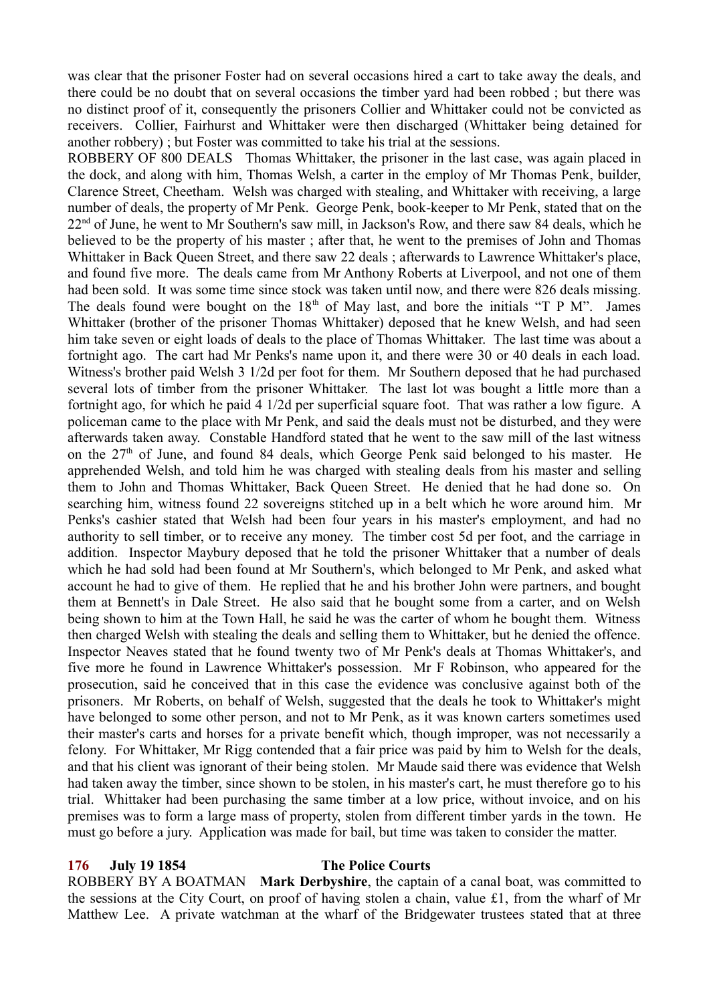was clear that the prisoner Foster had on several occasions hired a cart to take away the deals, and there could be no doubt that on several occasions the timber yard had been robbed ; but there was no distinct proof of it, consequently the prisoners Collier and Whittaker could not be convicted as receivers. Collier, Fairhurst and Whittaker were then discharged (Whittaker being detained for another robbery) ; but Foster was committed to take his trial at the sessions.

ROBBERY OF 800 DEALS Thomas Whittaker, the prisoner in the last case, was again placed in the dock, and along with him, Thomas Welsh, a carter in the employ of Mr Thomas Penk, builder, Clarence Street, Cheetham. Welsh was charged with stealing, and Whittaker with receiving, a large number of deals, the property of Mr Penk. George Penk, book-keeper to Mr Penk, stated that on the 22<sup>nd</sup> of June, he went to Mr Southern's saw mill, in Jackson's Row, and there saw 84 deals, which he believed to be the property of his master ; after that, he went to the premises of John and Thomas Whittaker in Back Queen Street, and there saw 22 deals ; afterwards to Lawrence Whittaker's place, and found five more. The deals came from Mr Anthony Roberts at Liverpool, and not one of them had been sold. It was some time since stock was taken until now, and there were 826 deals missing. The deals found were bought on the  $18<sup>th</sup>$  of May last, and bore the initials "T P M". James Whittaker (brother of the prisoner Thomas Whittaker) deposed that he knew Welsh, and had seen him take seven or eight loads of deals to the place of Thomas Whittaker. The last time was about a fortnight ago. The cart had Mr Penks's name upon it, and there were 30 or 40 deals in each load. Witness's brother paid Welsh 3 1/2d per foot for them. Mr Southern deposed that he had purchased several lots of timber from the prisoner Whittaker. The last lot was bought a little more than a fortnight ago, for which he paid 4 1/2d per superficial square foot. That was rather a low figure. A policeman came to the place with Mr Penk, and said the deals must not be disturbed, and they were afterwards taken away. Constable Handford stated that he went to the saw mill of the last witness on the  $27<sup>th</sup>$  of June, and found 84 deals, which George Penk said belonged to his master. He apprehended Welsh, and told him he was charged with stealing deals from his master and selling them to John and Thomas Whittaker, Back Queen Street. He denied that he had done so. On searching him, witness found 22 sovereigns stitched up in a belt which he wore around him. Mr Penks's cashier stated that Welsh had been four years in his master's employment, and had no authority to sell timber, or to receive any money. The timber cost 5d per foot, and the carriage in addition. Inspector Maybury deposed that he told the prisoner Whittaker that a number of deals which he had sold had been found at Mr Southern's, which belonged to Mr Penk, and asked what account he had to give of them. He replied that he and his brother John were partners, and bought them at Bennett's in Dale Street. He also said that he bought some from a carter, and on Welsh being shown to him at the Town Hall, he said he was the carter of whom he bought them. Witness then charged Welsh with stealing the deals and selling them to Whittaker, but he denied the offence. Inspector Neaves stated that he found twenty two of Mr Penk's deals at Thomas Whittaker's, and five more he found in Lawrence Whittaker's possession. Mr F Robinson, who appeared for the prosecution, said he conceived that in this case the evidence was conclusive against both of the prisoners. Mr Roberts, on behalf of Welsh, suggested that the deals he took to Whittaker's might have belonged to some other person, and not to Mr Penk, as it was known carters sometimes used their master's carts and horses for a private benefit which, though improper, was not necessarily a felony. For Whittaker, Mr Rigg contended that a fair price was paid by him to Welsh for the deals, and that his client was ignorant of their being stolen. Mr Maude said there was evidence that Welsh had taken away the timber, since shown to be stolen, in his master's cart, he must therefore go to his trial. Whittaker had been purchasing the same timber at a low price, without invoice, and on his premises was to form a large mass of property, stolen from different timber yards in the town. He must go before a jury. Application was made for bail, but time was taken to consider the matter.

#### **176 July 19 1854 The Police Courts**

ROBBERY BY A BOATMAN **Mark Derbyshire**, the captain of a canal boat, was committed to the sessions at the City Court, on proof of having stolen a chain, value £1, from the wharf of Mr Matthew Lee. A private watchman at the wharf of the Bridgewater trustees stated that at three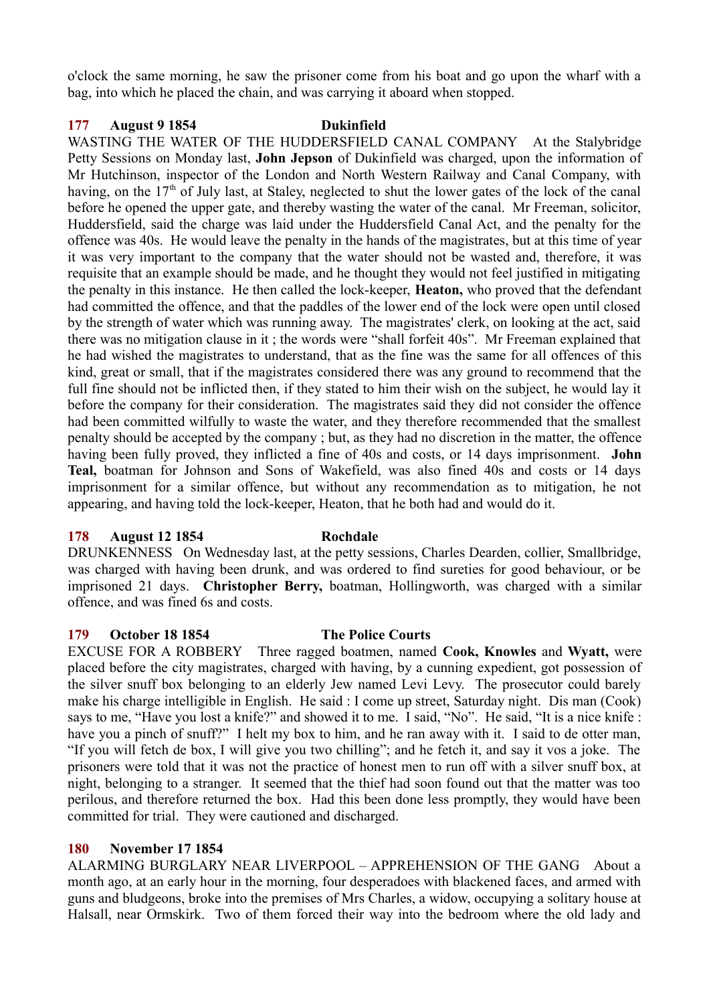o'clock the same morning, he saw the prisoner come from his boat and go upon the wharf with a bag, into which he placed the chain, and was carrying it aboard when stopped.

## **177 August 9 1854 Dukinfield**

WASTING THE WATER OF THE HUDDERSFIELD CANAL COMPANY At the Stalybridge Petty Sessions on Monday last, **John Jepson** of Dukinfield was charged, upon the information of Mr Hutchinson, inspector of the London and North Western Railway and Canal Company, with having, on the 17<sup>th</sup> of July last, at Staley, neglected to shut the lower gates of the lock of the canal before he opened the upper gate, and thereby wasting the water of the canal. Mr Freeman, solicitor, Huddersfield, said the charge was laid under the Huddersfield Canal Act, and the penalty for the offence was 40s. He would leave the penalty in the hands of the magistrates, but at this time of year it was very important to the company that the water should not be wasted and, therefore, it was requisite that an example should be made, and he thought they would not feel justified in mitigating the penalty in this instance. He then called the lock-keeper, **Heaton,** who proved that the defendant had committed the offence, and that the paddles of the lower end of the lock were open until closed by the strength of water which was running away. The magistrates' clerk, on looking at the act, said there was no mitigation clause in it ; the words were "shall forfeit 40s". Mr Freeman explained that he had wished the magistrates to understand, that as the fine was the same for all offences of this kind, great or small, that if the magistrates considered there was any ground to recommend that the full fine should not be inflicted then, if they stated to him their wish on the subject, he would lay it before the company for their consideration. The magistrates said they did not consider the offence had been committed wilfully to waste the water, and they therefore recommended that the smallest penalty should be accepted by the company ; but, as they had no discretion in the matter, the offence having been fully proved, they inflicted a fine of 40s and costs, or 14 days imprisonment. **John Teal,** boatman for Johnson and Sons of Wakefield, was also fined 40s and costs or 14 days imprisonment for a similar offence, but without any recommendation as to mitigation, he not appearing, and having told the lock-keeper, Heaton, that he both had and would do it.

## **178 August 12 1854 Rochdale**

DRUNKENNESS On Wednesday last, at the petty sessions, Charles Dearden, collier, Smallbridge, was charged with having been drunk, and was ordered to find sureties for good behaviour, or be imprisoned 21 days. **Christopher Berry,** boatman, Hollingworth, was charged with a similar offence, and was fined 6s and costs.

## **179 October 18 1854 The Police Courts**

EXCUSE FOR A ROBBERY Three ragged boatmen, named **Cook, Knowles** and **Wyatt,** were placed before the city magistrates, charged with having, by a cunning expedient, got possession of the silver snuff box belonging to an elderly Jew named Levi Levy. The prosecutor could barely make his charge intelligible in English. He said : I come up street, Saturday night. Dis man (Cook) says to me, "Have you lost a knife?" and showed it to me. I said, "No". He said, "It is a nice knife : have you a pinch of snuff?" I helt my box to him, and he ran away with it. I said to de otter man, "If you will fetch de box, I will give you two chilling"; and he fetch it, and say it vos a joke. The prisoners were told that it was not the practice of honest men to run off with a silver snuff box, at night, belonging to a stranger. It seemed that the thief had soon found out that the matter was too perilous, and therefore returned the box. Had this been done less promptly, they would have been committed for trial. They were cautioned and discharged.

# **180 November 17 1854**

ALARMING BURGLARY NEAR LIVERPOOL – APPREHENSION OF THE GANG About a month ago, at an early hour in the morning, four desperadoes with blackened faces, and armed with guns and bludgeons, broke into the premises of Mrs Charles, a widow, occupying a solitary house at Halsall, near Ormskirk. Two of them forced their way into the bedroom where the old lady and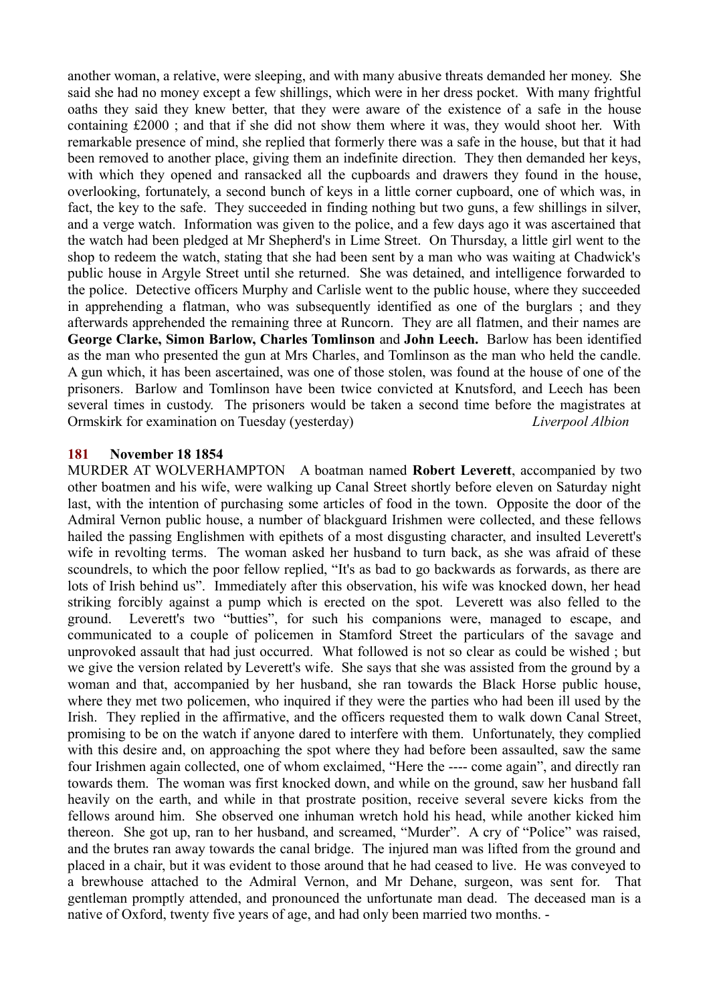another woman, a relative, were sleeping, and with many abusive threats demanded her money. She said she had no money except a few shillings, which were in her dress pocket. With many frightful oaths they said they knew better, that they were aware of the existence of a safe in the house containing £2000 ; and that if she did not show them where it was, they would shoot her. With remarkable presence of mind, she replied that formerly there was a safe in the house, but that it had been removed to another place, giving them an indefinite direction. They then demanded her keys, with which they opened and ransacked all the cupboards and drawers they found in the house, overlooking, fortunately, a second bunch of keys in a little corner cupboard, one of which was, in fact, the key to the safe. They succeeded in finding nothing but two guns, a few shillings in silver, and a verge watch. Information was given to the police, and a few days ago it was ascertained that the watch had been pledged at Mr Shepherd's in Lime Street. On Thursday, a little girl went to the shop to redeem the watch, stating that she had been sent by a man who was waiting at Chadwick's public house in Argyle Street until she returned. She was detained, and intelligence forwarded to the police. Detective officers Murphy and Carlisle went to the public house, where they succeeded in apprehending a flatman, who was subsequently identified as one of the burglars ; and they afterwards apprehended the remaining three at Runcorn. They are all flatmen, and their names are **George Clarke, Simon Barlow, Charles Tomlinson** and **John Leech.** Barlow has been identified as the man who presented the gun at Mrs Charles, and Tomlinson as the man who held the candle. A gun which, it has been ascertained, was one of those stolen, was found at the house of one of the prisoners. Barlow and Tomlinson have been twice convicted at Knutsford, and Leech has been several times in custody. The prisoners would be taken a second time before the magistrates at Ormskirk for examination on Tuesday (yesterday) *Liverpool Albion*

#### **181 November 18 1854**

MURDER AT WOLVERHAMPTON A boatman named **Robert Leverett**, accompanied by two other boatmen and his wife, were walking up Canal Street shortly before eleven on Saturday night last, with the intention of purchasing some articles of food in the town. Opposite the door of the Admiral Vernon public house, a number of blackguard Irishmen were collected, and these fellows hailed the passing Englishmen with epithets of a most disgusting character, and insulted Leverett's wife in revolting terms. The woman asked her husband to turn back, as she was afraid of these scoundrels, to which the poor fellow replied, "It's as bad to go backwards as forwards, as there are lots of Irish behind us". Immediately after this observation, his wife was knocked down, her head striking forcibly against a pump which is erected on the spot. Leverett was also felled to the ground. Leverett's two "butties", for such his companions were, managed to escape, and communicated to a couple of policemen in Stamford Street the particulars of the savage and unprovoked assault that had just occurred. What followed is not so clear as could be wished ; but we give the version related by Leverett's wife. She says that she was assisted from the ground by a woman and that, accompanied by her husband, she ran towards the Black Horse public house, where they met two policemen, who inquired if they were the parties who had been ill used by the Irish. They replied in the affirmative, and the officers requested them to walk down Canal Street, promising to be on the watch if anyone dared to interfere with them. Unfortunately, they complied with this desire and, on approaching the spot where they had before been assaulted, saw the same four Irishmen again collected, one of whom exclaimed, "Here the ---- come again", and directly ran towards them. The woman was first knocked down, and while on the ground, saw her husband fall heavily on the earth, and while in that prostrate position, receive several severe kicks from the fellows around him. She observed one inhuman wretch hold his head, while another kicked him thereon. She got up, ran to her husband, and screamed, "Murder". A cry of "Police" was raised, and the brutes ran away towards the canal bridge. The injured man was lifted from the ground and placed in a chair, but it was evident to those around that he had ceased to live. He was conveyed to a brewhouse attached to the Admiral Vernon, and Mr Dehane, surgeon, was sent for. That gentleman promptly attended, and pronounced the unfortunate man dead. The deceased man is a native of Oxford, twenty five years of age, and had only been married two months. -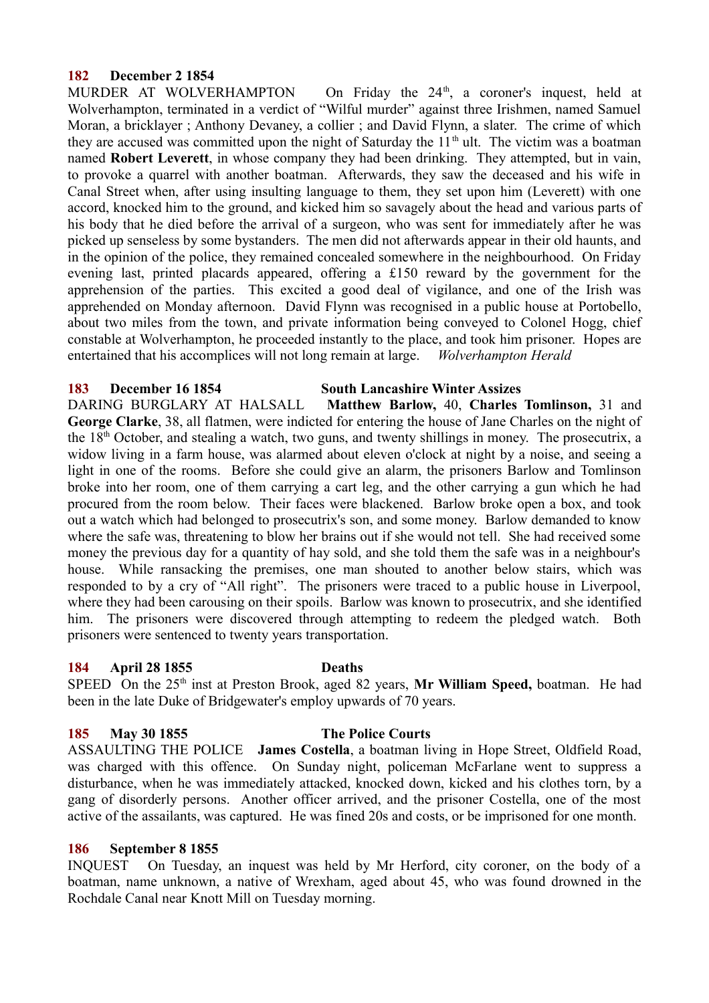## **182 December 2 1854**

MURDER AT WOLVERHAMPTON On Friday the  $24<sup>th</sup>$ , a coroner's inquest, held at Wolverhampton, terminated in a verdict of "Wilful murder" against three Irishmen, named Samuel Moran, a bricklayer ; Anthony Devaney, a collier ; and David Flynn, a slater. The crime of which they are accused was committed upon the night of Saturday the  $11<sup>th</sup>$  ult. The victim was a boatman named **Robert Leverett**, in whose company they had been drinking. They attempted, but in vain, to provoke a quarrel with another boatman. Afterwards, they saw the deceased and his wife in Canal Street when, after using insulting language to them, they set upon him (Leverett) with one accord, knocked him to the ground, and kicked him so savagely about the head and various parts of his body that he died before the arrival of a surgeon, who was sent for immediately after he was picked up senseless by some bystanders. The men did not afterwards appear in their old haunts, and in the opinion of the police, they remained concealed somewhere in the neighbourhood. On Friday evening last, printed placards appeared, offering a £150 reward by the government for the apprehension of the parties. This excited a good deal of vigilance, and one of the Irish was apprehended on Monday afternoon. David Flynn was recognised in a public house at Portobello, about two miles from the town, and private information being conveyed to Colonel Hogg, chief constable at Wolverhampton, he proceeded instantly to the place, and took him prisoner. Hopes are entertained that his accomplices will not long remain at large. *Wolverhampton Herald*

#### **183 December 16 1854 South Lancashire Winter Assizes**

DARING BURGLARY AT HALSALL **Matthew Barlow,** 40, **Charles Tomlinson,** 31 and **George Clarke**, 38, all flatmen, were indicted for entering the house of Jane Charles on the night of the 18th October, and stealing a watch, two guns, and twenty shillings in money. The prosecutrix, a widow living in a farm house, was alarmed about eleven o'clock at night by a noise, and seeing a light in one of the rooms. Before she could give an alarm, the prisoners Barlow and Tomlinson broke into her room, one of them carrying a cart leg, and the other carrying a gun which he had procured from the room below. Their faces were blackened. Barlow broke open a box, and took out a watch which had belonged to prosecutrix's son, and some money. Barlow demanded to know where the safe was, threatening to blow her brains out if she would not tell. She had received some money the previous day for a quantity of hay sold, and she told them the safe was in a neighbour's house. While ransacking the premises, one man shouted to another below stairs, which was responded to by a cry of "All right". The prisoners were traced to a public house in Liverpool, where they had been carousing on their spoils. Barlow was known to prosecutrix, and she identified him. The prisoners were discovered through attempting to redeem the pledged watch. Both prisoners were sentenced to twenty years transportation.

## **184 April 28 1855 Deaths**

SPEED On the 25<sup>th</sup> inst at Preston Brook, aged 82 years, Mr William Speed, boatman. He had been in the late Duke of Bridgewater's employ upwards of 70 years.

## **185 May 30 1855 The Police Courts**

ASSAULTING THE POLICE **James Costella**, a boatman living in Hope Street, Oldfield Road, was charged with this offence. On Sunday night, policeman McFarlane went to suppress a disturbance, when he was immediately attacked, knocked down, kicked and his clothes torn, by a gang of disorderly persons. Another officer arrived, and the prisoner Costella, one of the most active of the assailants, was captured. He was fined 20s and costs, or be imprisoned for one month.

## **186 September 8 1855**

INQUEST On Tuesday, an inquest was held by Mr Herford, city coroner, on the body of a boatman, name unknown, a native of Wrexham, aged about 45, who was found drowned in the Rochdale Canal near Knott Mill on Tuesday morning.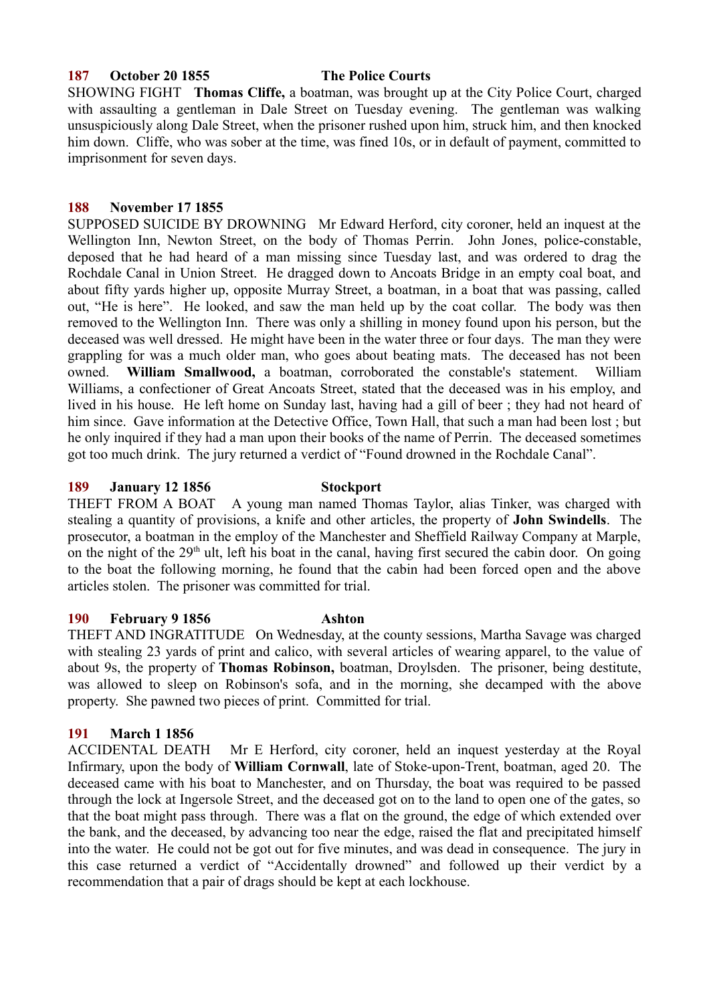#### **187 October 20 1855 The Police Courts**

SHOWING FIGHT **Thomas Cliffe,** a boatman, was brought up at the City Police Court, charged with assaulting a gentleman in Dale Street on Tuesday evening. The gentleman was walking unsuspiciously along Dale Street, when the prisoner rushed upon him, struck him, and then knocked him down. Cliffe, who was sober at the time, was fined 10s, or in default of payment, committed to imprisonment for seven days.

#### **188 November 17 1855**

SUPPOSED SUICIDE BY DROWNING Mr Edward Herford, city coroner, held an inquest at the Wellington Inn, Newton Street, on the body of Thomas Perrin. John Jones, police-constable, deposed that he had heard of a man missing since Tuesday last, and was ordered to drag the Rochdale Canal in Union Street. He dragged down to Ancoats Bridge in an empty coal boat, and about fifty yards higher up, opposite Murray Street, a boatman, in a boat that was passing, called out, "He is here". He looked, and saw the man held up by the coat collar. The body was then removed to the Wellington Inn. There was only a shilling in money found upon his person, but the deceased was well dressed. He might have been in the water three or four days. The man they were grappling for was a much older man, who goes about beating mats. The deceased has not been owned. **William Smallwood,** a boatman, corroborated the constable's statement. William Williams, a confectioner of Great Ancoats Street, stated that the deceased was in his employ, and lived in his house. He left home on Sunday last, having had a gill of beer ; they had not heard of him since. Gave information at the Detective Office, Town Hall, that such a man had been lost ; but he only inquired if they had a man upon their books of the name of Perrin. The deceased sometimes got too much drink. The jury returned a verdict of "Found drowned in the Rochdale Canal".

#### **189 January 12 1856 Stockport**

THEFT FROM A BOAT A young man named Thomas Taylor, alias Tinker, was charged with stealing a quantity of provisions, a knife and other articles, the property of **John Swindells**. The prosecutor, a boatman in the employ of the Manchester and Sheffield Railway Company at Marple, on the night of the  $29<sup>th</sup>$  ult, left his boat in the canal, having first secured the cabin door. On going to the boat the following morning, he found that the cabin had been forced open and the above articles stolen. The prisoner was committed for trial.

#### **190 February 9 1856 Ashton**

## THEFT AND INGRATITUDE On Wednesday, at the county sessions, Martha Savage was charged with stealing 23 yards of print and calico, with several articles of wearing apparel, to the value of about 9s, the property of **Thomas Robinson,** boatman, Droylsden. The prisoner, being destitute, was allowed to sleep on Robinson's sofa, and in the morning, she decamped with the above property. She pawned two pieces of print. Committed for trial.

## **191 March 1 1856**

ACCIDENTAL DEATH Mr E Herford, city coroner, held an inquest yesterday at the Royal Infirmary, upon the body of **William Cornwall**, late of Stoke-upon-Trent, boatman, aged 20. The deceased came with his boat to Manchester, and on Thursday, the boat was required to be passed through the lock at Ingersole Street, and the deceased got on to the land to open one of the gates, so that the boat might pass through. There was a flat on the ground, the edge of which extended over the bank, and the deceased, by advancing too near the edge, raised the flat and precipitated himself into the water. He could not be got out for five minutes, and was dead in consequence. The jury in this case returned a verdict of "Accidentally drowned" and followed up their verdict by a recommendation that a pair of drags should be kept at each lockhouse.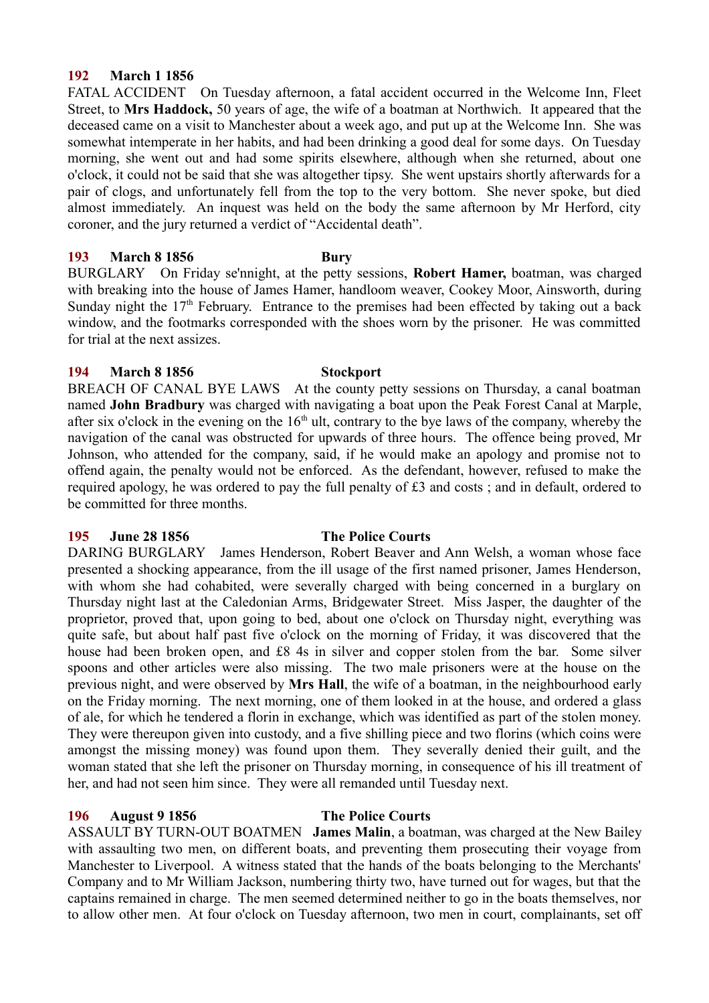## **192 March 1 1856**

FATAL ACCIDENT On Tuesday afternoon, a fatal accident occurred in the Welcome Inn, Fleet Street, to **Mrs Haddock,** 50 years of age, the wife of a boatman at Northwich. It appeared that the deceased came on a visit to Manchester about a week ago, and put up at the Welcome Inn. She was somewhat intemperate in her habits, and had been drinking a good deal for some days. On Tuesday morning, she went out and had some spirits elsewhere, although when she returned, about one o'clock, it could not be said that she was altogether tipsy. She went upstairs shortly afterwards for a pair of clogs, and unfortunately fell from the top to the very bottom. She never spoke, but died almost immediately. An inquest was held on the body the same afternoon by Mr Herford, city coroner, and the jury returned a verdict of "Accidental death".

## **193 March 8 1856 Bury**

BURGLARY On Friday se'nnight, at the petty sessions, **Robert Hamer,** boatman, was charged with breaking into the house of James Hamer, handloom weaver, Cookey Moor, Ainsworth, during Sunday night the  $17<sup>th</sup>$  February. Entrance to the premises had been effected by taking out a back window, and the footmarks corresponded with the shoes worn by the prisoner. He was committed for trial at the next assizes.

## **194 March 8 1856 Stockport**

BREACH OF CANAL BYE LAWS At the county petty sessions on Thursday, a canal boatman named **John Bradbury** was charged with navigating a boat upon the Peak Forest Canal at Marple, after six o'clock in the evening on the  $16<sup>th</sup>$  ult, contrary to the bye laws of the company, whereby the navigation of the canal was obstructed for upwards of three hours. The offence being proved, Mr Johnson, who attended for the company, said, if he would make an apology and promise not to offend again, the penalty would not be enforced. As the defendant, however, refused to make the required apology, he was ordered to pay the full penalty of £3 and costs ; and in default, ordered to be committed for three months.

## **195 June 28 1856 The Police Courts**

DARING BURGLARY James Henderson, Robert Beaver and Ann Welsh, a woman whose face presented a shocking appearance, from the ill usage of the first named prisoner, James Henderson, with whom she had cohabited, were severally charged with being concerned in a burglary on Thursday night last at the Caledonian Arms, Bridgewater Street. Miss Jasper, the daughter of the proprietor, proved that, upon going to bed, about one o'clock on Thursday night, everything was quite safe, but about half past five o'clock on the morning of Friday, it was discovered that the house had been broken open, and £8 4s in silver and copper stolen from the bar. Some silver spoons and other articles were also missing. The two male prisoners were at the house on the previous night, and were observed by **Mrs Hall**, the wife of a boatman, in the neighbourhood early on the Friday morning. The next morning, one of them looked in at the house, and ordered a glass of ale, for which he tendered a florin in exchange, which was identified as part of the stolen money. They were thereupon given into custody, and a five shilling piece and two florins (which coins were amongst the missing money) was found upon them. They severally denied their guilt, and the woman stated that she left the prisoner on Thursday morning, in consequence of his ill treatment of her, and had not seen him since. They were all remanded until Tuesday next.

## **196 August 9 1856 The Police Courts**

ASSAULT BY TURN-OUT BOATMEN **James Malin**, a boatman, was charged at the New Bailey with assaulting two men, on different boats, and preventing them prosecuting their voyage from Manchester to Liverpool. A witness stated that the hands of the boats belonging to the Merchants' Company and to Mr William Jackson, numbering thirty two, have turned out for wages, but that the captains remained in charge. The men seemed determined neither to go in the boats themselves, nor to allow other men. At four o'clock on Tuesday afternoon, two men in court, complainants, set off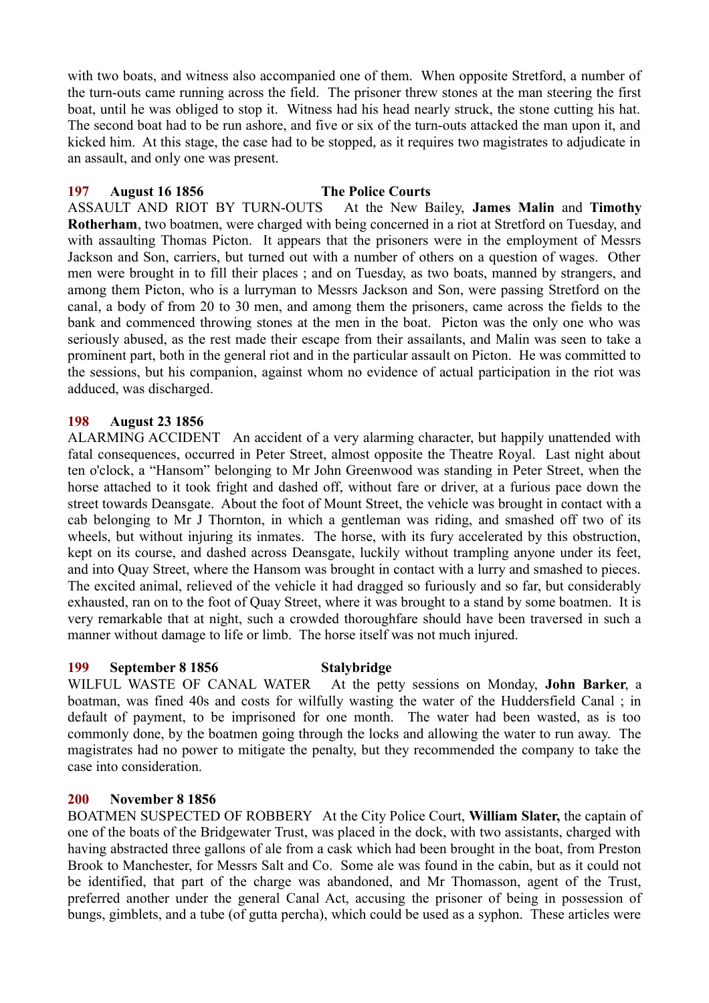with two boats, and witness also accompanied one of them. When opposite Stretford, a number of the turn-outs came running across the field. The prisoner threw stones at the man steering the first boat, until he was obliged to stop it. Witness had his head nearly struck, the stone cutting his hat. The second boat had to be run ashore, and five or six of the turn-outs attacked the man upon it, and kicked him. At this stage, the case had to be stopped, as it requires two magistrates to adjudicate in an assault, and only one was present.

## **197 August 16 1856 The Police Courts**

ASSAULT AND RIOT BY TURN-OUTS At the New Bailey, **James Malin** and **Timothy Rotherham**, two boatmen, were charged with being concerned in a riot at Stretford on Tuesday, and with assaulting Thomas Picton. It appears that the prisoners were in the employment of Messrs Jackson and Son, carriers, but turned out with a number of others on a question of wages. Other men were brought in to fill their places ; and on Tuesday, as two boats, manned by strangers, and among them Picton, who is a lurryman to Messrs Jackson and Son, were passing Stretford on the canal, a body of from 20 to 30 men, and among them the prisoners, came across the fields to the bank and commenced throwing stones at the men in the boat. Picton was the only one who was seriously abused, as the rest made their escape from their assailants, and Malin was seen to take a prominent part, both in the general riot and in the particular assault on Picton. He was committed to the sessions, but his companion, against whom no evidence of actual participation in the riot was adduced, was discharged.

# **198 August 23 1856**

ALARMING ACCIDENT An accident of a very alarming character, but happily unattended with fatal consequences, occurred in Peter Street, almost opposite the Theatre Royal. Last night about ten o'clock, a "Hansom" belonging to Mr John Greenwood was standing in Peter Street, when the horse attached to it took fright and dashed off, without fare or driver, at a furious pace down the street towards Deansgate. About the foot of Mount Street, the vehicle was brought in contact with a cab belonging to Mr J Thornton, in which a gentleman was riding, and smashed off two of its wheels, but without injuring its inmates. The horse, with its fury accelerated by this obstruction, kept on its course, and dashed across Deansgate, luckily without trampling anyone under its feet, and into Quay Street, where the Hansom was brought in contact with a lurry and smashed to pieces. The excited animal, relieved of the vehicle it had dragged so furiously and so far, but considerably exhausted, ran on to the foot of Quay Street, where it was brought to a stand by some boatmen. It is very remarkable that at night, such a crowded thoroughfare should have been traversed in such a manner without damage to life or limb. The horse itself was not much injured.

## **199 September 8 1856 Stalybridge**

WILFUL WASTE OF CANAL WATER At the petty sessions on Monday, **John Barker**, a boatman, was fined 40s and costs for wilfully wasting the water of the Huddersfield Canal ; in default of payment, to be imprisoned for one month. The water had been wasted, as is too commonly done, by the boatmen going through the locks and allowing the water to run away. The magistrates had no power to mitigate the penalty, but they recommended the company to take the case into consideration.

# **200 November 8 1856**

BOATMEN SUSPECTED OF ROBBERY At the City Police Court, **William Slater,** the captain of one of the boats of the Bridgewater Trust, was placed in the dock, with two assistants, charged with having abstracted three gallons of ale from a cask which had been brought in the boat, from Preston Brook to Manchester, for Messrs Salt and Co. Some ale was found in the cabin, but as it could not be identified, that part of the charge was abandoned, and Mr Thomasson, agent of the Trust, preferred another under the general Canal Act, accusing the prisoner of being in possession of bungs, gimblets, and a tube (of gutta percha), which could be used as a syphon. These articles were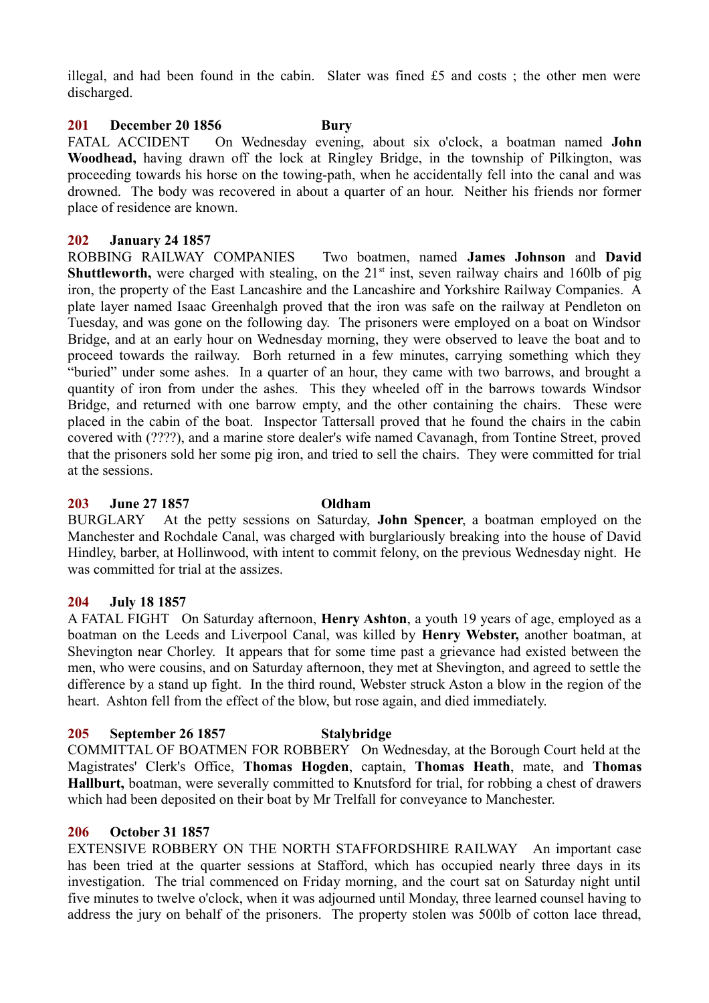illegal, and had been found in the cabin. Slater was fined £5 and costs ; the other men were discharged.

## **201 December 20 1856 Bury**

FATAL ACCIDENT On Wednesday evening, about six o'clock, a boatman named **John Woodhead,** having drawn off the lock at Ringley Bridge, in the township of Pilkington, was proceeding towards his horse on the towing-path, when he accidentally fell into the canal and was drowned. The body was recovered in about a quarter of an hour. Neither his friends nor former place of residence are known.

## **202 January 24 1857**

ROBBING RAILWAY COMPANIES Two boatmen, named **James Johnson** and **David Shuttleworth,** were charged with stealing, on the  $21<sup>st</sup>$  inst, seven railway chairs and 160lb of pig iron, the property of the East Lancashire and the Lancashire and Yorkshire Railway Companies. A plate layer named Isaac Greenhalgh proved that the iron was safe on the railway at Pendleton on Tuesday, and was gone on the following day. The prisoners were employed on a boat on Windsor Bridge, and at an early hour on Wednesday morning, they were observed to leave the boat and to proceed towards the railway. Borh returned in a few minutes, carrying something which they "buried" under some ashes. In a quarter of an hour, they came with two barrows, and brought a quantity of iron from under the ashes. This they wheeled off in the barrows towards Windsor Bridge, and returned with one barrow empty, and the other containing the chairs. These were placed in the cabin of the boat. Inspector Tattersall proved that he found the chairs in the cabin covered with (????), and a marine store dealer's wife named Cavanagh, from Tontine Street, proved that the prisoners sold her some pig iron, and tried to sell the chairs. They were committed for trial at the sessions.

#### **203 June 27 1857 Oldham**

BURGLARY At the petty sessions on Saturday, **John Spencer**, a boatman employed on the Manchester and Rochdale Canal, was charged with burglariously breaking into the house of David Hindley, barber, at Hollinwood, with intent to commit felony, on the previous Wednesday night. He was committed for trial at the assizes.

## **204 July 18 1857**

A FATAL FIGHT On Saturday afternoon, **Henry Ashton**, a youth 19 years of age, employed as a boatman on the Leeds and Liverpool Canal, was killed by **Henry Webster,** another boatman, at Shevington near Chorley. It appears that for some time past a grievance had existed between the men, who were cousins, and on Saturday afternoon, they met at Shevington, and agreed to settle the difference by a stand up fight. In the third round, Webster struck Aston a blow in the region of the heart. Ashton fell from the effect of the blow, but rose again, and died immediately.

## **205 September 26 1857 Stalybridge**

COMMITTAL OF BOATMEN FOR ROBBERY On Wednesday, at the Borough Court held at the Magistrates' Clerk's Office, **Thomas Hogden**, captain, **Thomas Heath**, mate, and **Thomas Hallburt,** boatman, were severally committed to Knutsford for trial, for robbing a chest of drawers which had been deposited on their boat by Mr Trelfall for conveyance to Manchester.

## **206 October 31 1857**

EXTENSIVE ROBBERY ON THE NORTH STAFFORDSHIRE RAILWAY An important case has been tried at the quarter sessions at Stafford, which has occupied nearly three days in its investigation. The trial commenced on Friday morning, and the court sat on Saturday night until five minutes to twelve o'clock, when it was adjourned until Monday, three learned counsel having to address the jury on behalf of the prisoners. The property stolen was 500lb of cotton lace thread,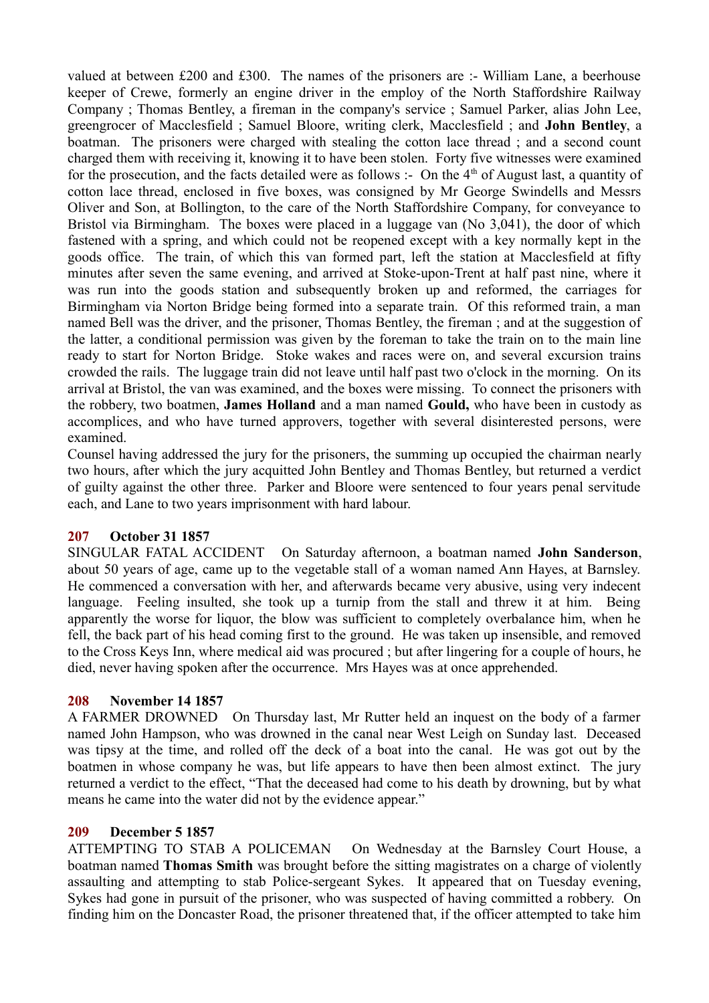valued at between £200 and £300. The names of the prisoners are :- William Lane, a beerhouse keeper of Crewe, formerly an engine driver in the employ of the North Staffordshire Railway Company ; Thomas Bentley, a fireman in the company's service ; Samuel Parker, alias John Lee, greengrocer of Macclesfield ; Samuel Bloore, writing clerk, Macclesfield ; and **John Bentley**, a boatman. The prisoners were charged with stealing the cotton lace thread ; and a second count charged them with receiving it, knowing it to have been stolen. Forty five witnesses were examined for the prosecution, and the facts detailed were as follows :- On the  $4<sup>th</sup>$  of August last, a quantity of cotton lace thread, enclosed in five boxes, was consigned by Mr George Swindells and Messrs Oliver and Son, at Bollington, to the care of the North Staffordshire Company, for conveyance to Bristol via Birmingham. The boxes were placed in a luggage van (No 3,041), the door of which fastened with a spring, and which could not be reopened except with a key normally kept in the goods office. The train, of which this van formed part, left the station at Macclesfield at fifty minutes after seven the same evening, and arrived at Stoke-upon-Trent at half past nine, where it was run into the goods station and subsequently broken up and reformed, the carriages for Birmingham via Norton Bridge being formed into a separate train. Of this reformed train, a man named Bell was the driver, and the prisoner, Thomas Bentley, the fireman ; and at the suggestion of the latter, a conditional permission was given by the foreman to take the train on to the main line ready to start for Norton Bridge. Stoke wakes and races were on, and several excursion trains crowded the rails. The luggage train did not leave until half past two o'clock in the morning. On its arrival at Bristol, the van was examined, and the boxes were missing. To connect the prisoners with the robbery, two boatmen, **James Holland** and a man named **Gould,** who have been in custody as accomplices, and who have turned approvers, together with several disinterested persons, were examined.

Counsel having addressed the jury for the prisoners, the summing up occupied the chairman nearly two hours, after which the jury acquitted John Bentley and Thomas Bentley, but returned a verdict of guilty against the other three. Parker and Bloore were sentenced to four years penal servitude each, and Lane to two years imprisonment with hard labour.

# **207 October 31 1857**

SINGULAR FATAL ACCIDENT On Saturday afternoon, a boatman named **John Sanderson**, about 50 years of age, came up to the vegetable stall of a woman named Ann Hayes, at Barnsley. He commenced a conversation with her, and afterwards became very abusive, using very indecent language. Feeling insulted, she took up a turnip from the stall and threw it at him. Being apparently the worse for liquor, the blow was sufficient to completely overbalance him, when he fell, the back part of his head coming first to the ground. He was taken up insensible, and removed to the Cross Keys Inn, where medical aid was procured ; but after lingering for a couple of hours, he died, never having spoken after the occurrence. Mrs Hayes was at once apprehended.

## **208 November 14 1857**

A FARMER DROWNED On Thursday last, Mr Rutter held an inquest on the body of a farmer named John Hampson, who was drowned in the canal near West Leigh on Sunday last. Deceased was tipsy at the time, and rolled off the deck of a boat into the canal. He was got out by the boatmen in whose company he was, but life appears to have then been almost extinct. The jury returned a verdict to the effect, "That the deceased had come to his death by drowning, but by what means he came into the water did not by the evidence appear."

## **209 December 5 1857**

ATTEMPTING TO STAB A POLICEMAN On Wednesday at the Barnsley Court House, a boatman named **Thomas Smith** was brought before the sitting magistrates on a charge of violently assaulting and attempting to stab Police-sergeant Sykes. It appeared that on Tuesday evening, Sykes had gone in pursuit of the prisoner, who was suspected of having committed a robbery. On finding him on the Doncaster Road, the prisoner threatened that, if the officer attempted to take him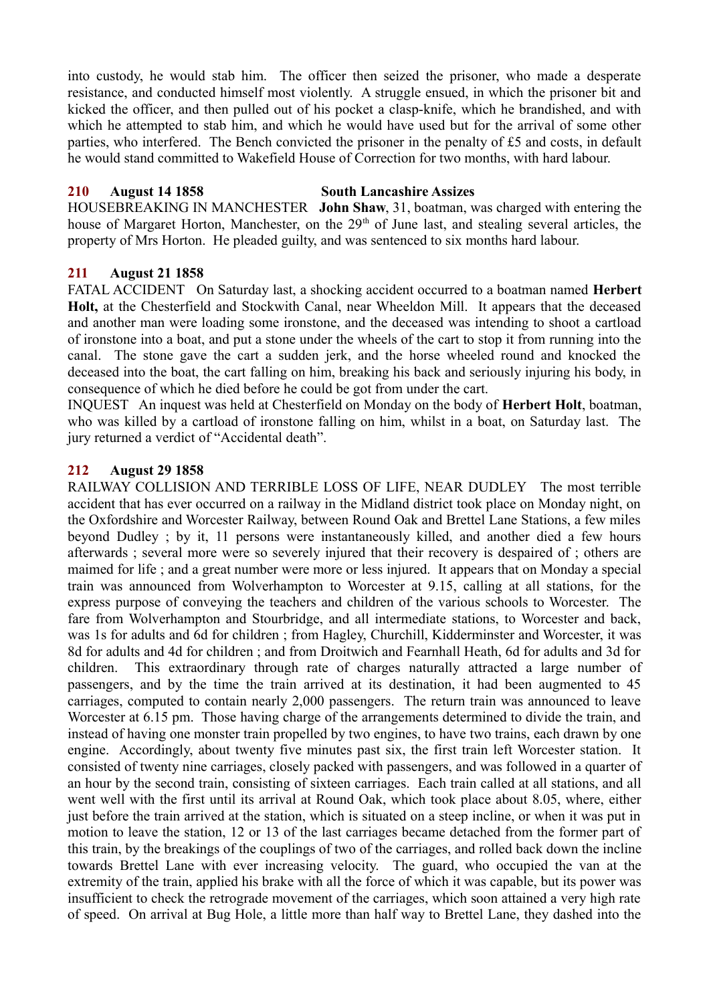into custody, he would stab him. The officer then seized the prisoner, who made a desperate resistance, and conducted himself most violently. A struggle ensued, in which the prisoner bit and kicked the officer, and then pulled out of his pocket a clasp-knife, which he brandished, and with which he attempted to stab him, and which he would have used but for the arrival of some other parties, who interfered. The Bench convicted the prisoner in the penalty of £5 and costs, in default he would stand committed to Wakefield House of Correction for two months, with hard labour.

# **210 August 14 1858 South Lancashire Assizes**

HOUSEBREAKING IN MANCHESTER **John Shaw**, 31, boatman, was charged with entering the house of Margaret Horton, Manchester, on the 29<sup>th</sup> of June last, and stealing several articles, the property of Mrs Horton. He pleaded guilty, and was sentenced to six months hard labour.

# **211 August 21 1858**

FATAL ACCIDENT On Saturday last, a shocking accident occurred to a boatman named **Herbert Holt,** at the Chesterfield and Stockwith Canal, near Wheeldon Mill. It appears that the deceased and another man were loading some ironstone, and the deceased was intending to shoot a cartload of ironstone into a boat, and put a stone under the wheels of the cart to stop it from running into the canal. The stone gave the cart a sudden jerk, and the horse wheeled round and knocked the deceased into the boat, the cart falling on him, breaking his back and seriously injuring his body, in consequence of which he died before he could be got from under the cart.

INQUEST An inquest was held at Chesterfield on Monday on the body of **Herbert Holt**, boatman, who was killed by a cartload of ironstone falling on him, whilst in a boat, on Saturday last. The jury returned a verdict of "Accidental death".

# **212 August 29 1858**

RAILWAY COLLISION AND TERRIBLE LOSS OF LIFE, NEAR DUDLEY The most terrible accident that has ever occurred on a railway in the Midland district took place on Monday night, on the Oxfordshire and Worcester Railway, between Round Oak and Brettel Lane Stations, a few miles beyond Dudley ; by it, 11 persons were instantaneously killed, and another died a few hours afterwards ; several more were so severely injured that their recovery is despaired of ; others are maimed for life ; and a great number were more or less injured. It appears that on Monday a special train was announced from Wolverhampton to Worcester at 9.15, calling at all stations, for the express purpose of conveying the teachers and children of the various schools to Worcester. The fare from Wolverhampton and Stourbridge, and all intermediate stations, to Worcester and back, was 1s for adults and 6d for children ; from Hagley, Churchill, Kidderminster and Worcester, it was 8d for adults and 4d for children ; and from Droitwich and Fearnhall Heath, 6d for adults and 3d for children. This extraordinary through rate of charges naturally attracted a large number of passengers, and by the time the train arrived at its destination, it had been augmented to 45 carriages, computed to contain nearly 2,000 passengers. The return train was announced to leave Worcester at 6.15 pm. Those having charge of the arrangements determined to divide the train, and instead of having one monster train propelled by two engines, to have two trains, each drawn by one engine. Accordingly, about twenty five minutes past six, the first train left Worcester station. It consisted of twenty nine carriages, closely packed with passengers, and was followed in a quarter of an hour by the second train, consisting of sixteen carriages. Each train called at all stations, and all went well with the first until its arrival at Round Oak, which took place about 8.05, where, either just before the train arrived at the station, which is situated on a steep incline, or when it was put in motion to leave the station, 12 or 13 of the last carriages became detached from the former part of this train, by the breakings of the couplings of two of the carriages, and rolled back down the incline towards Brettel Lane with ever increasing velocity. The guard, who occupied the van at the extremity of the train, applied his brake with all the force of which it was capable, but its power was insufficient to check the retrograde movement of the carriages, which soon attained a very high rate of speed. On arrival at Bug Hole, a little more than half way to Brettel Lane, they dashed into the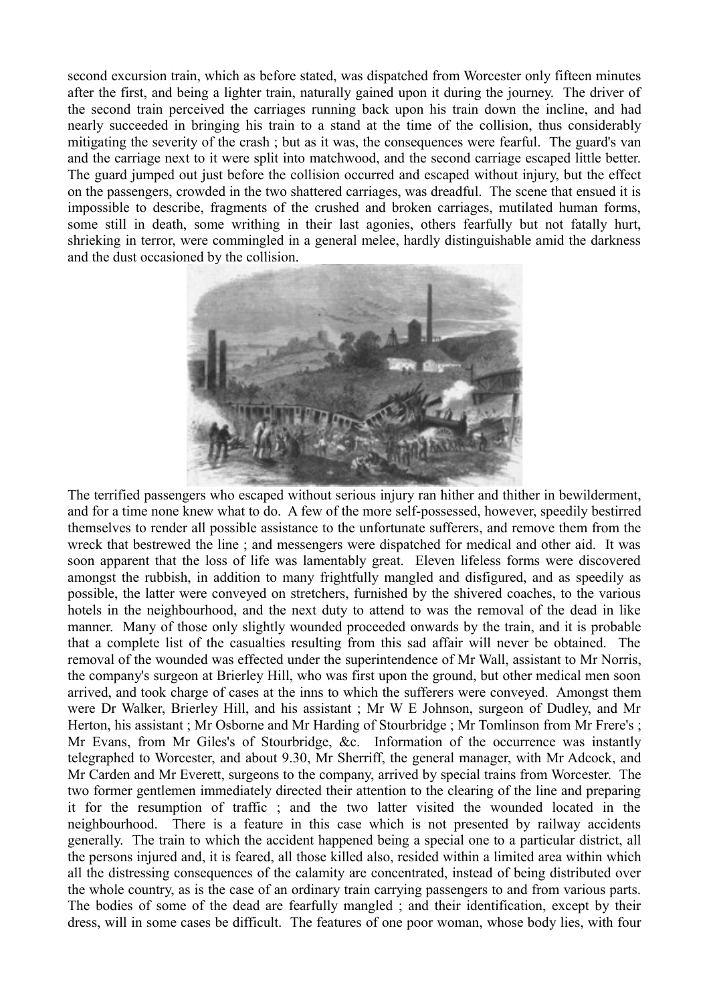second excursion train, which as before stated, was dispatched from Worcester only fifteen minutes after the first, and being a lighter train, naturally gained upon it during the journey. The driver of the second train perceived the carriages running back upon his train down the incline, and had nearly succeeded in bringing his train to a stand at the time of the collision, thus considerably mitigating the severity of the crash ; but as it was, the consequences were fearful. The guard's van and the carriage next to it were split into matchwood, and the second carriage escaped little better. The guard jumped out just before the collision occurred and escaped without injury, but the effect on the passengers, crowded in the two shattered carriages, was dreadful. The scene that ensued it is impossible to describe, fragments of the crushed and broken carriages, mutilated human forms, some still in death, some writhing in their last agonies, others fearfully but not fatally hurt, shrieking in terror, were commingled in a general melee, hardly distinguishable amid the darkness and the dust occasioned by the collision.



The terrified passengers who escaped without serious injury ran hither and thither in bewilderment, and for a time none knew what to do. A few of the more self-possessed, however, speedily bestirred themselves to render all possible assistance to the unfortunate sufferers, and remove them from the wreck that bestrewed the line ; and messengers were dispatched for medical and other aid. It was soon apparent that the loss of life was lamentably great. Eleven lifeless forms were discovered amongst the rubbish, in addition to many frightfully mangled and disfigured, and as speedily as possible, the latter were conveyed on stretchers, furnished by the shivered coaches, to the various hotels in the neighbourhood, and the next duty to attend to was the removal of the dead in like manner. Many of those only slightly wounded proceeded onwards by the train, and it is probable that a complete list of the casualties resulting from this sad affair will never be obtained. The removal of the wounded was effected under the superintendence of Mr Wall, assistant to Mr Norris, the company's surgeon at Brierley Hill, who was first upon the ground, but other medical men soon arrived, and took charge of cases at the inns to which the sufferers were conveyed. Amongst them were Dr Walker, Brierley Hill, and his assistant ; Mr W E Johnson, surgeon of Dudley, and Mr Herton, his assistant ; Mr Osborne and Mr Harding of Stourbridge ; Mr Tomlinson from Mr Frere's ; Mr Evans, from Mr Giles's of Stourbridge, &c. Information of the occurrence was instantly telegraphed to Worcester, and about 9.30, Mr Sherriff, the general manager, with Mr Adcock, and Mr Carden and Mr Everett, surgeons to the company, arrived by special trains from Worcester. The two former gentlemen immediately directed their attention to the clearing of the line and preparing it for the resumption of traffic ; and the two latter visited the wounded located in the neighbourhood. There is a feature in this case which is not presented by railway accidents generally. The train to which the accident happened being a special one to a particular district, all the persons injured and, it is feared, all those killed also, resided within a limited area within which all the distressing consequences of the calamity are concentrated, instead of being distributed over the whole country, as is the case of an ordinary train carrying passengers to and from various parts. The bodies of some of the dead are fearfully mangled ; and their identification, except by their dress, will in some cases be difficult. The features of one poor woman, whose body lies, with four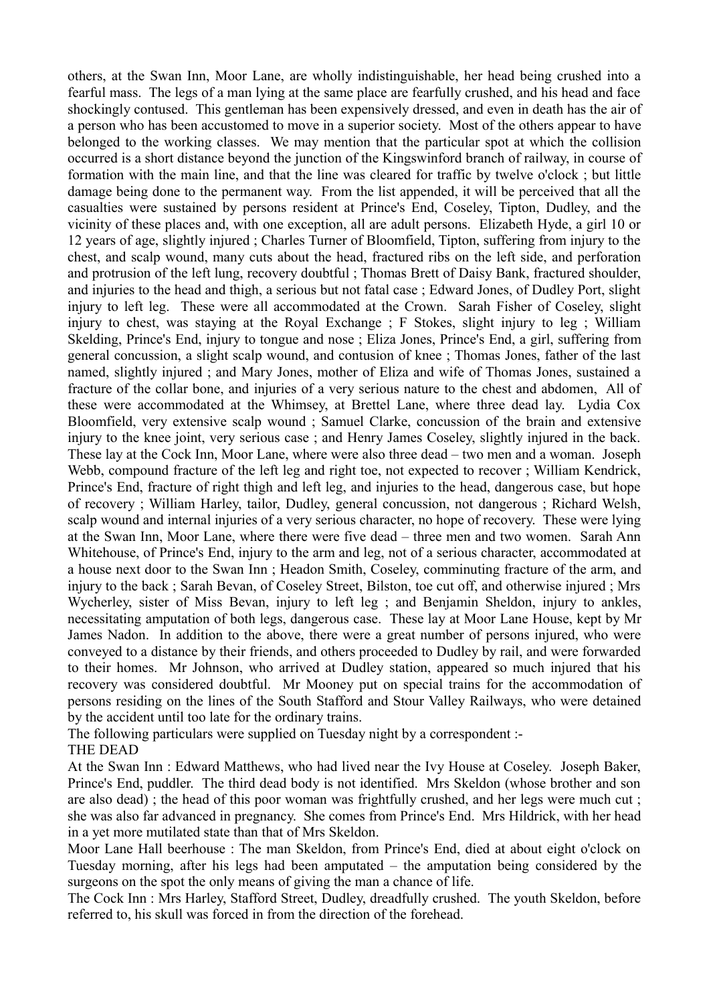others, at the Swan Inn, Moor Lane, are wholly indistinguishable, her head being crushed into a fearful mass. The legs of a man lying at the same place are fearfully crushed, and his head and face shockingly contused. This gentleman has been expensively dressed, and even in death has the air of a person who has been accustomed to move in a superior society. Most of the others appear to have belonged to the working classes. We may mention that the particular spot at which the collision occurred is a short distance beyond the junction of the Kingswinford branch of railway, in course of formation with the main line, and that the line was cleared for traffic by twelve o'clock ; but little damage being done to the permanent way. From the list appended, it will be perceived that all the casualties were sustained by persons resident at Prince's End, Coseley, Tipton, Dudley, and the vicinity of these places and, with one exception, all are adult persons. Elizabeth Hyde, a girl 10 or 12 years of age, slightly injured ; Charles Turner of Bloomfield, Tipton, suffering from injury to the chest, and scalp wound, many cuts about the head, fractured ribs on the left side, and perforation and protrusion of the left lung, recovery doubtful ; Thomas Brett of Daisy Bank, fractured shoulder, and injuries to the head and thigh, a serious but not fatal case ; Edward Jones, of Dudley Port, slight injury to left leg. These were all accommodated at the Crown. Sarah Fisher of Coseley, slight injury to chest, was staying at the Royal Exchange ; F Stokes, slight injury to leg ; William Skelding, Prince's End, injury to tongue and nose ; Eliza Jones, Prince's End, a girl, suffering from general concussion, a slight scalp wound, and contusion of knee ; Thomas Jones, father of the last named, slightly injured ; and Mary Jones, mother of Eliza and wife of Thomas Jones, sustained a fracture of the collar bone, and injuries of a very serious nature to the chest and abdomen, All of these were accommodated at the Whimsey, at Brettel Lane, where three dead lay. Lydia Cox Bloomfield, very extensive scalp wound ; Samuel Clarke, concussion of the brain and extensive injury to the knee joint, very serious case ; and Henry James Coseley, slightly injured in the back. These lay at the Cock Inn, Moor Lane, where were also three dead – two men and a woman. Joseph Webb, compound fracture of the left leg and right toe, not expected to recover ; William Kendrick, Prince's End, fracture of right thigh and left leg, and injuries to the head, dangerous case, but hope of recovery ; William Harley, tailor, Dudley, general concussion, not dangerous ; Richard Welsh, scalp wound and internal injuries of a very serious character, no hope of recovery. These were lying at the Swan Inn, Moor Lane, where there were five dead – three men and two women. Sarah Ann Whitehouse, of Prince's End, injury to the arm and leg, not of a serious character, accommodated at a house next door to the Swan Inn ; Headon Smith, Coseley, comminuting fracture of the arm, and injury to the back ; Sarah Bevan, of Coseley Street, Bilston, toe cut off, and otherwise injured ; Mrs Wycherley, sister of Miss Bevan, injury to left leg ; and Benjamin Sheldon, injury to ankles, necessitating amputation of both legs, dangerous case. These lay at Moor Lane House, kept by Mr James Nadon. In addition to the above, there were a great number of persons injured, who were conveyed to a distance by their friends, and others proceeded to Dudley by rail, and were forwarded to their homes. Mr Johnson, who arrived at Dudley station, appeared so much injured that his recovery was considered doubtful. Mr Mooney put on special trains for the accommodation of persons residing on the lines of the South Stafford and Stour Valley Railways, who were detained by the accident until too late for the ordinary trains.

The following particulars were supplied on Tuesday night by a correspondent :- THE DEAD

At the Swan Inn : Edward Matthews, who had lived near the Ivy House at Coseley. Joseph Baker, Prince's End, puddler. The third dead body is not identified. Mrs Skeldon (whose brother and son are also dead) ; the head of this poor woman was frightfully crushed, and her legs were much cut ; she was also far advanced in pregnancy. She comes from Prince's End. Mrs Hildrick, with her head in a yet more mutilated state than that of Mrs Skeldon.

Moor Lane Hall beerhouse : The man Skeldon, from Prince's End, died at about eight o'clock on Tuesday morning, after his legs had been amputated – the amputation being considered by the surgeons on the spot the only means of giving the man a chance of life.

The Cock Inn : Mrs Harley, Stafford Street, Dudley, dreadfully crushed. The youth Skeldon, before referred to, his skull was forced in from the direction of the forehead.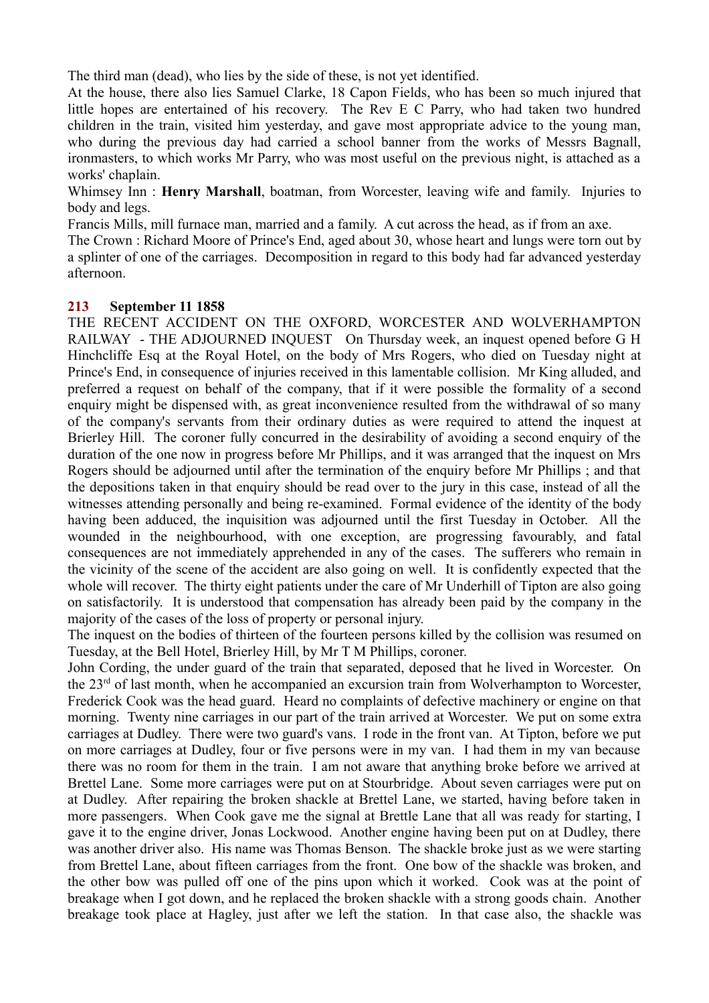The third man (dead), who lies by the side of these, is not yet identified.

At the house, there also lies Samuel Clarke, 18 Capon Fields, who has been so much injured that little hopes are entertained of his recovery. The Rev E C Parry, who had taken two hundred children in the train, visited him yesterday, and gave most appropriate advice to the young man, who during the previous day had carried a school banner from the works of Messrs Bagnall, ironmasters, to which works Mr Parry, who was most useful on the previous night, is attached as a works' chaplain.

Whimsey Inn : **Henry Marshall**, boatman, from Worcester, leaving wife and family. Injuries to body and legs.

Francis Mills, mill furnace man, married and a family. A cut across the head, as if from an axe.

The Crown : Richard Moore of Prince's End, aged about 30, whose heart and lungs were torn out by a splinter of one of the carriages. Decomposition in regard to this body had far advanced yesterday afternoon.

## **213 September 11 1858**

THE RECENT ACCIDENT ON THE OXFORD, WORCESTER AND WOLVERHAMPTON RAILWAY - THE ADJOURNED INQUEST On Thursday week, an inquest opened before G H Hinchcliffe Esq at the Royal Hotel, on the body of Mrs Rogers, who died on Tuesday night at Prince's End, in consequence of injuries received in this lamentable collision. Mr King alluded, and preferred a request on behalf of the company, that if it were possible the formality of a second enquiry might be dispensed with, as great inconvenience resulted from the withdrawal of so many of the company's servants from their ordinary duties as were required to attend the inquest at Brierley Hill. The coroner fully concurred in the desirability of avoiding a second enquiry of the duration of the one now in progress before Mr Phillips, and it was arranged that the inquest on Mrs Rogers should be adjourned until after the termination of the enquiry before Mr Phillips ; and that the depositions taken in that enquiry should be read over to the jury in this case, instead of all the witnesses attending personally and being re-examined. Formal evidence of the identity of the body having been adduced, the inquisition was adjourned until the first Tuesday in October. All the wounded in the neighbourhood, with one exception, are progressing favourably, and fatal consequences are not immediately apprehended in any of the cases. The sufferers who remain in the vicinity of the scene of the accident are also going on well. It is confidently expected that the whole will recover. The thirty eight patients under the care of Mr Underhill of Tipton are also going on satisfactorily. It is understood that compensation has already been paid by the company in the majority of the cases of the loss of property or personal injury.

The inquest on the bodies of thirteen of the fourteen persons killed by the collision was resumed on Tuesday, at the Bell Hotel, Brierley Hill, by Mr T M Phillips, coroner.

John Cording, the under guard of the train that separated, deposed that he lived in Worcester. On the 23rd of last month, when he accompanied an excursion train from Wolverhampton to Worcester, Frederick Cook was the head guard. Heard no complaints of defective machinery or engine on that morning. Twenty nine carriages in our part of the train arrived at Worcester. We put on some extra carriages at Dudley. There were two guard's vans. I rode in the front van. At Tipton, before we put on more carriages at Dudley, four or five persons were in my van. I had them in my van because there was no room for them in the train. I am not aware that anything broke before we arrived at Brettel Lane. Some more carriages were put on at Stourbridge. About seven carriages were put on at Dudley. After repairing the broken shackle at Brettel Lane, we started, having before taken in more passengers. When Cook gave me the signal at Brettle Lane that all was ready for starting, I gave it to the engine driver, Jonas Lockwood. Another engine having been put on at Dudley, there was another driver also. His name was Thomas Benson. The shackle broke just as we were starting from Brettel Lane, about fifteen carriages from the front. One bow of the shackle was broken, and the other bow was pulled off one of the pins upon which it worked. Cook was at the point of breakage when I got down, and he replaced the broken shackle with a strong goods chain. Another breakage took place at Hagley, just after we left the station. In that case also, the shackle was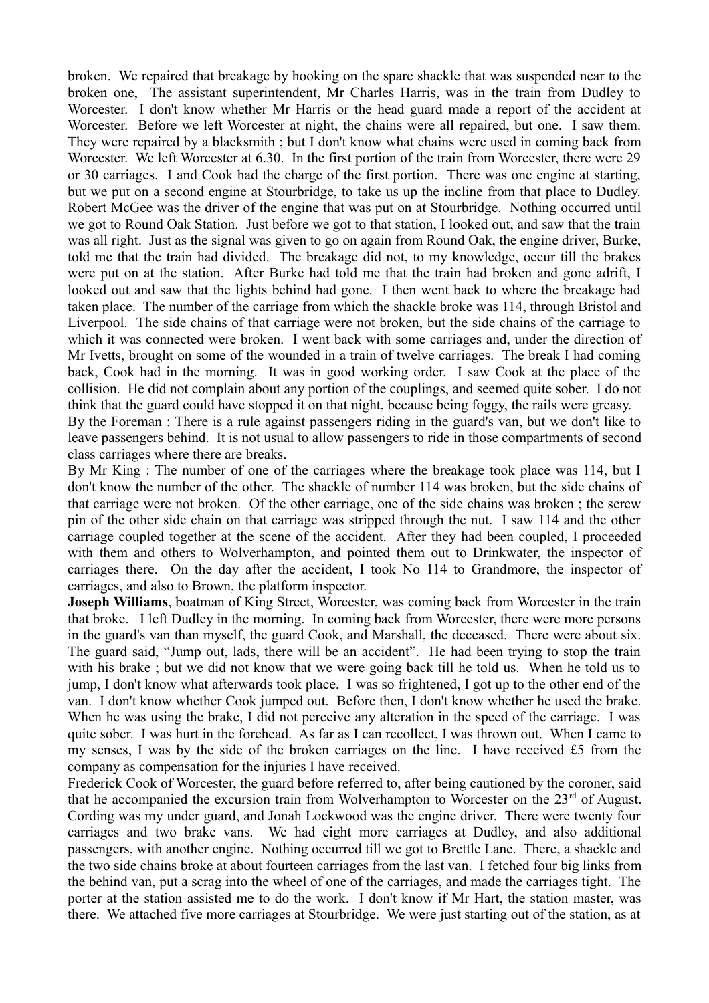broken. We repaired that breakage by hooking on the spare shackle that was suspended near to the broken one, The assistant superintendent, Mr Charles Harris, was in the train from Dudley to Worcester. I don't know whether Mr Harris or the head guard made a report of the accident at Worcester. Before we left Worcester at night, the chains were all repaired, but one. I saw them. They were repaired by a blacksmith ; but I don't know what chains were used in coming back from Worcester. We left Worcester at 6.30. In the first portion of the train from Worcester, there were 29 or 30 carriages. I and Cook had the charge of the first portion. There was one engine at starting, but we put on a second engine at Stourbridge, to take us up the incline from that place to Dudley. Robert McGee was the driver of the engine that was put on at Stourbridge. Nothing occurred until we got to Round Oak Station. Just before we got to that station, I looked out, and saw that the train was all right. Just as the signal was given to go on again from Round Oak, the engine driver, Burke, told me that the train had divided. The breakage did not, to my knowledge, occur till the brakes were put on at the station. After Burke had told me that the train had broken and gone adrift, I looked out and saw that the lights behind had gone. I then went back to where the breakage had taken place. The number of the carriage from which the shackle broke was 114, through Bristol and Liverpool. The side chains of that carriage were not broken, but the side chains of the carriage to which it was connected were broken. I went back with some carriages and, under the direction of Mr Ivetts, brought on some of the wounded in a train of twelve carriages. The break I had coming back, Cook had in the morning. It was in good working order. I saw Cook at the place of the collision. He did not complain about any portion of the couplings, and seemed quite sober. I do not think that the guard could have stopped it on that night, because being foggy, the rails were greasy.

By the Foreman : There is a rule against passengers riding in the guard's van, but we don't like to leave passengers behind. It is not usual to allow passengers to ride in those compartments of second class carriages where there are breaks.

By Mr King : The number of one of the carriages where the breakage took place was 114, but I don't know the number of the other. The shackle of number 114 was broken, but the side chains of that carriage were not broken. Of the other carriage, one of the side chains was broken ; the screw pin of the other side chain on that carriage was stripped through the nut. I saw 114 and the other carriage coupled together at the scene of the accident. After they had been coupled, I proceeded with them and others to Wolverhampton, and pointed them out to Drinkwater, the inspector of carriages there. On the day after the accident, I took No 114 to Grandmore, the inspector of carriages, and also to Brown, the platform inspector.

**Joseph Williams**, boatman of King Street, Worcester, was coming back from Worcester in the train that broke. I left Dudley in the morning. In coming back from Worcester, there were more persons in the guard's van than myself, the guard Cook, and Marshall, the deceased. There were about six. The guard said, "Jump out, lads, there will be an accident". He had been trying to stop the train with his brake ; but we did not know that we were going back till he told us. When he told us to jump, I don't know what afterwards took place. I was so frightened, I got up to the other end of the van. I don't know whether Cook jumped out. Before then, I don't know whether he used the brake. When he was using the brake, I did not perceive any alteration in the speed of the carriage. I was quite sober. I was hurt in the forehead. As far as I can recollect, I was thrown out. When I came to my senses, I was by the side of the broken carriages on the line. I have received £5 from the company as compensation for the injuries I have received.

Frederick Cook of Worcester, the guard before referred to, after being cautioned by the coroner, said that he accompanied the excursion train from Wolverhampton to Worcester on the  $23<sup>rd</sup>$  of August. Cording was my under guard, and Jonah Lockwood was the engine driver. There were twenty four carriages and two brake vans. We had eight more carriages at Dudley, and also additional passengers, with another engine. Nothing occurred till we got to Brettle Lane. There, a shackle and the two side chains broke at about fourteen carriages from the last van. I fetched four big links from the behind van, put a scrag into the wheel of one of the carriages, and made the carriages tight. The porter at the station assisted me to do the work. I don't know if Mr Hart, the station master, was there. We attached five more carriages at Stourbridge. We were just starting out of the station, as at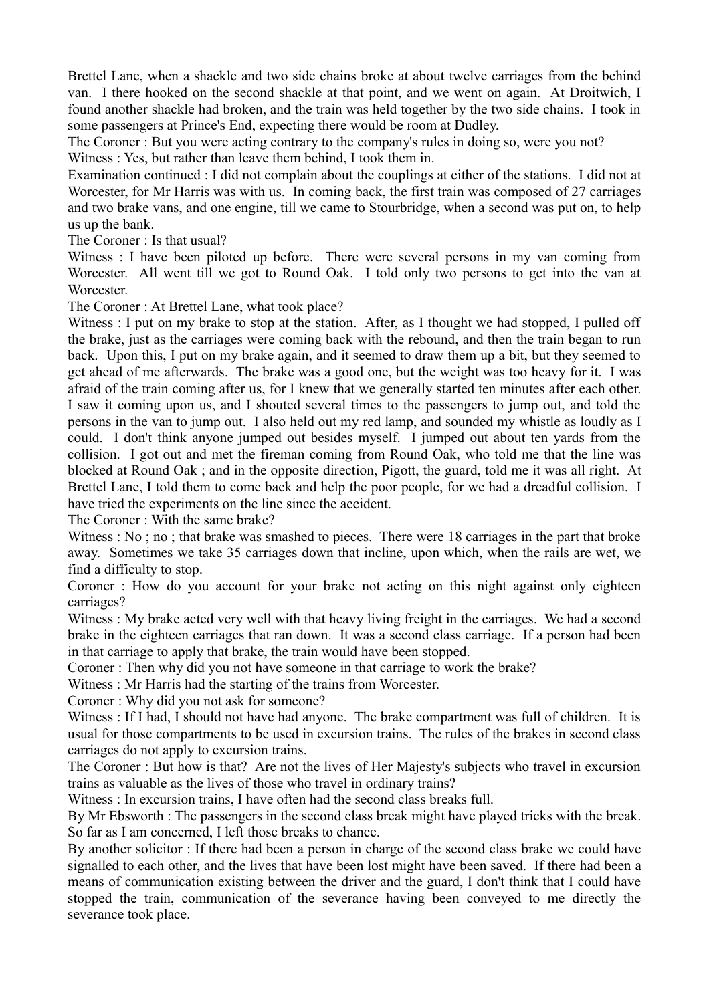Brettel Lane, when a shackle and two side chains broke at about twelve carriages from the behind van. I there hooked on the second shackle at that point, and we went on again. At Droitwich, I found another shackle had broken, and the train was held together by the two side chains. I took in some passengers at Prince's End, expecting there would be room at Dudley.

The Coroner : But you were acting contrary to the company's rules in doing so, were you not? Witness : Yes, but rather than leave them behind, I took them in.

Examination continued : I did not complain about the couplings at either of the stations. I did not at Worcester, for Mr Harris was with us. In coming back, the first train was composed of 27 carriages and two brake vans, and one engine, till we came to Stourbridge, when a second was put on, to help us up the bank.

The Coroner : Is that usual?

Witness : I have been piloted up before. There were several persons in my van coming from Worcester. All went till we got to Round Oak. I told only two persons to get into the van at Worcester.

The Coroner : At Brettel Lane, what took place?

Witness : I put on my brake to stop at the station. After, as I thought we had stopped, I pulled off the brake, just as the carriages were coming back with the rebound, and then the train began to run back. Upon this, I put on my brake again, and it seemed to draw them up a bit, but they seemed to get ahead of me afterwards. The brake was a good one, but the weight was too heavy for it. I was afraid of the train coming after us, for I knew that we generally started ten minutes after each other. I saw it coming upon us, and I shouted several times to the passengers to jump out, and told the persons in the van to jump out. I also held out my red lamp, and sounded my whistle as loudly as I could. I don't think anyone jumped out besides myself. I jumped out about ten yards from the collision. I got out and met the fireman coming from Round Oak, who told me that the line was blocked at Round Oak ; and in the opposite direction, Pigott, the guard, told me it was all right. At Brettel Lane, I told them to come back and help the poor people, for we had a dreadful collision. I have tried the experiments on the line since the accident.

The Coroner : With the same brake?

Witness : No; no; that brake was smashed to pieces. There were 18 carriages in the part that broke away. Sometimes we take 35 carriages down that incline, upon which, when the rails are wet, we find a difficulty to stop.

Coroner : How do you account for your brake not acting on this night against only eighteen carriages?

Witness : My brake acted very well with that heavy living freight in the carriages. We had a second brake in the eighteen carriages that ran down. It was a second class carriage. If a person had been in that carriage to apply that brake, the train would have been stopped.

Coroner : Then why did you not have someone in that carriage to work the brake?

Witness : Mr Harris had the starting of the trains from Worcester.

Coroner : Why did you not ask for someone?

Witness : If I had, I should not have had anyone. The brake compartment was full of children. It is usual for those compartments to be used in excursion trains. The rules of the brakes in second class carriages do not apply to excursion trains.

The Coroner : But how is that? Are not the lives of Her Majesty's subjects who travel in excursion trains as valuable as the lives of those who travel in ordinary trains?

Witness : In excursion trains, I have often had the second class breaks full.

By Mr Ebsworth : The passengers in the second class break might have played tricks with the break. So far as I am concerned, I left those breaks to chance.

By another solicitor : If there had been a person in charge of the second class brake we could have signalled to each other, and the lives that have been lost might have been saved. If there had been a means of communication existing between the driver and the guard, I don't think that I could have stopped the train, communication of the severance having been conveyed to me directly the severance took place.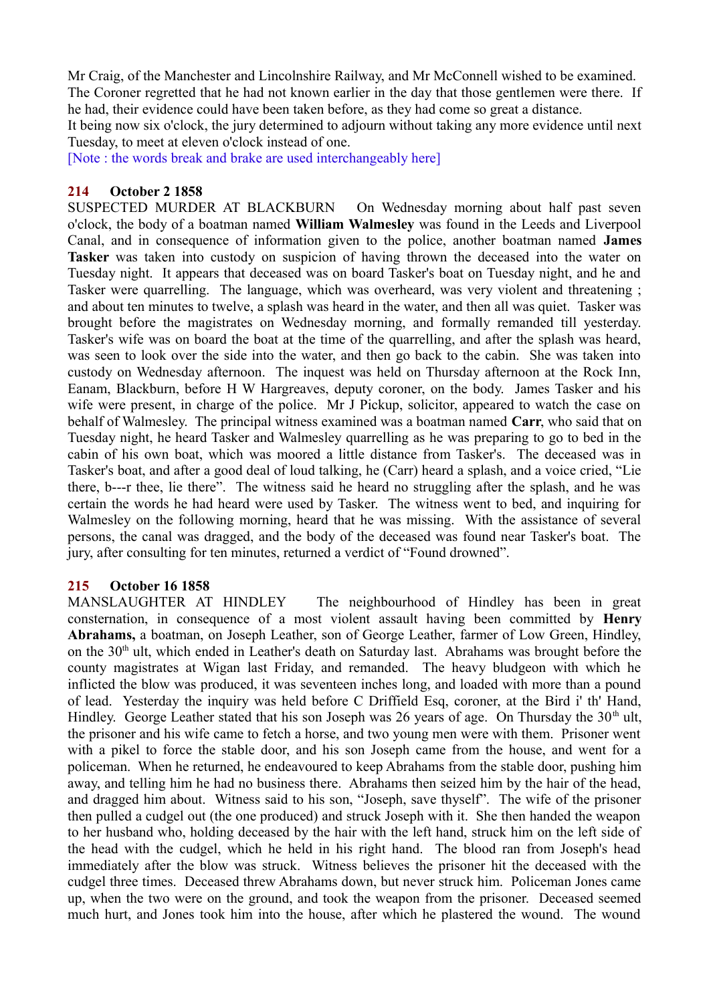Mr Craig, of the Manchester and Lincolnshire Railway, and Mr McConnell wished to be examined. The Coroner regretted that he had not known earlier in the day that those gentlemen were there. If he had, their evidence could have been taken before, as they had come so great a distance.

It being now six o'clock, the jury determined to adjourn without taking any more evidence until next Tuesday, to meet at eleven o'clock instead of one.

[Note : the words break and brake are used interchangeably here]

# **214 October 2 1858**

SUSPECTED MURDER AT BLACKBURN On Wednesday morning about half past seven o'clock, the body of a boatman named **William Walmesley** was found in the Leeds and Liverpool Canal, and in consequence of information given to the police, another boatman named **James Tasker** was taken into custody on suspicion of having thrown the deceased into the water on Tuesday night. It appears that deceased was on board Tasker's boat on Tuesday night, and he and Tasker were quarrelling. The language, which was overheard, was very violent and threatening ; and about ten minutes to twelve, a splash was heard in the water, and then all was quiet. Tasker was brought before the magistrates on Wednesday morning, and formally remanded till yesterday. Tasker's wife was on board the boat at the time of the quarrelling, and after the splash was heard, was seen to look over the side into the water, and then go back to the cabin. She was taken into custody on Wednesday afternoon. The inquest was held on Thursday afternoon at the Rock Inn, Eanam, Blackburn, before H W Hargreaves, deputy coroner, on the body. James Tasker and his wife were present, in charge of the police. Mr J Pickup, solicitor, appeared to watch the case on behalf of Walmesley. The principal witness examined was a boatman named **Carr**, who said that on Tuesday night, he heard Tasker and Walmesley quarrelling as he was preparing to go to bed in the cabin of his own boat, which was moored a little distance from Tasker's. The deceased was in Tasker's boat, and after a good deal of loud talking, he (Carr) heard a splash, and a voice cried, "Lie there, b---r thee, lie there". The witness said he heard no struggling after the splash, and he was certain the words he had heard were used by Tasker. The witness went to bed, and inquiring for Walmesley on the following morning, heard that he was missing. With the assistance of several persons, the canal was dragged, and the body of the deceased was found near Tasker's boat. The jury, after consulting for ten minutes, returned a verdict of "Found drowned".

# **215 October 16 1858**

MANSLAUGHTER AT HINDLEY The neighbourhood of Hindley has been in great consternation, in consequence of a most violent assault having been committed by **Henry Abrahams,** a boatman, on Joseph Leather, son of George Leather, farmer of Low Green, Hindley, on the  $30<sup>th</sup>$  ult, which ended in Leather's death on Saturday last. Abrahams was brought before the county magistrates at Wigan last Friday, and remanded. The heavy bludgeon with which he inflicted the blow was produced, it was seventeen inches long, and loaded with more than a pound of lead. Yesterday the inquiry was held before C Driffield Esq, coroner, at the Bird i' th' Hand, Hindley. George Leather stated that his son Joseph was 26 years of age. On Thursday the  $30<sup>th</sup>$  ult, the prisoner and his wife came to fetch a horse, and two young men were with them. Prisoner went with a pikel to force the stable door, and his son Joseph came from the house, and went for a policeman. When he returned, he endeavoured to keep Abrahams from the stable door, pushing him away, and telling him he had no business there. Abrahams then seized him by the hair of the head, and dragged him about. Witness said to his son, "Joseph, save thyself". The wife of the prisoner then pulled a cudgel out (the one produced) and struck Joseph with it. She then handed the weapon to her husband who, holding deceased by the hair with the left hand, struck him on the left side of the head with the cudgel, which he held in his right hand. The blood ran from Joseph's head immediately after the blow was struck. Witness believes the prisoner hit the deceased with the cudgel three times. Deceased threw Abrahams down, but never struck him. Policeman Jones came up, when the two were on the ground, and took the weapon from the prisoner. Deceased seemed much hurt, and Jones took him into the house, after which he plastered the wound. The wound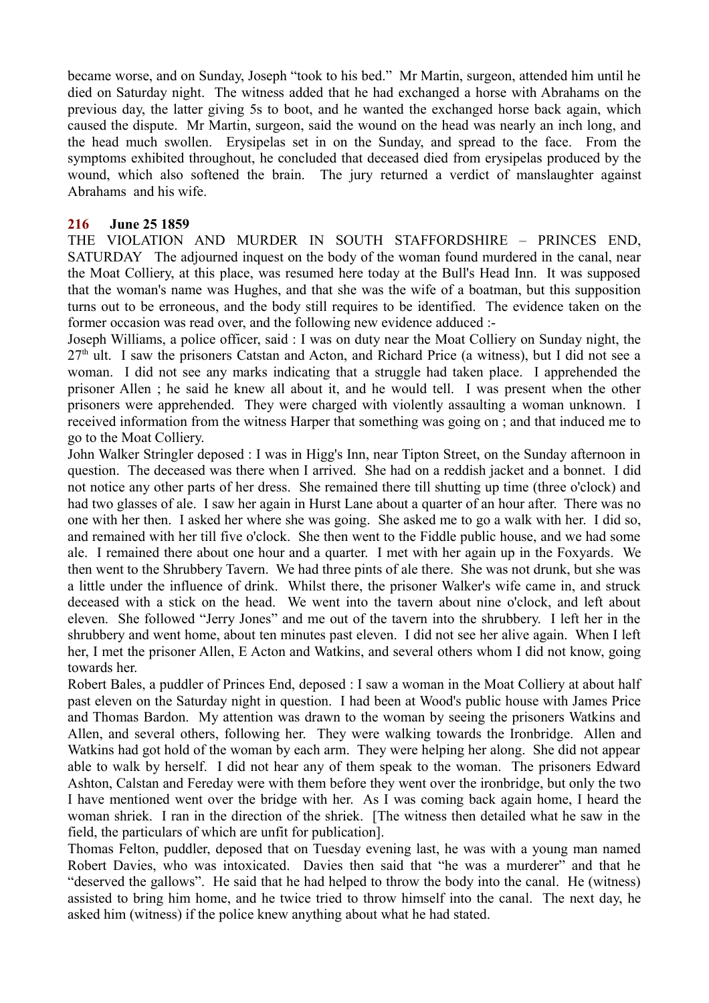became worse, and on Sunday, Joseph "took to his bed." Mr Martin, surgeon, attended him until he died on Saturday night. The witness added that he had exchanged a horse with Abrahams on the previous day, the latter giving 5s to boot, and he wanted the exchanged horse back again, which caused the dispute. Mr Martin, surgeon, said the wound on the head was nearly an inch long, and the head much swollen. Erysipelas set in on the Sunday, and spread to the face. From the symptoms exhibited throughout, he concluded that deceased died from erysipelas produced by the wound, which also softened the brain. The jury returned a verdict of manslaughter against Abrahams and his wife.

## **216 June 25 1859**

THE VIOLATION AND MURDER IN SOUTH STAFFORDSHIRE – PRINCES END, SATURDAY The adjourned inquest on the body of the woman found murdered in the canal, near the Moat Colliery, at this place, was resumed here today at the Bull's Head Inn. It was supposed that the woman's name was Hughes, and that she was the wife of a boatman, but this supposition turns out to be erroneous, and the body still requires to be identified. The evidence taken on the former occasion was read over, and the following new evidence adduced :-

Joseph Williams, a police officer, said : I was on duty near the Moat Colliery on Sunday night, the  $27<sup>th</sup>$  ult. I saw the prisoners Catstan and Acton, and Richard Price (a witness), but I did not see a woman. I did not see any marks indicating that a struggle had taken place. I apprehended the prisoner Allen ; he said he knew all about it, and he would tell. I was present when the other prisoners were apprehended. They were charged with violently assaulting a woman unknown. I received information from the witness Harper that something was going on ; and that induced me to go to the Moat Colliery.

John Walker Stringler deposed : I was in Higg's Inn, near Tipton Street, on the Sunday afternoon in question. The deceased was there when I arrived. She had on a reddish jacket and a bonnet. I did not notice any other parts of her dress. She remained there till shutting up time (three o'clock) and had two glasses of ale. I saw her again in Hurst Lane about a quarter of an hour after. There was no one with her then. I asked her where she was going. She asked me to go a walk with her. I did so, and remained with her till five o'clock. She then went to the Fiddle public house, and we had some ale. I remained there about one hour and a quarter. I met with her again up in the Foxyards. We then went to the Shrubbery Tavern. We had three pints of ale there. She was not drunk, but she was a little under the influence of drink. Whilst there, the prisoner Walker's wife came in, and struck deceased with a stick on the head. We went into the tavern about nine o'clock, and left about eleven. She followed "Jerry Jones" and me out of the tavern into the shrubbery. I left her in the shrubbery and went home, about ten minutes past eleven. I did not see her alive again. When I left her, I met the prisoner Allen, E Acton and Watkins, and several others whom I did not know, going towards her.

Robert Bales, a puddler of Princes End, deposed : I saw a woman in the Moat Colliery at about half past eleven on the Saturday night in question. I had been at Wood's public house with James Price and Thomas Bardon. My attention was drawn to the woman by seeing the prisoners Watkins and Allen, and several others, following her. They were walking towards the Ironbridge. Allen and Watkins had got hold of the woman by each arm. They were helping her along. She did not appear able to walk by herself. I did not hear any of them speak to the woman. The prisoners Edward Ashton, Calstan and Fereday were with them before they went over the ironbridge, but only the two I have mentioned went over the bridge with her. As I was coming back again home, I heard the woman shriek. I ran in the direction of the shriek. [The witness then detailed what he saw in the field, the particulars of which are unfit for publication].

Thomas Felton, puddler, deposed that on Tuesday evening last, he was with a young man named Robert Davies, who was intoxicated. Davies then said that "he was a murderer" and that he "deserved the gallows". He said that he had helped to throw the body into the canal. He (witness) assisted to bring him home, and he twice tried to throw himself into the canal. The next day, he asked him (witness) if the police knew anything about what he had stated.